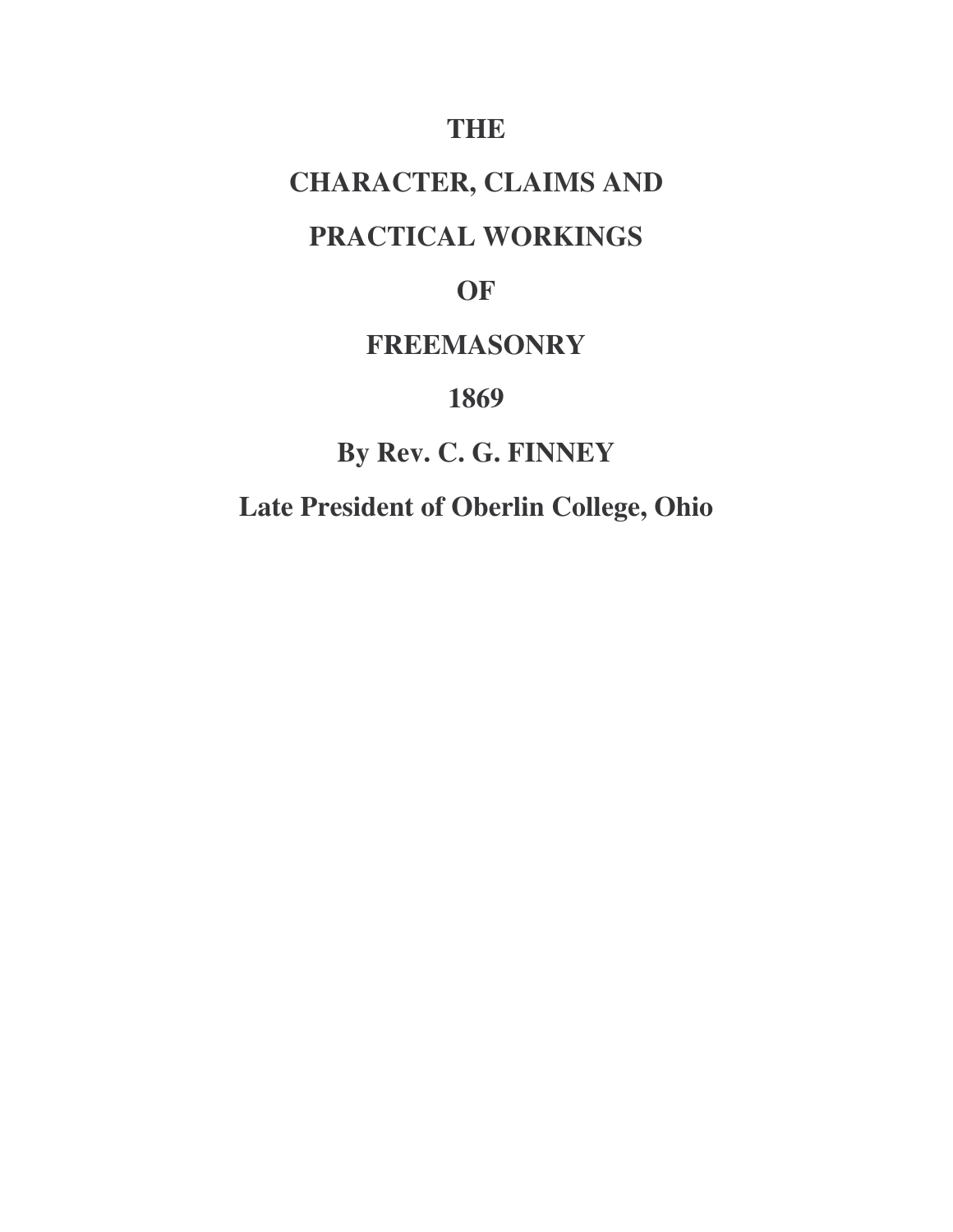### **THE**

# **CHARACTER, CLAIMS AND**

# **PRACTICAL WORKINGS**

## **OF**

### **FREEMASONRY**

### **1869**

# **By Rev. C. G. FINNEY**

# **Late President of Oberlin College, Ohio**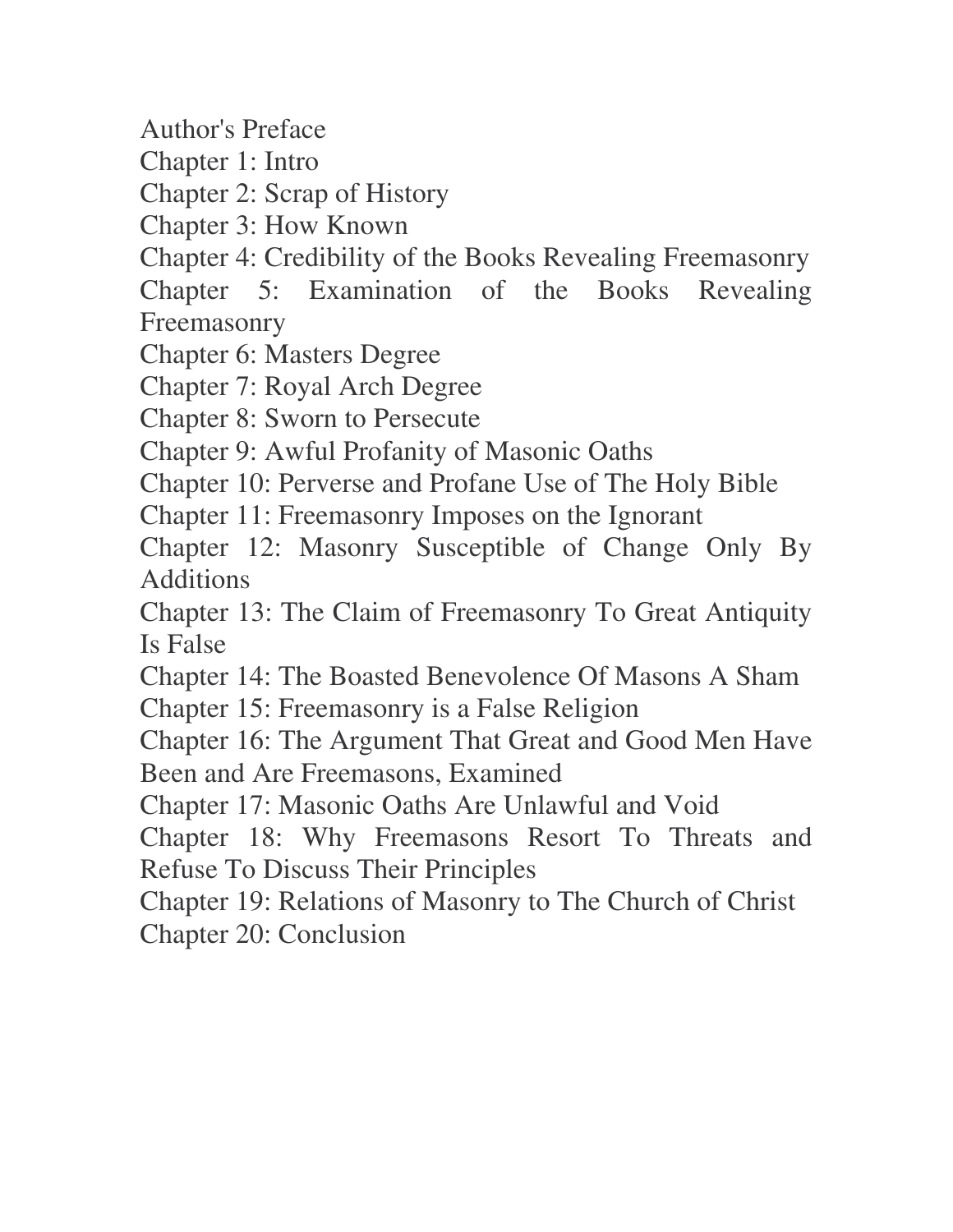Author's Preface

Chapter 1: Intro

Chapter 2: Scrap of History

Chapter 3: How Known

Chapter 4: Credibility of the Books Revealing Freemasonry

Chapter 5: Examination of the Books Revealing Freemasonry

Chapter 6: Masters Degree

Chapter 7: Royal Arch Degree

Chapter 8: Sworn to Persecute

Chapter 9: Awful Profanity of Masonic Oaths

Chapter 10: Perverse and Profane Use of The Holy Bible

Chapter 11: Freemasonry Imposes on the Ignorant

Chapter 12: Masonry Susceptible of Change Only By Additions

Chapter 13: The Claim of Freemasonry To Great Antiquity Is False

Chapter 14: The Boasted Benevolence Of Masons A Sham

Chapter 15: Freemasonry is a False Religion

Chapter 16: The Argument That Great and Good Men Have Been and Are Freemasons, Examined

Chapter 17: Masonic Oaths Are Unlawful and Void

Chapter 18: Why Freemasons Resort To Threats and Refuse To Discuss Their Principles

Chapter 19: Relations of Masonry to The Church of Christ Chapter 20: Conclusion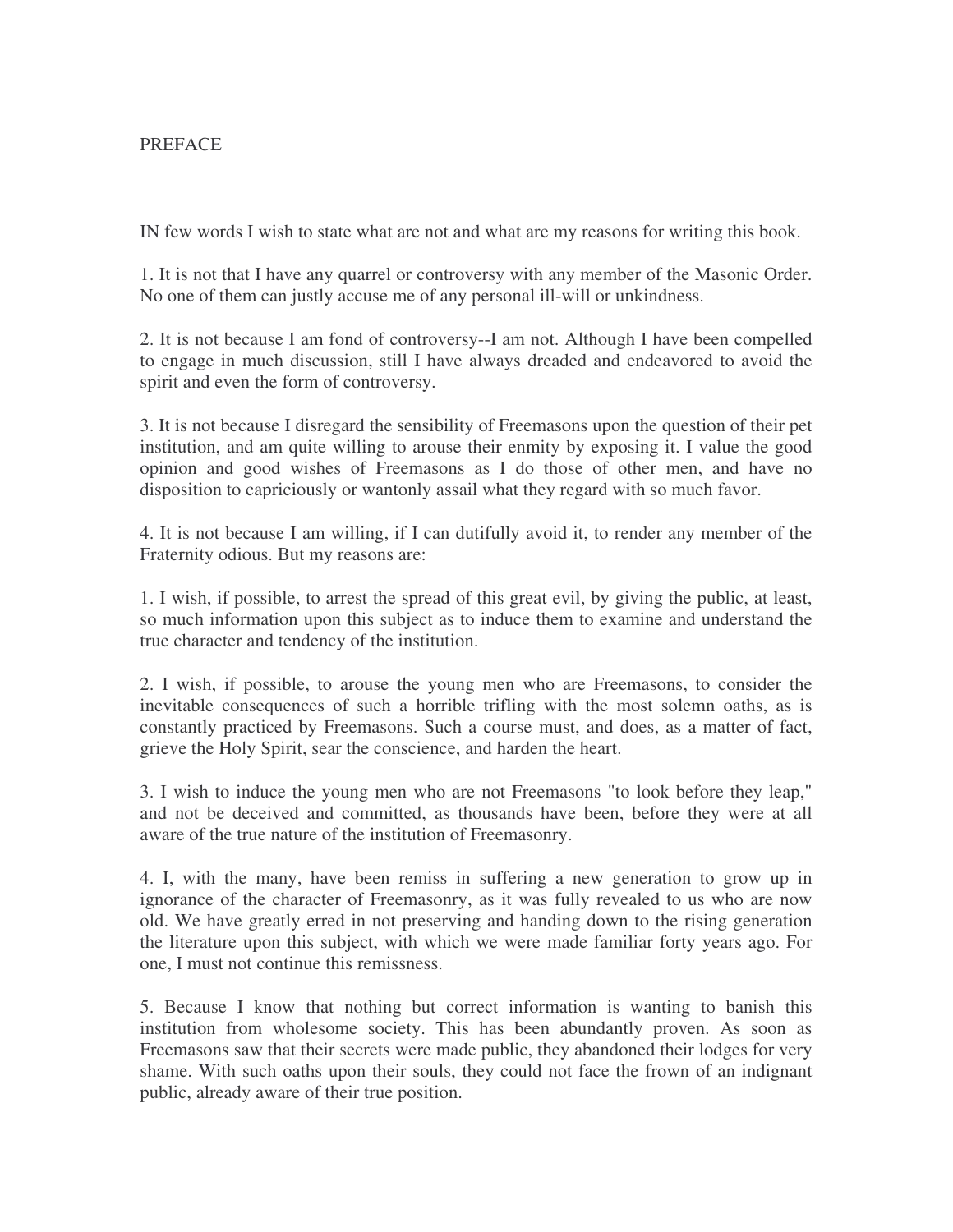#### PREFACE

IN few words I wish to state what are not and what are my reasons for writing this book.

1. It is not that I have any quarrel or controversy with any member of the Masonic Order. No one of them can justly accuse me of any personal ill-will or unkindness.

2. It is not because I am fond of controversy--I am not. Although I have been compelled to engage in much discussion, still I have always dreaded and endeavored to avoid the spirit and even the form of controversy.

3. It is not because I disregard the sensibility of Freemasons upon the question of their pet institution, and am quite willing to arouse their enmity by exposing it. I value the good opinion and good wishes of Freemasons as I do those of other men, and have no disposition to capriciously or wantonly assail what they regard with so much favor.

4. It is not because I am willing, if I can dutifully avoid it, to render any member of the Fraternity odious. But my reasons are:

1. I wish, if possible, to arrest the spread of this great evil, by giving the public, at least, so much information upon this subject as to induce them to examine and understand the true character and tendency of the institution.

2. I wish, if possible, to arouse the young men who are Freemasons, to consider the inevitable consequences of such a horrible trifling with the most solemn oaths, as is constantly practiced by Freemasons. Such a course must, and does, as a matter of fact, grieve the Holy Spirit, sear the conscience, and harden the heart.

3. I wish to induce the young men who are not Freemasons "to look before they leap," and not be deceived and committed, as thousands have been, before they were at all aware of the true nature of the institution of Freemasonry.

4. I, with the many, have been remiss in suffering a new generation to grow up in ignorance of the character of Freemasonry, as it was fully revealed to us who are now old. We have greatly erred in not preserving and handing down to the rising generation the literature upon this subject, with which we were made familiar forty years ago. For one, I must not continue this remissness.

5. Because I know that nothing but correct information is wanting to banish this institution from wholesome society. This has been abundantly proven. As soon as Freemasons saw that their secrets were made public, they abandoned their lodges for very shame. With such oaths upon their souls, they could not face the frown of an indignant public, already aware of their true position.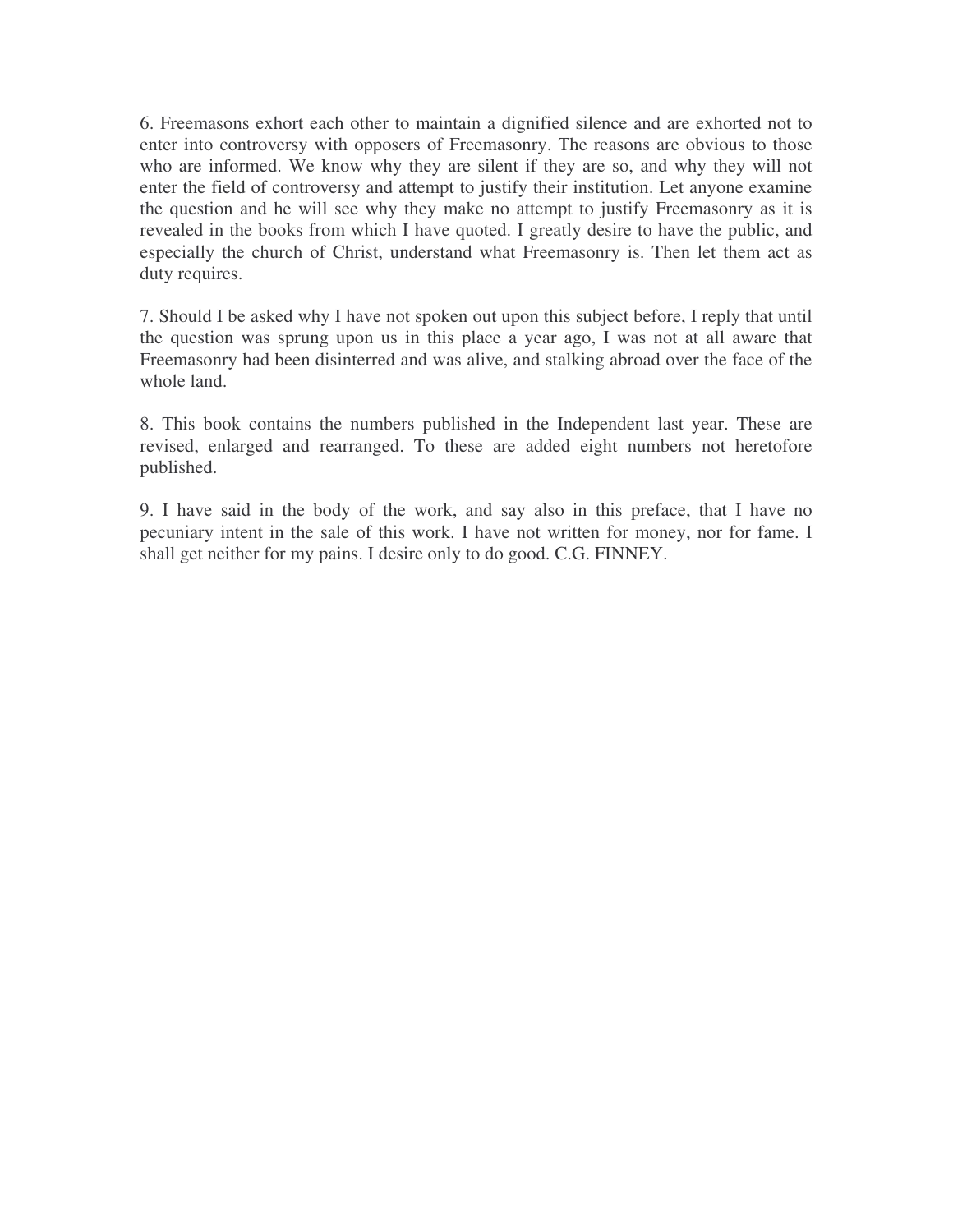6. Freemasons exhort each other to maintain a dignified silence and are exhorted not to enter into controversy with opposers of Freemasonry. The reasons are obvious to those who are informed. We know why they are silent if they are so, and why they will not enter the field of controversy and attempt to justify their institution. Let anyone examine the question and he will see why they make no attempt to justify Freemasonry as it is revealed in the books from which I have quoted. I greatly desire to have the public, and especially the church of Christ, understand what Freemasonry is. Then let them act as duty requires.

7. Should I be asked why I have not spoken out upon this subject before, I reply that until the question was sprung upon us in this place a year ago, I was not at all aware that Freemasonry had been disinterred and was alive, and stalking abroad over the face of the whole land.

8. This book contains the numbers published in the Independent last year. These are revised, enlarged and rearranged. To these are added eight numbers not heretofore published.

9. I have said in the body of the work, and say also in this preface, that I have no pecuniary intent in the sale of this work. I have not written for money, nor for fame. I shall get neither for my pains. I desire only to do good. C.G. FINNEY.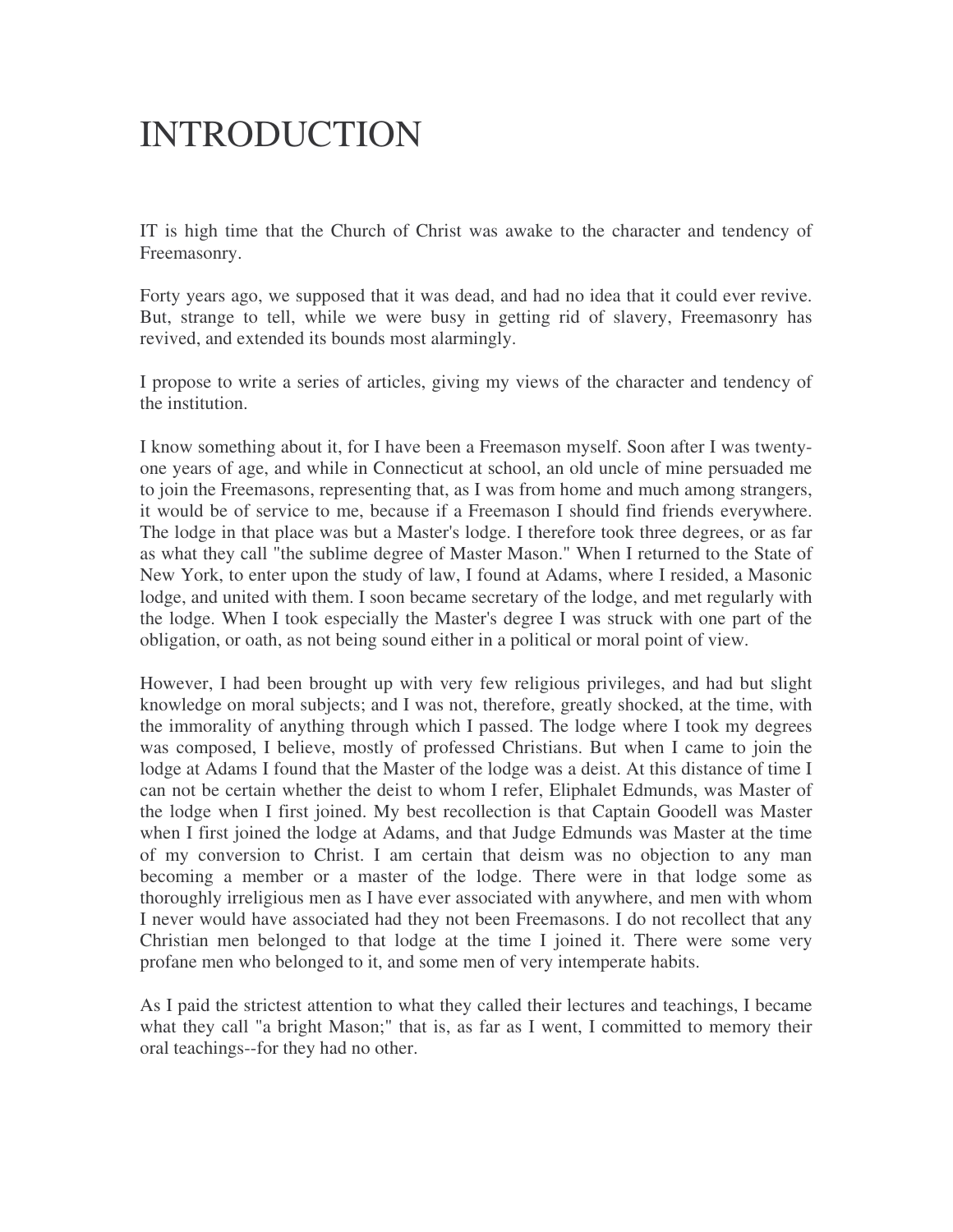# INTRODUCTION

IT is high time that the Church of Christ was awake to the character and tendency of Freemasonry.

Forty years ago, we supposed that it was dead, and had no idea that it could ever revive. But, strange to tell, while we were busy in getting rid of slavery, Freemasonry has revived, and extended its bounds most alarmingly.

I propose to write a series of articles, giving my views of the character and tendency of the institution.

I know something about it, for I have been a Freemason myself. Soon after I was twentyone years of age, and while in Connecticut at school, an old uncle of mine persuaded me to join the Freemasons, representing that, as I was from home and much among strangers, it would be of service to me, because if a Freemason I should find friends everywhere. The lodge in that place was but a Master's lodge. I therefore took three degrees, or as far as what they call "the sublime degree of Master Mason." When I returned to the State of New York, to enter upon the study of law, I found at Adams, where I resided, a Masonic lodge, and united with them. I soon became secretary of the lodge, and met regularly with the lodge. When I took especially the Master's degree I was struck with one part of the obligation, or oath, as not being sound either in a political or moral point of view.

However, I had been brought up with very few religious privileges, and had but slight knowledge on moral subjects; and I was not, therefore, greatly shocked, at the time, with the immorality of anything through which I passed. The lodge where I took my degrees was composed, I believe, mostly of professed Christians. But when I came to join the lodge at Adams I found that the Master of the lodge was a deist. At this distance of time I can not be certain whether the deist to whom I refer, Eliphalet Edmunds, was Master of the lodge when I first joined. My best recollection is that Captain Goodell was Master when I first joined the lodge at Adams, and that Judge Edmunds was Master at the time of my conversion to Christ. I am certain that deism was no objection to any man becoming a member or a master of the lodge. There were in that lodge some as thoroughly irreligious men as I have ever associated with anywhere, and men with whom I never would have associated had they not been Freemasons. I do not recollect that any Christian men belonged to that lodge at the time I joined it. There were some very profane men who belonged to it, and some men of very intemperate habits.

As I paid the strictest attention to what they called their lectures and teachings, I became what they call "a bright Mason;" that is, as far as I went, I committed to memory their oral teachings--for they had no other.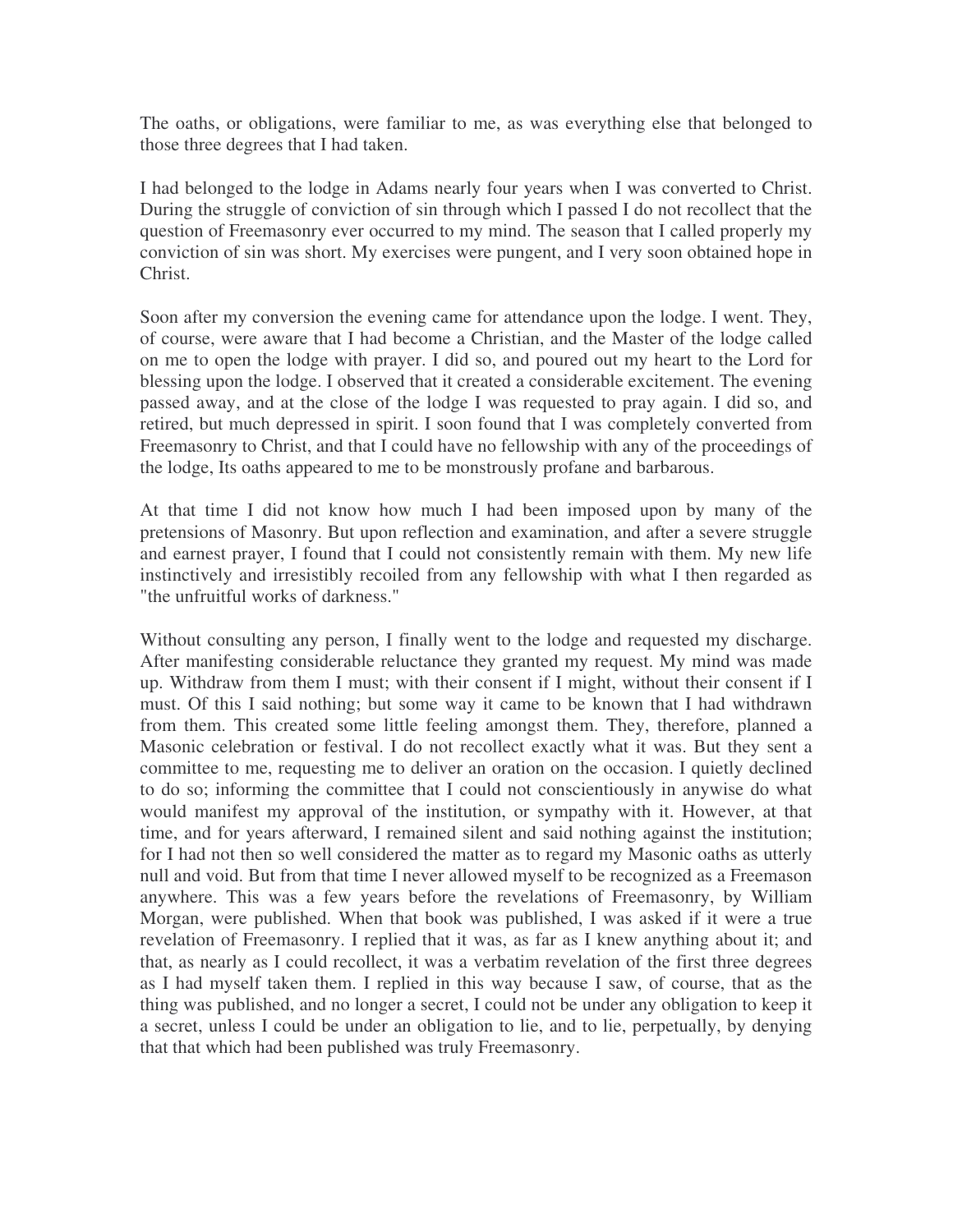The oaths, or obligations, were familiar to me, as was everything else that belonged to those three degrees that I had taken.

I had belonged to the lodge in Adams nearly four years when I was converted to Christ. During the struggle of conviction of sin through which I passed I do not recollect that the question of Freemasonry ever occurred to my mind. The season that I called properly my conviction of sin was short. My exercises were pungent, and I very soon obtained hope in Christ.

Soon after my conversion the evening came for attendance upon the lodge. I went. They, of course, were aware that I had become a Christian, and the Master of the lodge called on me to open the lodge with prayer. I did so, and poured out my heart to the Lord for blessing upon the lodge. I observed that it created a considerable excitement. The evening passed away, and at the close of the lodge I was requested to pray again. I did so, and retired, but much depressed in spirit. I soon found that I was completely converted from Freemasonry to Christ, and that I could have no fellowship with any of the proceedings of the lodge, Its oaths appeared to me to be monstrously profane and barbarous.

At that time I did not know how much I had been imposed upon by many of the pretensions of Masonry. But upon reflection and examination, and after a severe struggle and earnest prayer, I found that I could not consistently remain with them. My new life instinctively and irresistibly recoiled from any fellowship with what I then regarded as "the unfruitful works of darkness."

Without consulting any person, I finally went to the lodge and requested my discharge. After manifesting considerable reluctance they granted my request. My mind was made up. Withdraw from them I must; with their consent if I might, without their consent if I must. Of this I said nothing; but some way it came to be known that I had withdrawn from them. This created some little feeling amongst them. They, therefore, planned a Masonic celebration or festival. I do not recollect exactly what it was. But they sent a committee to me, requesting me to deliver an oration on the occasion. I quietly declined to do so; informing the committee that I could not conscientiously in anywise do what would manifest my approval of the institution, or sympathy with it. However, at that time, and for years afterward, I remained silent and said nothing against the institution; for I had not then so well considered the matter as to regard my Masonic oaths as utterly null and void. But from that time I never allowed myself to be recognized as a Freemason anywhere. This was a few years before the revelations of Freemasonry, by William Morgan, were published. When that book was published, I was asked if it were a true revelation of Freemasonry. I replied that it was, as far as I knew anything about it; and that, as nearly as I could recollect, it was a verbatim revelation of the first three degrees as I had myself taken them. I replied in this way because I saw, of course, that as the thing was published, and no longer a secret, I could not be under any obligation to keep it a secret, unless I could be under an obligation to lie, and to lie, perpetually, by denying that that which had been published was truly Freemasonry.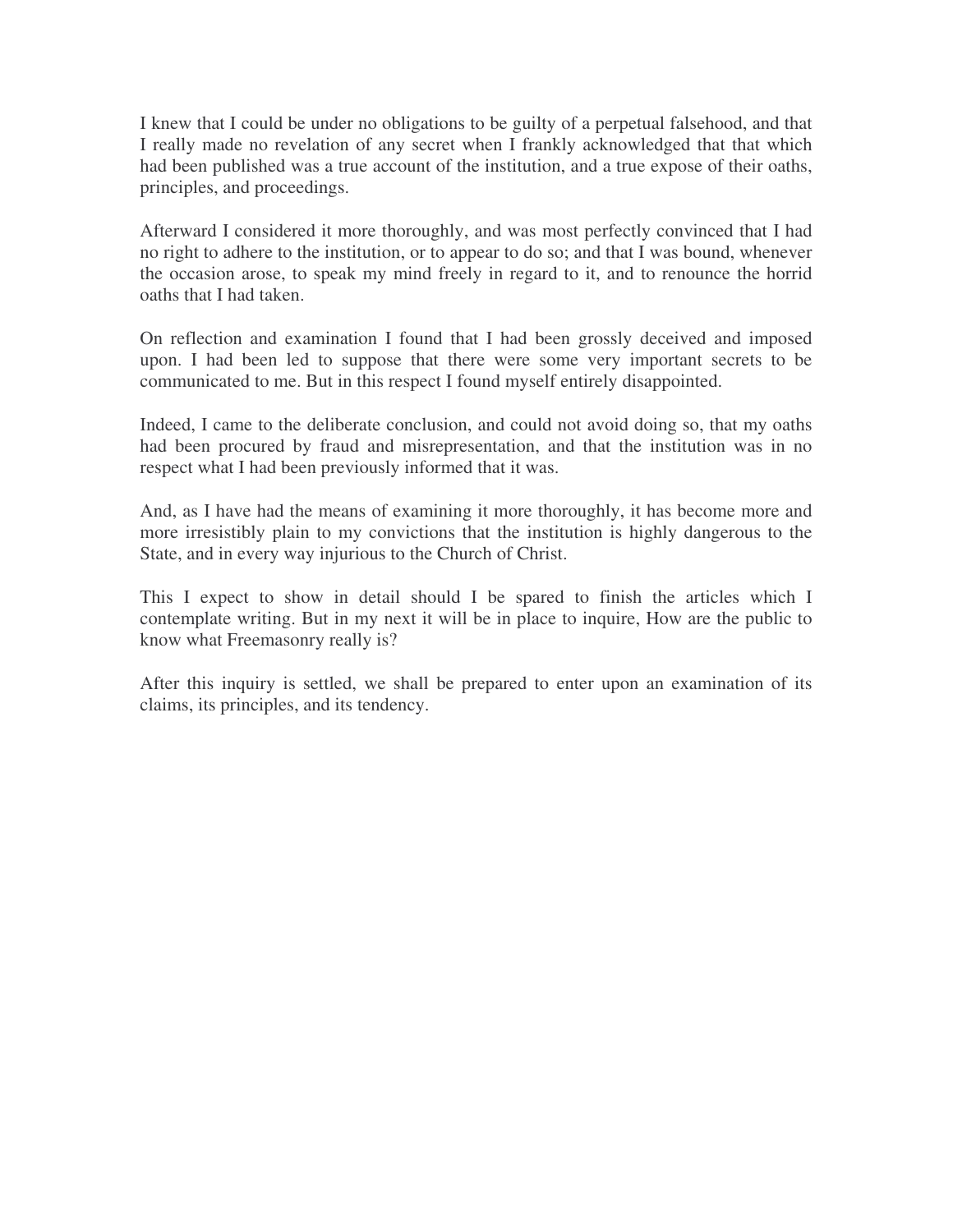I knew that I could be under no obligations to be guilty of a perpetual falsehood, and that I really made no revelation of any secret when I frankly acknowledged that that which had been published was a true account of the institution, and a true expose of their oaths, principles, and proceedings.

Afterward I considered it more thoroughly, and was most perfectly convinced that I had no right to adhere to the institution, or to appear to do so; and that I was bound, whenever the occasion arose, to speak my mind freely in regard to it, and to renounce the horrid oaths that I had taken.

On reflection and examination I found that I had been grossly deceived and imposed upon. I had been led to suppose that there were some very important secrets to be communicated to me. But in this respect I found myself entirely disappointed.

Indeed, I came to the deliberate conclusion, and could not avoid doing so, that my oaths had been procured by fraud and misrepresentation, and that the institution was in no respect what I had been previously informed that it was.

And, as I have had the means of examining it more thoroughly, it has become more and more irresistibly plain to my convictions that the institution is highly dangerous to the State, and in every way injurious to the Church of Christ.

This I expect to show in detail should I be spared to finish the articles which I contemplate writing. But in my next it will be in place to inquire, How are the public to know what Freemasonry really is?

After this inquiry is settled, we shall be prepared to enter upon an examination of its claims, its principles, and its tendency.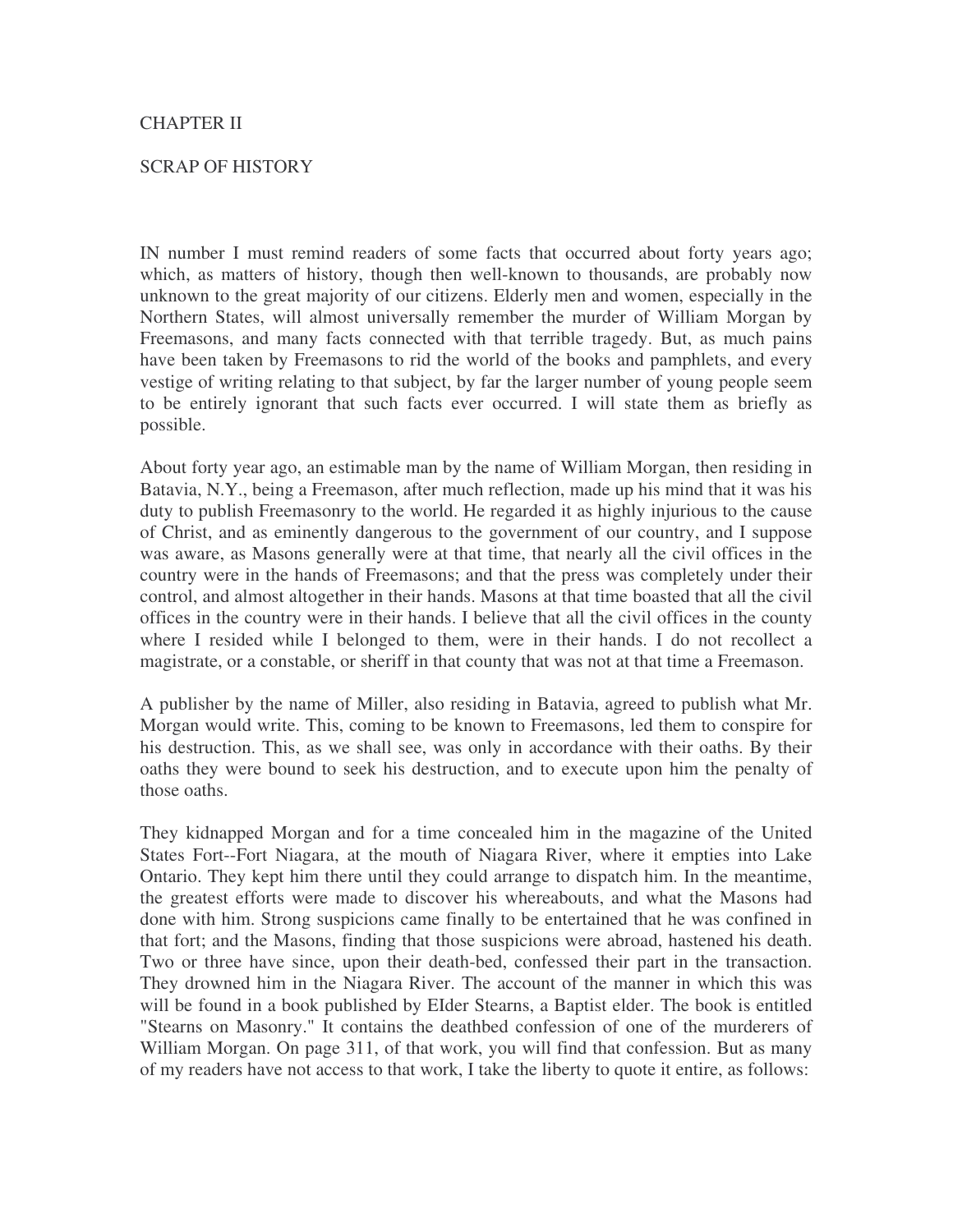#### CHAPTER II

#### SCRAP OF HISTORY

IN number I must remind readers of some facts that occurred about forty years ago; which, as matters of history, though then well-known to thousands, are probably now unknown to the great majority of our citizens. Elderly men and women, especially in the Northern States, will almost universally remember the murder of William Morgan by Freemasons, and many facts connected with that terrible tragedy. But, as much pains have been taken by Freemasons to rid the world of the books and pamphlets, and every vestige of writing relating to that subject, by far the larger number of young people seem to be entirely ignorant that such facts ever occurred. I will state them as briefly as possible.

About forty year ago, an estimable man by the name of William Morgan, then residing in Batavia, N.Y., being a Freemason, after much reflection, made up his mind that it was his duty to publish Freemasonry to the world. He regarded it as highly injurious to the cause of Christ, and as eminently dangerous to the government of our country, and I suppose was aware, as Masons generally were at that time, that nearly all the civil offices in the country were in the hands of Freemasons; and that the press was completely under their control, and almost altogether in their hands. Masons at that time boasted that all the civil offices in the country were in their hands. I believe that all the civil offices in the county where I resided while I belonged to them, were in their hands. I do not recollect a magistrate, or a constable, or sheriff in that county that was not at that time a Freemason.

A publisher by the name of Miller, also residing in Batavia, agreed to publish what Mr. Morgan would write. This, coming to be known to Freemasons, led them to conspire for his destruction. This, as we shall see, was only in accordance with their oaths. By their oaths they were bound to seek his destruction, and to execute upon him the penalty of those oaths.

They kidnapped Morgan and for a time concealed him in the magazine of the United States Fort--Fort Niagara, at the mouth of Niagara River, where it empties into Lake Ontario. They kept him there until they could arrange to dispatch him. In the meantime, the greatest efforts were made to discover his whereabouts, and what the Masons had done with him. Strong suspicions came finally to be entertained that he was confined in that fort; and the Masons, finding that those suspicions were abroad, hastened his death. Two or three have since, upon their death-bed, confessed their part in the transaction. They drowned him in the Niagara River. The account of the manner in which this was will be found in a book published by EIder Stearns, a Baptist elder. The book is entitled "Stearns on Masonry." It contains the deathbed confession of one of the murderers of William Morgan. On page 311, of that work, you will find that confession. But as many of my readers have not access to that work, I take the liberty to quote it entire, as follows: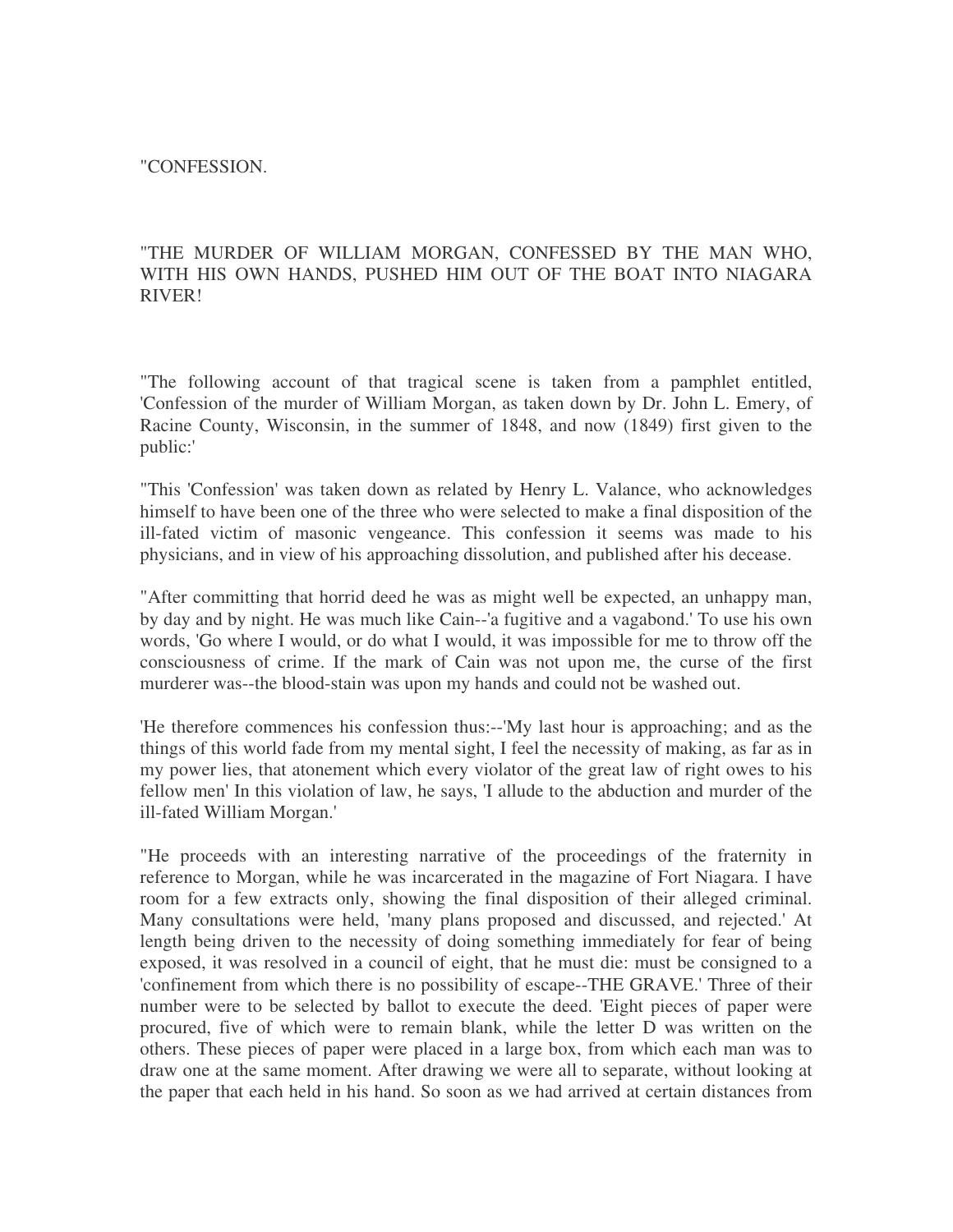#### "CONFESSION.

#### "THE MURDER OF WILLIAM MORGAN, CONFESSED BY THE MAN WHO, WITH HIS OWN HANDS, PUSHED HIM OUT OF THE BOAT INTO NIAGARA RIVER!

"The following account of that tragical scene is taken from a pamphlet entitled, 'Confession of the murder of William Morgan, as taken down by Dr. John L. Emery, of Racine County, Wisconsin, in the summer of 1848, and now (1849) first given to the public:'

"This 'Confession' was taken down as related by Henry L. Valance, who acknowledges himself to have been one of the three who were selected to make a final disposition of the ill-fated victim of masonic vengeance. This confession it seems was made to his physicians, and in view of his approaching dissolution, and published after his decease.

"After committing that horrid deed he was as might well be expected, an unhappy man, by day and by night. He was much like Cain--'a fugitive and a vagabond.' To use his own words, 'Go where I would, or do what I would, it was impossible for me to throw off the consciousness of crime. If the mark of Cain was not upon me, the curse of the first murderer was--the blood-stain was upon my hands and could not be washed out.

'He therefore commences his confession thus:--'My last hour is approaching; and as the things of this world fade from my mental sight, I feel the necessity of making, as far as in my power lies, that atonement which every violator of the great law of right owes to his fellow men' In this violation of law, he says, 'I allude to the abduction and murder of the ill-fated William Morgan.'

"He proceeds with an interesting narrative of the proceedings of the fraternity in reference to Morgan, while he was incarcerated in the magazine of Fort Niagara. I have room for a few extracts only, showing the final disposition of their alleged criminal. Many consultations were held, 'many plans proposed and discussed, and rejected.' At length being driven to the necessity of doing something immediately for fear of being exposed, it was resolved in a council of eight, that he must die: must be consigned to a 'confinement from which there is no possibility of escape--THE GRAVE.' Three of their number were to be selected by ballot to execute the deed. 'Eight pieces of paper were procured, five of which were to remain blank, while the letter D was written on the others. These pieces of paper were placed in a large box, from which each man was to draw one at the same moment. After drawing we were all to separate, without looking at the paper that each held in his hand. So soon as we had arrived at certain distances from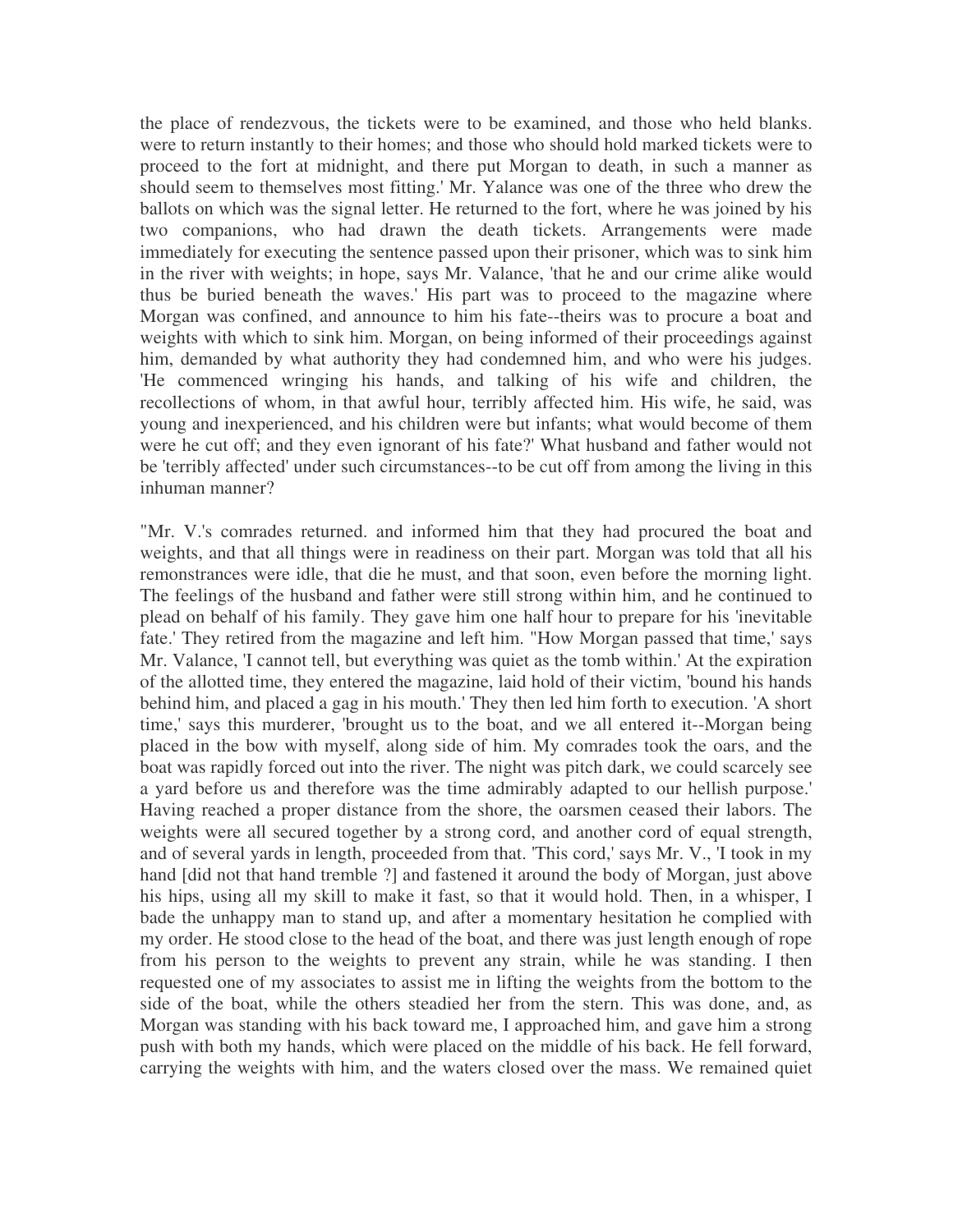the place of rendezvous, the tickets were to be examined, and those who held blanks. were to return instantly to their homes; and those who should hold marked tickets were to proceed to the fort at midnight, and there put Morgan to death, in such a manner as should seem to themselves most fitting.' Mr. Yalance was one of the three who drew the ballots on which was the signal letter. He returned to the fort, where he was joined by his two companions, who had drawn the death tickets. Arrangements were made immediately for executing the sentence passed upon their prisoner, which was to sink him in the river with weights; in hope, says Mr. Valance, 'that he and our crime alike would thus be buried beneath the waves.' His part was to proceed to the magazine where Morgan was confined, and announce to him his fate--theirs was to procure a boat and weights with which to sink him. Morgan, on being informed of their proceedings against him, demanded by what authority they had condemned him, and who were his judges. 'He commenced wringing his hands, and talking of his wife and children, the recollections of whom, in that awful hour, terribly affected him. His wife, he said, was young and inexperienced, and his children were but infants; what would become of them were he cut off; and they even ignorant of his fate?' What husband and father would not be 'terribly affected' under such circumstances--to be cut off from among the living in this inhuman manner?

"Mr. V.'s comrades returned. and informed him that they had procured the boat and weights, and that all things were in readiness on their part. Morgan was told that all his remonstrances were idle, that die he must, and that soon, even before the morning light. The feelings of the husband and father were still strong within him, and he continued to plead on behalf of his family. They gave him one half hour to prepare for his 'inevitable fate.' They retired from the magazine and left him. "How Morgan passed that time,' says Mr. Valance, 'I cannot tell, but everything was quiet as the tomb within.' At the expiration of the allotted time, they entered the magazine, laid hold of their victim, 'bound his hands behind him, and placed a gag in his mouth.' They then led him forth to execution. 'A short time,' says this murderer, 'brought us to the boat, and we all entered it--Morgan being placed in the bow with myself, along side of him. My comrades took the oars, and the boat was rapidly forced out into the river. The night was pitch dark, we could scarcely see a yard before us and therefore was the time admirably adapted to our hellish purpose.' Having reached a proper distance from the shore, the oarsmen ceased their labors. The weights were all secured together by a strong cord, and another cord of equal strength, and of several yards in length, proceeded from that. 'This cord,' says Mr. V., 'I took in my hand [did not that hand tremble ?] and fastened it around the body of Morgan, just above his hips, using all my skill to make it fast, so that it would hold. Then, in a whisper, I bade the unhappy man to stand up, and after a momentary hesitation he complied with my order. He stood close to the head of the boat, and there was just length enough of rope from his person to the weights to prevent any strain, while he was standing. I then requested one of my associates to assist me in lifting the weights from the bottom to the side of the boat, while the others steadied her from the stern. This was done, and, as Morgan was standing with his back toward me, I approached him, and gave him a strong push with both my hands, which were placed on the middle of his back. He fell forward, carrying the weights with him, and the waters closed over the mass. We remained quiet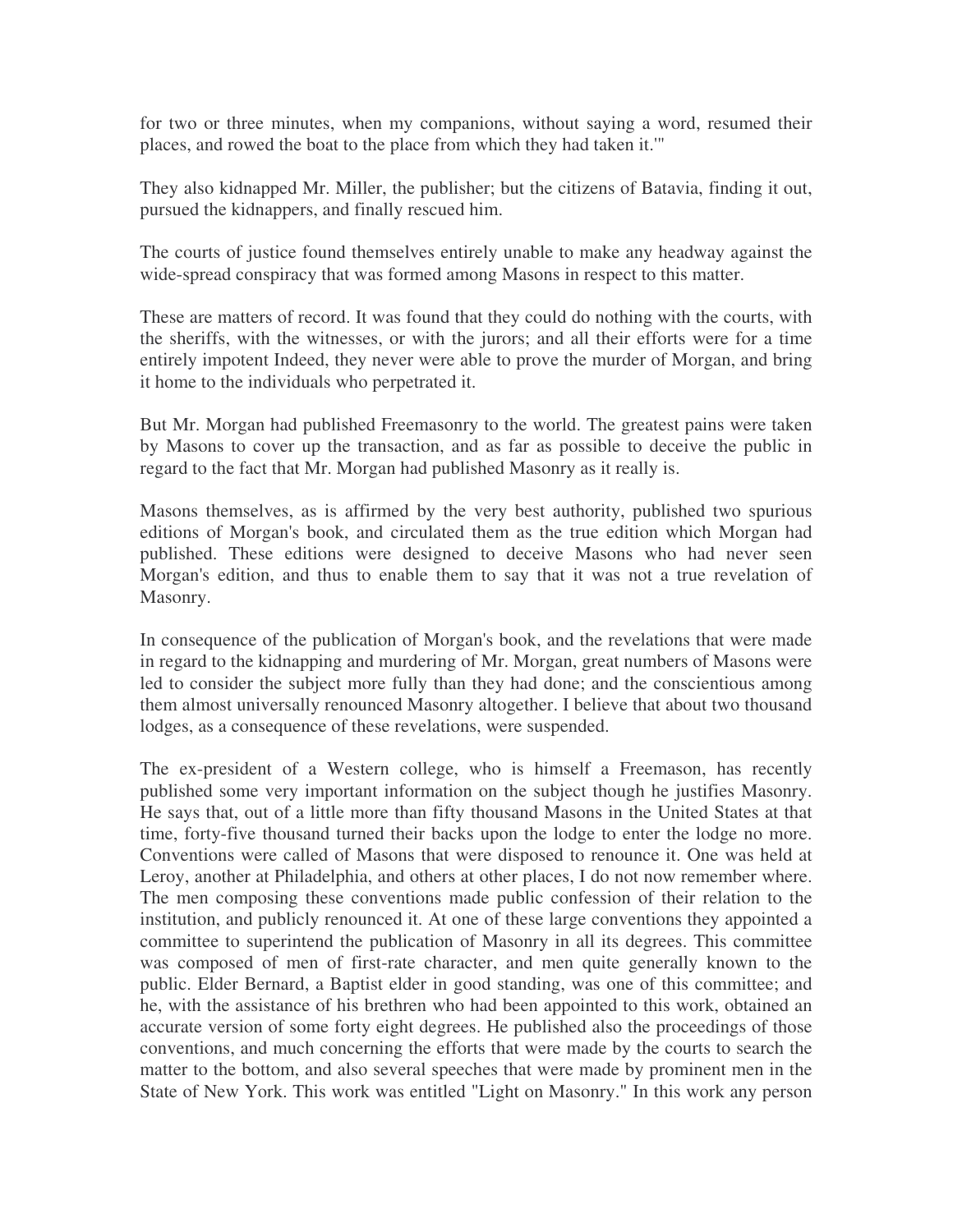for two or three minutes, when my companions, without saying a word, resumed their places, and rowed the boat to the place from which they had taken it.'"

They also kidnapped Mr. Miller, the publisher; but the citizens of Batavia, finding it out, pursued the kidnappers, and finally rescued him.

The courts of justice found themselves entirely unable to make any headway against the wide-spread conspiracy that was formed among Masons in respect to this matter.

These are matters of record. It was found that they could do nothing with the courts, with the sheriffs, with the witnesses, or with the jurors; and all their efforts were for a time entirely impotent Indeed, they never were able to prove the murder of Morgan, and bring it home to the individuals who perpetrated it.

But Mr. Morgan had published Freemasonry to the world. The greatest pains were taken by Masons to cover up the transaction, and as far as possible to deceive the public in regard to the fact that Mr. Morgan had published Masonry as it really is.

Masons themselves, as is affirmed by the very best authority, published two spurious editions of Morgan's book, and circulated them as the true edition which Morgan had published. These editions were designed to deceive Masons who had never seen Morgan's edition, and thus to enable them to say that it was not a true revelation of Masonry.

In consequence of the publication of Morgan's book, and the revelations that were made in regard to the kidnapping and murdering of Mr. Morgan, great numbers of Masons were led to consider the subject more fully than they had done; and the conscientious among them almost universally renounced Masonry altogether. I believe that about two thousand lodges, as a consequence of these revelations, were suspended.

The ex-president of a Western college, who is himself a Freemason, has recently published some very important information on the subject though he justifies Masonry. He says that, out of a little more than fifty thousand Masons in the United States at that time, forty-five thousand turned their backs upon the lodge to enter the lodge no more. Conventions were called of Masons that were disposed to renounce it. One was held at Leroy, another at Philadelphia, and others at other places, I do not now remember where. The men composing these conventions made public confession of their relation to the institution, and publicly renounced it. At one of these large conventions they appointed a committee to superintend the publication of Masonry in all its degrees. This committee was composed of men of first-rate character, and men quite generally known to the public. Elder Bernard, a Baptist elder in good standing, was one of this committee; and he, with the assistance of his brethren who had been appointed to this work, obtained an accurate version of some forty eight degrees. He published also the proceedings of those conventions, and much concerning the efforts that were made by the courts to search the matter to the bottom, and also several speeches that were made by prominent men in the State of New York. This work was entitled "Light on Masonry." In this work any person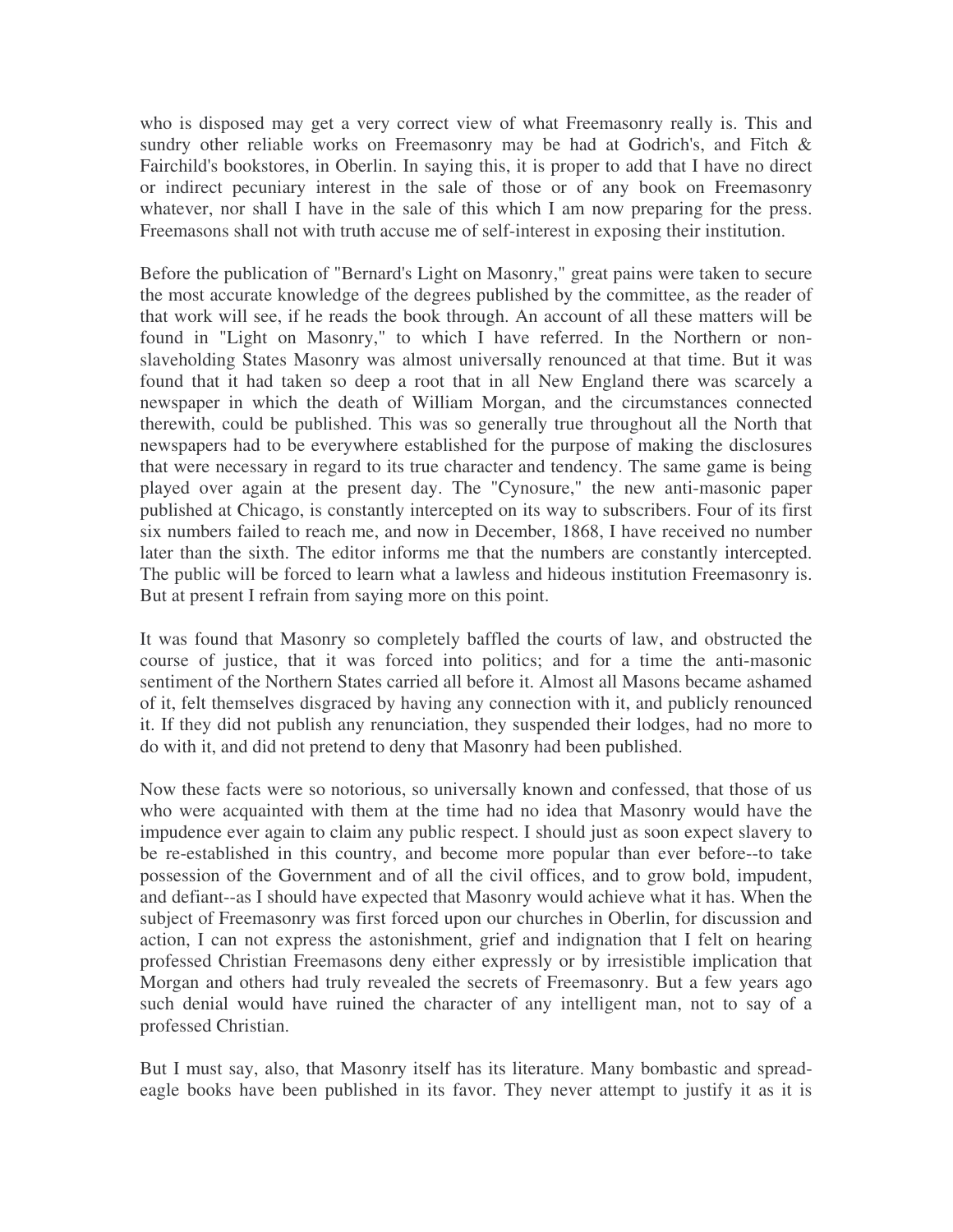who is disposed may get a very correct view of what Freemasonry really is. This and sundry other reliable works on Freemasonry may be had at Godrich's, and Fitch & Fairchild's bookstores, in Oberlin. In saying this, it is proper to add that I have no direct or indirect pecuniary interest in the sale of those or of any book on Freemasonry whatever, nor shall I have in the sale of this which I am now preparing for the press. Freemasons shall not with truth accuse me of self-interest in exposing their institution.

Before the publication of "Bernard's Light on Masonry," great pains were taken to secure the most accurate knowledge of the degrees published by the committee, as the reader of that work will see, if he reads the book through. An account of all these matters will be found in "Light on Masonry," to which I have referred. In the Northern or nonslaveholding States Masonry was almost universally renounced at that time. But it was found that it had taken so deep a root that in all New England there was scarcely a newspaper in which the death of William Morgan, and the circumstances connected therewith, could be published. This was so generally true throughout all the North that newspapers had to be everywhere established for the purpose of making the disclosures that were necessary in regard to its true character and tendency. The same game is being played over again at the present day. The "Cynosure," the new anti-masonic paper published at Chicago, is constantly intercepted on its way to subscribers. Four of its first six numbers failed to reach me, and now in December, 1868, I have received no number later than the sixth. The editor informs me that the numbers are constantly intercepted. The public will be forced to learn what a lawless and hideous institution Freemasonry is. But at present I refrain from saying more on this point.

It was found that Masonry so completely baffled the courts of law, and obstructed the course of justice, that it was forced into politics; and for a time the anti-masonic sentiment of the Northern States carried all before it. Almost all Masons became ashamed of it, felt themselves disgraced by having any connection with it, and publicly renounced it. If they did not publish any renunciation, they suspended their lodges, had no more to do with it, and did not pretend to deny that Masonry had been published.

Now these facts were so notorious, so universally known and confessed, that those of us who were acquainted with them at the time had no idea that Masonry would have the impudence ever again to claim any public respect. I should just as soon expect slavery to be re-established in this country, and become more popular than ever before--to take possession of the Government and of all the civil offices, and to grow bold, impudent, and defiant--as I should have expected that Masonry would achieve what it has. When the subject of Freemasonry was first forced upon our churches in Oberlin, for discussion and action, I can not express the astonishment, grief and indignation that I felt on hearing professed Christian Freemasons deny either expressly or by irresistible implication that Morgan and others had truly revealed the secrets of Freemasonry. But a few years ago such denial would have ruined the character of any intelligent man, not to say of a professed Christian.

But I must say, also, that Masonry itself has its literature. Many bombastic and spreadeagle books have been published in its favor. They never attempt to justify it as it is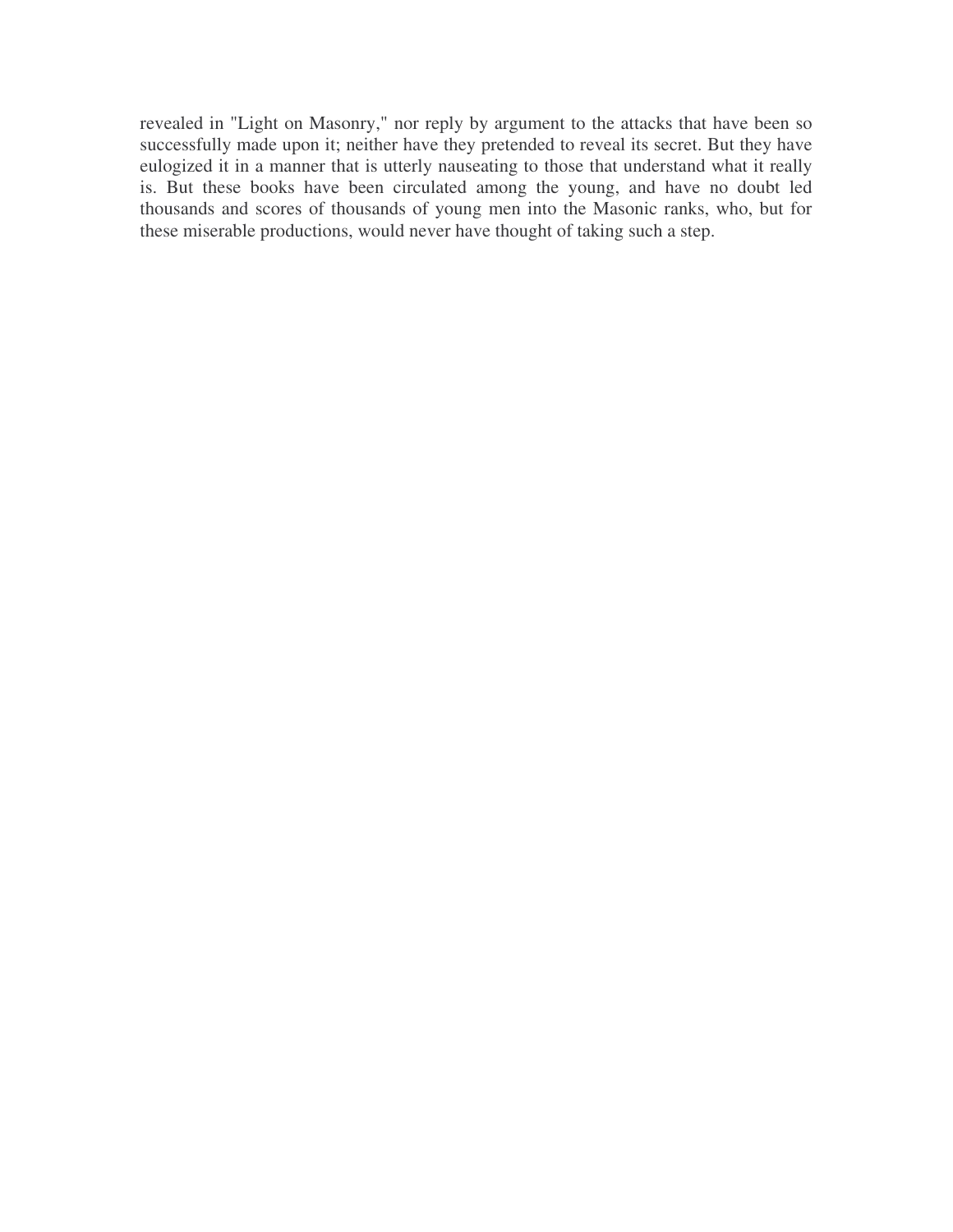revealed in "Light on Masonry," nor reply by argument to the attacks that have been so successfully made upon it; neither have they pretended to reveal its secret. But they have eulogized it in a manner that is utterly nauseating to those that understand what it really is. But these books have been circulated among the young, and have no doubt led thousands and scores of thousands of young men into the Masonic ranks, who, but for these miserable productions, would never have thought of taking such a step.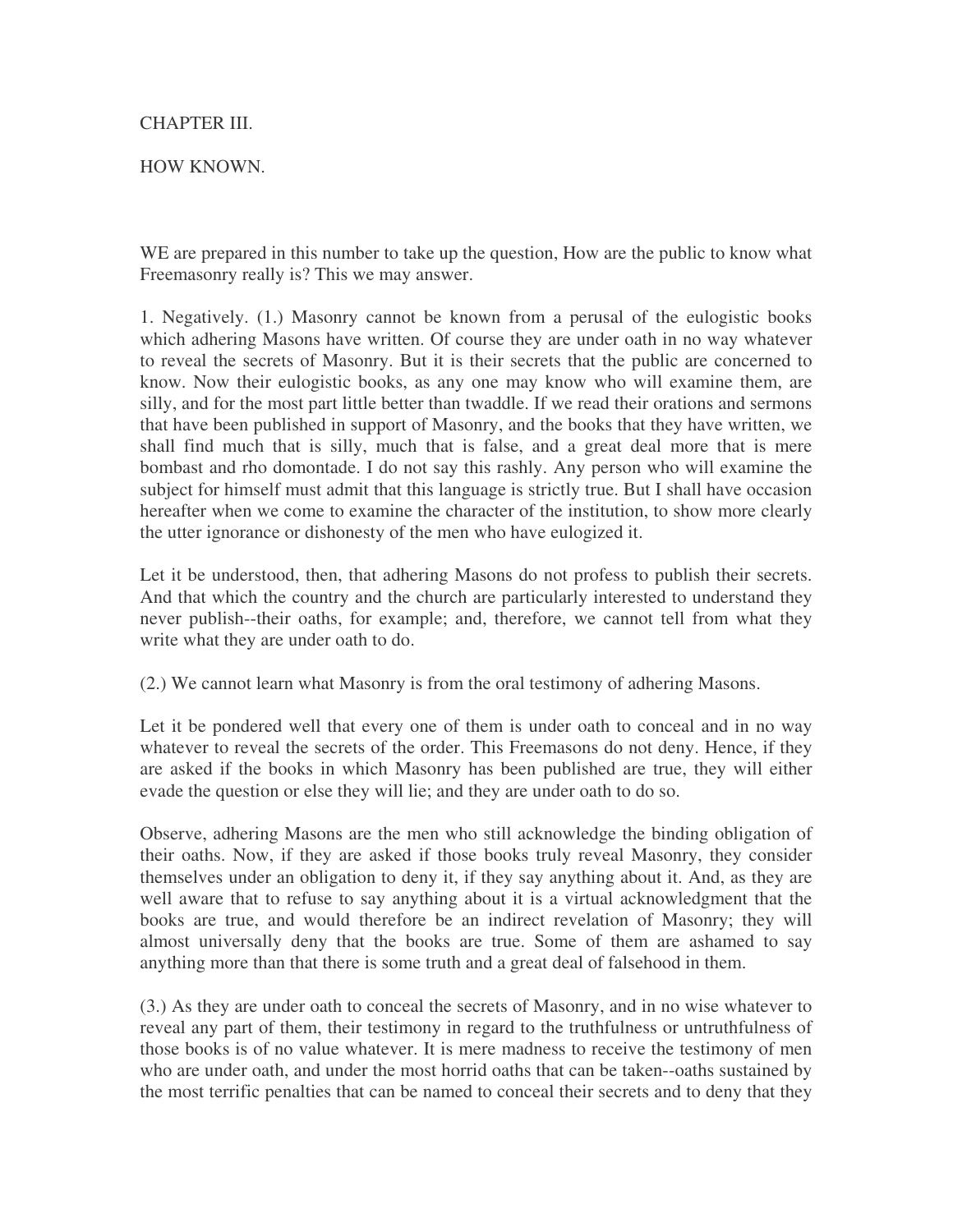#### CHAPTER III.

#### HOW KNOWN.

WE are prepared in this number to take up the question, How are the public to know what Freemasonry really is? This we may answer.

1. Negatively. (1.) Masonry cannot be known from a perusal of the eulogistic books which adhering Masons have written. Of course they are under oath in no way whatever to reveal the secrets of Masonry. But it is their secrets that the public are concerned to know. Now their eulogistic books, as any one may know who will examine them, are silly, and for the most part little better than twaddle. If we read their orations and sermons that have been published in support of Masonry, and the books that they have written, we shall find much that is silly, much that is false, and a great deal more that is mere bombast and rho domontade. I do not say this rashly. Any person who will examine the subject for himself must admit that this language is strictly true. But I shall have occasion hereafter when we come to examine the character of the institution, to show more clearly the utter ignorance or dishonesty of the men who have eulogized it.

Let it be understood, then, that adhering Masons do not profess to publish their secrets. And that which the country and the church are particularly interested to understand they never publish--their oaths, for example; and, therefore, we cannot tell from what they write what they are under oath to do.

(2.) We cannot learn what Masonry is from the oral testimony of adhering Masons.

Let it be pondered well that every one of them is under oath to conceal and in no way whatever to reveal the secrets of the order. This Freemasons do not deny. Hence, if they are asked if the books in which Masonry has been published are true, they will either evade the question or else they will lie; and they are under oath to do so.

Observe, adhering Masons are the men who still acknowledge the binding obligation of their oaths. Now, if they are asked if those books truly reveal Masonry, they consider themselves under an obligation to deny it, if they say anything about it. And, as they are well aware that to refuse to say anything about it is a virtual acknowledgment that the books are true, and would therefore be an indirect revelation of Masonry; they will almost universally deny that the books are true. Some of them are ashamed to say anything more than that there is some truth and a great deal of falsehood in them.

(3.) As they are under oath to conceal the secrets of Masonry, and in no wise whatever to reveal any part of them, their testimony in regard to the truthfulness or untruthfulness of those books is of no value whatever. It is mere madness to receive the testimony of men who are under oath, and under the most horrid oaths that can be taken--oaths sustained by the most terrific penalties that can be named to conceal their secrets and to deny that they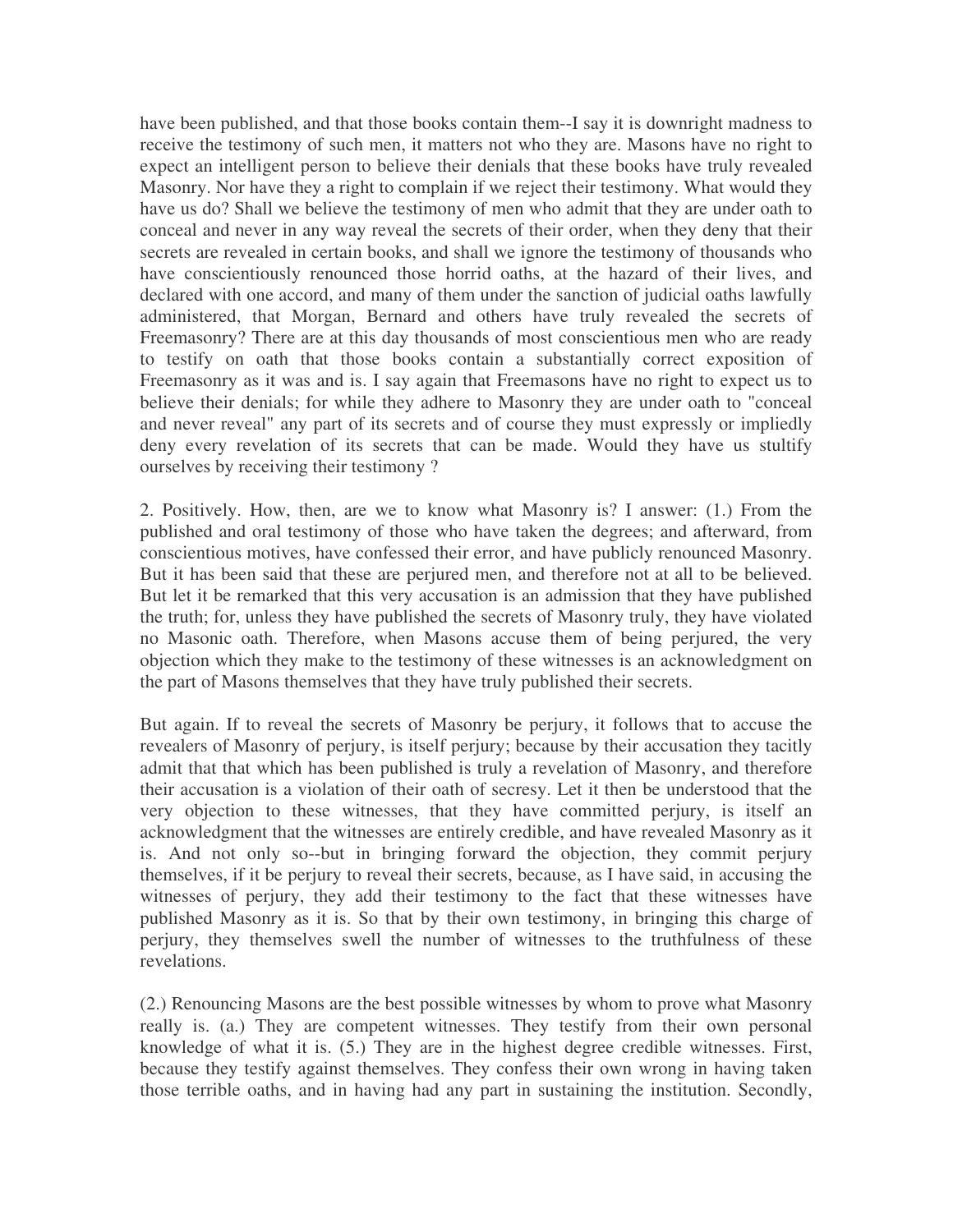have been published, and that those books contain them--I say it is downright madness to receive the testimony of such men, it matters not who they are. Masons have no right to expect an intelligent person to believe their denials that these books have truly revealed Masonry. Nor have they a right to complain if we reject their testimony. What would they have us do? Shall we believe the testimony of men who admit that they are under oath to conceal and never in any way reveal the secrets of their order, when they deny that their secrets are revealed in certain books, and shall we ignore the testimony of thousands who have conscientiously renounced those horrid oaths, at the hazard of their lives, and declared with one accord, and many of them under the sanction of judicial oaths lawfully administered, that Morgan, Bernard and others have truly revealed the secrets of Freemasonry? There are at this day thousands of most conscientious men who are ready to testify on oath that those books contain a substantially correct exposition of Freemasonry as it was and is. I say again that Freemasons have no right to expect us to believe their denials; for while they adhere to Masonry they are under oath to "conceal and never reveal" any part of its secrets and of course they must expressly or impliedly deny every revelation of its secrets that can be made. Would they have us stultify ourselves by receiving their testimony ?

2. Positively. How, then, are we to know what Masonry is? I answer: (1.) From the published and oral testimony of those who have taken the degrees; and afterward, from conscientious motives, have confessed their error, and have publicly renounced Masonry. But it has been said that these are perjured men, and therefore not at all to be believed. But let it be remarked that this very accusation is an admission that they have published the truth; for, unless they have published the secrets of Masonry truly, they have violated no Masonic oath. Therefore, when Masons accuse them of being perjured, the very objection which they make to the testimony of these witnesses is an acknowledgment on the part of Masons themselves that they have truly published their secrets.

But again. If to reveal the secrets of Masonry be perjury, it follows that to accuse the revealers of Masonry of perjury, is itself perjury; because by their accusation they tacitly admit that that which has been published is truly a revelation of Masonry, and therefore their accusation is a violation of their oath of secresy. Let it then be understood that the very objection to these witnesses, that they have committed perjury, is itself an acknowledgment that the witnesses are entirely credible, and have revealed Masonry as it is. And not only so--but in bringing forward the objection, they commit perjury themselves, if it be perjury to reveal their secrets, because, as I have said, in accusing the witnesses of perjury, they add their testimony to the fact that these witnesses have published Masonry as it is. So that by their own testimony, in bringing this charge of perjury, they themselves swell the number of witnesses to the truthfulness of these revelations.

(2.) Renouncing Masons are the best possible witnesses by whom to prove what Masonry really is. (a.) They are competent witnesses. They testify from their own personal knowledge of what it is. (5.) They are in the highest degree credible witnesses. First, because they testify against themselves. They confess their own wrong in having taken those terrible oaths, and in having had any part in sustaining the institution. Secondly,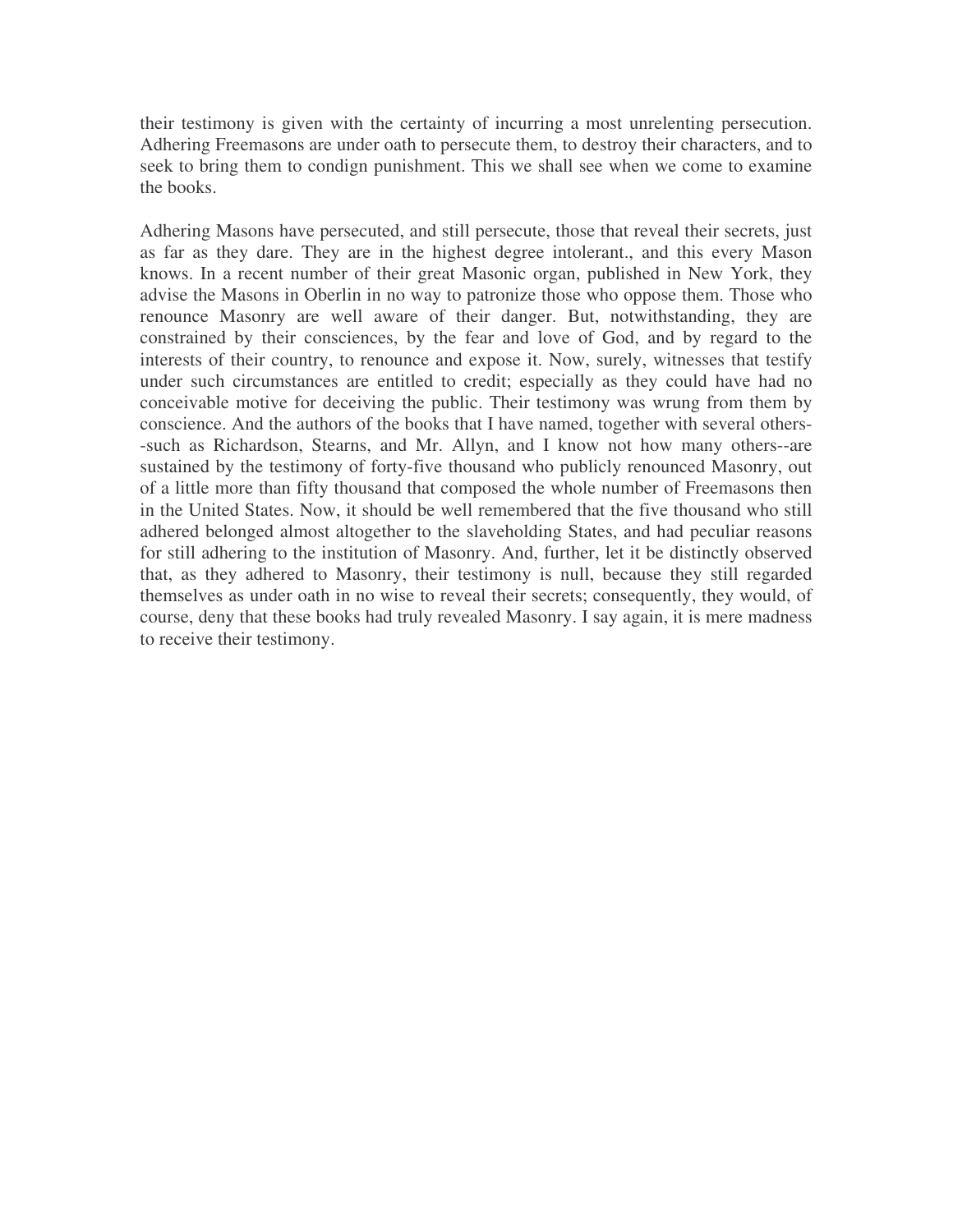their testimony is given with the certainty of incurring a most unrelenting persecution. Adhering Freemasons are under oath to persecute them, to destroy their characters, and to seek to bring them to condign punishment. This we shall see when we come to examine the books.

Adhering Masons have persecuted, and still persecute, those that reveal their secrets, just as far as they dare. They are in the highest degree intolerant., and this every Mason knows. In a recent number of their great Masonic organ, published in New York, they advise the Masons in Oberlin in no way to patronize those who oppose them. Those who renounce Masonry are well aware of their danger. But, notwithstanding, they are constrained by their consciences, by the fear and love of God, and by regard to the interests of their country, to renounce and expose it. Now, surely, witnesses that testify under such circumstances are entitled to credit; especially as they could have had no conceivable motive for deceiving the public. Their testimony was wrung from them by conscience. And the authors of the books that I have named, together with several others- -such as Richardson, Stearns, and Mr. Allyn, and I know not how many others--are sustained by the testimony of forty-five thousand who publicly renounced Masonry, out of a little more than fifty thousand that composed the whole number of Freemasons then in the United States. Now, it should be well remembered that the five thousand who still adhered belonged almost altogether to the slaveholding States, and had peculiar reasons for still adhering to the institution of Masonry. And, further, let it be distinctly observed that, as they adhered to Masonry, their testimony is null, because they still regarded themselves as under oath in no wise to reveal their secrets; consequently, they would, of course, deny that these books had truly revealed Masonry. I say again, it is mere madness to receive their testimony.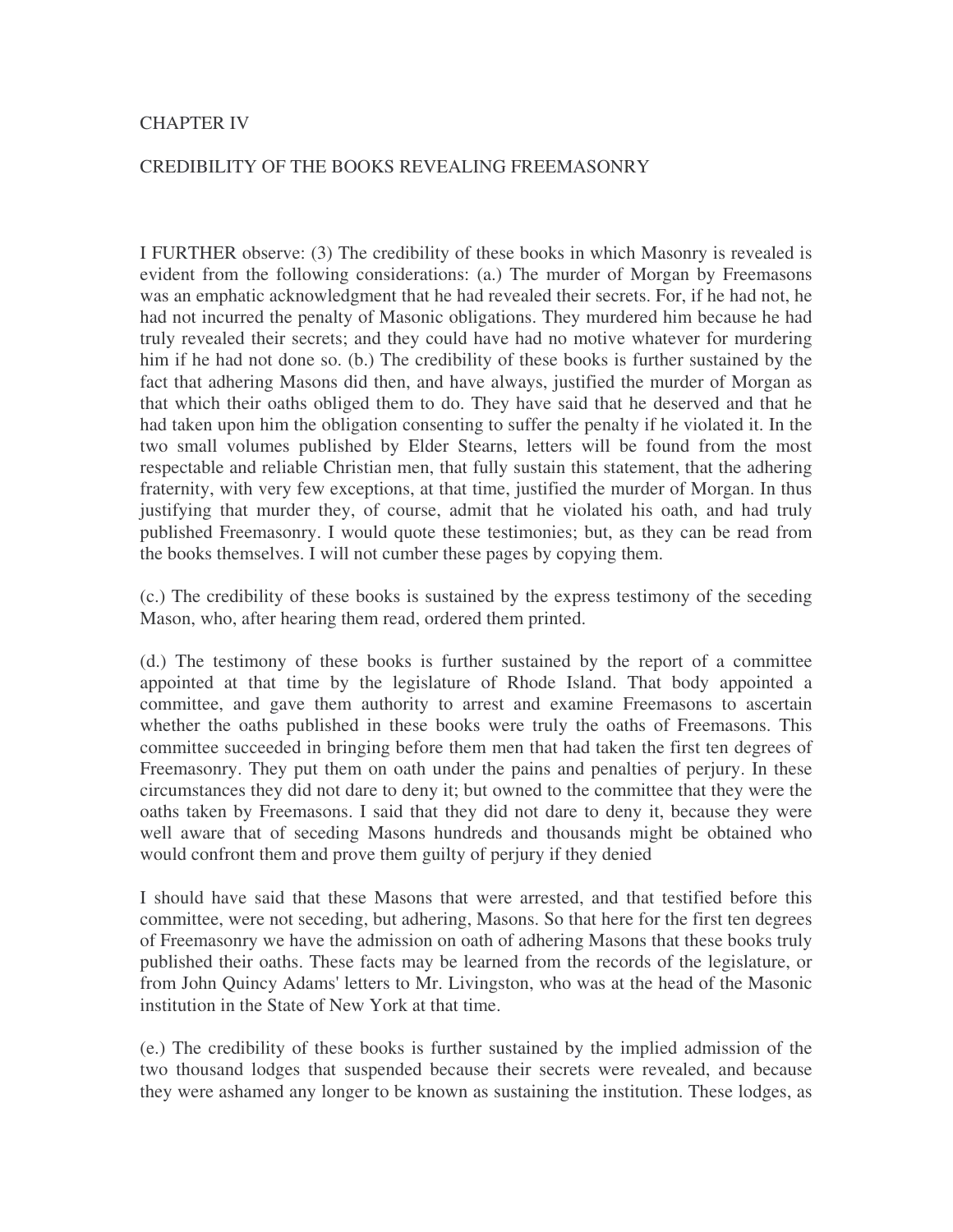#### CHAPTER IV

#### CREDIBILITY OF THE BOOKS REVEALING FREEMASONRY

I FURTHER observe: (3) The credibility of these books in which Masonry is revealed is evident from the following considerations: (a.) The murder of Morgan by Freemasons was an emphatic acknowledgment that he had revealed their secrets. For, if he had not, he had not incurred the penalty of Masonic obligations. They murdered him because he had truly revealed their secrets; and they could have had no motive whatever for murdering him if he had not done so. (b.) The credibility of these books is further sustained by the fact that adhering Masons did then, and have always, justified the murder of Morgan as that which their oaths obliged them to do. They have said that he deserved and that he had taken upon him the obligation consenting to suffer the penalty if he violated it. In the two small volumes published by Elder Stearns, letters will be found from the most respectable and reliable Christian men, that fully sustain this statement, that the adhering fraternity, with very few exceptions, at that time, justified the murder of Morgan. In thus justifying that murder they, of course, admit that he violated his oath, and had truly published Freemasonry. I would quote these testimonies; but, as they can be read from the books themselves. I will not cumber these pages by copying them.

(c.) The credibility of these books is sustained by the express testimony of the seceding Mason, who, after hearing them read, ordered them printed.

(d.) The testimony of these books is further sustained by the report of a committee appointed at that time by the legislature of Rhode Island. That body appointed a committee, and gave them authority to arrest and examine Freemasons to ascertain whether the oaths published in these books were truly the oaths of Freemasons. This committee succeeded in bringing before them men that had taken the first ten degrees of Freemasonry. They put them on oath under the pains and penalties of perjury. In these circumstances they did not dare to deny it; but owned to the committee that they were the oaths taken by Freemasons. I said that they did not dare to deny it, because they were well aware that of seceding Masons hundreds and thousands might be obtained who would confront them and prove them guilty of perjury if they denied

I should have said that these Masons that were arrested, and that testified before this committee, were not seceding, but adhering, Masons. So that here for the first ten degrees of Freemasonry we have the admission on oath of adhering Masons that these books truly published their oaths. These facts may be learned from the records of the legislature, or from John Quincy Adams' letters to Mr. Livingston, who was at the head of the Masonic institution in the State of New York at that time.

(e.) The credibility of these books is further sustained by the implied admission of the two thousand lodges that suspended because their secrets were revealed, and because they were ashamed any longer to be known as sustaining the institution. These lodges, as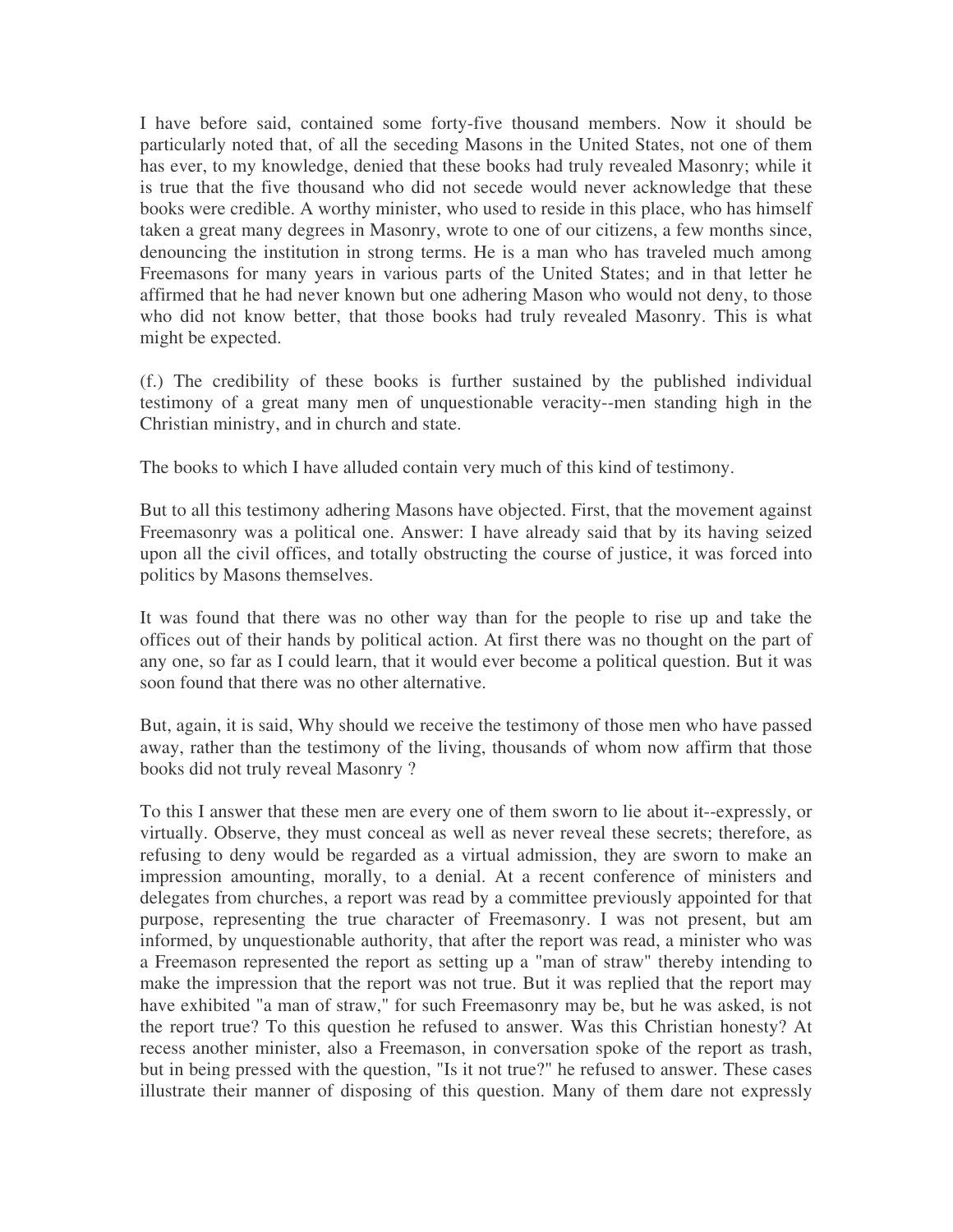I have before said, contained some forty-five thousand members. Now it should be particularly noted that, of all the seceding Masons in the United States, not one of them has ever, to my knowledge, denied that these books had truly revealed Masonry; while it is true that the five thousand who did not secede would never acknowledge that these books were credible. A worthy minister, who used to reside in this place, who has himself taken a great many degrees in Masonry, wrote to one of our citizens, a few months since, denouncing the institution in strong terms. He is a man who has traveled much among Freemasons for many years in various parts of the United States; and in that letter he affirmed that he had never known but one adhering Mason who would not deny, to those who did not know better, that those books had truly revealed Masonry. This is what might be expected.

(f.) The credibility of these books is further sustained by the published individual testimony of a great many men of unquestionable veracity--men standing high in the Christian ministry, and in church and state.

The books to which I have alluded contain very much of this kind of testimony.

But to all this testimony adhering Masons have objected. First, that the movement against Freemasonry was a political one. Answer: I have already said that by its having seized upon all the civil offices, and totally obstructing the course of justice, it was forced into politics by Masons themselves.

It was found that there was no other way than for the people to rise up and take the offices out of their hands by political action. At first there was no thought on the part of any one, so far as I could learn, that it would ever become a political question. But it was soon found that there was no other alternative.

But, again, it is said, Why should we receive the testimony of those men who have passed away, rather than the testimony of the living, thousands of whom now affirm that those books did not truly reveal Masonry ?

To this I answer that these men are every one of them sworn to lie about it--expressly, or virtually. Observe, they must conceal as well as never reveal these secrets; therefore, as refusing to deny would be regarded as a virtual admission, they are sworn to make an impression amounting, morally, to a denial. At a recent conference of ministers and delegates from churches, a report was read by a committee previously appointed for that purpose, representing the true character of Freemasonry. I was not present, but am informed, by unquestionable authority, that after the report was read, a minister who was a Freemason represented the report as setting up a "man of straw" thereby intending to make the impression that the report was not true. But it was replied that the report may have exhibited "a man of straw," for such Freemasonry may be, but he was asked, is not the report true? To this question he refused to answer. Was this Christian honesty? At recess another minister, also a Freemason, in conversation spoke of the report as trash, but in being pressed with the question, "Is it not true?" he refused to answer. These cases illustrate their manner of disposing of this question. Many of them dare not expressly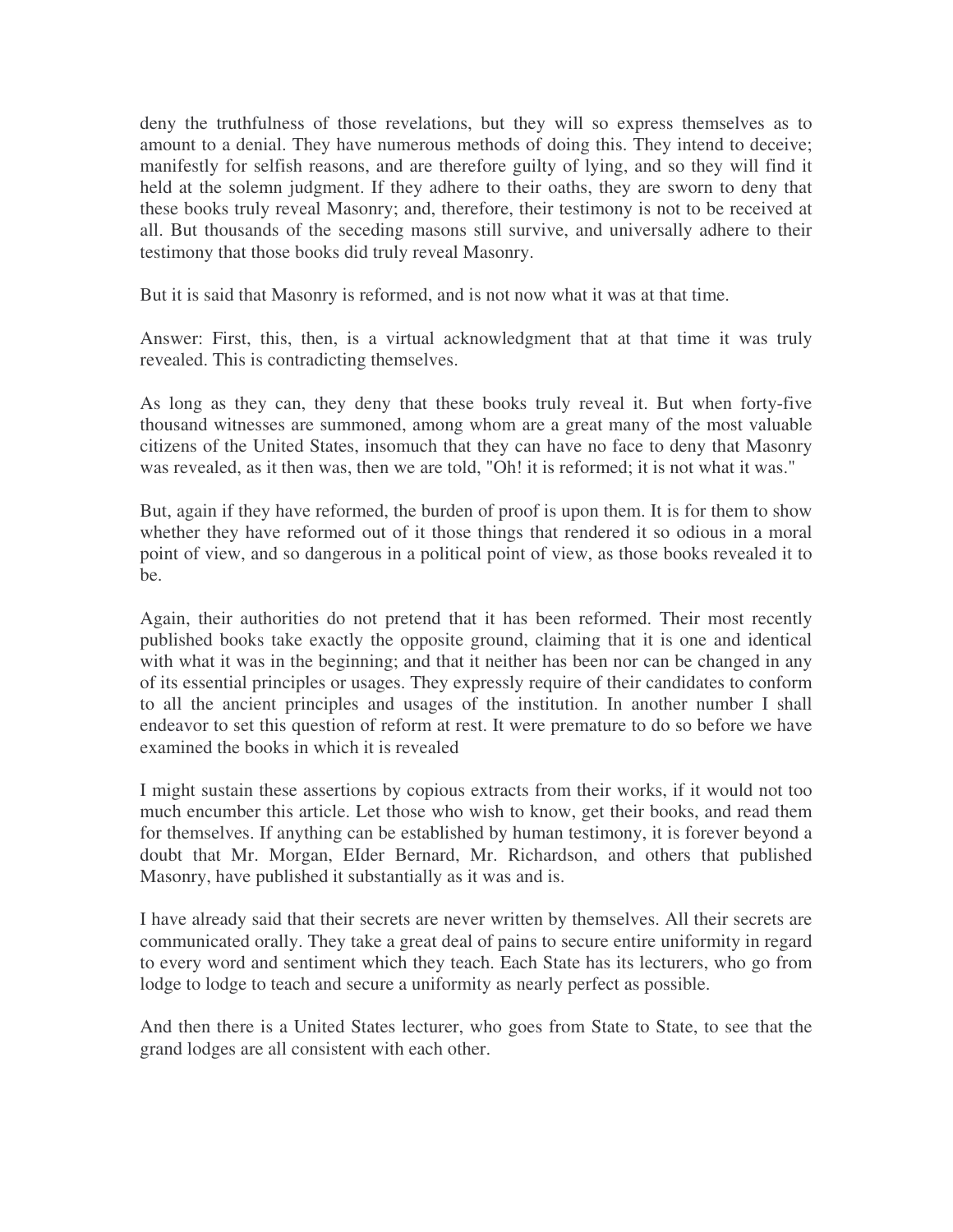deny the truthfulness of those revelations, but they will so express themselves as to amount to a denial. They have numerous methods of doing this. They intend to deceive; manifestly for selfish reasons, and are therefore guilty of lying, and so they will find it held at the solemn judgment. If they adhere to their oaths, they are sworn to deny that these books truly reveal Masonry; and, therefore, their testimony is not to be received at all. But thousands of the seceding masons still survive, and universally adhere to their testimony that those books did truly reveal Masonry.

But it is said that Masonry is reformed, and is not now what it was at that time.

Answer: First, this, then, is a virtual acknowledgment that at that time it was truly revealed. This is contradicting themselves.

As long as they can, they deny that these books truly reveal it. But when forty-five thousand witnesses are summoned, among whom are a great many of the most valuable citizens of the United States, insomuch that they can have no face to deny that Masonry was revealed, as it then was, then we are told, "Oh! it is reformed; it is not what it was."

But, again if they have reformed, the burden of proof is upon them. It is for them to show whether they have reformed out of it those things that rendered it so odious in a moral point of view, and so dangerous in a political point of view, as those books revealed it to be.

Again, their authorities do not pretend that it has been reformed. Their most recently published books take exactly the opposite ground, claiming that it is one and identical with what it was in the beginning; and that it neither has been nor can be changed in any of its essential principles or usages. They expressly require of their candidates to conform to all the ancient principles and usages of the institution. In another number I shall endeavor to set this question of reform at rest. It were premature to do so before we have examined the books in which it is revealed

I might sustain these assertions by copious extracts from their works, if it would not too much encumber this article. Let those who wish to know, get their books, and read them for themselves. If anything can be established by human testimony, it is forever beyond a doubt that Mr. Morgan, EIder Bernard, Mr. Richardson, and others that published Masonry, have published it substantially as it was and is.

I have already said that their secrets are never written by themselves. All their secrets are communicated orally. They take a great deal of pains to secure entire uniformity in regard to every word and sentiment which they teach. Each State has its lecturers, who go from lodge to lodge to teach and secure a uniformity as nearly perfect as possible.

And then there is a United States lecturer, who goes from State to State, to see that the grand lodges are all consistent with each other.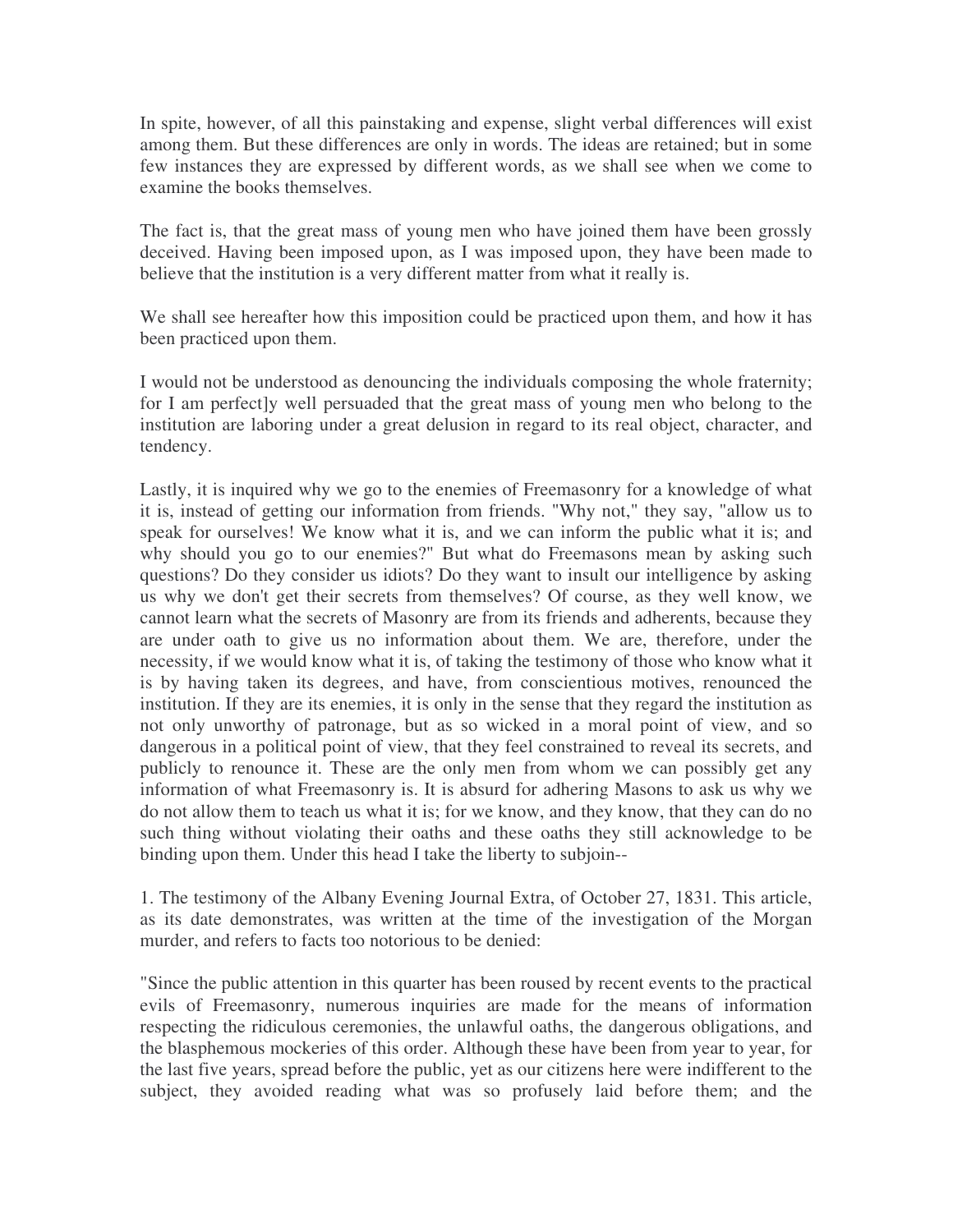In spite, however, of all this painstaking and expense, slight verbal differences will exist among them. But these differences are only in words. The ideas are retained; but in some few instances they are expressed by different words, as we shall see when we come to examine the books themselves.

The fact is, that the great mass of young men who have joined them have been grossly deceived. Having been imposed upon, as I was imposed upon, they have been made to believe that the institution is a very different matter from what it really is.

We shall see hereafter how this imposition could be practiced upon them, and how it has been practiced upon them.

I would not be understood as denouncing the individuals composing the whole fraternity; for I am perfect]y well persuaded that the great mass of young men who belong to the institution are laboring under a great delusion in regard to its real object, character, and tendency.

Lastly, it is inquired why we go to the enemies of Freemasonry for a knowledge of what it is, instead of getting our information from friends. "Why not," they say, "allow us to speak for ourselves! We know what it is, and we can inform the public what it is; and why should you go to our enemies?" But what do Freemasons mean by asking such questions? Do they consider us idiots? Do they want to insult our intelligence by asking us why we don't get their secrets from themselves? Of course, as they well know, we cannot learn what the secrets of Masonry are from its friends and adherents, because they are under oath to give us no information about them. We are, therefore, under the necessity, if we would know what it is, of taking the testimony of those who know what it is by having taken its degrees, and have, from conscientious motives, renounced the institution. If they are its enemies, it is only in the sense that they regard the institution as not only unworthy of patronage, but as so wicked in a moral point of view, and so dangerous in a political point of view, that they feel constrained to reveal its secrets, and publicly to renounce it. These are the only men from whom we can possibly get any information of what Freemasonry is. It is absurd for adhering Masons to ask us why we do not allow them to teach us what it is; for we know, and they know, that they can do no such thing without violating their oaths and these oaths they still acknowledge to be binding upon them. Under this head I take the liberty to subjoin--

1. The testimony of the Albany Evening Journal Extra, of October 27, 1831. This article, as its date demonstrates, was written at the time of the investigation of the Morgan murder, and refers to facts too notorious to be denied:

"Since the public attention in this quarter has been roused by recent events to the practical evils of Freemasonry, numerous inquiries are made for the means of information respecting the ridiculous ceremonies, the unlawful oaths, the dangerous obligations, and the blasphemous mockeries of this order. Although these have been from year to year, for the last five years, spread before the public, yet as our citizens here were indifferent to the subject, they avoided reading what was so profusely laid before them; and the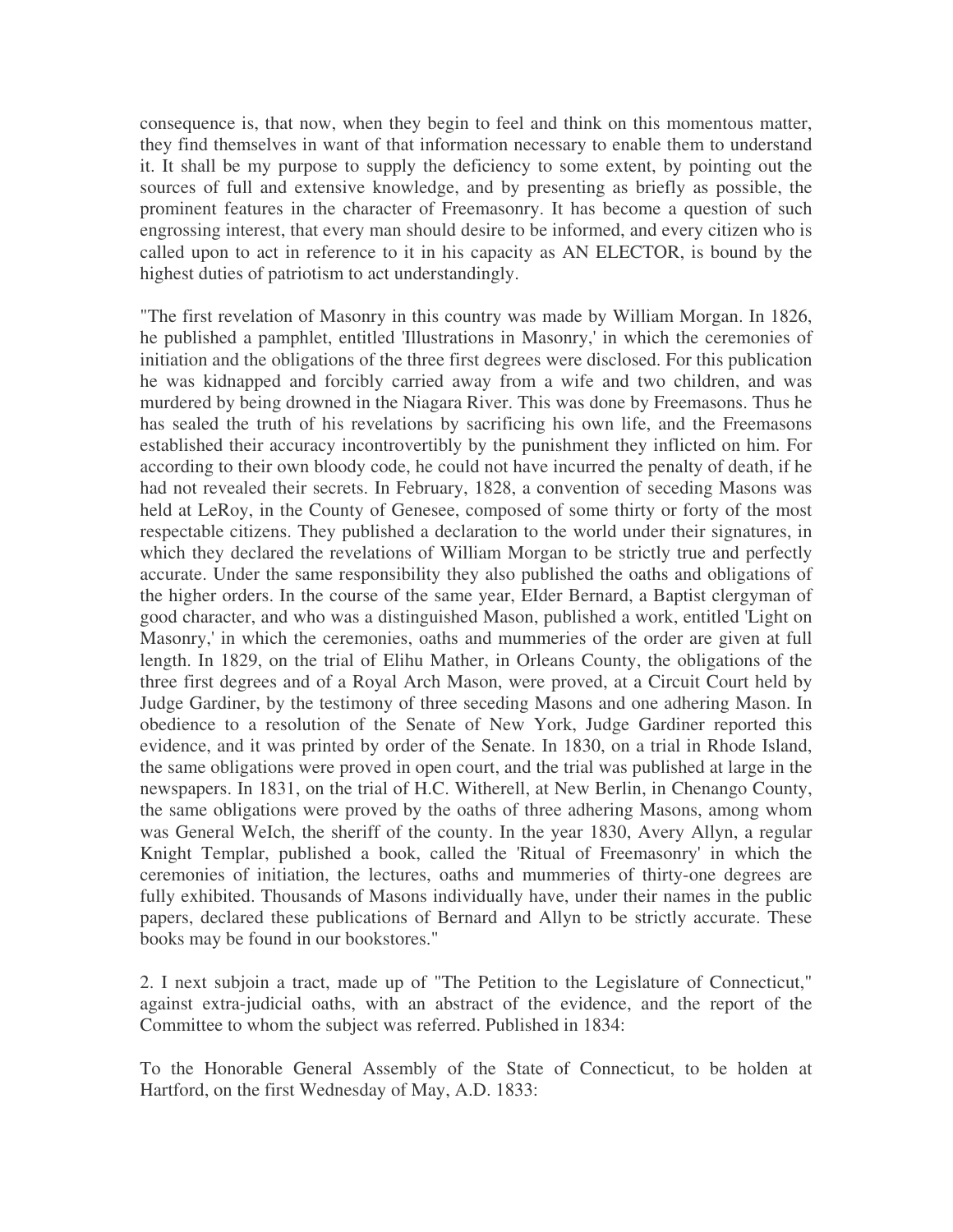consequence is, that now, when they begin to feel and think on this momentous matter, they find themselves in want of that information necessary to enable them to understand it. It shall be my purpose to supply the deficiency to some extent, by pointing out the sources of full and extensive knowledge, and by presenting as briefly as possible, the prominent features in the character of Freemasonry. It has become a question of such engrossing interest, that every man should desire to be informed, and every citizen who is called upon to act in reference to it in his capacity as AN ELECTOR, is bound by the highest duties of patriotism to act understandingly.

"The first revelation of Masonry in this country was made by William Morgan. In 1826, he published a pamphlet, entitled 'Illustrations in Masonry,' in which the ceremonies of initiation and the obligations of the three first degrees were disclosed. For this publication he was kidnapped and forcibly carried away from a wife and two children, and was murdered by being drowned in the Niagara River. This was done by Freemasons. Thus he has sealed the truth of his revelations by sacrificing his own life, and the Freemasons established their accuracy incontrovertibly by the punishment they inflicted on him. For according to their own bloody code, he could not have incurred the penalty of death, if he had not revealed their secrets. In February, 1828, a convention of seceding Masons was held at LeRoy, in the County of Genesee, composed of some thirty or forty of the most respectable citizens. They published a declaration to the world under their signatures, in which they declared the revelations of William Morgan to be strictly true and perfectly accurate. Under the same responsibility they also published the oaths and obligations of the higher orders. In the course of the same year, EIder Bernard, a Baptist clergyman of good character, and who was a distinguished Mason, published a work, entitled 'Light on Masonry,' in which the ceremonies, oaths and mummeries of the order are given at full length. In 1829, on the trial of Elihu Mather, in Orleans County, the obligations of the three first degrees and of a Royal Arch Mason, were proved, at a Circuit Court held by Judge Gardiner, by the testimony of three seceding Masons and one adhering Mason. In obedience to a resolution of the Senate of New York, Judge Gardiner reported this evidence, and it was printed by order of the Senate. In 1830, on a trial in Rhode Island, the same obligations were proved in open court, and the trial was published at large in the newspapers. In 1831, on the trial of H.C. Witherell, at New Berlin, in Chenango County, the same obligations were proved by the oaths of three adhering Masons, among whom was General WeIch, the sheriff of the county. In the year 1830, Avery Allyn, a regular Knight Templar, published a book, called the 'Ritual of Freemasonry' in which the ceremonies of initiation, the lectures, oaths and mummeries of thirty-one degrees are fully exhibited. Thousands of Masons individually have, under their names in the public papers, declared these publications of Bernard and Allyn to be strictly accurate. These books may be found in our bookstores."

2. I next subjoin a tract, made up of "The Petition to the Legislature of Connecticut," against extra-judicial oaths, with an abstract of the evidence, and the report of the Committee to whom the subject was referred. Published in 1834:

To the Honorable General Assembly of the State of Connecticut, to be holden at Hartford, on the first Wednesday of May, A.D. 1833: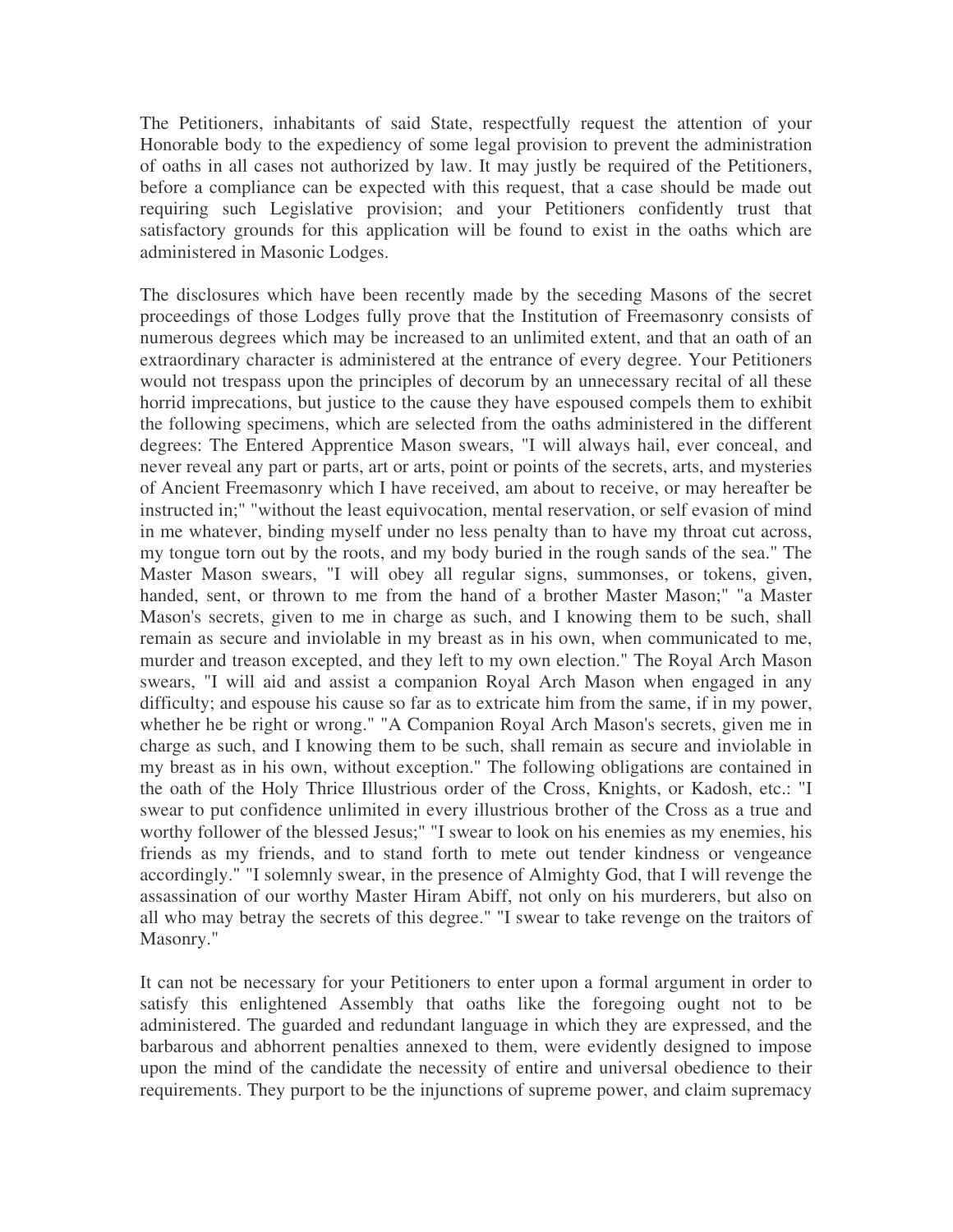The Petitioners, inhabitants of said State, respectfully request the attention of your Honorable body to the expediency of some legal provision to prevent the administration of oaths in all cases not authorized by law. It may justly be required of the Petitioners, before a compliance can be expected with this request, that a case should be made out requiring such Legislative provision; and your Petitioners confidently trust that satisfactory grounds for this application will be found to exist in the oaths which are administered in Masonic Lodges.

The disclosures which have been recently made by the seceding Masons of the secret proceedings of those Lodges fully prove that the Institution of Freemasonry consists of numerous degrees which may be increased to an unlimited extent, and that an oath of an extraordinary character is administered at the entrance of every degree. Your Petitioners would not trespass upon the principles of decorum by an unnecessary recital of all these horrid imprecations, but justice to the cause they have espoused compels them to exhibit the following specimens, which are selected from the oaths administered in the different degrees: The Entered Apprentice Mason swears, "I will always hail, ever conceal, and never reveal any part or parts, art or arts, point or points of the secrets, arts, and mysteries of Ancient Freemasonry which I have received, am about to receive, or may hereafter be instructed in;" "without the least equivocation, mental reservation, or self evasion of mind in me whatever, binding myself under no less penalty than to have my throat cut across, my tongue torn out by the roots, and my body buried in the rough sands of the sea." The Master Mason swears, "I will obey all regular signs, summonses, or tokens, given, handed, sent, or thrown to me from the hand of a brother Master Mason;" "a Master Mason's secrets, given to me in charge as such, and I knowing them to be such, shall remain as secure and inviolable in my breast as in his own, when communicated to me, murder and treason excepted, and they left to my own election." The Royal Arch Mason swears, "I will aid and assist a companion Royal Arch Mason when engaged in any difficulty; and espouse his cause so far as to extricate him from the same, if in my power, whether he be right or wrong." "A Companion Royal Arch Mason's secrets, given me in charge as such, and I knowing them to be such, shall remain as secure and inviolable in my breast as in his own, without exception." The following obligations are contained in the oath of the Holy Thrice Illustrious order of the Cross, Knights, or Kadosh, etc.: "I swear to put confidence unlimited in every illustrious brother of the Cross as a true and worthy follower of the blessed Jesus;" "I swear to look on his enemies as my enemies, his friends as my friends, and to stand forth to mete out tender kindness or vengeance accordingly." "I solemnly swear, in the presence of Almighty God, that I will revenge the assassination of our worthy Master Hiram Abiff, not only on his murderers, but also on all who may betray the secrets of this degree." "I swear to take revenge on the traitors of Masonry."

It can not be necessary for your Petitioners to enter upon a formal argument in order to satisfy this enlightened Assembly that oaths like the foregoing ought not to be administered. The guarded and redundant language in which they are expressed, and the barbarous and abhorrent penalties annexed to them, were evidently designed to impose upon the mind of the candidate the necessity of entire and universal obedience to their requirements. They purport to be the injunctions of supreme power, and claim supremacy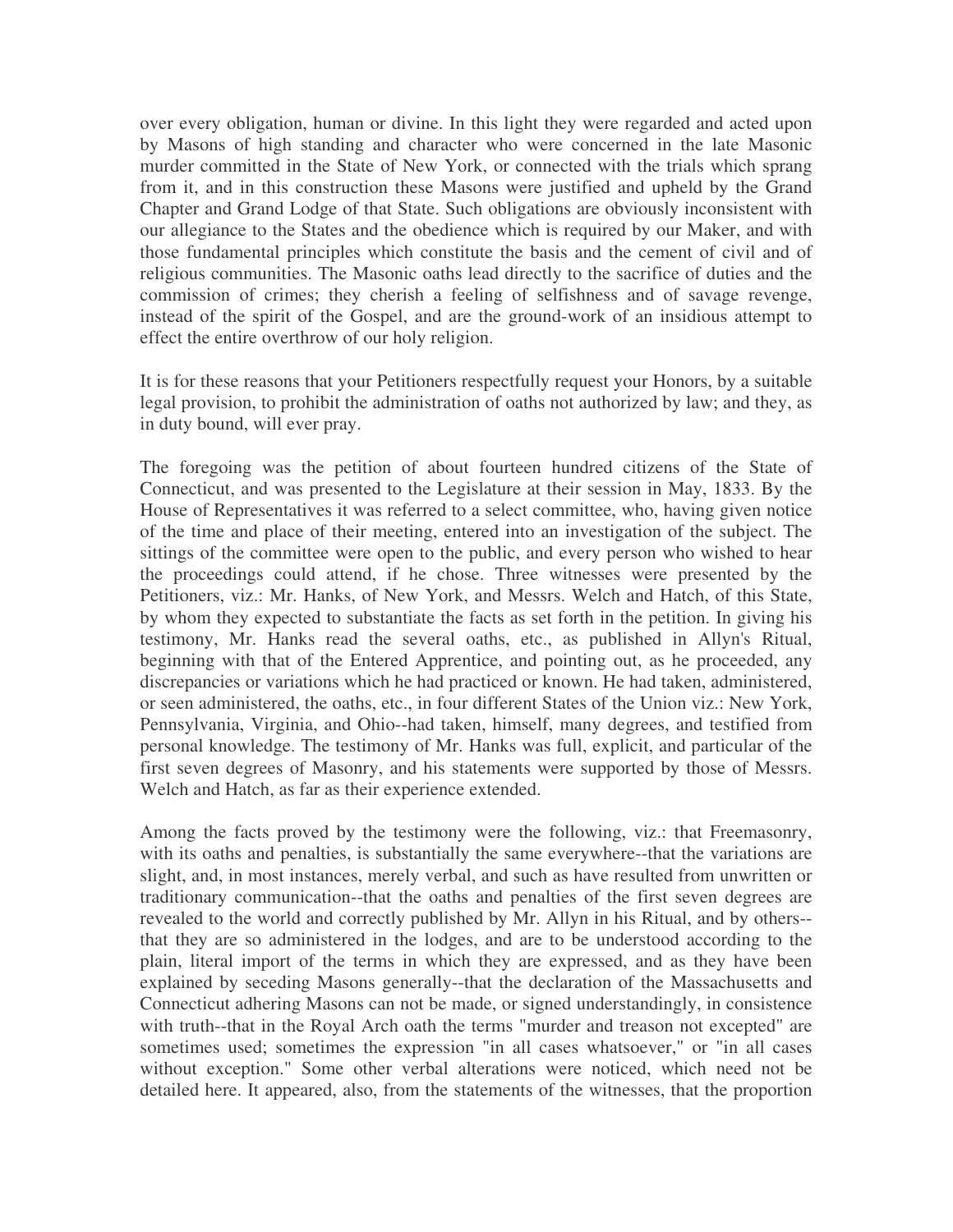over every obligation, human or divine. In this light they were regarded and acted upon by Masons of high standing and character who were concerned in the late Masonic murder committed in the State of New York, or connected with the trials which sprang from it, and in this construction these Masons were justified and upheld by the Grand Chapter and Grand Lodge of that State. Such obligations are obviously inconsistent with our allegiance to the States and the obedience which is required by our Maker, and with those fundamental principles which constitute the basis and the cement of civil and of religious communities. The Masonic oaths lead directly to the sacrifice of duties and the commission of crimes; they cherish a feeling of selfishness and of savage revenge, instead of the spirit of the Gospel, and are the ground-work of an insidious attempt to effect the entire overthrow of our holy religion.

It is for these reasons that your Petitioners respectfully request your Honors, by a suitable legal provision, to prohibit the administration of oaths not authorized by law; and they, as in duty bound, will ever pray.

The foregoing was the petition of about fourteen hundred citizens of the State of Connecticut, and was presented to the Legislature at their session in May, 1833. By the House of Representatives it was referred to a select committee, who, having given notice of the time and place of their meeting, entered into an investigation of the subject. The sittings of the committee were open to the public, and every person who wished to hear the proceedings could attend, if he chose. Three witnesses were presented by the Petitioners, viz.: Mr. Hanks, of New York, and Messrs. Welch and Hatch, of this State, by whom they expected to substantiate the facts as set forth in the petition. In giving his testimony, Mr. Hanks read the several oaths, etc., as published in Allyn's Ritual, beginning with that of the Entered Apprentice, and pointing out, as he proceeded, any discrepancies or variations which he had practiced or known. He had taken, administered, or seen administered, the oaths, etc., in four different States of the Union viz.: New York, Pennsylvania, Virginia, and Ohio--had taken, himself, many degrees, and testified from personal knowledge. The testimony of Mr. Hanks was full, explicit, and particular of the first seven degrees of Masonry, and his statements were supported by those of Messrs. Welch and Hatch, as far as their experience extended.

Among the facts proved by the testimony were the following, viz.: that Freemasonry, with its oaths and penalties, is substantially the same everywhere--that the variations are slight, and, in most instances, merely verbal, and such as have resulted from unwritten or traditionary communication--that the oaths and penalties of the first seven degrees are revealed to the world and correctly published by Mr. Allyn in his Ritual, and by others- that they are so administered in the lodges, and are to be understood according to the plain, literal import of the terms in which they are expressed, and as they have been explained by seceding Masons generally--that the declaration of the Massachusetts and Connecticut adhering Masons can not be made, or signed understandingly, in consistence with truth--that in the Royal Arch oath the terms "murder and treason not excepted" are sometimes used; sometimes the expression "in all cases whatsoever," or "in all cases without exception." Some other verbal alterations were noticed, which need not be detailed here. It appeared, also, from the statements of the witnesses, that the proportion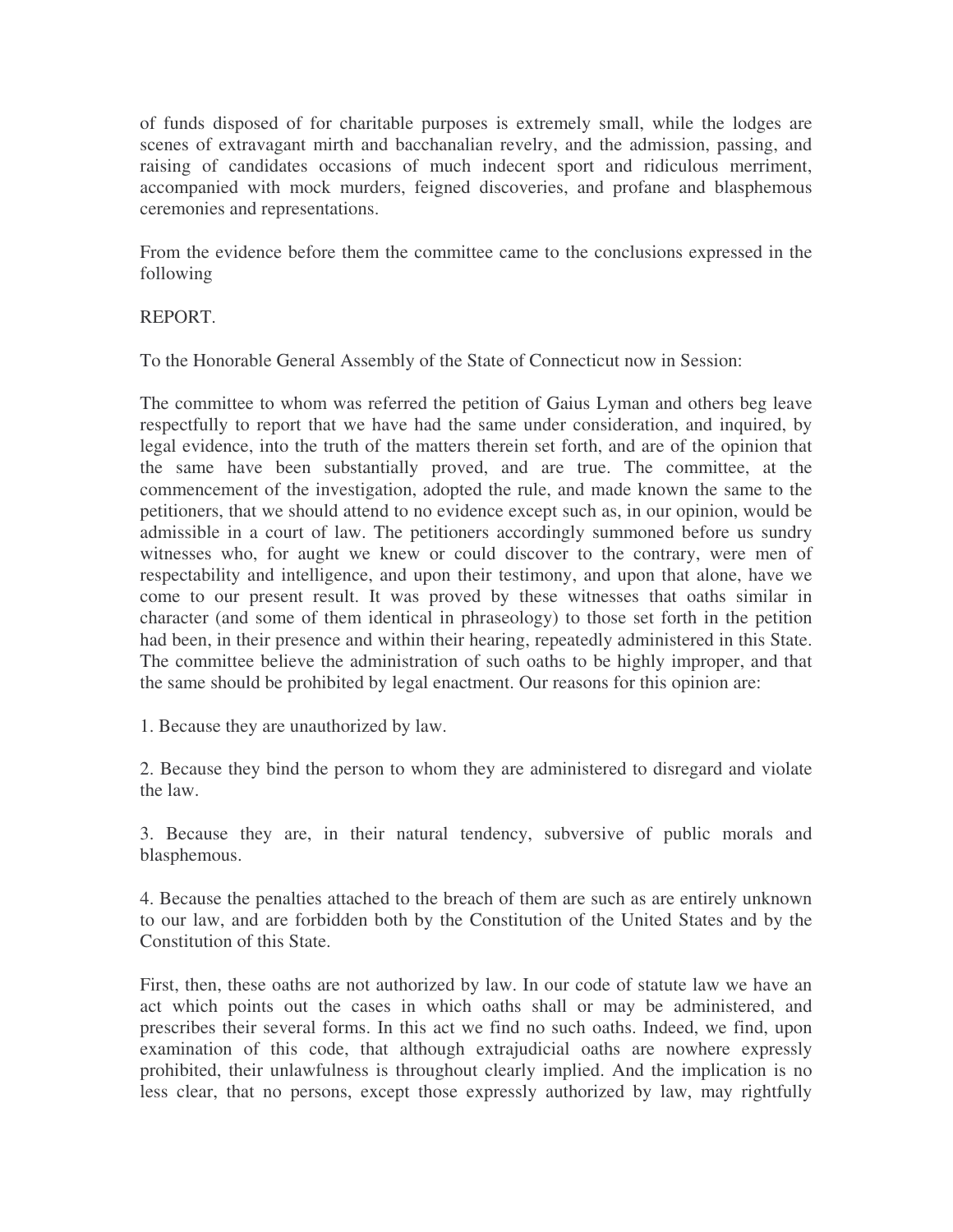of funds disposed of for charitable purposes is extremely small, while the lodges are scenes of extravagant mirth and bacchanalian revelry, and the admission, passing, and raising of candidates occasions of much indecent sport and ridiculous merriment, accompanied with mock murders, feigned discoveries, and profane and blasphemous ceremonies and representations.

From the evidence before them the committee came to the conclusions expressed in the following

#### REPORT.

To the Honorable General Assembly of the State of Connecticut now in Session:

The committee to whom was referred the petition of Gaius Lyman and others beg leave respectfully to report that we have had the same under consideration, and inquired, by legal evidence, into the truth of the matters therein set forth, and are of the opinion that the same have been substantially proved, and are true. The committee, at the commencement of the investigation, adopted the rule, and made known the same to the petitioners, that we should attend to no evidence except such as, in our opinion, would be admissible in a court of law. The petitioners accordingly summoned before us sundry witnesses who, for aught we knew or could discover to the contrary, were men of respectability and intelligence, and upon their testimony, and upon that alone, have we come to our present result. It was proved by these witnesses that oaths similar in character (and some of them identical in phraseology) to those set forth in the petition had been, in their presence and within their hearing, repeatedly administered in this State. The committee believe the administration of such oaths to be highly improper, and that the same should be prohibited by legal enactment. Our reasons for this opinion are:

1. Because they are unauthorized by law.

2. Because they bind the person to whom they are administered to disregard and violate the law.

3. Because they are, in their natural tendency, subversive of public morals and blasphemous.

4. Because the penalties attached to the breach of them are such as are entirely unknown to our law, and are forbidden both by the Constitution of the United States and by the Constitution of this State.

First, then, these oaths are not authorized by law. In our code of statute law we have an act which points out the cases in which oaths shall or may be administered, and prescribes their several forms. In this act we find no such oaths. Indeed, we find, upon examination of this code, that although extrajudicial oaths are nowhere expressly prohibited, their unlawfulness is throughout clearly implied. And the implication is no less clear, that no persons, except those expressly authorized by law, may rightfully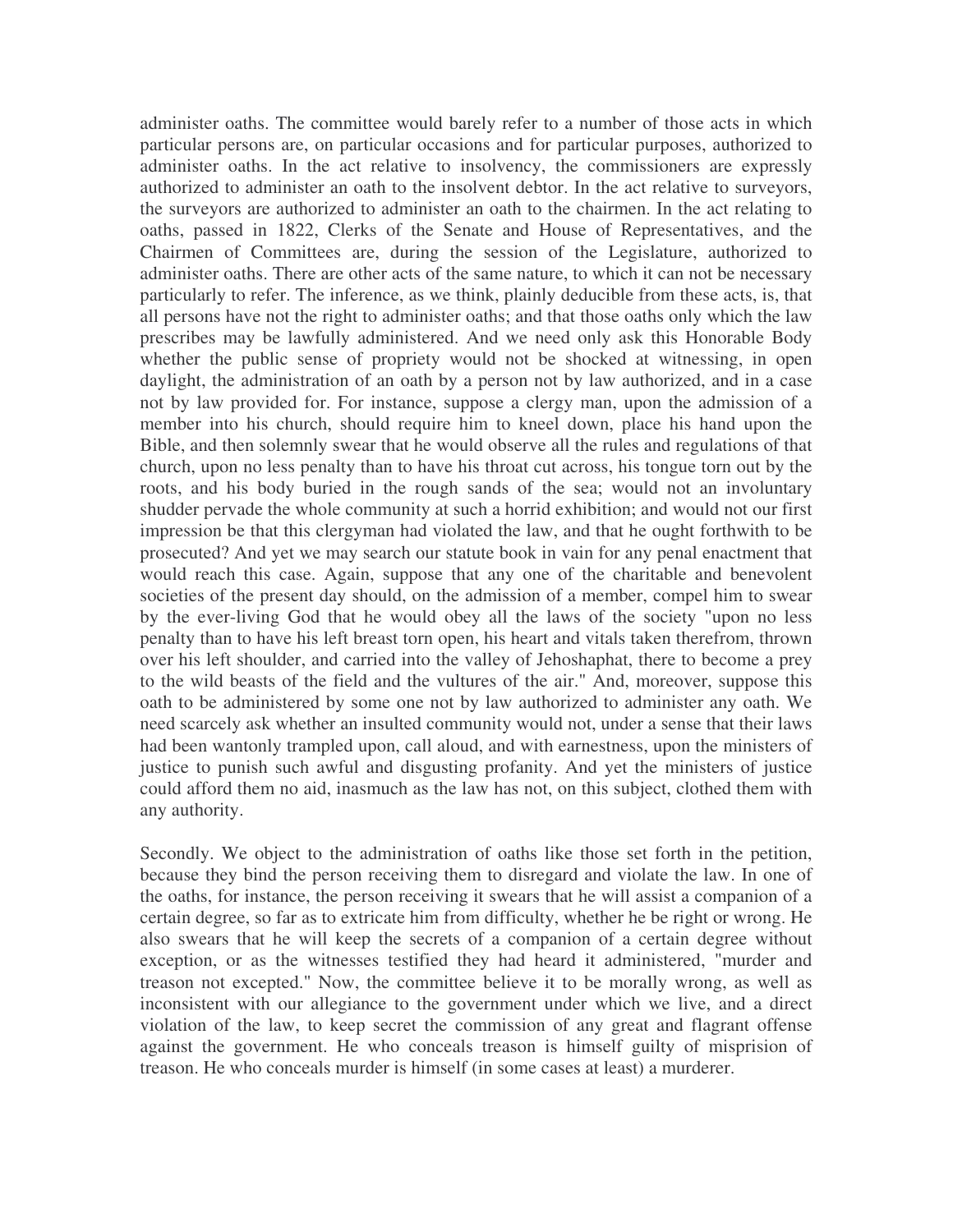administer oaths. The committee would barely refer to a number of those acts in which particular persons are, on particular occasions and for particular purposes, authorized to administer oaths. In the act relative to insolvency, the commissioners are expressly authorized to administer an oath to the insolvent debtor. In the act relative to surveyors, the surveyors are authorized to administer an oath to the chairmen. In the act relating to oaths, passed in 1822, Clerks of the Senate and House of Representatives, and the Chairmen of Committees are, during the session of the Legislature, authorized to administer oaths. There are other acts of the same nature, to which it can not be necessary particularly to refer. The inference, as we think, plainly deducible from these acts, is, that all persons have not the right to administer oaths; and that those oaths only which the law prescribes may be lawfully administered. And we need only ask this Honorable Body whether the public sense of propriety would not be shocked at witnessing, in open daylight, the administration of an oath by a person not by law authorized, and in a case not by law provided for. For instance, suppose a clergy man, upon the admission of a member into his church, should require him to kneel down, place his hand upon the Bible, and then solemnly swear that he would observe all the rules and regulations of that church, upon no less penalty than to have his throat cut across, his tongue torn out by the roots, and his body buried in the rough sands of the sea; would not an involuntary shudder pervade the whole community at such a horrid exhibition; and would not our first impression be that this clergyman had violated the law, and that he ought forthwith to be prosecuted? And yet we may search our statute book in vain for any penal enactment that would reach this case. Again, suppose that any one of the charitable and benevolent societies of the present day should, on the admission of a member, compel him to swear by the ever-living God that he would obey all the laws of the society "upon no less penalty than to have his left breast torn open, his heart and vitals taken therefrom, thrown over his left shoulder, and carried into the valley of Jehoshaphat, there to become a prey to the wild beasts of the field and the vultures of the air." And, moreover, suppose this oath to be administered by some one not by law authorized to administer any oath. We need scarcely ask whether an insulted community would not, under a sense that their laws had been wantonly trampled upon, call aloud, and with earnestness, upon the ministers of justice to punish such awful and disgusting profanity. And yet the ministers of justice could afford them no aid, inasmuch as the law has not, on this subject, clothed them with any authority.

Secondly. We object to the administration of oaths like those set forth in the petition, because they bind the person receiving them to disregard and violate the law. In one of the oaths, for instance, the person receiving it swears that he will assist a companion of a certain degree, so far as to extricate him from difficulty, whether he be right or wrong. He also swears that he will keep the secrets of a companion of a certain degree without exception, or as the witnesses testified they had heard it administered, "murder and treason not excepted." Now, the committee believe it to be morally wrong, as well as inconsistent with our allegiance to the government under which we live, and a direct violation of the law, to keep secret the commission of any great and flagrant offense against the government. He who conceals treason is himself guilty of misprision of treason. He who conceals murder is himself (in some cases at least) a murderer.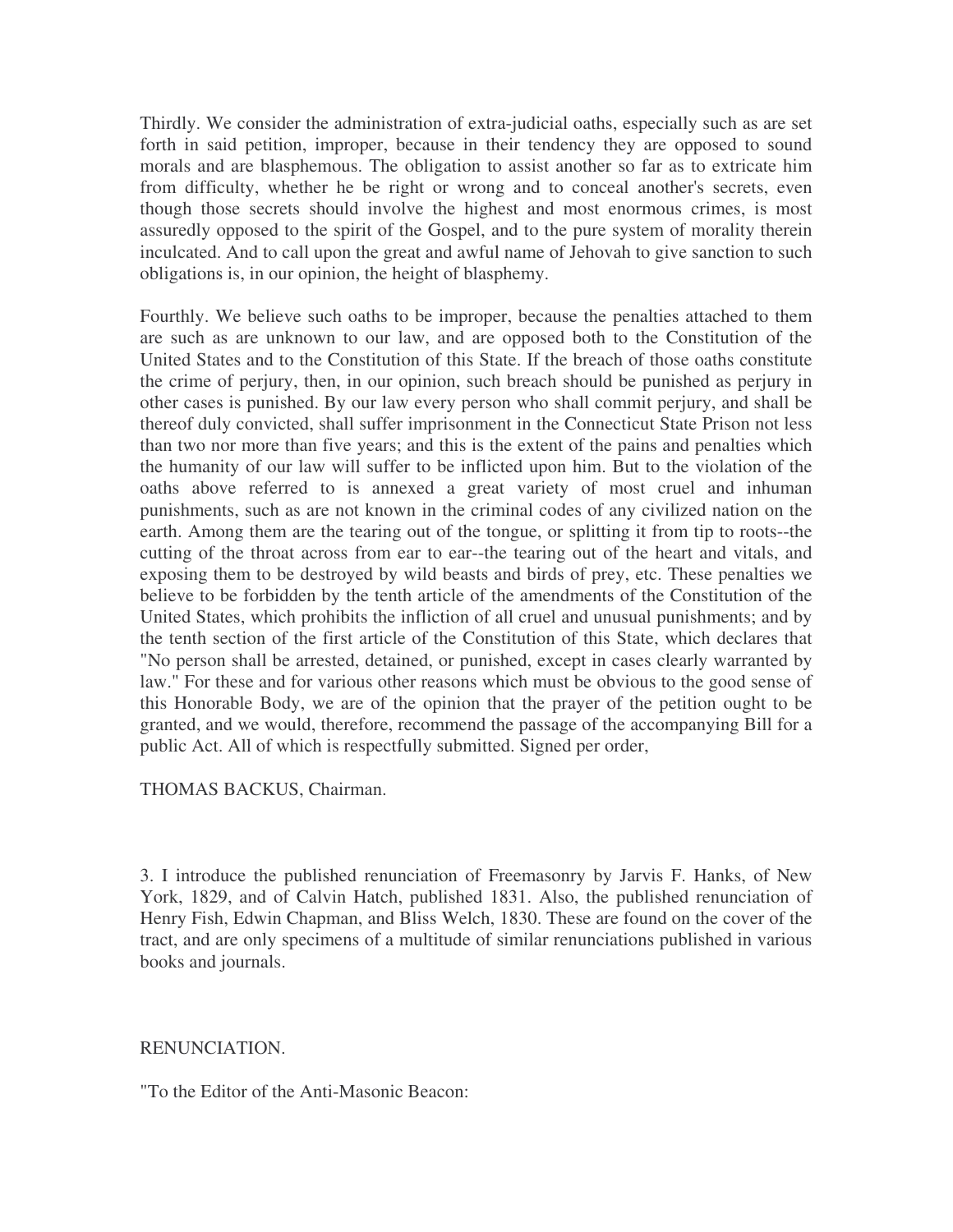Thirdly. We consider the administration of extra-judicial oaths, especially such as are set forth in said petition, improper, because in their tendency they are opposed to sound morals and are blasphemous. The obligation to assist another so far as to extricate him from difficulty, whether he be right or wrong and to conceal another's secrets, even though those secrets should involve the highest and most enormous crimes, is most assuredly opposed to the spirit of the Gospel, and to the pure system of morality therein inculcated. And to call upon the great and awful name of Jehovah to give sanction to such obligations is, in our opinion, the height of blasphemy.

Fourthly. We believe such oaths to be improper, because the penalties attached to them are such as are unknown to our law, and are opposed both to the Constitution of the United States and to the Constitution of this State. If the breach of those oaths constitute the crime of perjury, then, in our opinion, such breach should be punished as perjury in other cases is punished. By our law every person who shall commit perjury, and shall be thereof duly convicted, shall suffer imprisonment in the Connecticut State Prison not less than two nor more than five years; and this is the extent of the pains and penalties which the humanity of our law will suffer to be inflicted upon him. But to the violation of the oaths above referred to is annexed a great variety of most cruel and inhuman punishments, such as are not known in the criminal codes of any civilized nation on the earth. Among them are the tearing out of the tongue, or splitting it from tip to roots--the cutting of the throat across from ear to ear--the tearing out of the heart and vitals, and exposing them to be destroyed by wild beasts and birds of prey, etc. These penalties we believe to be forbidden by the tenth article of the amendments of the Constitution of the United States, which prohibits the infliction of all cruel and unusual punishments; and by the tenth section of the first article of the Constitution of this State, which declares that "No person shall be arrested, detained, or punished, except in cases clearly warranted by law." For these and for various other reasons which must be obvious to the good sense of this Honorable Body, we are of the opinion that the prayer of the petition ought to be granted, and we would, therefore, recommend the passage of the accompanying Bill for a public Act. All of which is respectfully submitted. Signed per order,

THOMAS BACKUS, Chairman.

3. I introduce the published renunciation of Freemasonry by Jarvis F. Hanks, of New York, 1829, and of Calvin Hatch, published 1831. Also, the published renunciation of Henry Fish, Edwin Chapman, and Bliss Welch, 1830. These are found on the cover of the tract, and are only specimens of a multitude of similar renunciations published in various books and journals.

#### RENUNCIATION.

"To the Editor of the Anti-Masonic Beacon: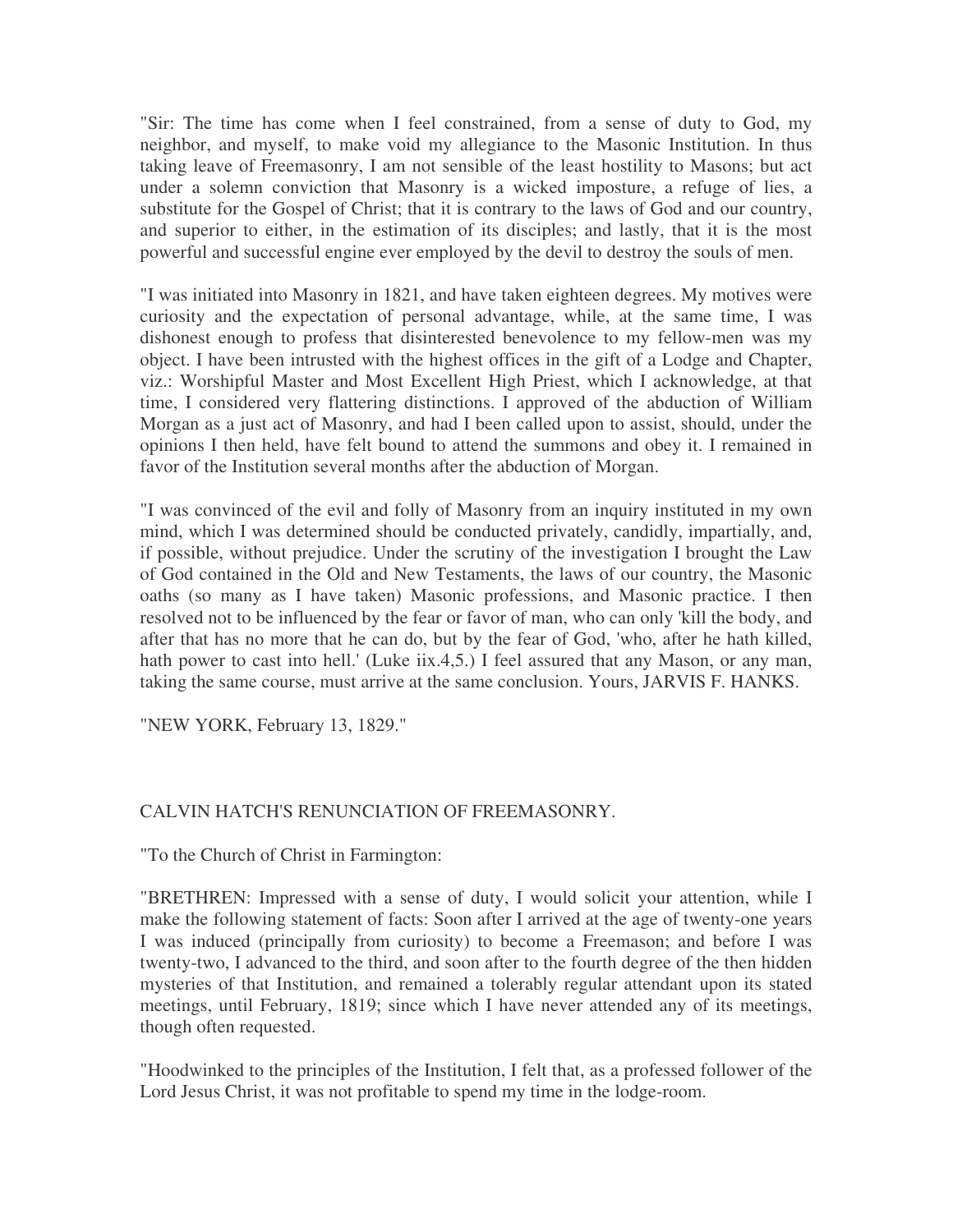"Sir: The time has come when I feel constrained, from a sense of duty to God, my neighbor, and myself, to make void my allegiance to the Masonic Institution. In thus taking leave of Freemasonry, I am not sensible of the least hostility to Masons; but act under a solemn conviction that Masonry is a wicked imposture, a refuge of lies, a substitute for the Gospel of Christ; that it is contrary to the laws of God and our country, and superior to either, in the estimation of its disciples; and lastly, that it is the most powerful and successful engine ever employed by the devil to destroy the souls of men.

"I was initiated into Masonry in 1821, and have taken eighteen degrees. My motives were curiosity and the expectation of personal advantage, while, at the same time, I was dishonest enough to profess that disinterested benevolence to my fellow-men was my object. I have been intrusted with the highest offices in the gift of a Lodge and Chapter, viz.: Worshipful Master and Most Excellent High Priest, which I acknowledge, at that time, I considered very flattering distinctions. I approved of the abduction of William Morgan as a just act of Masonry, and had I been called upon to assist, should, under the opinions I then held, have felt bound to attend the summons and obey it. I remained in favor of the Institution several months after the abduction of Morgan.

"I was convinced of the evil and folly of Masonry from an inquiry instituted in my own mind, which I was determined should be conducted privately, candidly, impartially, and, if possible, without prejudice. Under the scrutiny of the investigation I brought the Law of God contained in the Old and New Testaments, the laws of our country, the Masonic oaths (so many as I have taken) Masonic professions, and Masonic practice. I then resolved not to be influenced by the fear or favor of man, who can only 'kill the body, and after that has no more that he can do, but by the fear of God, 'who, after he hath killed, hath power to cast into hell.' (Luke iix.4,5.) I feel assured that any Mason, or any man, taking the same course, must arrive at the same conclusion. Yours, JARVIS F. HANKS.

"NEW YORK, February 13, 1829."

#### CALVIN HATCH'S RENUNCIATION OF FREEMASONRY.

"To the Church of Christ in Farmington:

"BRETHREN: Impressed with a sense of duty, I would solicit your attention, while I make the following statement of facts: Soon after I arrived at the age of twenty-one years I was induced (principally from curiosity) to become a Freemason; and before I was twenty-two, I advanced to the third, and soon after to the fourth degree of the then hidden mysteries of that Institution, and remained a tolerably regular attendant upon its stated meetings, until February, 1819; since which I have never attended any of its meetings, though often requested.

"Hoodwinked to the principles of the Institution, I felt that, as a professed follower of the Lord Jesus Christ, it was not profitable to spend my time in the lodge-room.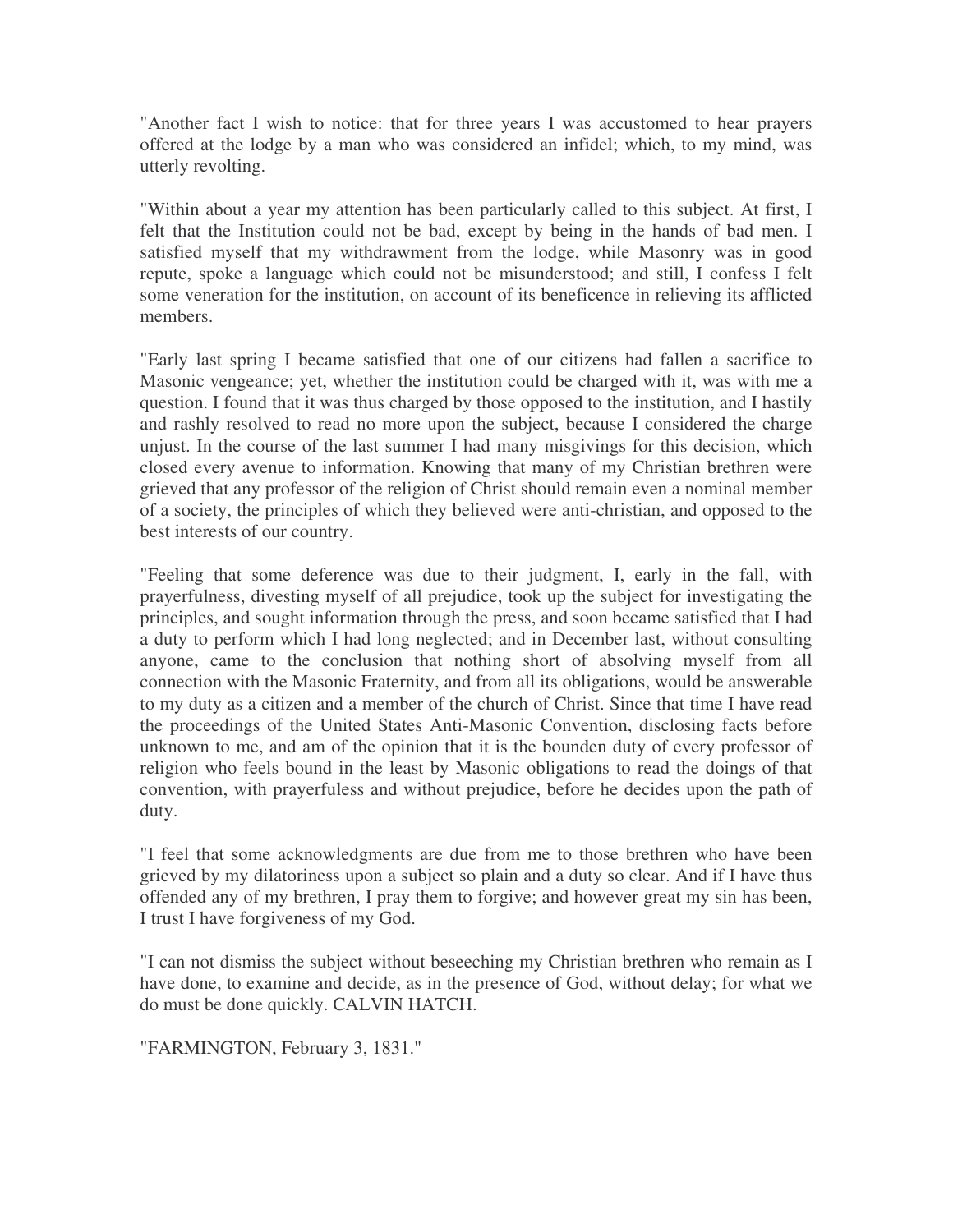"Another fact I wish to notice: that for three years I was accustomed to hear prayers offered at the lodge by a man who was considered an infidel; which, to my mind, was utterly revolting.

"Within about a year my attention has been particularly called to this subject. At first, I felt that the Institution could not be bad, except by being in the hands of bad men. I satisfied myself that my withdrawment from the lodge, while Masonry was in good repute, spoke a language which could not be misunderstood; and still, I confess I felt some veneration for the institution, on account of its beneficence in relieving its afflicted members.

"Early last spring I became satisfied that one of our citizens had fallen a sacrifice to Masonic vengeance; yet, whether the institution could be charged with it, was with me a question. I found that it was thus charged by those opposed to the institution, and I hastily and rashly resolved to read no more upon the subject, because I considered the charge unjust. In the course of the last summer I had many misgivings for this decision, which closed every avenue to information. Knowing that many of my Christian brethren were grieved that any professor of the religion of Christ should remain even a nominal member of a society, the principles of which they believed were anti-christian, and opposed to the best interests of our country.

"Feeling that some deference was due to their judgment, I, early in the fall, with prayerfulness, divesting myself of all prejudice, took up the subject for investigating the principles, and sought information through the press, and soon became satisfied that I had a duty to perform which I had long neglected; and in December last, without consulting anyone, came to the conclusion that nothing short of absolving myself from all connection with the Masonic Fraternity, and from all its obligations, would be answerable to my duty as a citizen and a member of the church of Christ. Since that time I have read the proceedings of the United States Anti-Masonic Convention, disclosing facts before unknown to me, and am of the opinion that it is the bounden duty of every professor of religion who feels bound in the least by Masonic obligations to read the doings of that convention, with prayerfuless and without prejudice, before he decides upon the path of duty.

"I feel that some acknowledgments are due from me to those brethren who have been grieved by my dilatoriness upon a subject so plain and a duty so clear. And if I have thus offended any of my brethren, I pray them to forgive; and however great my sin has been, I trust I have forgiveness of my God.

"I can not dismiss the subject without beseeching my Christian brethren who remain as I have done, to examine and decide, as in the presence of God, without delay; for what we do must be done quickly. CALVIN HATCH.

"FARMINGTON, February 3, 1831."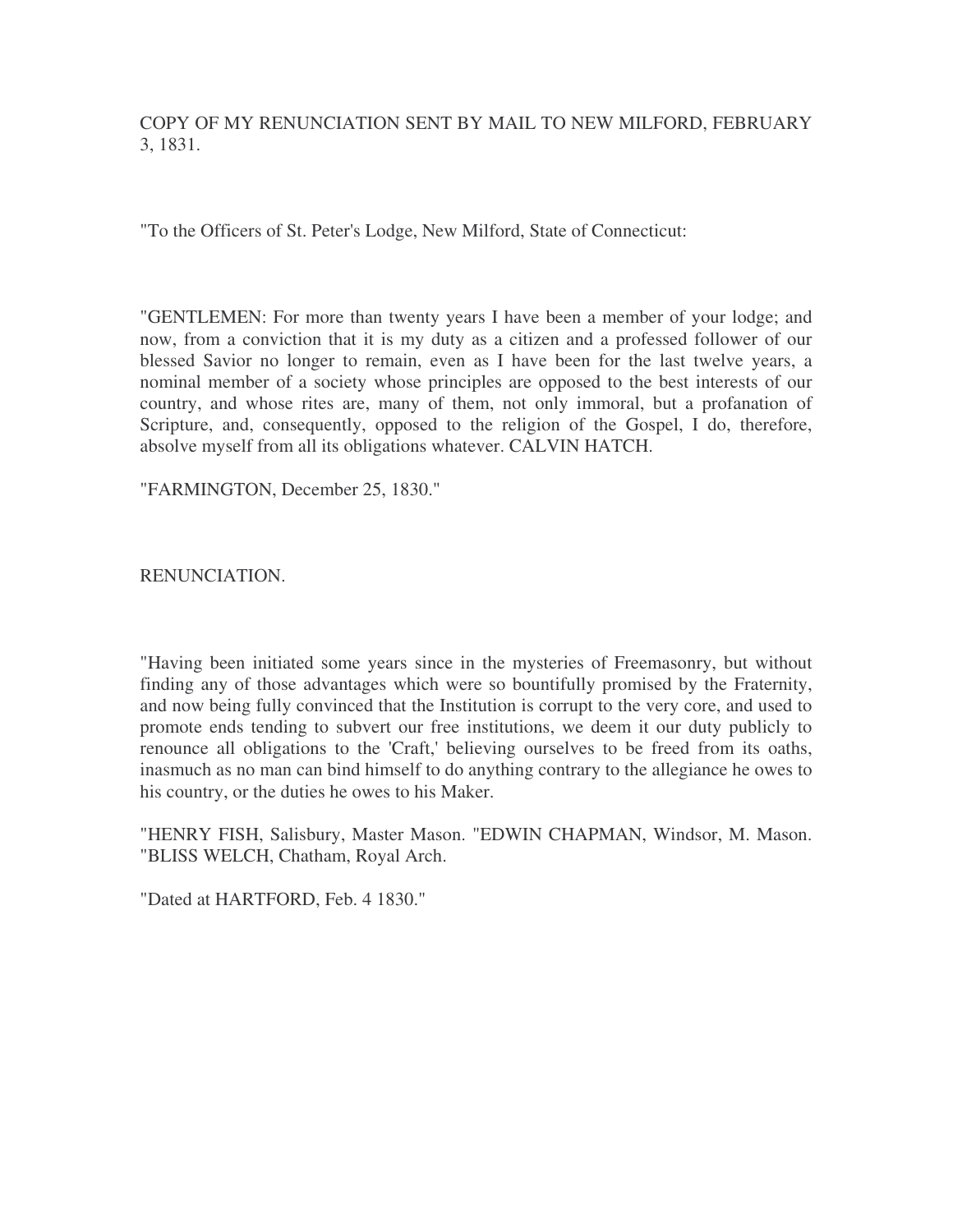#### COPY OF MY RENUNCIATION SENT BY MAIL TO NEW MILFORD, FEBRUARY 3, 1831.

"To the Officers of St. Peter's Lodge, New Milford, State of Connecticut:

"GENTLEMEN: For more than twenty years I have been a member of your lodge; and now, from a conviction that it is my duty as a citizen and a professed follower of our blessed Savior no longer to remain, even as I have been for the last twelve years, a nominal member of a society whose principles are opposed to the best interests of our country, and whose rites are, many of them, not only immoral, but a profanation of Scripture, and, consequently, opposed to the religion of the Gospel, I do, therefore, absolve myself from all its obligations whatever. CALVIN HATCH.

"FARMINGTON, December 25, 1830."

RENUNCIATION.

"Having been initiated some years since in the mysteries of Freemasonry, but without finding any of those advantages which were so bountifully promised by the Fraternity, and now being fully convinced that the Institution is corrupt to the very core, and used to promote ends tending to subvert our free institutions, we deem it our duty publicly to renounce all obligations to the 'Craft,' believing ourselves to be freed from its oaths, inasmuch as no man can bind himself to do anything contrary to the allegiance he owes to his country, or the duties he owes to his Maker.

"HENRY FISH, Salisbury, Master Mason. "EDWIN CHAPMAN, Windsor, M. Mason. "BLISS WELCH, Chatham, Royal Arch.

"Dated at HARTFORD, Feb. 4 1830."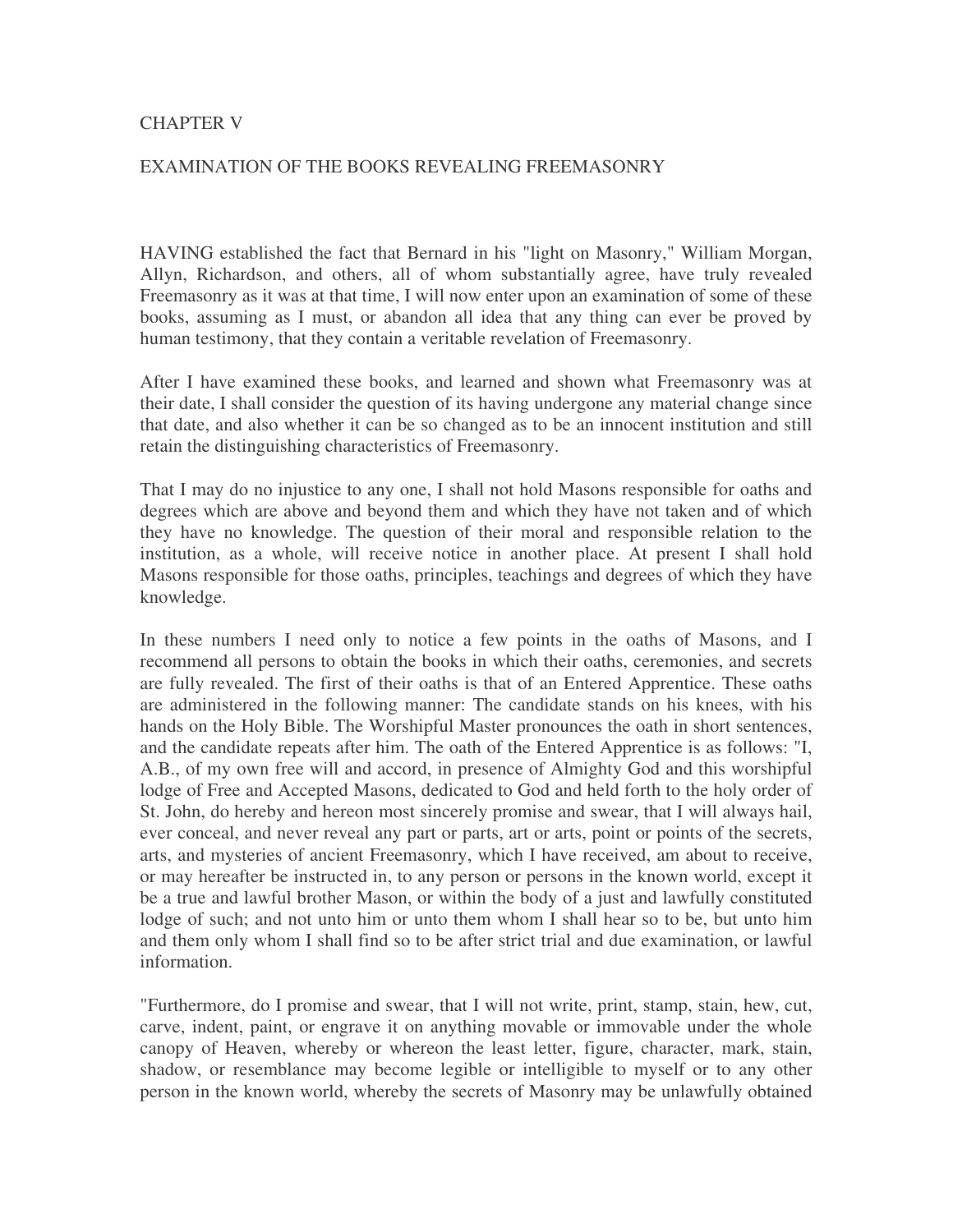#### CHAPTER V

#### EXAMINATION OF THE BOOKS REVEALING FREEMASONRY

HAVING established the fact that Bernard in his "light on Masonry," William Morgan, Allyn, Richardson, and others, all of whom substantially agree, have truly revealed Freemasonry as it was at that time, I will now enter upon an examination of some of these books, assuming as I must, or abandon all idea that any thing can ever be proved by human testimony, that they contain a veritable revelation of Freemasonry.

After I have examined these books, and learned and shown what Freemasonry was at their date, I shall consider the question of its having undergone any material change since that date, and also whether it can be so changed as to be an innocent institution and still retain the distinguishing characteristics of Freemasonry.

That I may do no injustice to any one, I shall not hold Masons responsible for oaths and degrees which are above and beyond them and which they have not taken and of which they have no knowledge. The question of their moral and responsible relation to the institution, as a whole, will receive notice in another place. At present I shall hold Masons responsible for those oaths, principles, teachings and degrees of which they have knowledge.

In these numbers I need only to notice a few points in the oaths of Masons, and I recommend all persons to obtain the books in which their oaths, ceremonies, and secrets are fully revealed. The first of their oaths is that of an Entered Apprentice. These oaths are administered in the following manner: The candidate stands on his knees, with his hands on the Holy Bible. The Worshipful Master pronounces the oath in short sentences, and the candidate repeats after him. The oath of the Entered Apprentice is as follows: "I, A.B., of my own free will and accord, in presence of Almighty God and this worshipful lodge of Free and Accepted Masons, dedicated to God and held forth to the holy order of St. John, do hereby and hereon most sincerely promise and swear, that I will always hail, ever conceal, and never reveal any part or parts, art or arts, point or points of the secrets, arts, and mysteries of ancient Freemasonry, which I have received, am about to receive, or may hereafter be instructed in, to any person or persons in the known world, except it be a true and lawful brother Mason, or within the body of a just and lawfully constituted lodge of such; and not unto him or unto them whom I shall hear so to be, but unto him and them only whom I shall find so to be after strict trial and due examination, or lawful information.

"Furthermore, do I promise and swear, that I will not write, print, stamp, stain, hew, cut, carve, indent, paint, or engrave it on anything movable or immovable under the whole canopy of Heaven, whereby or whereon the least letter, figure, character, mark, stain, shadow, or resemblance may become legible or intelligible to myself or to any other person in the known world, whereby the secrets of Masonry may be unlawfully obtained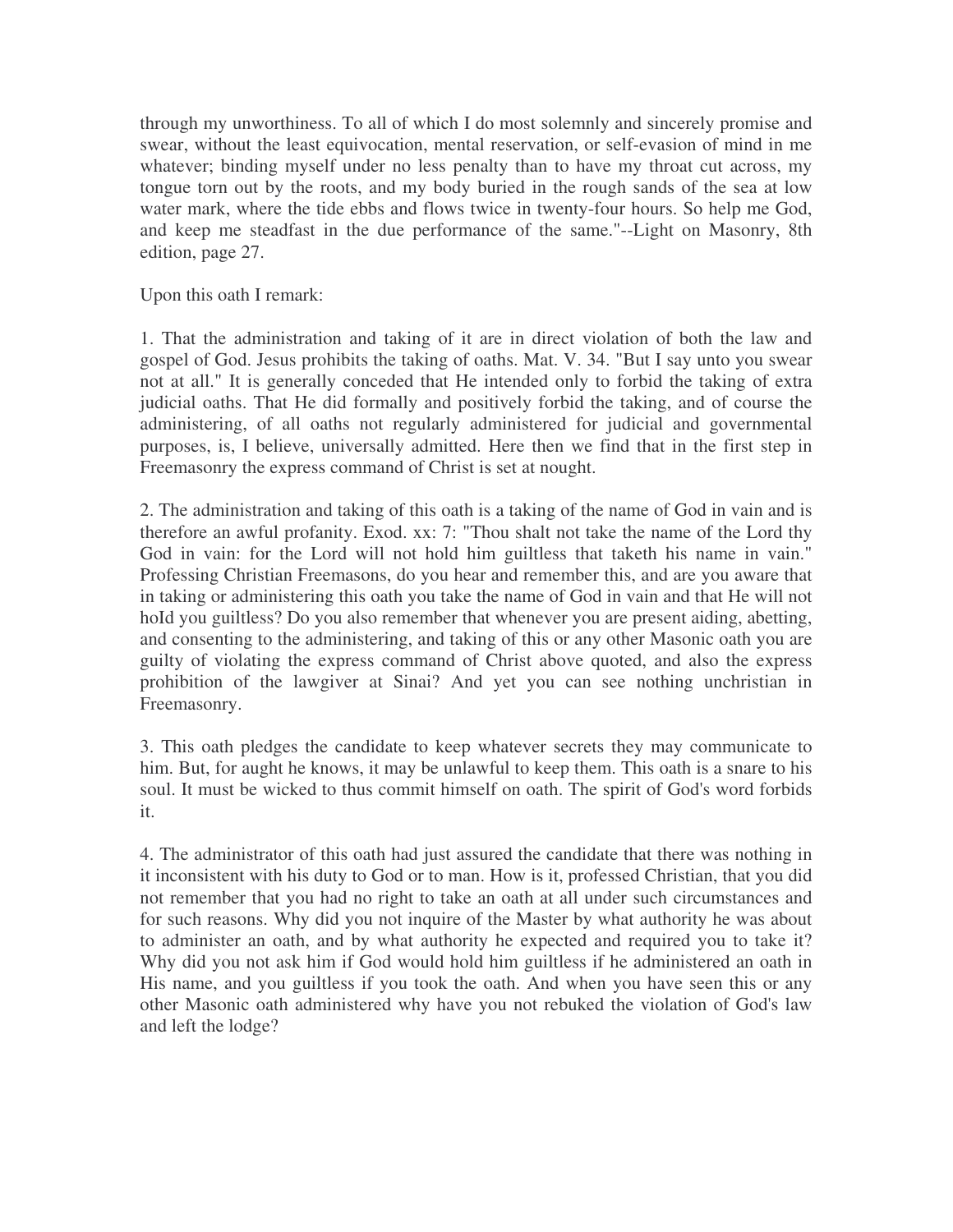through my unworthiness. To all of which I do most solemnly and sincerely promise and swear, without the least equivocation, mental reservation, or self-evasion of mind in me whatever; binding myself under no less penalty than to have my throat cut across, my tongue torn out by the roots, and my body buried in the rough sands of the sea at low water mark, where the tide ebbs and flows twice in twenty-four hours. So help me God, and keep me steadfast in the due performance of the same."--Light on Masonry, 8th edition, page 27.

Upon this oath I remark:

1. That the administration and taking of it are in direct violation of both the law and gospel of God. Jesus prohibits the taking of oaths. Mat. V. 34. "But I say unto you swear not at all." It is generally conceded that He intended only to forbid the taking of extra judicial oaths. That He did formally and positively forbid the taking, and of course the administering, of all oaths not regularly administered for judicial and governmental purposes, is, I believe, universally admitted. Here then we find that in the first step in Freemasonry the express command of Christ is set at nought.

2. The administration and taking of this oath is a taking of the name of God in vain and is therefore an awful profanity. Exod. xx: 7: "Thou shalt not take the name of the Lord thy God in vain: for the Lord will not hold him guiltless that taketh his name in vain." Professing Christian Freemasons, do you hear and remember this, and are you aware that in taking or administering this oath you take the name of God in vain and that He will not hoId you guiltless? Do you also remember that whenever you are present aiding, abetting, and consenting to the administering, and taking of this or any other Masonic oath you are guilty of violating the express command of Christ above quoted, and also the express prohibition of the lawgiver at Sinai? And yet you can see nothing unchristian in Freemasonry.

3. This oath pledges the candidate to keep whatever secrets they may communicate to him. But, for aught he knows, it may be unlawful to keep them. This oath is a snare to his soul. It must be wicked to thus commit himself on oath. The spirit of God's word forbids it.

4. The administrator of this oath had just assured the candidate that there was nothing in it inconsistent with his duty to God or to man. How is it, professed Christian, that you did not remember that you had no right to take an oath at all under such circumstances and for such reasons. Why did you not inquire of the Master by what authority he was about to administer an oath, and by what authority he expected and required you to take it? Why did you not ask him if God would hold him guiltless if he administered an oath in His name, and you guiltless if you took the oath. And when you have seen this or any other Masonic oath administered why have you not rebuked the violation of God's law and left the lodge?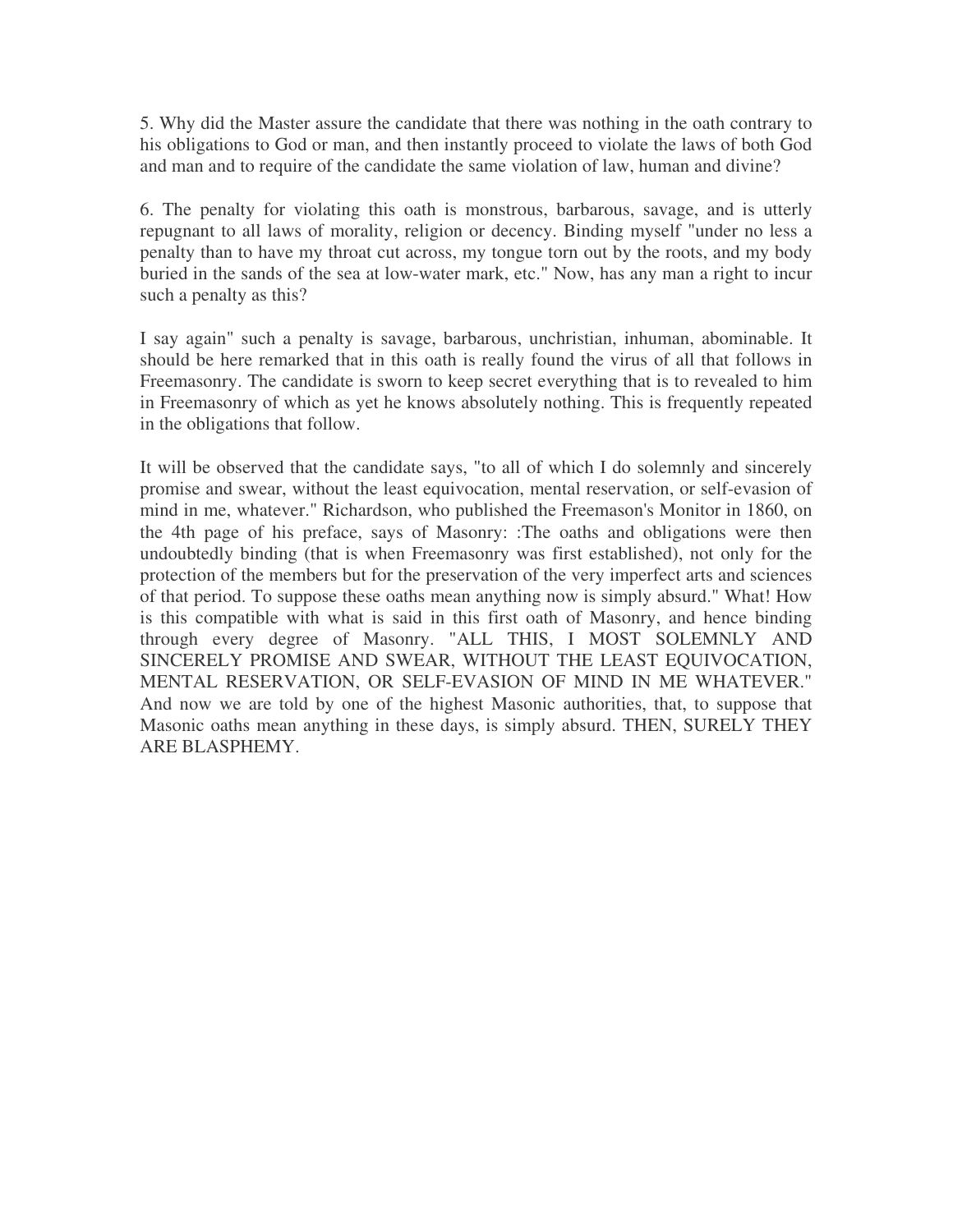5. Why did the Master assure the candidate that there was nothing in the oath contrary to his obligations to God or man, and then instantly proceed to violate the laws of both God and man and to require of the candidate the same violation of law, human and divine?

6. The penalty for violating this oath is monstrous, barbarous, savage, and is utterly repugnant to all laws of morality, religion or decency. Binding myself "under no less a penalty than to have my throat cut across, my tongue torn out by the roots, and my body buried in the sands of the sea at low-water mark, etc." Now, has any man a right to incur such a penalty as this?

I say again" such a penalty is savage, barbarous, unchristian, inhuman, abominable. It should be here remarked that in this oath is really found the virus of all that follows in Freemasonry. The candidate is sworn to keep secret everything that is to revealed to him in Freemasonry of which as yet he knows absolutely nothing. This is frequently repeated in the obligations that follow.

It will be observed that the candidate says, "to all of which I do solemnly and sincerely promise and swear, without the least equivocation, mental reservation, or self-evasion of mind in me, whatever." Richardson, who published the Freemason's Monitor in 1860, on the 4th page of his preface, says of Masonry: :The oaths and obligations were then undoubtedly binding (that is when Freemasonry was first established), not only for the protection of the members but for the preservation of the very imperfect arts and sciences of that period. To suppose these oaths mean anything now is simply absurd." What! How is this compatible with what is said in this first oath of Masonry, and hence binding through every degree of Masonry. "ALL THIS, I MOST SOLEMNLY AND SINCERELY PROMISE AND SWEAR, WITHOUT THE LEAST EQUIVOCATION, MENTAL RESERVATION, OR SELF-EVASION OF MIND IN ME WHATEVER." And now we are told by one of the highest Masonic authorities, that, to suppose that Masonic oaths mean anything in these days, is simply absurd. THEN, SURELY THEY ARE BLASPHEMY.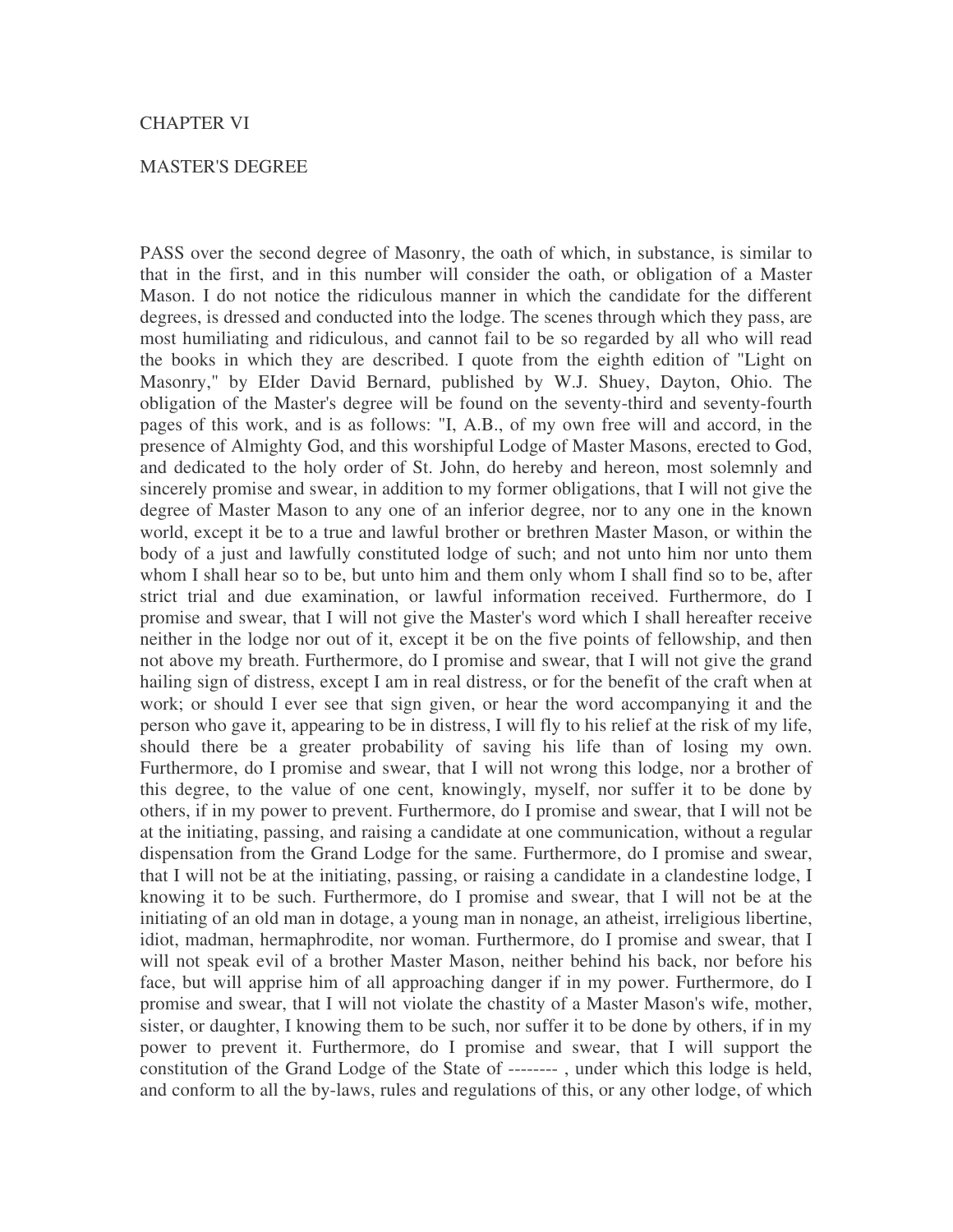#### MASTER'S DEGREE

PASS over the second degree of Masonry, the oath of which, in substance, is similar to that in the first, and in this number will consider the oath, or obligation of a Master Mason. I do not notice the ridiculous manner in which the candidate for the different degrees, is dressed and conducted into the lodge. The scenes through which they pass, are most humiliating and ridiculous, and cannot fail to be so regarded by all who will read the books in which they are described. I quote from the eighth edition of "Light on Masonry," by EIder David Bernard, published by W.J. Shuey, Dayton, Ohio. The obligation of the Master's degree will be found on the seventy-third and seventy-fourth pages of this work, and is as follows: "I, A.B., of my own free will and accord, in the presence of Almighty God, and this worshipful Lodge of Master Masons, erected to God, and dedicated to the holy order of St. John, do hereby and hereon, most solemnly and sincerely promise and swear, in addition to my former obligations, that I will not give the degree of Master Mason to any one of an inferior degree, nor to any one in the known world, except it be to a true and lawful brother or brethren Master Mason, or within the body of a just and lawfully constituted lodge of such; and not unto him nor unto them whom I shall hear so to be, but unto him and them only whom I shall find so to be, after strict trial and due examination, or lawful information received. Furthermore, do I promise and swear, that I will not give the Master's word which I shall hereafter receive neither in the lodge nor out of it, except it be on the five points of fellowship, and then not above my breath. Furthermore, do I promise and swear, that I will not give the grand hailing sign of distress, except I am in real distress, or for the benefit of the craft when at work; or should I ever see that sign given, or hear the word accompanying it and the person who gave it, appearing to be in distress, I will fly to his relief at the risk of my life, should there be a greater probability of saving his life than of losing my own. Furthermore, do I promise and swear, that I will not wrong this lodge, nor a brother of this degree, to the value of one cent, knowingly, myself, nor suffer it to be done by others, if in my power to prevent. Furthermore, do I promise and swear, that I will not be at the initiating, passing, and raising a candidate at one communication, without a regular dispensation from the Grand Lodge for the same. Furthermore, do I promise and swear, that I will not be at the initiating, passing, or raising a candidate in a clandestine lodge, I knowing it to be such. Furthermore, do I promise and swear, that I will not be at the initiating of an old man in dotage, a young man in nonage, an atheist, irreligious libertine, idiot, madman, hermaphrodite, nor woman. Furthermore, do I promise and swear, that I will not speak evil of a brother Master Mason, neither behind his back, nor before his face, but will apprise him of all approaching danger if in my power. Furthermore, do I promise and swear, that I will not violate the chastity of a Master Mason's wife, mother, sister, or daughter, I knowing them to be such, nor suffer it to be done by others, if in my power to prevent it. Furthermore, do I promise and swear, that I will support the constitution of the Grand Lodge of the State of -------- , under which this lodge is held, and conform to all the by-laws, rules and regulations of this, or any other lodge, of which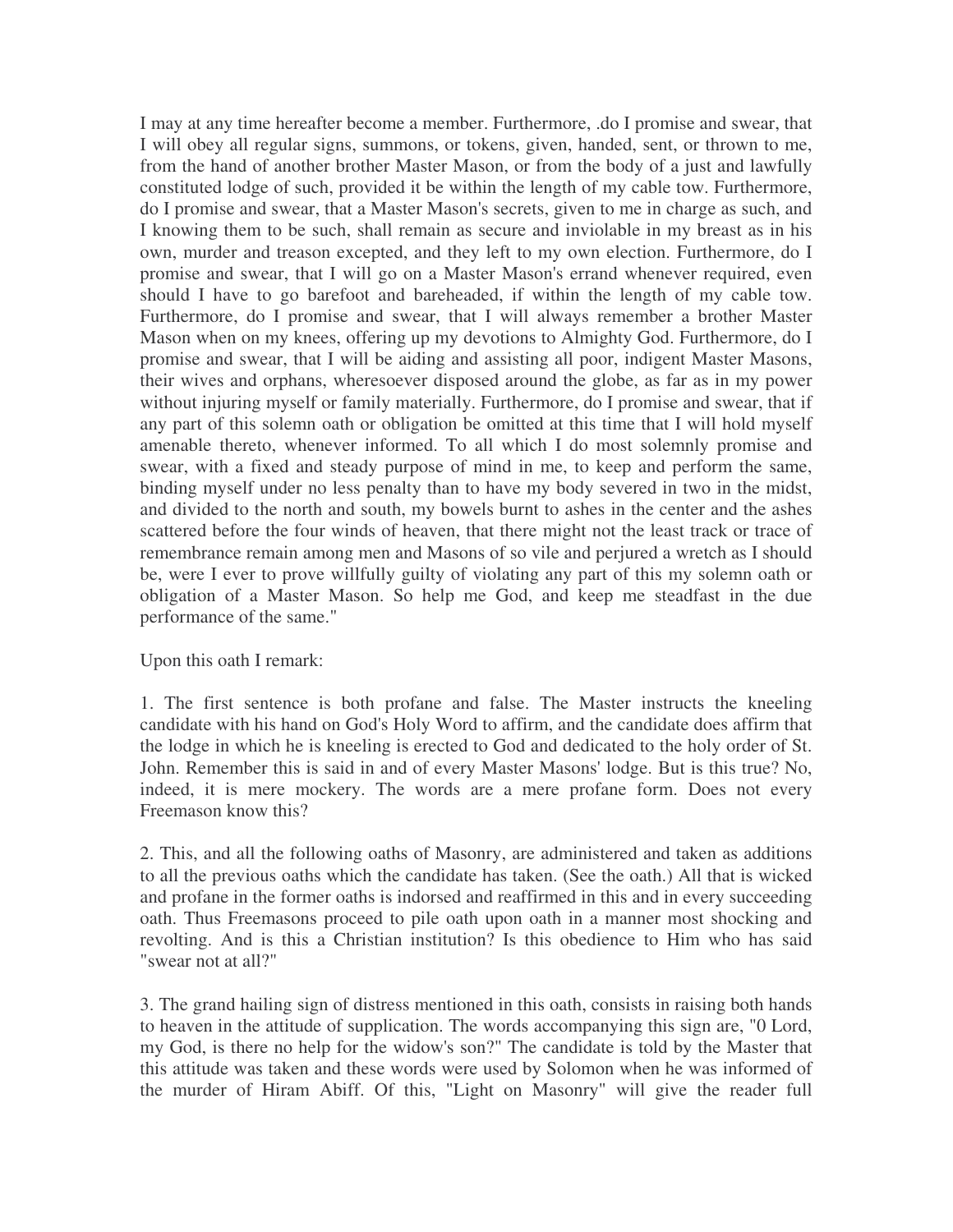I may at any time hereafter become a member. Furthermore, .do I promise and swear, that I will obey all regular signs, summons, or tokens, given, handed, sent, or thrown to me, from the hand of another brother Master Mason, or from the body of a just and lawfully constituted lodge of such, provided it be within the length of my cable tow. Furthermore, do I promise and swear, that a Master Mason's secrets, given to me in charge as such, and I knowing them to be such, shall remain as secure and inviolable in my breast as in his own, murder and treason excepted, and they left to my own election. Furthermore, do I promise and swear, that I will go on a Master Mason's errand whenever required, even should I have to go barefoot and bareheaded, if within the length of my cable tow. Furthermore, do I promise and swear, that I will always remember a brother Master Mason when on my knees, offering up my devotions to Almighty God. Furthermore, do I promise and swear, that I will be aiding and assisting all poor, indigent Master Masons, their wives and orphans, wheresoever disposed around the globe, as far as in my power without injuring myself or family materially. Furthermore, do I promise and swear, that if any part of this solemn oath or obligation be omitted at this time that I will hold myself amenable thereto, whenever informed. To all which I do most solemnly promise and swear, with a fixed and steady purpose of mind in me, to keep and perform the same, binding myself under no less penalty than to have my body severed in two in the midst, and divided to the north and south, my bowels burnt to ashes in the center and the ashes scattered before the four winds of heaven, that there might not the least track or trace of remembrance remain among men and Masons of so vile and perjured a wretch as I should be, were I ever to prove willfully guilty of violating any part of this my solemn oath or obligation of a Master Mason. So help me God, and keep me steadfast in the due performance of the same."

#### Upon this oath I remark:

1. The first sentence is both profane and false. The Master instructs the kneeling candidate with his hand on God's Holy Word to affirm, and the candidate does affirm that the lodge in which he is kneeling is erected to God and dedicated to the holy order of St. John. Remember this is said in and of every Master Masons' lodge. But is this true? No, indeed, it is mere mockery. The words are a mere profane form. Does not every Freemason know this?

2. This, and all the following oaths of Masonry, are administered and taken as additions to all the previous oaths which the candidate has taken. (See the oath.) All that is wicked and profane in the former oaths is indorsed and reaffirmed in this and in every succeeding oath. Thus Freemasons proceed to pile oath upon oath in a manner most shocking and revolting. And is this a Christian institution? Is this obedience to Him who has said "swear not at all?"

3. The grand hailing sign of distress mentioned in this oath, consists in raising both hands to heaven in the attitude of supplication. The words accompanying this sign are, "0 Lord, my God, is there no help for the widow's son?" The candidate is told by the Master that this attitude was taken and these words were used by Solomon when he was informed of the murder of Hiram Abiff. Of this, "Light on Masonry" will give the reader full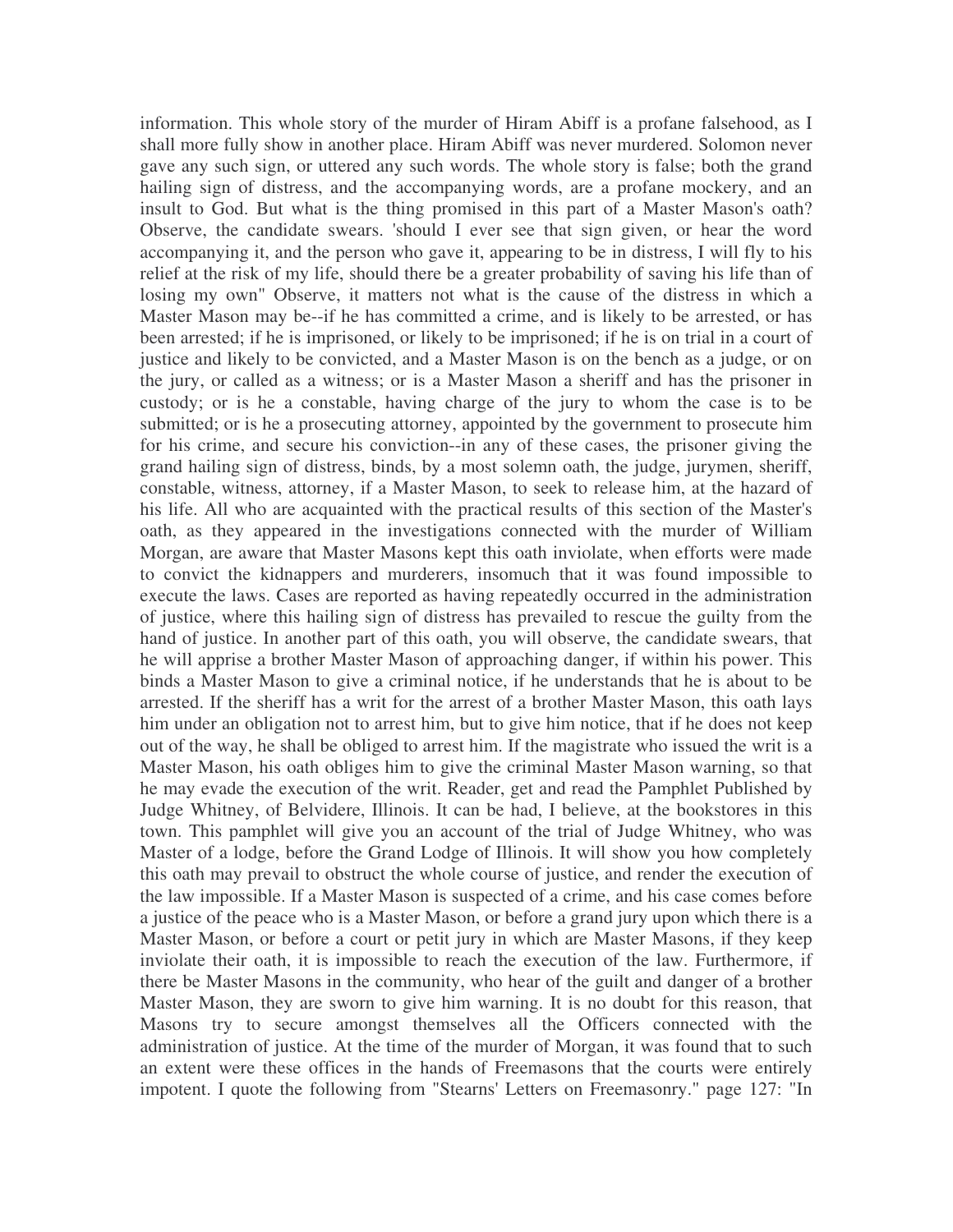information. This whole story of the murder of Hiram Abiff is a profane falsehood, as I shall more fully show in another place. Hiram Abiff was never murdered. Solomon never gave any such sign, or uttered any such words. The whole story is false; both the grand hailing sign of distress, and the accompanying words, are a profane mockery, and an insult to God. But what is the thing promised in this part of a Master Mason's oath? Observe, the candidate swears. 'should I ever see that sign given, or hear the word accompanying it, and the person who gave it, appearing to be in distress, I will fly to his relief at the risk of my life, should there be a greater probability of saving his life than of losing my own" Observe, it matters not what is the cause of the distress in which a Master Mason may be--if he has committed a crime, and is likely to be arrested, or has been arrested; if he is imprisoned, or likely to be imprisoned; if he is on trial in a court of justice and likely to be convicted, and a Master Mason is on the bench as a judge, or on the jury, or called as a witness; or is a Master Mason a sheriff and has the prisoner in custody; or is he a constable, having charge of the jury to whom the case is to be submitted; or is he a prosecuting attorney, appointed by the government to prosecute him for his crime, and secure his conviction--in any of these cases, the prisoner giving the grand hailing sign of distress, binds, by a most solemn oath, the judge, jurymen, sheriff, constable, witness, attorney, if a Master Mason, to seek to release him, at the hazard of his life. All who are acquainted with the practical results of this section of the Master's oath, as they appeared in the investigations connected with the murder of William Morgan, are aware that Master Masons kept this oath inviolate, when efforts were made to convict the kidnappers and murderers, insomuch that it was found impossible to execute the laws. Cases are reported as having repeatedly occurred in the administration of justice, where this hailing sign of distress has prevailed to rescue the guilty from the hand of justice. In another part of this oath, you will observe, the candidate swears, that he will apprise a brother Master Mason of approaching danger, if within his power. This binds a Master Mason to give a criminal notice, if he understands that he is about to be arrested. If the sheriff has a writ for the arrest of a brother Master Mason, this oath lays him under an obligation not to arrest him, but to give him notice, that if he does not keep out of the way, he shall be obliged to arrest him. If the magistrate who issued the writ is a Master Mason, his oath obliges him to give the criminal Master Mason warning, so that he may evade the execution of the writ. Reader, get and read the Pamphlet Published by Judge Whitney, of Belvidere, Illinois. It can be had, I believe, at the bookstores in this town. This pamphlet will give you an account of the trial of Judge Whitney, who was Master of a lodge, before the Grand Lodge of Illinois. It will show you how completely this oath may prevail to obstruct the whole course of justice, and render the execution of the law impossible. If a Master Mason is suspected of a crime, and his case comes before a justice of the peace who is a Master Mason, or before a grand jury upon which there is a Master Mason, or before a court or petit jury in which are Master Masons, if they keep inviolate their oath, it is impossible to reach the execution of the law. Furthermore, if there be Master Masons in the community, who hear of the guilt and danger of a brother Master Mason, they are sworn to give him warning. It is no doubt for this reason, that Masons try to secure amongst themselves all the Officers connected with the administration of justice. At the time of the murder of Morgan, it was found that to such an extent were these offices in the hands of Freemasons that the courts were entirely impotent. I quote the following from "Stearns' Letters on Freemasonry." page 127: "In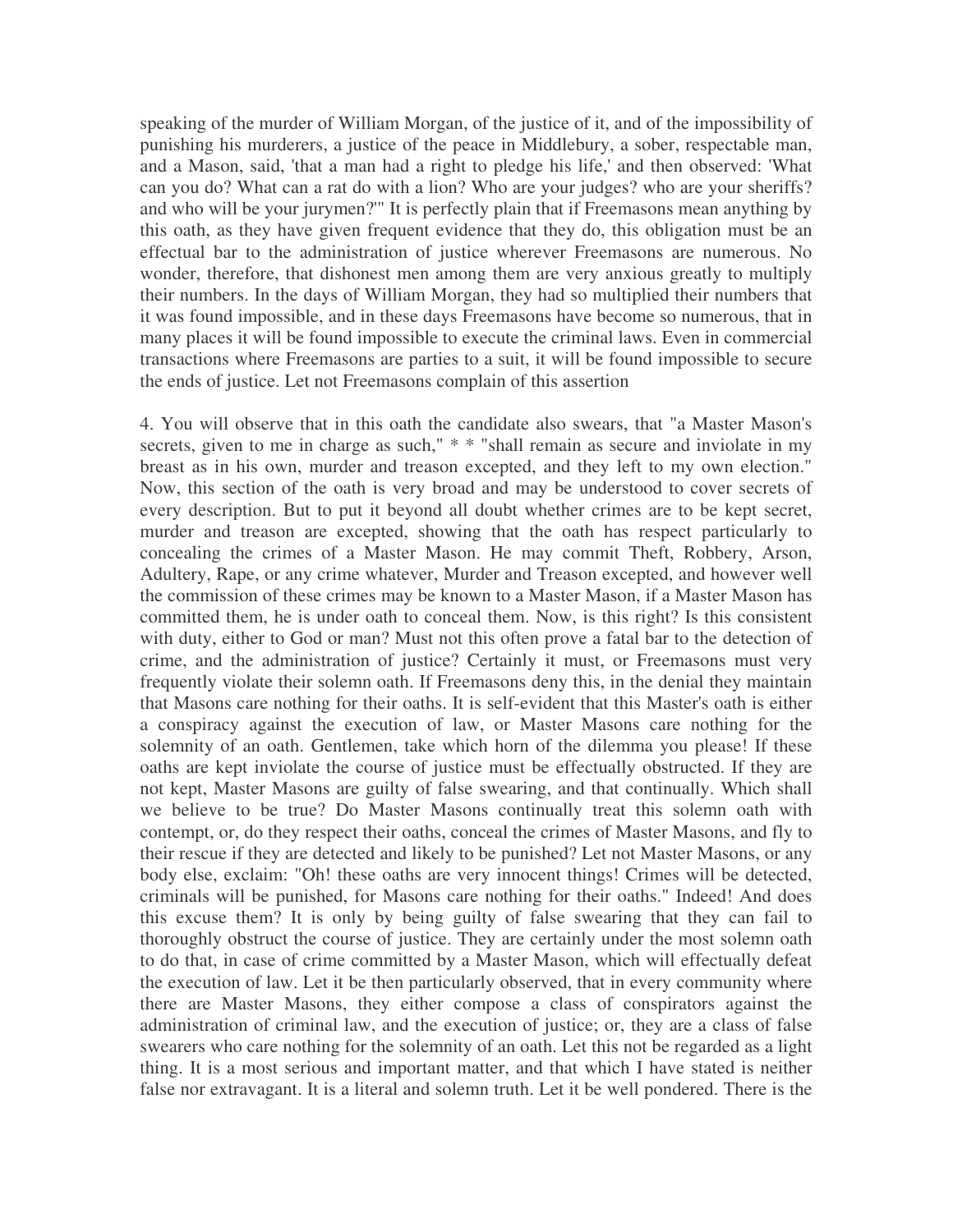speaking of the murder of William Morgan, of the justice of it, and of the impossibility of punishing his murderers, a justice of the peace in Middlebury, a sober, respectable man, and a Mason, said, 'that a man had a right to pledge his life,' and then observed: 'What can you do? What can a rat do with a lion? Who are your judges? who are your sheriffs? and who will be your jurymen?'" It is perfectly plain that if Freemasons mean anything by this oath, as they have given frequent evidence that they do, this obligation must be an effectual bar to the administration of justice wherever Freemasons are numerous. No wonder, therefore, that dishonest men among them are very anxious greatly to multiply their numbers. In the days of William Morgan, they had so multiplied their numbers that it was found impossible, and in these days Freemasons have become so numerous, that in many places it will be found impossible to execute the criminal laws. Even in commercial transactions where Freemasons are parties to a suit, it will be found impossible to secure the ends of justice. Let not Freemasons complain of this assertion

4. You will observe that in this oath the candidate also swears, that "a Master Mason's secrets, given to me in charge as such," \* \* "shall remain as secure and inviolate in my breast as in his own, murder and treason excepted, and they left to my own election." Now, this section of the oath is very broad and may be understood to cover secrets of every description. But to put it beyond all doubt whether crimes are to be kept secret, murder and treason are excepted, showing that the oath has respect particularly to concealing the crimes of a Master Mason. He may commit Theft, Robbery, Arson, Adultery, Rape, or any crime whatever, Murder and Treason excepted, and however well the commission of these crimes may be known to a Master Mason, if a Master Mason has committed them, he is under oath to conceal them. Now, is this right? Is this consistent with duty, either to God or man? Must not this often prove a fatal bar to the detection of crime, and the administration of justice? Certainly it must, or Freemasons must very frequently violate their solemn oath. If Freemasons deny this, in the denial they maintain that Masons care nothing for their oaths. It is self-evident that this Master's oath is either a conspiracy against the execution of law, or Master Masons care nothing for the solemnity of an oath. Gentlemen, take which horn of the dilemma you please! If these oaths are kept inviolate the course of justice must be effectually obstructed. If they are not kept, Master Masons are guilty of false swearing, and that continually. Which shall we believe to be true? Do Master Masons continually treat this solemn oath with contempt, or, do they respect their oaths, conceal the crimes of Master Masons, and fly to their rescue if they are detected and likely to be punished? Let not Master Masons, or any body else, exclaim: "Oh! these oaths are very innocent things! Crimes will be detected, criminals will be punished, for Masons care nothing for their oaths." Indeed! And does this excuse them? It is only by being guilty of false swearing that they can fail to thoroughly obstruct the course of justice. They are certainly under the most solemn oath to do that, in case of crime committed by a Master Mason, which will effectually defeat the execution of law. Let it be then particularly observed, that in every community where there are Master Masons, they either compose a class of conspirators against the administration of criminal law, and the execution of justice; or, they are a class of false swearers who care nothing for the solemnity of an oath. Let this not be regarded as a light thing. It is a most serious and important matter, and that which I have stated is neither false nor extravagant. It is a literal and solemn truth. Let it be well pondered. There is the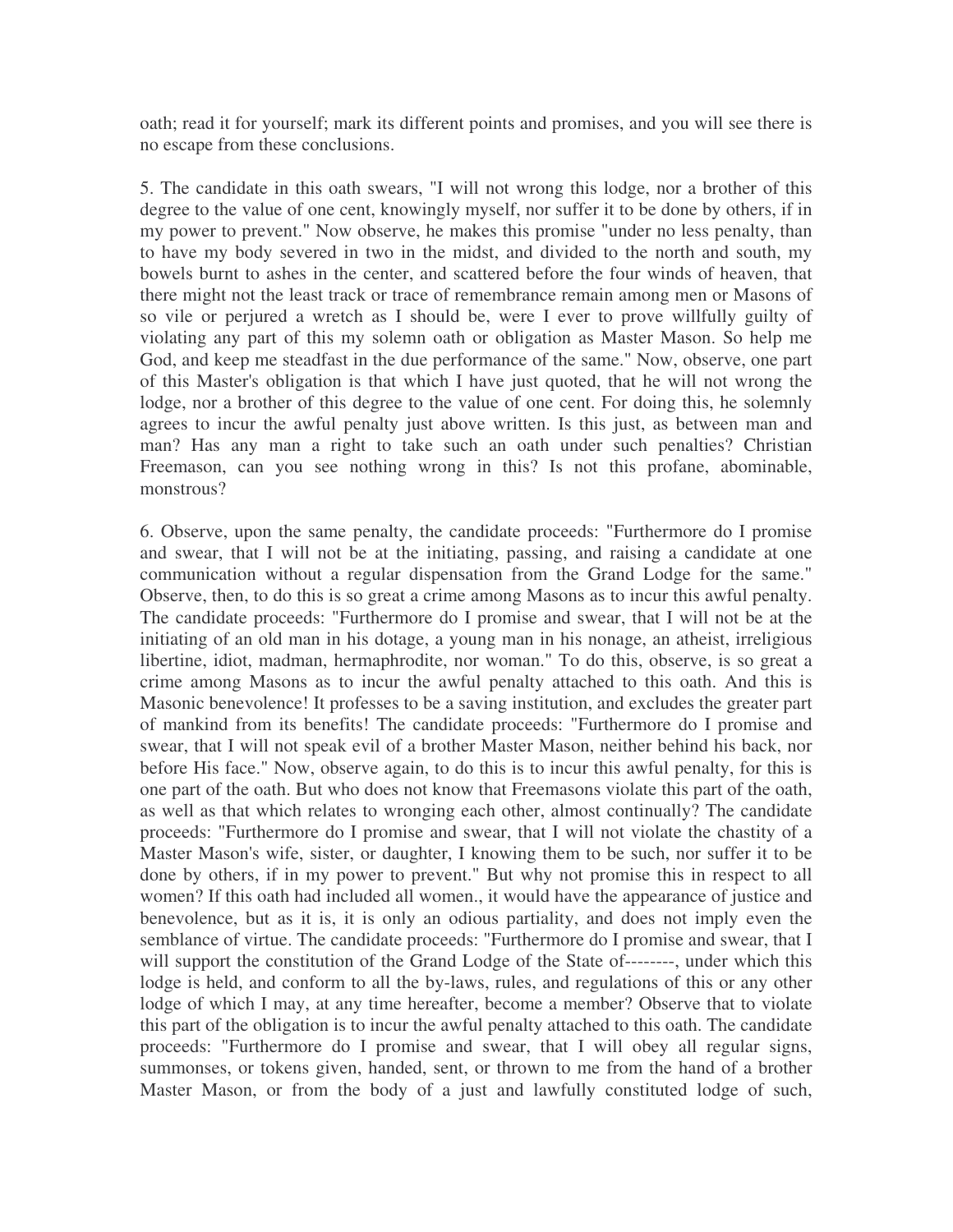oath; read it for yourself; mark its different points and promises, and you will see there is no escape from these conclusions.

5. The candidate in this oath swears, "I will not wrong this lodge, nor a brother of this degree to the value of one cent, knowingly myself, nor suffer it to be done by others, if in my power to prevent." Now observe, he makes this promise "under no less penalty, than to have my body severed in two in the midst, and divided to the north and south, my bowels burnt to ashes in the center, and scattered before the four winds of heaven, that there might not the least track or trace of remembrance remain among men or Masons of so vile or perjured a wretch as I should be, were I ever to prove willfully guilty of violating any part of this my solemn oath or obligation as Master Mason. So help me God, and keep me steadfast in the due performance of the same." Now, observe, one part of this Master's obligation is that which I have just quoted, that he will not wrong the lodge, nor a brother of this degree to the value of one cent. For doing this, he solemnly agrees to incur the awful penalty just above written. Is this just, as between man and man? Has any man a right to take such an oath under such penalties? Christian Freemason, can you see nothing wrong in this? Is not this profane, abominable, monstrous?

6. Observe, upon the same penalty, the candidate proceeds: "Furthermore do I promise and swear, that I will not be at the initiating, passing, and raising a candidate at one communication without a regular dispensation from the Grand Lodge for the same." Observe, then, to do this is so great a crime among Masons as to incur this awful penalty. The candidate proceeds: "Furthermore do I promise and swear, that I will not be at the initiating of an old man in his dotage, a young man in his nonage, an atheist, irreligious libertine, idiot, madman, hermaphrodite, nor woman." To do this, observe, is so great a crime among Masons as to incur the awful penalty attached to this oath. And this is Masonic benevolence! It professes to be a saving institution, and excludes the greater part of mankind from its benefits! The candidate proceeds: "Furthermore do I promise and swear, that I will not speak evil of a brother Master Mason, neither behind his back, nor before His face." Now, observe again, to do this is to incur this awful penalty, for this is one part of the oath. But who does not know that Freemasons violate this part of the oath, as well as that which relates to wronging each other, almost continually? The candidate proceeds: "Furthermore do I promise and swear, that I will not violate the chastity of a Master Mason's wife, sister, or daughter, I knowing them to be such, nor suffer it to be done by others, if in my power to prevent." But why not promise this in respect to all women? If this oath had included all women., it would have the appearance of justice and benevolence, but as it is, it is only an odious partiality, and does not imply even the semblance of virtue. The candidate proceeds: "Furthermore do I promise and swear, that I will support the constitution of the Grand Lodge of the State of--------, under which this lodge is held, and conform to all the by-laws, rules, and regulations of this or any other lodge of which I may, at any time hereafter, become a member? Observe that to violate this part of the obligation is to incur the awful penalty attached to this oath. The candidate proceeds: "Furthermore do I promise and swear, that I will obey all regular signs, summonses, or tokens given, handed, sent, or thrown to me from the hand of a brother Master Mason, or from the body of a just and lawfully constituted lodge of such,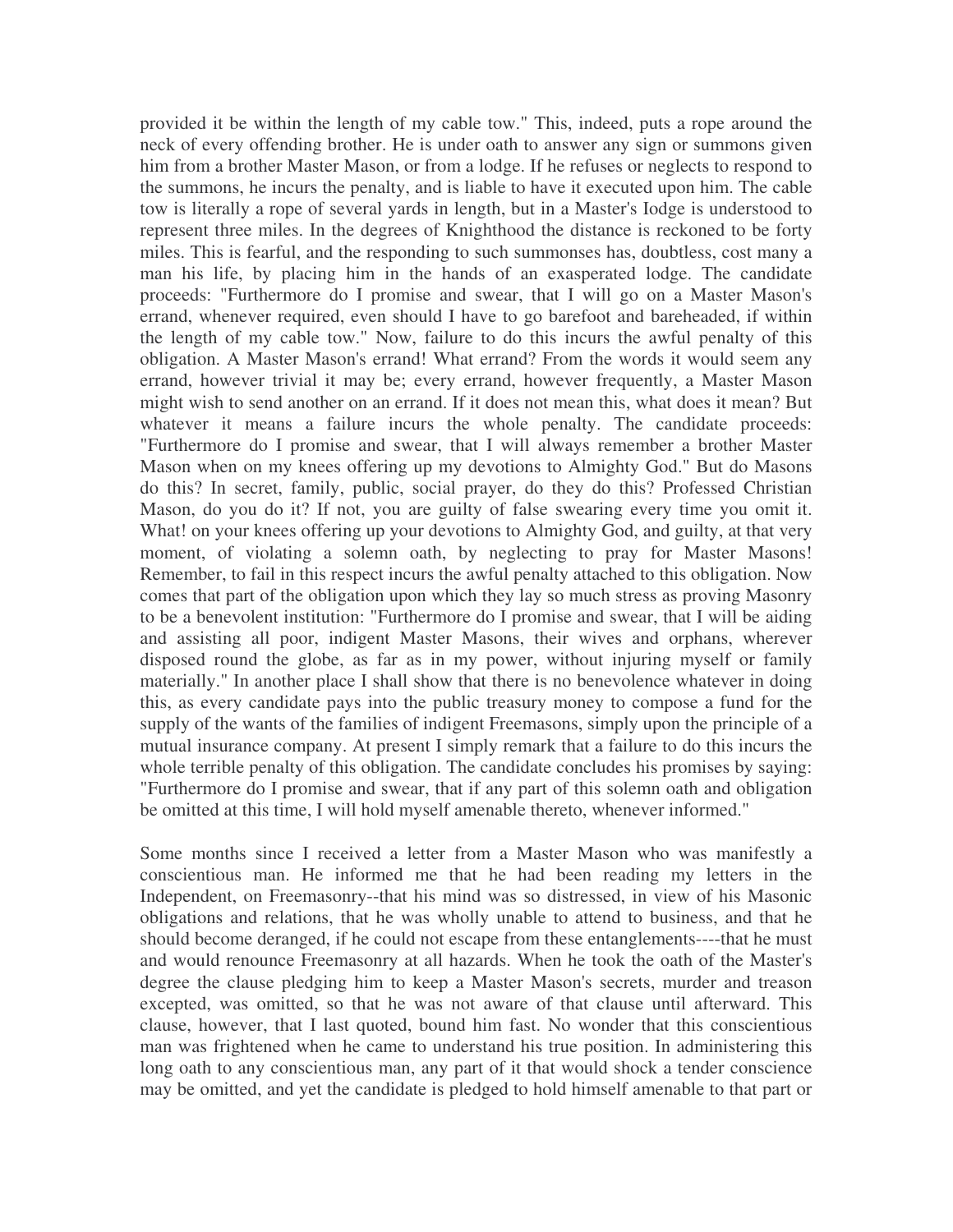provided it be within the length of my cable tow." This, indeed, puts a rope around the neck of every offending brother. He is under oath to answer any sign or summons given him from a brother Master Mason, or from a lodge. If he refuses or neglects to respond to the summons, he incurs the penalty, and is liable to have it executed upon him. The cable tow is literally a rope of several yards in length, but in a Master's Iodge is understood to represent three miles. In the degrees of Knighthood the distance is reckoned to be forty miles. This is fearful, and the responding to such summonses has, doubtless, cost many a man his life, by placing him in the hands of an exasperated lodge. The candidate proceeds: "Furthermore do I promise and swear, that I will go on a Master Mason's errand, whenever required, even should I have to go barefoot and bareheaded, if within the length of my cable tow." Now, failure to do this incurs the awful penalty of this obligation. A Master Mason's errand! What errand? From the words it would seem any errand, however trivial it may be; every errand, however frequently, a Master Mason might wish to send another on an errand. If it does not mean this, what does it mean? But whatever it means a failure incurs the whole penalty. The candidate proceeds: "Furthermore do I promise and swear, that I will always remember a brother Master Mason when on my knees offering up my devotions to Almighty God." But do Masons do this? In secret, family, public, social prayer, do they do this? Professed Christian Mason, do you do it? If not, you are guilty of false swearing every time you omit it. What! on your knees offering up your devotions to Almighty God, and guilty, at that very moment, of violating a solemn oath, by neglecting to pray for Master Masons! Remember, to fail in this respect incurs the awful penalty attached to this obligation. Now comes that part of the obligation upon which they lay so much stress as proving Masonry to be a benevolent institution: "Furthermore do I promise and swear, that I will be aiding and assisting all poor, indigent Master Masons, their wives and orphans, wherever disposed round the globe, as far as in my power, without injuring myself or family materially." In another place I shall show that there is no benevolence whatever in doing this, as every candidate pays into the public treasury money to compose a fund for the supply of the wants of the families of indigent Freemasons, simply upon the principle of a mutual insurance company. At present I simply remark that a failure to do this incurs the whole terrible penalty of this obligation. The candidate concludes his promises by saying: "Furthermore do I promise and swear, that if any part of this solemn oath and obligation be omitted at this time, I will hold myself amenable thereto, whenever informed."

Some months since I received a letter from a Master Mason who was manifestly a conscientious man. He informed me that he had been reading my letters in the Independent, on Freemasonry--that his mind was so distressed, in view of his Masonic obligations and relations, that he was wholly unable to attend to business, and that he should become deranged, if he could not escape from these entanglements----that he must and would renounce Freemasonry at all hazards. When he took the oath of the Master's degree the clause pledging him to keep a Master Mason's secrets, murder and treason excepted, was omitted, so that he was not aware of that clause until afterward. This clause, however, that I last quoted, bound him fast. No wonder that this conscientious man was frightened when he came to understand his true position. In administering this long oath to any conscientious man, any part of it that would shock a tender conscience may be omitted, and yet the candidate is pledged to hold himself amenable to that part or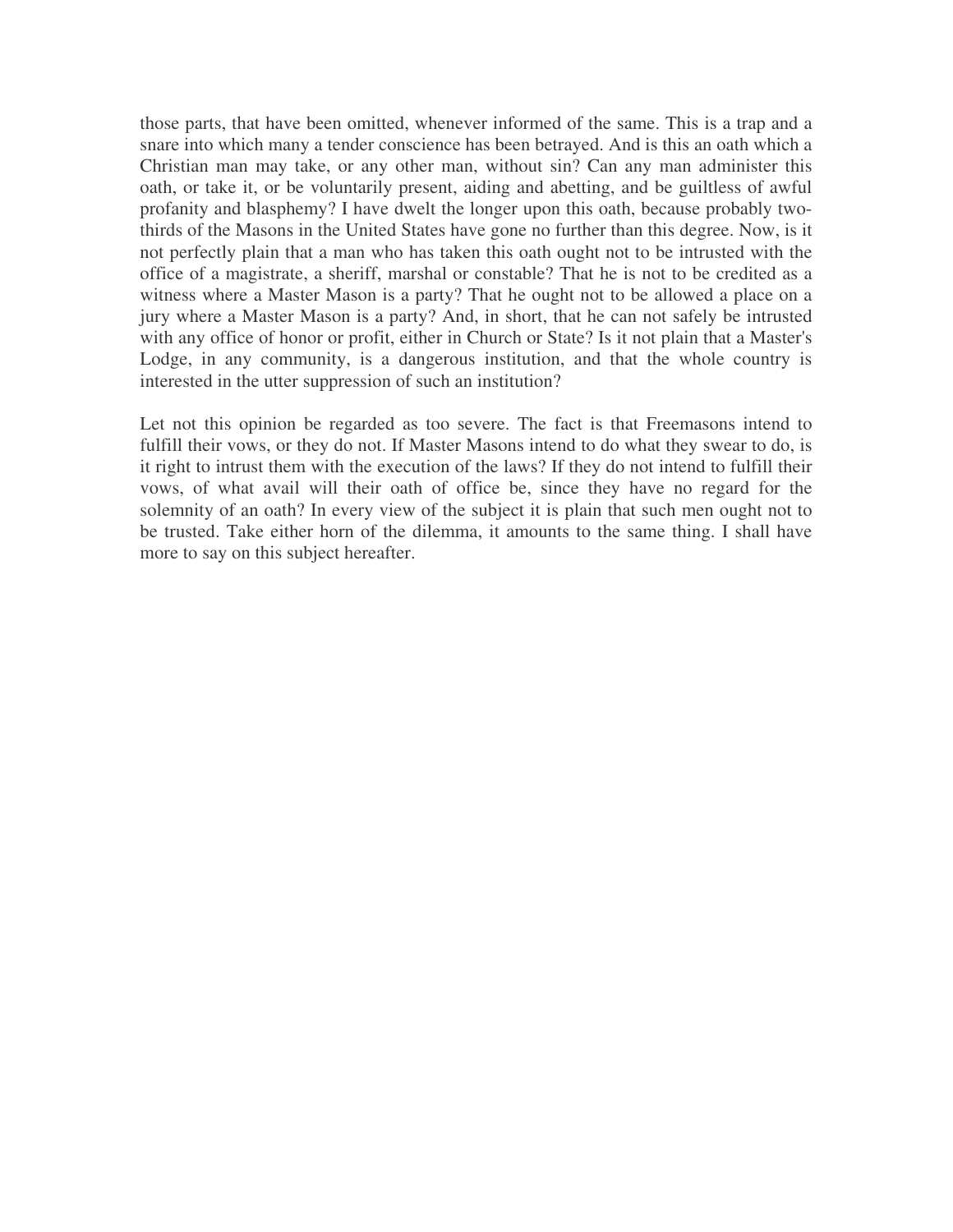those parts, that have been omitted, whenever informed of the same. This is a trap and a snare into which many a tender conscience has been betrayed. And is this an oath which a Christian man may take, or any other man, without sin? Can any man administer this oath, or take it, or be voluntarily present, aiding and abetting, and be guiltless of awful profanity and blasphemy? I have dwelt the longer upon this oath, because probably twothirds of the Masons in the United States have gone no further than this degree. Now, is it not perfectly plain that a man who has taken this oath ought not to be intrusted with the office of a magistrate, a sheriff, marshal or constable? That he is not to be credited as a witness where a Master Mason is a party? That he ought not to be allowed a place on a jury where a Master Mason is a party? And, in short, that he can not safely be intrusted with any office of honor or profit, either in Church or State? Is it not plain that a Master's Lodge, in any community, is a dangerous institution, and that the whole country is interested in the utter suppression of such an institution?

Let not this opinion be regarded as too severe. The fact is that Freemasons intend to fulfill their vows, or they do not. If Master Masons intend to do what they swear to do, is it right to intrust them with the execution of the laws? If they do not intend to fulfill their vows, of what avail will their oath of office be, since they have no regard for the solemnity of an oath? In every view of the subject it is plain that such men ought not to be trusted. Take either horn of the dilemma, it amounts to the same thing. I shall have more to say on this subject hereafter.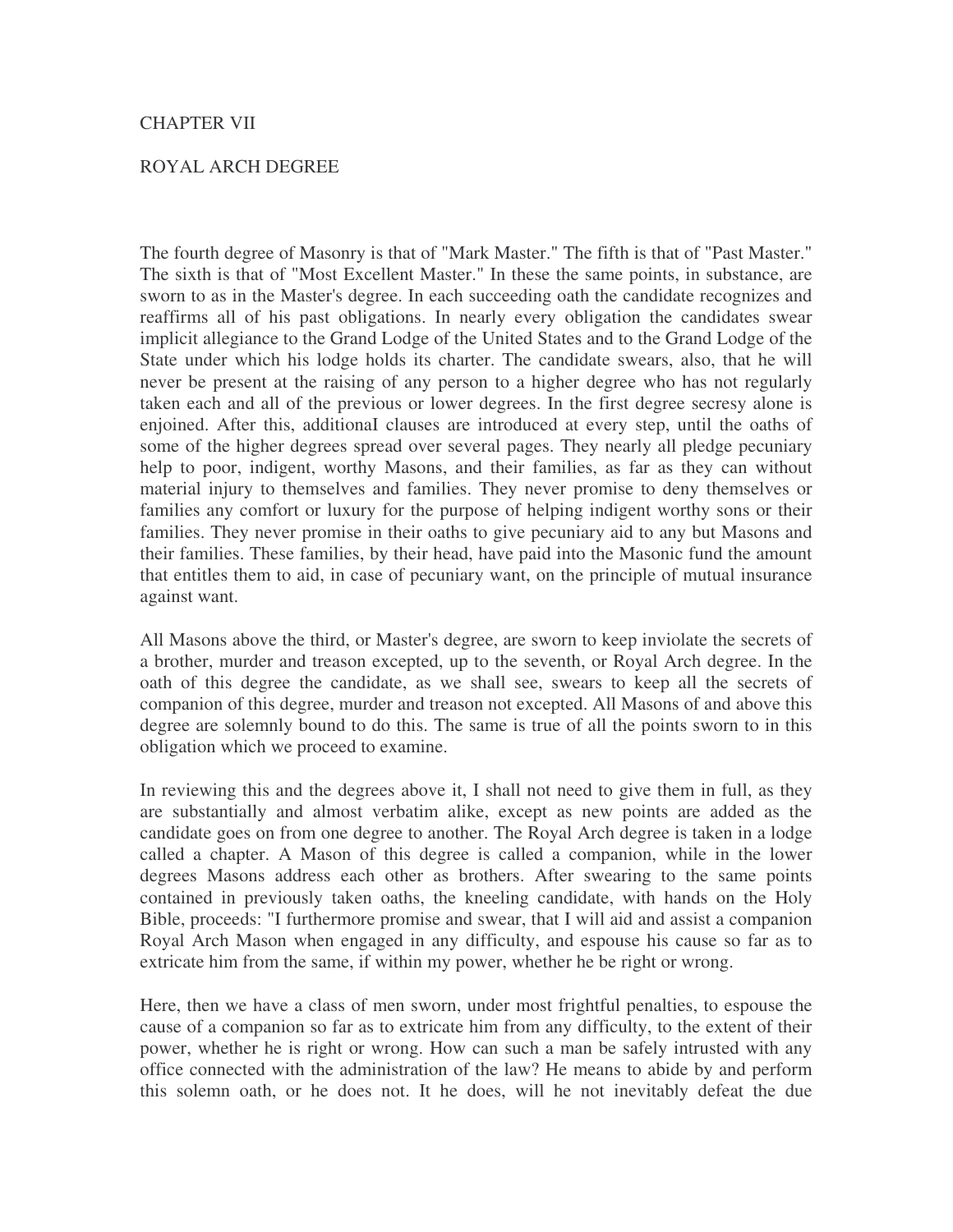## CHAPTER VII

#### ROYAL ARCH DEGREE

The fourth degree of Masonry is that of "Mark Master." The fifth is that of "Past Master." The sixth is that of "Most Excellent Master." In these the same points, in substance, are sworn to as in the Master's degree. In each succeeding oath the candidate recognizes and reaffirms all of his past obligations. In nearly every obligation the candidates swear implicit allegiance to the Grand Lodge of the United States and to the Grand Lodge of the State under which his lodge holds its charter. The candidate swears, also, that he will never be present at the raising of any person to a higher degree who has not regularly taken each and all of the previous or lower degrees. In the first degree secresy alone is enjoined. After this, additionaI clauses are introduced at every step, until the oaths of some of the higher degrees spread over several pages. They nearly all pledge pecuniary help to poor, indigent, worthy Masons, and their families, as far as they can without material injury to themselves and families. They never promise to deny themselves or families any comfort or luxury for the purpose of helping indigent worthy sons or their families. They never promise in their oaths to give pecuniary aid to any but Masons and their families. These families, by their head, have paid into the Masonic fund the amount that entitles them to aid, in case of pecuniary want, on the principle of mutual insurance against want.

All Masons above the third, or Master's degree, are sworn to keep inviolate the secrets of a brother, murder and treason excepted, up to the seventh, or Royal Arch degree. In the oath of this degree the candidate, as we shall see, swears to keep all the secrets of companion of this degree, murder and treason not excepted. All Masons of and above this degree are solemnly bound to do this. The same is true of all the points sworn to in this obligation which we proceed to examine.

In reviewing this and the degrees above it, I shall not need to give them in full, as they are substantially and almost verbatim alike, except as new points are added as the candidate goes on from one degree to another. The Royal Arch degree is taken in a lodge called a chapter. A Mason of this degree is called a companion, while in the lower degrees Masons address each other as brothers. After swearing to the same points contained in previously taken oaths, the kneeling candidate, with hands on the Holy Bible, proceeds: "I furthermore promise and swear, that I will aid and assist a companion Royal Arch Mason when engaged in any difficulty, and espouse his cause so far as to extricate him from the same, if within my power, whether he be right or wrong.

Here, then we have a class of men sworn, under most frightful penalties, to espouse the cause of a companion so far as to extricate him from any difficulty, to the extent of their power, whether he is right or wrong. How can such a man be safely intrusted with any office connected with the administration of the law? He means to abide by and perform this solemn oath, or he does not. It he does, will he not inevitably defeat the due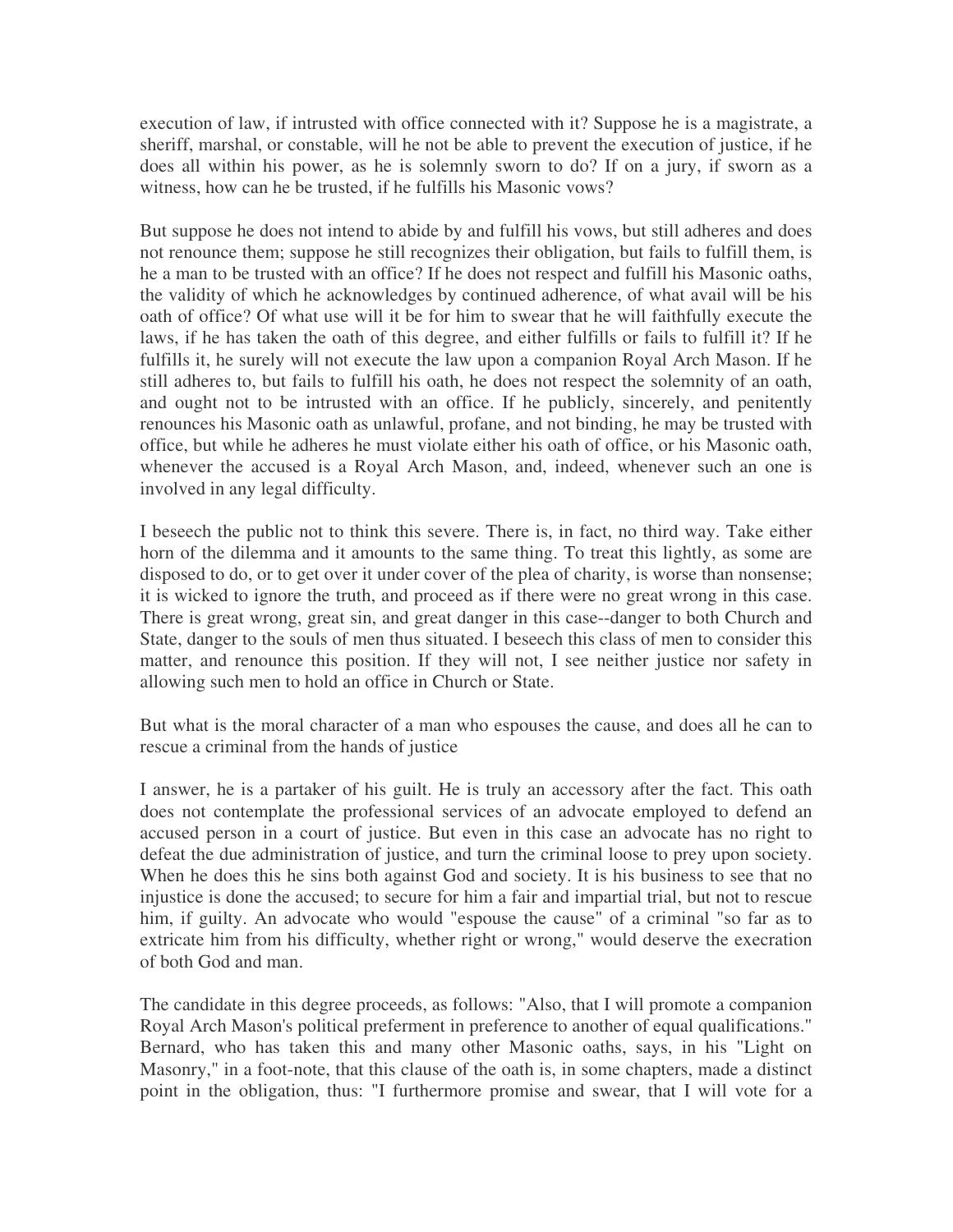execution of law, if intrusted with office connected with it? Suppose he is a magistrate, a sheriff, marshal, or constable, will he not be able to prevent the execution of justice, if he does all within his power, as he is solemnly sworn to do? If on a jury, if sworn as a witness, how can he be trusted, if he fulfills his Masonic vows?

But suppose he does not intend to abide by and fulfill his vows, but still adheres and does not renounce them; suppose he still recognizes their obligation, but fails to fulfill them, is he a man to be trusted with an office? If he does not respect and fulfill his Masonic oaths, the validity of which he acknowledges by continued adherence, of what avail will be his oath of office? Of what use will it be for him to swear that he will faithfully execute the laws, if he has taken the oath of this degree, and either fulfills or fails to fulfill it? If he fulfills it, he surely will not execute the law upon a companion Royal Arch Mason. If he still adheres to, but fails to fulfill his oath, he does not respect the solemnity of an oath, and ought not to be intrusted with an office. If he publicly, sincerely, and penitently renounces his Masonic oath as unlawful, profane, and not binding, he may be trusted with office, but while he adheres he must violate either his oath of office, or his Masonic oath, whenever the accused is a Royal Arch Mason, and, indeed, whenever such an one is involved in any legal difficulty.

I beseech the public not to think this severe. There is, in fact, no third way. Take either horn of the dilemma and it amounts to the same thing. To treat this lightly, as some are disposed to do, or to get over it under cover of the plea of charity, is worse than nonsense; it is wicked to ignore the truth, and proceed as if there were no great wrong in this case. There is great wrong, great sin, and great danger in this case--danger to both Church and State, danger to the souls of men thus situated. I beseech this class of men to consider this matter, and renounce this position. If they will not, I see neither justice nor safety in allowing such men to hold an office in Church or State.

But what is the moral character of a man who espouses the cause, and does all he can to rescue a criminal from the hands of justice

I answer, he is a partaker of his guilt. He is truly an accessory after the fact. This oath does not contemplate the professional services of an advocate employed to defend an accused person in a court of justice. But even in this case an advocate has no right to defeat the due administration of justice, and turn the criminal loose to prey upon society. When he does this he sins both against God and society. It is his business to see that no injustice is done the accused; to secure for him a fair and impartial trial, but not to rescue him, if guilty. An advocate who would "espouse the cause" of a criminal "so far as to extricate him from his difficulty, whether right or wrong," would deserve the execration of both God and man.

The candidate in this degree proceeds, as follows: "Also, that I will promote a companion Royal Arch Mason's political preferment in preference to another of equal qualifications." Bernard, who has taken this and many other Masonic oaths, says, in his "Light on Masonry," in a foot-note, that this clause of the oath is, in some chapters, made a distinct point in the obligation, thus: "I furthermore promise and swear, that I will vote for a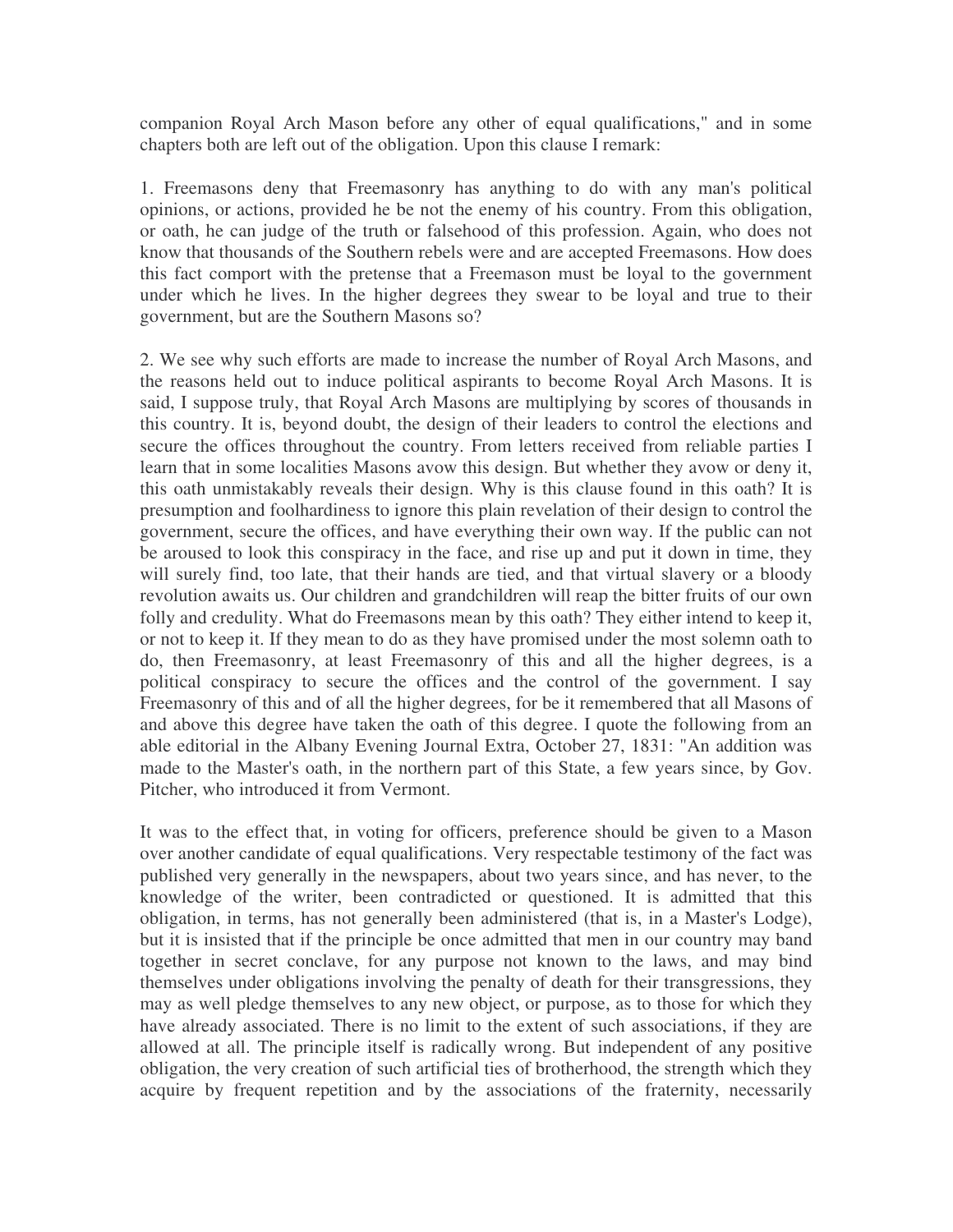companion Royal Arch Mason before any other of equal qualifications," and in some chapters both are left out of the obligation. Upon this clause I remark:

1. Freemasons deny that Freemasonry has anything to do with any man's political opinions, or actions, provided he be not the enemy of his country. From this obligation, or oath, he can judge of the truth or falsehood of this profession. Again, who does not know that thousands of the Southern rebels were and are accepted Freemasons. How does this fact comport with the pretense that a Freemason must be loyal to the government under which he lives. In the higher degrees they swear to be loyal and true to their government, but are the Southern Masons so?

2. We see why such efforts are made to increase the number of Royal Arch Masons, and the reasons held out to induce political aspirants to become Royal Arch Masons. It is said, I suppose truly, that Royal Arch Masons are multiplying by scores of thousands in this country. It is, beyond doubt, the design of their leaders to control the elections and secure the offices throughout the country. From letters received from reliable parties I learn that in some localities Masons avow this design. But whether they avow or deny it, this oath unmistakably reveals their design. Why is this clause found in this oath? It is presumption and foolhardiness to ignore this plain revelation of their design to control the government, secure the offices, and have everything their own way. If the public can not be aroused to look this conspiracy in the face, and rise up and put it down in time, they will surely find, too late, that their hands are tied, and that virtual slavery or a bloody revolution awaits us. Our children and grandchildren will reap the bitter fruits of our own folly and credulity. What do Freemasons mean by this oath? They either intend to keep it, or not to keep it. If they mean to do as they have promised under the most solemn oath to do, then Freemasonry, at least Freemasonry of this and all the higher degrees, is a political conspiracy to secure the offices and the control of the government. I say Freemasonry of this and of all the higher degrees, for be it remembered that all Masons of and above this degree have taken the oath of this degree. I quote the following from an able editorial in the Albany Evening Journal Extra, October 27, 1831: "An addition was made to the Master's oath, in the northern part of this State, a few years since, by Gov. Pitcher, who introduced it from Vermont.

It was to the effect that, in voting for officers, preference should be given to a Mason over another candidate of equal qualifications. Very respectable testimony of the fact was published very generally in the newspapers, about two years since, and has never, to the knowledge of the writer, been contradicted or questioned. It is admitted that this obligation, in terms, has not generally been administered (that is, in a Master's Lodge), but it is insisted that if the principle be once admitted that men in our country may band together in secret conclave, for any purpose not known to the laws, and may bind themselves under obligations involving the penalty of death for their transgressions, they may as well pledge themselves to any new object, or purpose, as to those for which they have already associated. There is no limit to the extent of such associations, if they are allowed at all. The principle itself is radically wrong. But independent of any positive obligation, the very creation of such artificial ties of brotherhood, the strength which they acquire by frequent repetition and by the associations of the fraternity, necessarily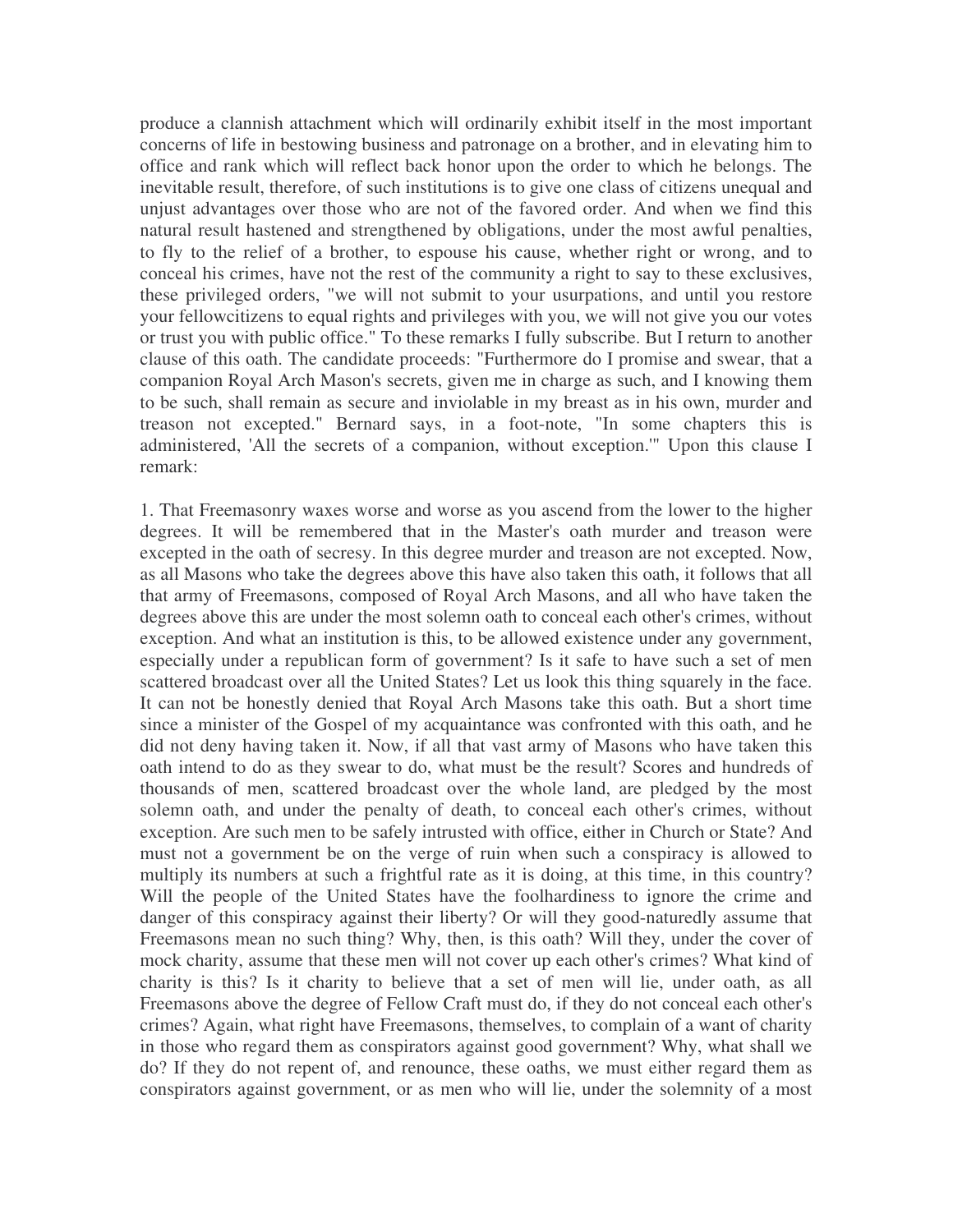produce a clannish attachment which will ordinarily exhibit itself in the most important concerns of life in bestowing business and patronage on a brother, and in elevating him to office and rank which will reflect back honor upon the order to which he belongs. The inevitable result, therefore, of such institutions is to give one class of citizens unequal and unjust advantages over those who are not of the favored order. And when we find this natural result hastened and strengthened by obligations, under the most awful penalties, to fly to the relief of a brother, to espouse his cause, whether right or wrong, and to conceal his crimes, have not the rest of the community a right to say to these exclusives, these privileged orders, "we will not submit to your usurpations, and until you restore your fellowcitizens to equal rights and privileges with you, we will not give you our votes or trust you with public office." To these remarks I fully subscribe. But I return to another clause of this oath. The candidate proceeds: "Furthermore do I promise and swear, that a companion Royal Arch Mason's secrets, given me in charge as such, and I knowing them to be such, shall remain as secure and inviolable in my breast as in his own, murder and treason not excepted." Bernard says, in a foot-note, "In some chapters this is administered, 'All the secrets of a companion, without exception.'" Upon this clause I remark:

1. That Freemasonry waxes worse and worse as you ascend from the lower to the higher degrees. It will be remembered that in the Master's oath murder and treason were excepted in the oath of secresy. In this degree murder and treason are not excepted. Now, as all Masons who take the degrees above this have also taken this oath, it follows that all that army of Freemasons, composed of Royal Arch Masons, and all who have taken the degrees above this are under the most solemn oath to conceal each other's crimes, without exception. And what an institution is this, to be allowed existence under any government, especially under a republican form of government? Is it safe to have such a set of men scattered broadcast over all the United States? Let us look this thing squarely in the face. It can not be honestly denied that Royal Arch Masons take this oath. But a short time since a minister of the Gospel of my acquaintance was confronted with this oath, and he did not deny having taken it. Now, if all that vast army of Masons who have taken this oath intend to do as they swear to do, what must be the result? Scores and hundreds of thousands of men, scattered broadcast over the whole land, are pledged by the most solemn oath, and under the penalty of death, to conceal each other's crimes, without exception. Are such men to be safely intrusted with office, either in Church or State? And must not a government be on the verge of ruin when such a conspiracy is allowed to multiply its numbers at such a frightful rate as it is doing, at this time, in this country? Will the people of the United States have the foolhardiness to ignore the crime and danger of this conspiracy against their liberty? Or will they good-naturedly assume that Freemasons mean no such thing? Why, then, is this oath? Will they, under the cover of mock charity, assume that these men will not cover up each other's crimes? What kind of charity is this? Is it charity to believe that a set of men will lie, under oath, as all Freemasons above the degree of Fellow Craft must do, if they do not conceal each other's crimes? Again, what right have Freemasons, themselves, to complain of a want of charity in those who regard them as conspirators against good government? Why, what shall we do? If they do not repent of, and renounce, these oaths, we must either regard them as conspirators against government, or as men who will lie, under the solemnity of a most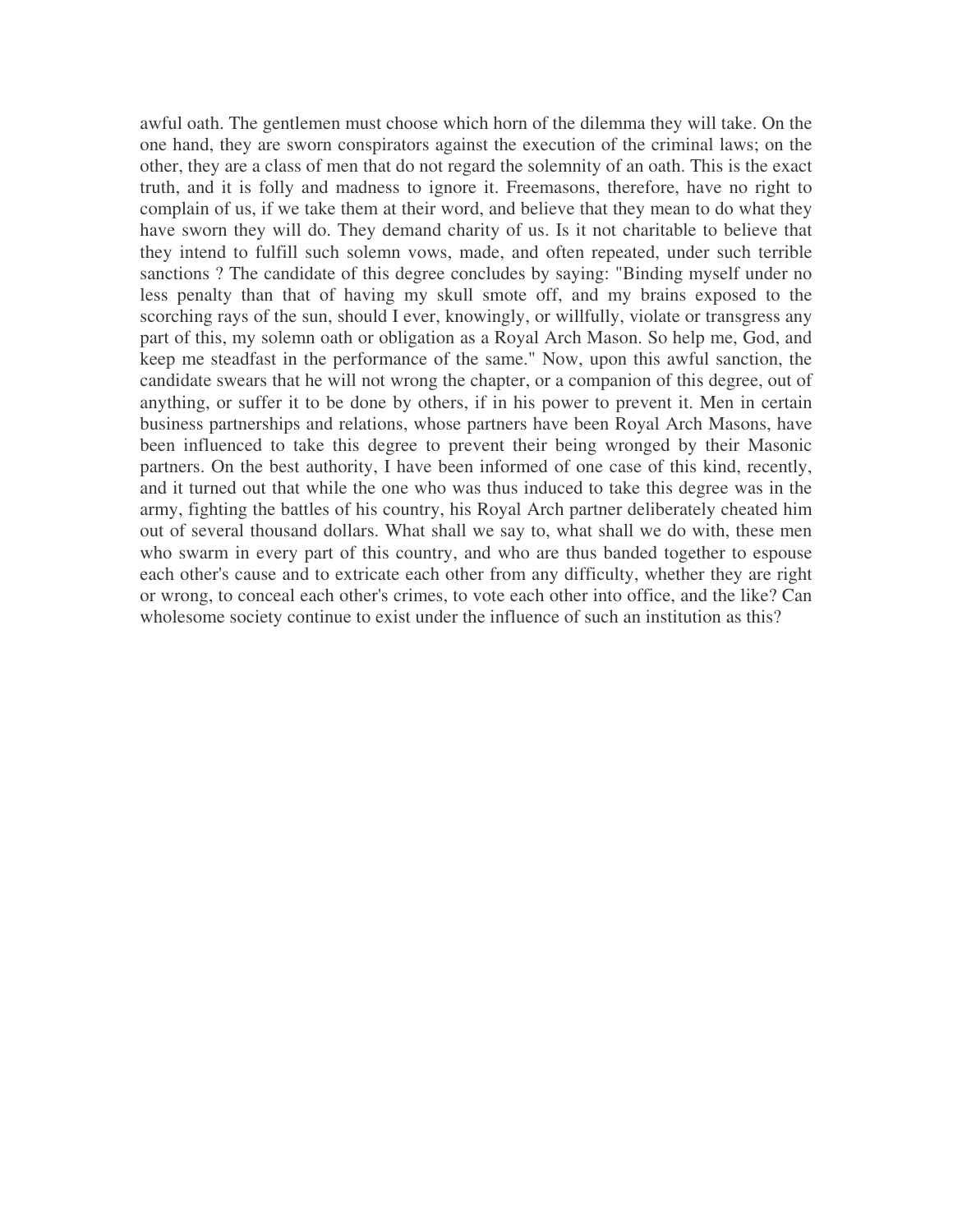awful oath. The gentlemen must choose which horn of the dilemma they will take. On the one hand, they are sworn conspirators against the execution of the criminal laws; on the other, they are a class of men that do not regard the solemnity of an oath. This is the exact truth, and it is folly and madness to ignore it. Freemasons, therefore, have no right to complain of us, if we take them at their word, and believe that they mean to do what they have sworn they will do. They demand charity of us. Is it not charitable to believe that they intend to fulfill such solemn vows, made, and often repeated, under such terrible sanctions ? The candidate of this degree concludes by saying: "Binding myself under no less penalty than that of having my skull smote off, and my brains exposed to the scorching rays of the sun, should I ever, knowingly, or willfully, violate or transgress any part of this, my solemn oath or obligation as a Royal Arch Mason. So help me, God, and keep me steadfast in the performance of the same." Now, upon this awful sanction, the candidate swears that he will not wrong the chapter, or a companion of this degree, out of anything, or suffer it to be done by others, if in his power to prevent it. Men in certain business partnerships and relations, whose partners have been Royal Arch Masons, have been influenced to take this degree to prevent their being wronged by their Masonic partners. On the best authority, I have been informed of one case of this kind, recently, and it turned out that while the one who was thus induced to take this degree was in the army, fighting the battles of his country, his Royal Arch partner deliberately cheated him out of several thousand dollars. What shall we say to, what shall we do with, these men who swarm in every part of this country, and who are thus banded together to espouse each other's cause and to extricate each other from any difficulty, whether they are right or wrong, to conceal each other's crimes, to vote each other into office, and the like? Can wholesome society continue to exist under the influence of such an institution as this?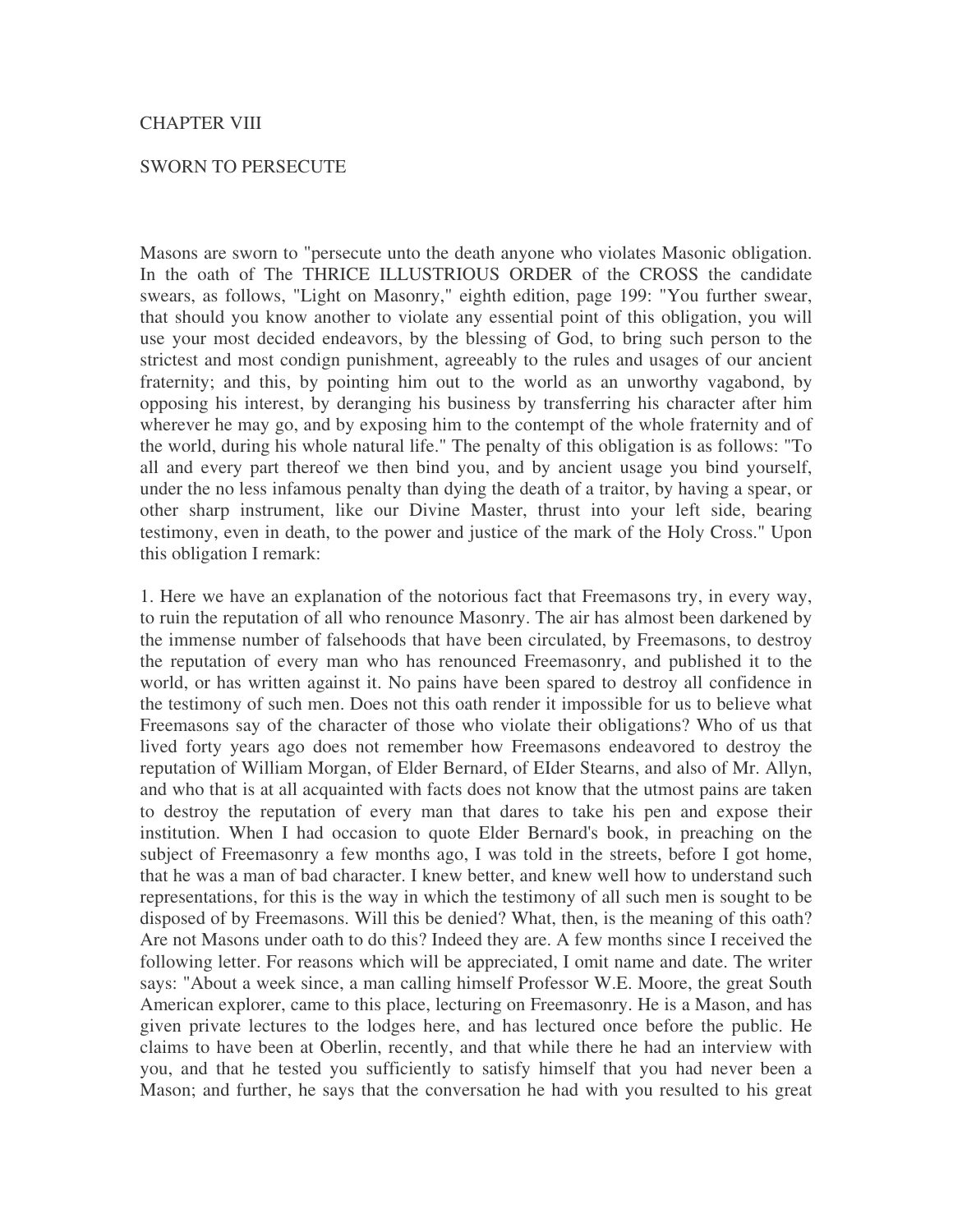#### CHAPTER VIII

#### SWORN TO PERSECUTE

Masons are sworn to "persecute unto the death anyone who violates Masonic obligation. In the oath of The THRICE ILLUSTRIOUS ORDER of the CROSS the candidate swears, as follows, "Light on Masonry," eighth edition, page 199: "You further swear, that should you know another to violate any essential point of this obligation, you will use your most decided endeavors, by the blessing of God, to bring such person to the strictest and most condign punishment, agreeably to the rules and usages of our ancient fraternity; and this, by pointing him out to the world as an unworthy vagabond, by opposing his interest, by deranging his business by transferring his character after him wherever he may go, and by exposing him to the contempt of the whole fraternity and of the world, during his whole natural life." The penalty of this obligation is as follows: "To all and every part thereof we then bind you, and by ancient usage you bind yourself, under the no less infamous penalty than dying the death of a traitor, by having a spear, or other sharp instrument, like our Divine Master, thrust into your left side, bearing testimony, even in death, to the power and justice of the mark of the Holy Cross." Upon this obligation I remark:

1. Here we have an explanation of the notorious fact that Freemasons try, in every way, to ruin the reputation of all who renounce Masonry. The air has almost been darkened by the immense number of falsehoods that have been circulated, by Freemasons, to destroy the reputation of every man who has renounced Freemasonry, and published it to the world, or has written against it. No pains have been spared to destroy all confidence in the testimony of such men. Does not this oath render it impossible for us to believe what Freemasons say of the character of those who violate their obligations? Who of us that lived forty years ago does not remember how Freemasons endeavored to destroy the reputation of William Morgan, of Elder Bernard, of EIder Stearns, and also of Mr. Allyn, and who that is at all acquainted with facts does not know that the utmost pains are taken to destroy the reputation of every man that dares to take his pen and expose their institution. When I had occasion to quote Elder Bernard's book, in preaching on the subject of Freemasonry a few months ago, I was told in the streets, before I got home, that he was a man of bad character. I knew better, and knew well how to understand such representations, for this is the way in which the testimony of all such men is sought to be disposed of by Freemasons. Will this be denied? What, then, is the meaning of this oath? Are not Masons under oath to do this? Indeed they are. A few months since I received the following letter. For reasons which will be appreciated, I omit name and date. The writer says: "About a week since, a man calling himself Professor W.E. Moore, the great South American explorer, came to this place, lecturing on Freemasonry. He is a Mason, and has given private lectures to the lodges here, and has lectured once before the public. He claims to have been at Oberlin, recently, and that while there he had an interview with you, and that he tested you sufficiently to satisfy himself that you had never been a Mason; and further, he says that the conversation he had with you resulted to his great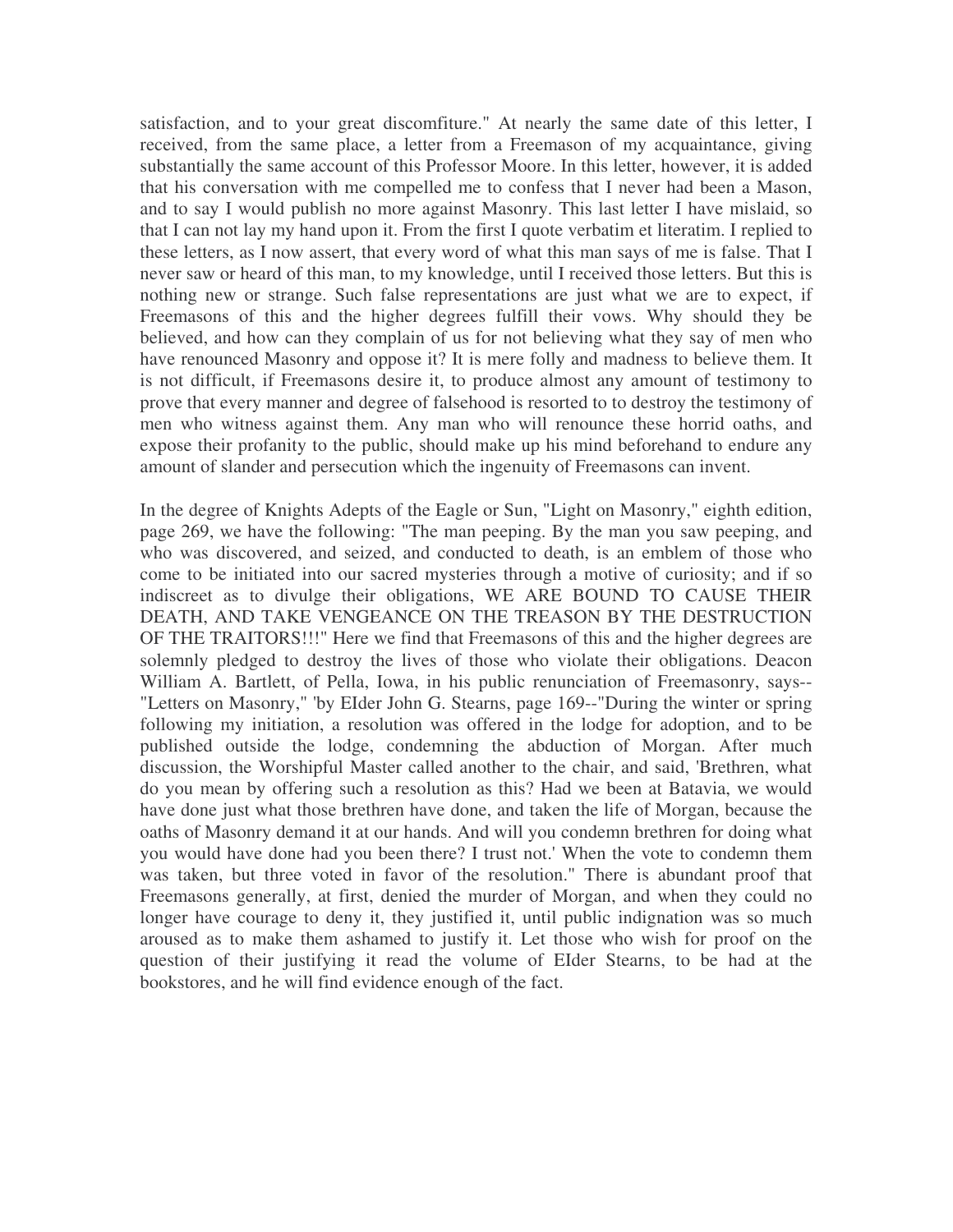satisfaction, and to your great discomfiture." At nearly the same date of this letter, I received, from the same place, a letter from a Freemason of my acquaintance, giving substantially the same account of this Professor Moore. In this letter, however, it is added that his conversation with me compelled me to confess that I never had been a Mason, and to say I would publish no more against Masonry. This last letter I have mislaid, so that I can not lay my hand upon it. From the first I quote verbatim et literatim. I replied to these letters, as I now assert, that every word of what this man says of me is false. That I never saw or heard of this man, to my knowledge, until I received those letters. But this is nothing new or strange. Such false representations are just what we are to expect, if Freemasons of this and the higher degrees fulfill their vows. Why should they be believed, and how can they complain of us for not believing what they say of men who have renounced Masonry and oppose it? It is mere folly and madness to believe them. It is not difficult, if Freemasons desire it, to produce almost any amount of testimony to prove that every manner and degree of falsehood is resorted to to destroy the testimony of men who witness against them. Any man who will renounce these horrid oaths, and expose their profanity to the public, should make up his mind beforehand to endure any amount of slander and persecution which the ingenuity of Freemasons can invent.

In the degree of Knights Adepts of the Eagle or Sun, "Light on Masonry," eighth edition, page 269, we have the following: "The man peeping. By the man you saw peeping, and who was discovered, and seized, and conducted to death, is an emblem of those who come to be initiated into our sacred mysteries through a motive of curiosity; and if so indiscreet as to divulge their obligations, WE ARE BOUND TO CAUSE THEIR DEATH, AND TAKE VENGEANCE ON THE TREASON BY THE DESTRUCTION OF THE TRAITORS!!!" Here we find that Freemasons of this and the higher degrees are solemnly pledged to destroy the lives of those who violate their obligations. Deacon William A. Bartlett, of Pella, Iowa, in his public renunciation of Freemasonry, says-- "Letters on Masonry," 'by EIder John G. Stearns, page 169--"During the winter or spring following my initiation, a resolution was offered in the lodge for adoption, and to be published outside the lodge, condemning the abduction of Morgan. After much discussion, the Worshipful Master called another to the chair, and said, 'Brethren, what do you mean by offering such a resolution as this? Had we been at Batavia, we would have done just what those brethren have done, and taken the life of Morgan, because the oaths of Masonry demand it at our hands. And will you condemn brethren for doing what you would have done had you been there? I trust not.' When the vote to condemn them was taken, but three voted in favor of the resolution." There is abundant proof that Freemasons generally, at first, denied the murder of Morgan, and when they could no longer have courage to deny it, they justified it, until public indignation was so much aroused as to make them ashamed to justify it. Let those who wish for proof on the question of their justifying it read the volume of EIder Stearns, to be had at the bookstores, and he will find evidence enough of the fact.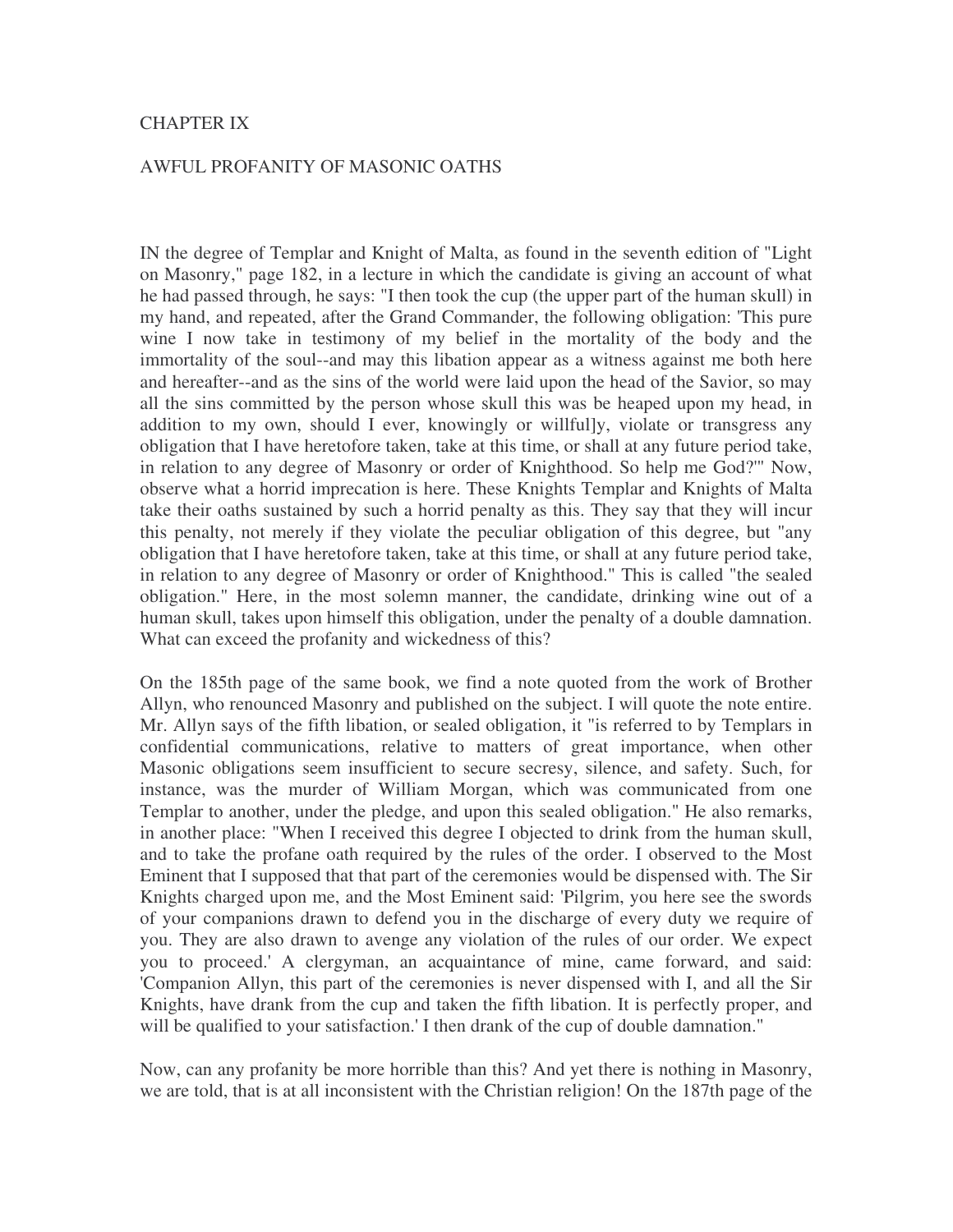### CHAPTER IX

### AWFUL PROFANITY OF MASONIC OATHS

IN the degree of Templar and Knight of Malta, as found in the seventh edition of "Light on Masonry," page 182, in a lecture in which the candidate is giving an account of what he had passed through, he says: "I then took the cup (the upper part of the human skull) in my hand, and repeated, after the Grand Commander, the following obligation: 'This pure wine I now take in testimony of my belief in the mortality of the body and the immortality of the soul--and may this libation appear as a witness against me both here and hereafter--and as the sins of the world were laid upon the head of the Savior, so may all the sins committed by the person whose skull this was be heaped upon my head, in addition to my own, should I ever, knowingly or willful]y, violate or transgress any obligation that I have heretofore taken, take at this time, or shall at any future period take, in relation to any degree of Masonry or order of Knighthood. So help me God?'" Now, observe what a horrid imprecation is here. These Knights Templar and Knights of Malta take their oaths sustained by such a horrid penalty as this. They say that they will incur this penalty, not merely if they violate the peculiar obligation of this degree, but "any obligation that I have heretofore taken, take at this time, or shall at any future period take, in relation to any degree of Masonry or order of Knighthood." This is called "the sealed obligation." Here, in the most solemn manner, the candidate, drinking wine out of a human skull, takes upon himself this obligation, under the penalty of a double damnation. What can exceed the profanity and wickedness of this?

On the 185th page of the same book, we find a note quoted from the work of Brother Allyn, who renounced Masonry and published on the subject. I will quote the note entire. Mr. Allyn says of the fifth libation, or sealed obligation, it "is referred to by Templars in confidential communications, relative to matters of great importance, when other Masonic obligations seem insufficient to secure secresy, silence, and safety. Such, for instance, was the murder of William Morgan, which was communicated from one Templar to another, under the pledge, and upon this sealed obligation." He also remarks, in another place: "When I received this degree I objected to drink from the human skull, and to take the profane oath required by the rules of the order. I observed to the Most Eminent that I supposed that that part of the ceremonies would be dispensed with. The Sir Knights charged upon me, and the Most Eminent said: 'Pilgrim, you here see the swords of your companions drawn to defend you in the discharge of every duty we require of you. They are also drawn to avenge any violation of the rules of our order. We expect you to proceed.' A clergyman, an acquaintance of mine, came forward, and said: 'Companion Allyn, this part of the ceremonies is never dispensed with I, and all the Sir Knights, have drank from the cup and taken the fifth libation. It is perfectly proper, and will be qualified to your satisfaction.' I then drank of the cup of double damnation."

Now, can any profanity be more horrible than this? And yet there is nothing in Masonry, we are told, that is at all inconsistent with the Christian religion! On the 187th page of the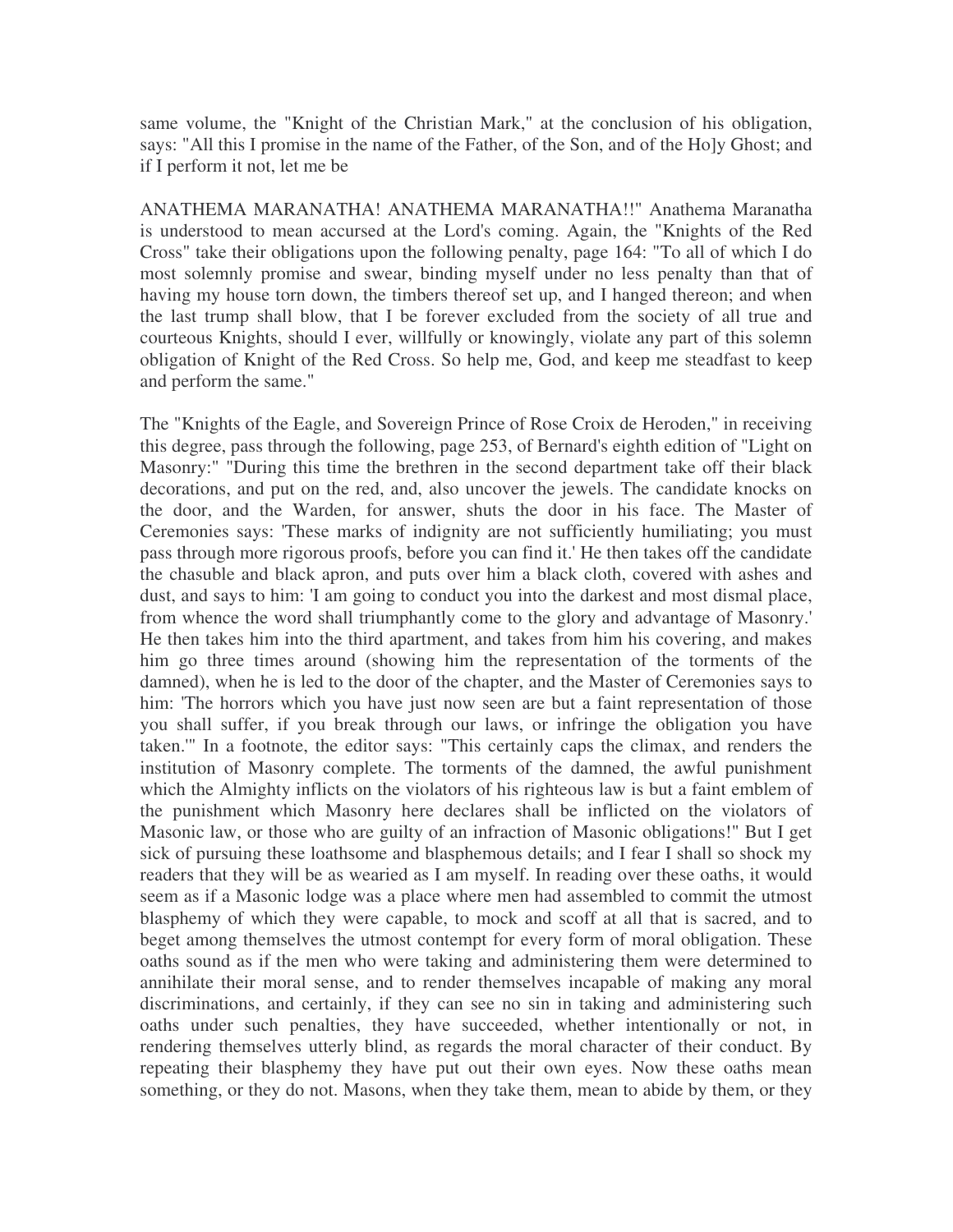same volume, the "Knight of the Christian Mark," at the conclusion of his obligation, says: "All this I promise in the name of the Father, of the Son, and of the Ho]y Ghost; and if I perform it not, let me be

ANATHEMA MARANATHA! ANATHEMA MARANATHA!!" Anathema Maranatha is understood to mean accursed at the Lord's coming. Again, the "Knights of the Red Cross" take their obligations upon the following penalty, page 164: "To all of which I do most solemnly promise and swear, binding myself under no less penalty than that of having my house torn down, the timbers thereof set up, and I hanged thereon; and when the last trump shall blow, that I be forever excluded from the society of all true and courteous Knights, should I ever, willfully or knowingly, violate any part of this solemn obligation of Knight of the Red Cross. So help me, God, and keep me steadfast to keep and perform the same."

The "Knights of the Eagle, and Sovereign Prince of Rose Croix de Heroden," in receiving this degree, pass through the following, page 253, of Bernard's eighth edition of "Light on Masonry:" "During this time the brethren in the second department take off their black decorations, and put on the red, and, also uncover the jewels. The candidate knocks on the door, and the Warden, for answer, shuts the door in his face. The Master of Ceremonies says: 'These marks of indignity are not sufficiently humiliating; you must pass through more rigorous proofs, before you can find it.' He then takes off the candidate the chasuble and black apron, and puts over him a black cloth, covered with ashes and dust, and says to him: 'I am going to conduct you into the darkest and most dismal place, from whence the word shall triumphantly come to the glory and advantage of Masonry.' He then takes him into the third apartment, and takes from him his covering, and makes him go three times around (showing him the representation of the torments of the damned), when he is led to the door of the chapter, and the Master of Ceremonies says to him: 'The horrors which you have just now seen are but a faint representation of those you shall suffer, if you break through our laws, or infringe the obligation you have taken.'" In a footnote, the editor says: "This certainly caps the climax, and renders the institution of Masonry complete. The torments of the damned, the awful punishment which the Almighty inflicts on the violators of his righteous law is but a faint emblem of the punishment which Masonry here declares shall be inflicted on the violators of Masonic law, or those who are guilty of an infraction of Masonic obligations!" But I get sick of pursuing these loathsome and blasphemous details; and I fear I shall so shock my readers that they will be as wearied as I am myself. In reading over these oaths, it would seem as if a Masonic lodge was a place where men had assembled to commit the utmost blasphemy of which they were capable, to mock and scoff at all that is sacred, and to beget among themselves the utmost contempt for every form of moral obligation. These oaths sound as if the men who were taking and administering them were determined to annihilate their moral sense, and to render themselves incapable of making any moral discriminations, and certainly, if they can see no sin in taking and administering such oaths under such penalties, they have succeeded, whether intentionally or not, in rendering themselves utterly blind, as regards the moral character of their conduct. By repeating their blasphemy they have put out their own eyes. Now these oaths mean something, or they do not. Masons, when they take them, mean to abide by them, or they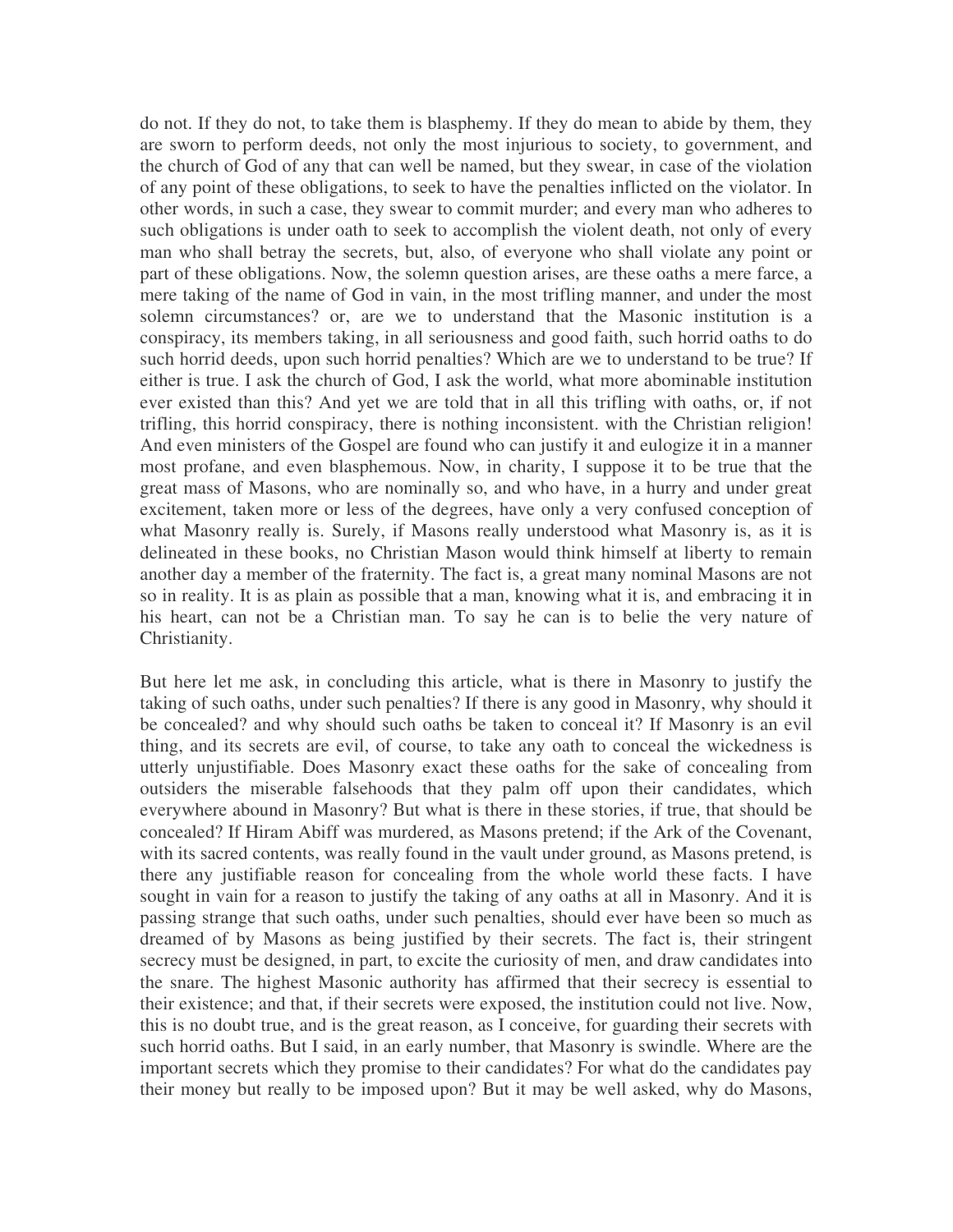do not. If they do not, to take them is blasphemy. If they do mean to abide by them, they are sworn to perform deeds, not only the most injurious to society, to government, and the church of God of any that can well be named, but they swear, in case of the violation of any point of these obligations, to seek to have the penalties inflicted on the violator. In other words, in such a case, they swear to commit murder; and every man who adheres to such obligations is under oath to seek to accomplish the violent death, not only of every man who shall betray the secrets, but, also, of everyone who shall violate any point or part of these obligations. Now, the solemn question arises, are these oaths a mere farce, a mere taking of the name of God in vain, in the most trifling manner, and under the most solemn circumstances? or, are we to understand that the Masonic institution is a conspiracy, its members taking, in all seriousness and good faith, such horrid oaths to do such horrid deeds, upon such horrid penalties? Which are we to understand to be true? If either is true. I ask the church of God, I ask the world, what more abominable institution ever existed than this? And yet we are told that in all this trifling with oaths, or, if not trifling, this horrid conspiracy, there is nothing inconsistent. with the Christian religion! And even ministers of the Gospel are found who can justify it and eulogize it in a manner most profane, and even blasphemous. Now, in charity, I suppose it to be true that the great mass of Masons, who are nominally so, and who have, in a hurry and under great excitement, taken more or less of the degrees, have only a very confused conception of what Masonry really is. Surely, if Masons really understood what Masonry is, as it is delineated in these books, no Christian Mason would think himself at liberty to remain another day a member of the fraternity. The fact is, a great many nominal Masons are not so in reality. It is as plain as possible that a man, knowing what it is, and embracing it in his heart, can not be a Christian man. To say he can is to belie the very nature of Christianity.

But here let me ask, in concluding this article, what is there in Masonry to justify the taking of such oaths, under such penalties? If there is any good in Masonry, why should it be concealed? and why should such oaths be taken to conceal it? If Masonry is an evil thing, and its secrets are evil, of course, to take any oath to conceal the wickedness is utterly unjustifiable. Does Masonry exact these oaths for the sake of concealing from outsiders the miserable falsehoods that they palm off upon their candidates, which everywhere abound in Masonry? But what is there in these stories, if true, that should be concealed? If Hiram Abiff was murdered, as Masons pretend; if the Ark of the Covenant, with its sacred contents, was really found in the vault under ground, as Masons pretend, is there any justifiable reason for concealing from the whole world these facts. I have sought in vain for a reason to justify the taking of any oaths at all in Masonry. And it is passing strange that such oaths, under such penalties, should ever have been so much as dreamed of by Masons as being justified by their secrets. The fact is, their stringent secrecy must be designed, in part, to excite the curiosity of men, and draw candidates into the snare. The highest Masonic authority has affirmed that their secrecy is essential to their existence; and that, if their secrets were exposed, the institution could not live. Now, this is no doubt true, and is the great reason, as I conceive, for guarding their secrets with such horrid oaths. But I said, in an early number, that Masonry is swindle. Where are the important secrets which they promise to their candidates? For what do the candidates pay their money but really to be imposed upon? But it may be well asked, why do Masons,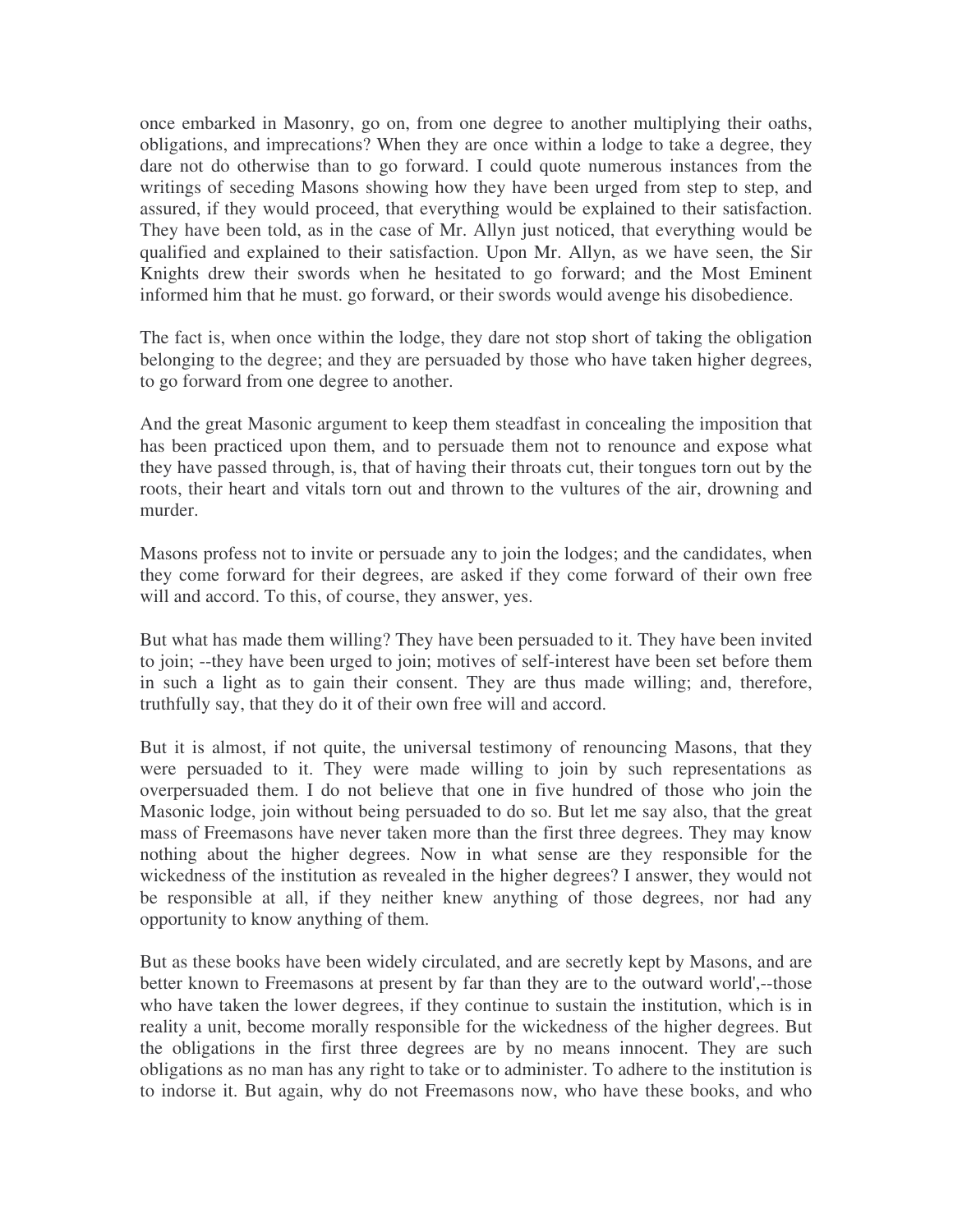once embarked in Masonry, go on, from one degree to another multiplying their oaths, obligations, and imprecations? When they are once within a lodge to take a degree, they dare not do otherwise than to go forward. I could quote numerous instances from the writings of seceding Masons showing how they have been urged from step to step, and assured, if they would proceed, that everything would be explained to their satisfaction. They have been told, as in the case of Mr. Allyn just noticed, that everything would be qualified and explained to their satisfaction. Upon Mr. Allyn, as we have seen, the Sir Knights drew their swords when he hesitated to go forward; and the Most Eminent informed him that he must. go forward, or their swords would avenge his disobedience.

The fact is, when once within the lodge, they dare not stop short of taking the obligation belonging to the degree; and they are persuaded by those who have taken higher degrees, to go forward from one degree to another.

And the great Masonic argument to keep them steadfast in concealing the imposition that has been practiced upon them, and to persuade them not to renounce and expose what they have passed through, is, that of having their throats cut, their tongues torn out by the roots, their heart and vitals torn out and thrown to the vultures of the air, drowning and murder.

Masons profess not to invite or persuade any to join the lodges; and the candidates, when they come forward for their degrees, are asked if they come forward of their own free will and accord. To this, of course, they answer, yes.

But what has made them willing? They have been persuaded to it. They have been invited to join; --they have been urged to join; motives of self-interest have been set before them in such a light as to gain their consent. They are thus made willing; and, therefore, truthfully say, that they do it of their own free will and accord.

But it is almost, if not quite, the universal testimony of renouncing Masons, that they were persuaded to it. They were made willing to join by such representations as overpersuaded them. I do not believe that one in five hundred of those who join the Masonic lodge, join without being persuaded to do so. But let me say also, that the great mass of Freemasons have never taken more than the first three degrees. They may know nothing about the higher degrees. Now in what sense are they responsible for the wickedness of the institution as revealed in the higher degrees? I answer, they would not be responsible at all, if they neither knew anything of those degrees, nor had any opportunity to know anything of them.

But as these books have been widely circulated, and are secretly kept by Masons, and are better known to Freemasons at present by far than they are to the outward world',--those who have taken the lower degrees, if they continue to sustain the institution, which is in reality a unit, become morally responsible for the wickedness of the higher degrees. But the obligations in the first three degrees are by no means innocent. They are such obligations as no man has any right to take or to administer. To adhere to the institution is to indorse it. But again, why do not Freemasons now, who have these books, and who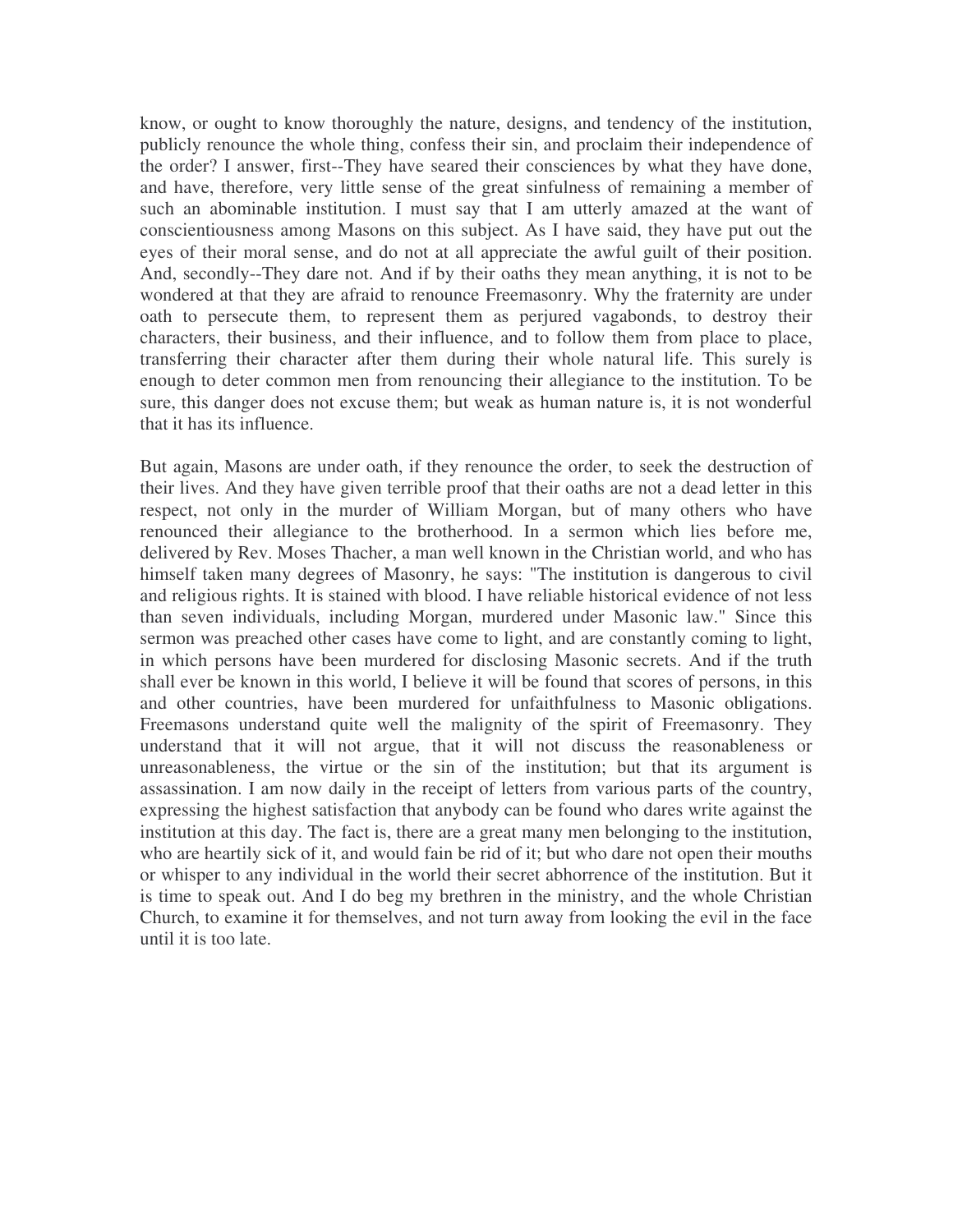know, or ought to know thoroughly the nature, designs, and tendency of the institution, publicly renounce the whole thing, confess their sin, and proclaim their independence of the order? I answer, first--They have seared their consciences by what they have done, and have, therefore, very little sense of the great sinfulness of remaining a member of such an abominable institution. I must say that I am utterly amazed at the want of conscientiousness among Masons on this subject. As I have said, they have put out the eyes of their moral sense, and do not at all appreciate the awful guilt of their position. And, secondly--They dare not. And if by their oaths they mean anything, it is not to be wondered at that they are afraid to renounce Freemasonry. Why the fraternity are under oath to persecute them, to represent them as perjured vagabonds, to destroy their characters, their business, and their influence, and to follow them from place to place, transferring their character after them during their whole natural life. This surely is enough to deter common men from renouncing their allegiance to the institution. To be sure, this danger does not excuse them; but weak as human nature is, it is not wonderful that it has its influence.

But again, Masons are under oath, if they renounce the order, to seek the destruction of their lives. And they have given terrible proof that their oaths are not a dead letter in this respect, not only in the murder of William Morgan, but of many others who have renounced their allegiance to the brotherhood. In a sermon which lies before me, delivered by Rev. Moses Thacher, a man well known in the Christian world, and who has himself taken many degrees of Masonry, he says: "The institution is dangerous to civil and religious rights. It is stained with blood. I have reliable historical evidence of not less than seven individuals, including Morgan, murdered under Masonic law." Since this sermon was preached other cases have come to light, and are constantly coming to light, in which persons have been murdered for disclosing Masonic secrets. And if the truth shall ever be known in this world, I believe it will be found that scores of persons, in this and other countries, have been murdered for unfaithfulness to Masonic obligations. Freemasons understand quite well the malignity of the spirit of Freemasonry. They understand that it will not argue, that it will not discuss the reasonableness or unreasonableness, the virtue or the sin of the institution; but that its argument is assassination. I am now daily in the receipt of letters from various parts of the country, expressing the highest satisfaction that anybody can be found who dares write against the institution at this day. The fact is, there are a great many men belonging to the institution, who are heartily sick of it, and would fain be rid of it; but who dare not open their mouths or whisper to any individual in the world their secret abhorrence of the institution. But it is time to speak out. And I do beg my brethren in the ministry, and the whole Christian Church, to examine it for themselves, and not turn away from looking the evil in the face until it is too late.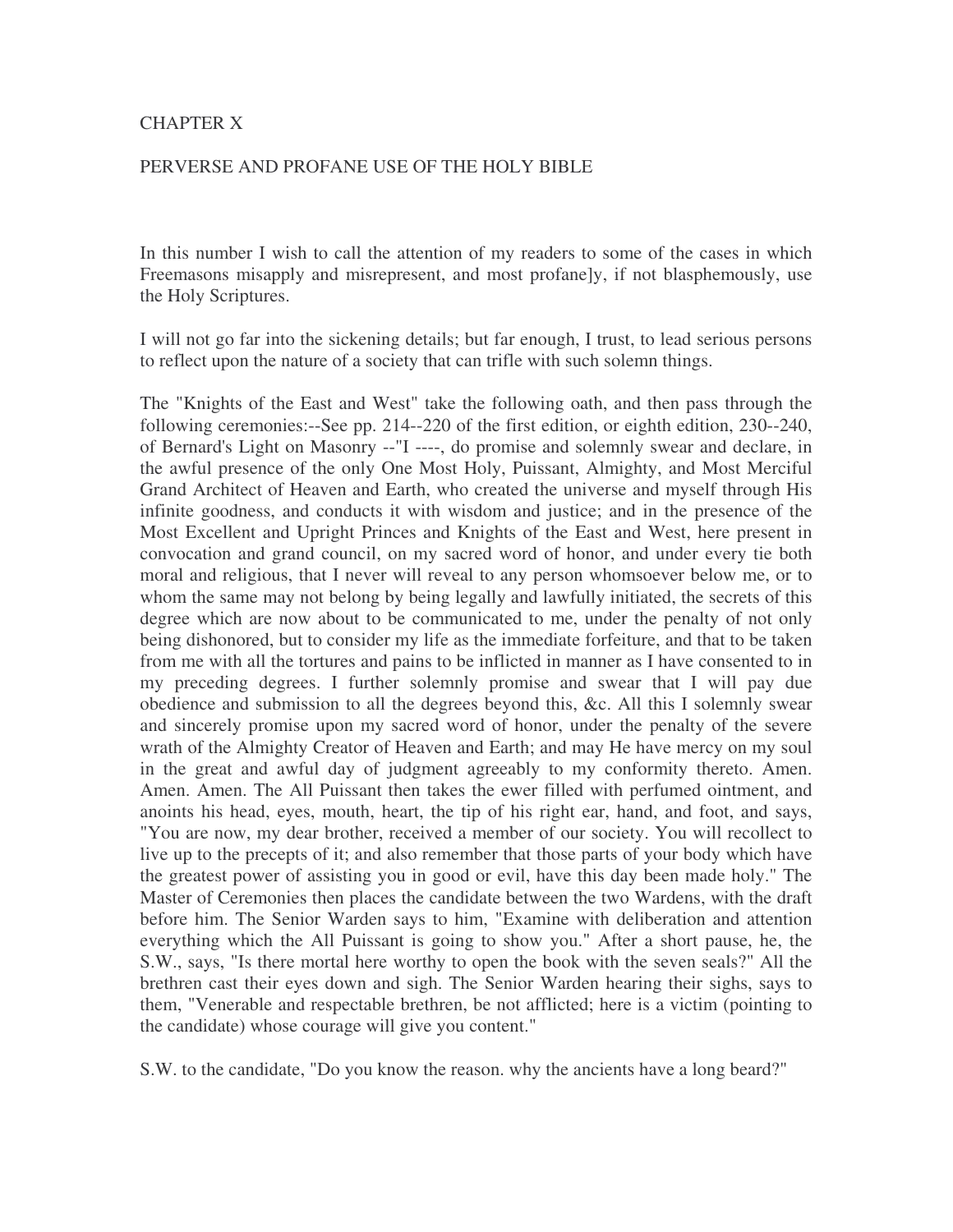### CHAPTER X

### PERVERSE AND PROFANE USE OF THE HOLY BIBLE

In this number I wish to call the attention of my readers to some of the cases in which Freemasons misapply and misrepresent, and most profane]y, if not blasphemously, use the Holy Scriptures.

I will not go far into the sickening details; but far enough, I trust, to lead serious persons to reflect upon the nature of a society that can trifle with such solemn things.

The "Knights of the East and West" take the following oath, and then pass through the following ceremonies:--See pp. 214--220 of the first edition, or eighth edition, 230--240, of Bernard's Light on Masonry --"I ----, do promise and solemnly swear and declare, in the awful presence of the only One Most Holy, Puissant, Almighty, and Most Merciful Grand Architect of Heaven and Earth, who created the universe and myself through His infinite goodness, and conducts it with wisdom and justice; and in the presence of the Most Excellent and Upright Princes and Knights of the East and West, here present in convocation and grand council, on my sacred word of honor, and under every tie both moral and religious, that I never will reveal to any person whomsoever below me, or to whom the same may not belong by being legally and lawfully initiated, the secrets of this degree which are now about to be communicated to me, under the penalty of not only being dishonored, but to consider my life as the immediate forfeiture, and that to be taken from me with all the tortures and pains to be inflicted in manner as I have consented to in my preceding degrees. I further solemnly promise and swear that I will pay due obedience and submission to all the degrees beyond this, &c. All this I solemnly swear and sincerely promise upon my sacred word of honor, under the penalty of the severe wrath of the Almighty Creator of Heaven and Earth; and may He have mercy on my soul in the great and awful day of judgment agreeably to my conformity thereto. Amen. Amen. Amen. The All Puissant then takes the ewer filled with perfumed ointment, and anoints his head, eyes, mouth, heart, the tip of his right ear, hand, and foot, and says, "You are now, my dear brother, received a member of our society. You will recollect to live up to the precepts of it; and also remember that those parts of your body which have the greatest power of assisting you in good or evil, have this day been made holy." The Master of Ceremonies then places the candidate between the two Wardens, with the draft before him. The Senior Warden says to him, "Examine with deliberation and attention everything which the All Puissant is going to show you." After a short pause, he, the S.W., says, "Is there mortal here worthy to open the book with the seven seals?" All the brethren cast their eyes down and sigh. The Senior Warden hearing their sighs, says to them, "Venerable and respectable brethren, be not afflicted; here is a victim (pointing to the candidate) whose courage will give you content."

S.W. to the candidate, "Do you know the reason. why the ancients have a long beard?"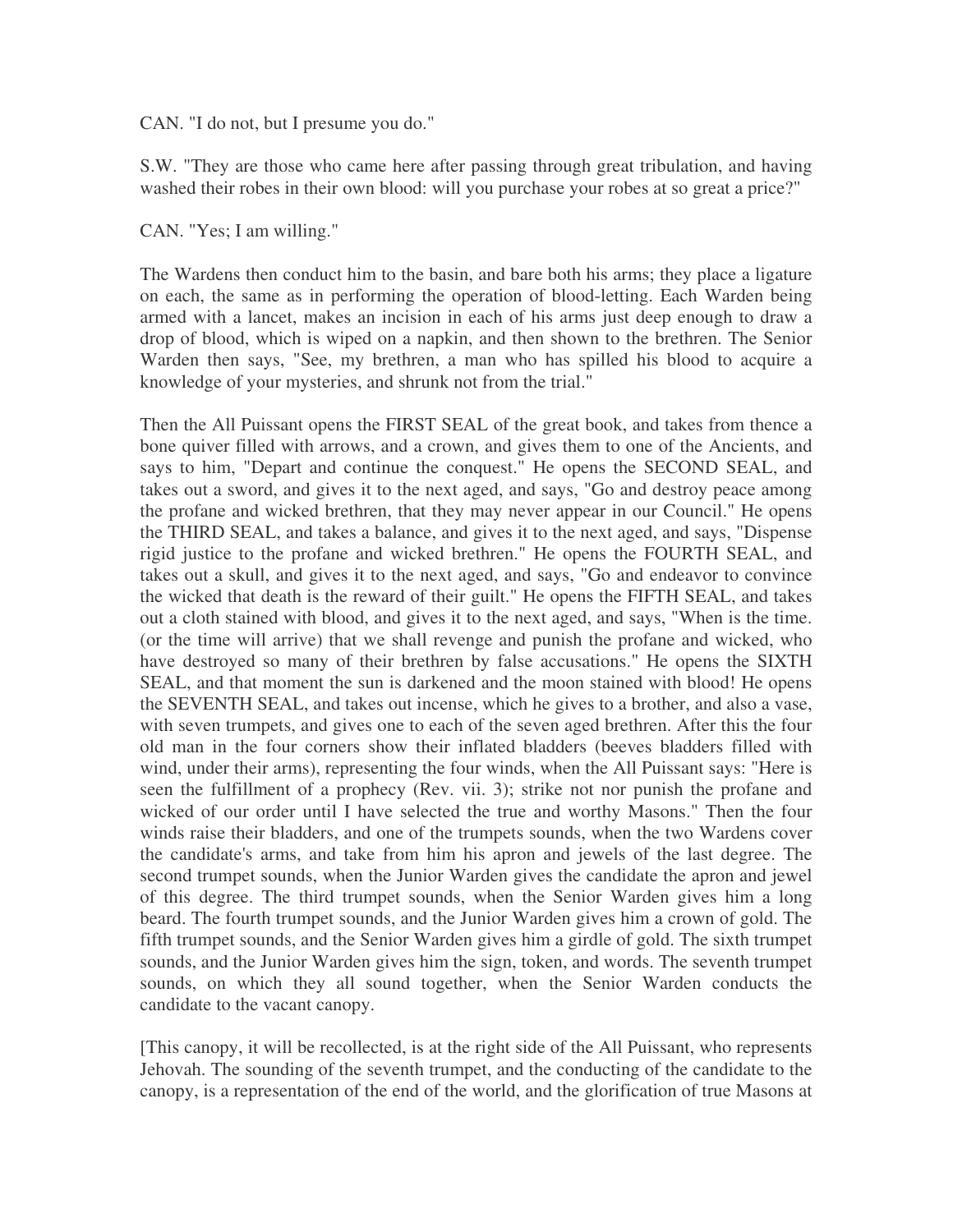CAN. "I do not, but I presume you do."

S.W. "They are those who came here after passing through great tribulation, and having washed their robes in their own blood: will you purchase your robes at so great a price?"

CAN. "Yes; I am willing."

The Wardens then conduct him to the basin, and bare both his arms; they place a ligature on each, the same as in performing the operation of blood-letting. Each Warden being armed with a lancet, makes an incision in each of his arms just deep enough to draw a drop of blood, which is wiped on a napkin, and then shown to the brethren. The Senior Warden then says, "See, my brethren, a man who has spilled his blood to acquire a knowledge of your mysteries, and shrunk not from the trial."

Then the All Puissant opens the FIRST SEAL of the great book, and takes from thence a bone quiver filled with arrows, and a crown, and gives them to one of the Ancients, and says to him, "Depart and continue the conquest." He opens the SECOND SEAL, and takes out a sword, and gives it to the next aged, and says, "Go and destroy peace among the profane and wicked brethren, that they may never appear in our Council." He opens the THIRD SEAL, and takes a balance, and gives it to the next aged, and says, "Dispense rigid justice to the profane and wicked brethren." He opens the FOURTH SEAL, and takes out a skull, and gives it to the next aged, and says, "Go and endeavor to convince the wicked that death is the reward of their guilt." He opens the FIFTH SEAL, and takes out a cloth stained with blood, and gives it to the next aged, and says, "When is the time. (or the time will arrive) that we shall revenge and punish the profane and wicked, who have destroyed so many of their brethren by false accusations." He opens the SIXTH SEAL, and that moment the sun is darkened and the moon stained with blood! He opens the SEVENTH SEAL, and takes out incense, which he gives to a brother, and also a vase, with seven trumpets, and gives one to each of the seven aged brethren. After this the four old man in the four corners show their inflated bladders (beeves bladders filled with wind, under their arms), representing the four winds, when the All Puissant says: "Here is seen the fulfillment of a prophecy (Rev. vii. 3); strike not nor punish the profane and wicked of our order until I have selected the true and worthy Masons." Then the four winds raise their bladders, and one of the trumpets sounds, when the two Wardens cover the candidate's arms, and take from him his apron and jewels of the last degree. The second trumpet sounds, when the Junior Warden gives the candidate the apron and jewel of this degree. The third trumpet sounds, when the Senior Warden gives him a long beard. The fourth trumpet sounds, and the Junior Warden gives him a crown of gold. The fifth trumpet sounds, and the Senior Warden gives him a girdle of gold. The sixth trumpet sounds, and the Junior Warden gives him the sign, token, and words. The seventh trumpet sounds, on which they all sound together, when the Senior Warden conducts the candidate to the vacant canopy.

[This canopy, it will be recollected, is at the right side of the All Puissant, who represents Jehovah. The sounding of the seventh trumpet, and the conducting of the candidate to the canopy, is a representation of the end of the world, and the glorification of true Masons at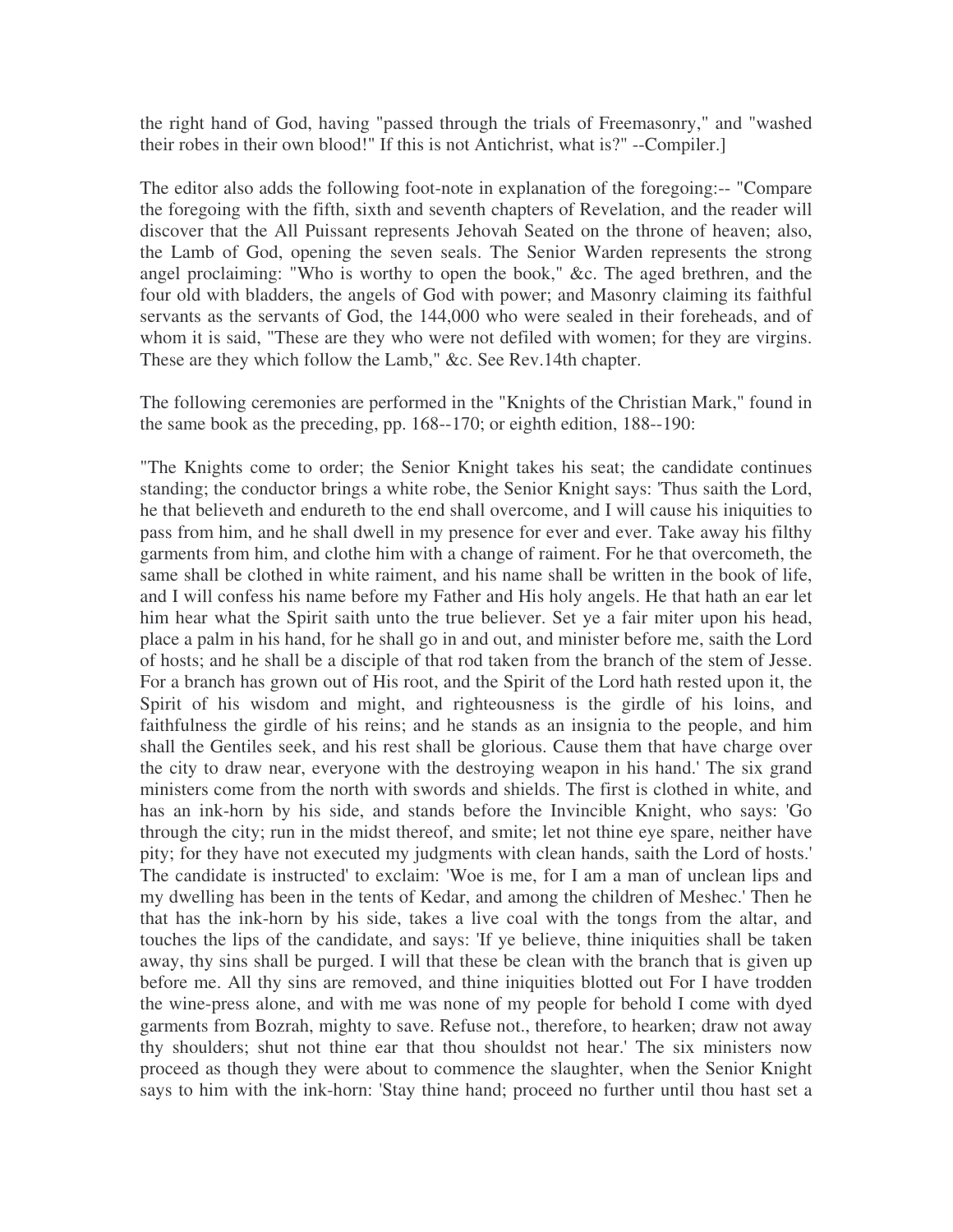the right hand of God, having "passed through the trials of Freemasonry," and "washed their robes in their own blood!" If this is not Antichrist, what is?" --Compiler.]

The editor also adds the following foot-note in explanation of the foregoing:-- "Compare the foregoing with the fifth, sixth and seventh chapters of Revelation, and the reader will discover that the All Puissant represents Jehovah Seated on the throne of heaven; also, the Lamb of God, opening the seven seals. The Senior Warden represents the strong angel proclaiming: "Who is worthy to open the book," &c. The aged brethren, and the four old with bladders, the angels of God with power; and Masonry claiming its faithful servants as the servants of God, the 144,000 who were sealed in their foreheads, and of whom it is said, "These are they who were not defiled with women; for they are virgins. These are they which follow the Lamb," &c. See Rev.14th chapter.

The following ceremonies are performed in the "Knights of the Christian Mark," found in the same book as the preceding, pp. 168--170; or eighth edition, 188--190:

"The Knights come to order; the Senior Knight takes his seat; the candidate continues standing; the conductor brings a white robe, the Senior Knight says: 'Thus saith the Lord, he that believeth and endureth to the end shall overcome, and I will cause his iniquities to pass from him, and he shall dwell in my presence for ever and ever. Take away his filthy garments from him, and clothe him with a change of raiment. For he that overcometh, the same shall be clothed in white raiment, and his name shall be written in the book of life, and I will confess his name before my Father and His holy angels. He that hath an ear let him hear what the Spirit saith unto the true believer. Set ye a fair miter upon his head, place a palm in his hand, for he shall go in and out, and minister before me, saith the Lord of hosts; and he shall be a disciple of that rod taken from the branch of the stem of Jesse. For a branch has grown out of His root, and the Spirit of the Lord hath rested upon it, the Spirit of his wisdom and might, and righteousness is the girdle of his loins, and faithfulness the girdle of his reins; and he stands as an insignia to the people, and him shall the Gentiles seek, and his rest shall be glorious. Cause them that have charge over the city to draw near, everyone with the destroying weapon in his hand.' The six grand ministers come from the north with swords and shields. The first is clothed in white, and has an ink-horn by his side, and stands before the Invincible Knight, who says: 'Go through the city; run in the midst thereof, and smite; let not thine eye spare, neither have pity; for they have not executed my judgments with clean hands, saith the Lord of hosts.' The candidate is instructed' to exclaim: 'Woe is me, for I am a man of unclean lips and my dwelling has been in the tents of Kedar, and among the children of Meshec.' Then he that has the ink-horn by his side, takes a live coal with the tongs from the altar, and touches the lips of the candidate, and says: 'If ye believe, thine iniquities shall be taken away, thy sins shall be purged. I will that these be clean with the branch that is given up before me. All thy sins are removed, and thine iniquities blotted out For I have trodden the wine-press alone, and with me was none of my people for behold I come with dyed garments from Bozrah, mighty to save. Refuse not., therefore, to hearken; draw not away thy shoulders; shut not thine ear that thou shouldst not hear.' The six ministers now proceed as though they were about to commence the slaughter, when the Senior Knight says to him with the ink-horn: 'Stay thine hand; proceed no further until thou hast set a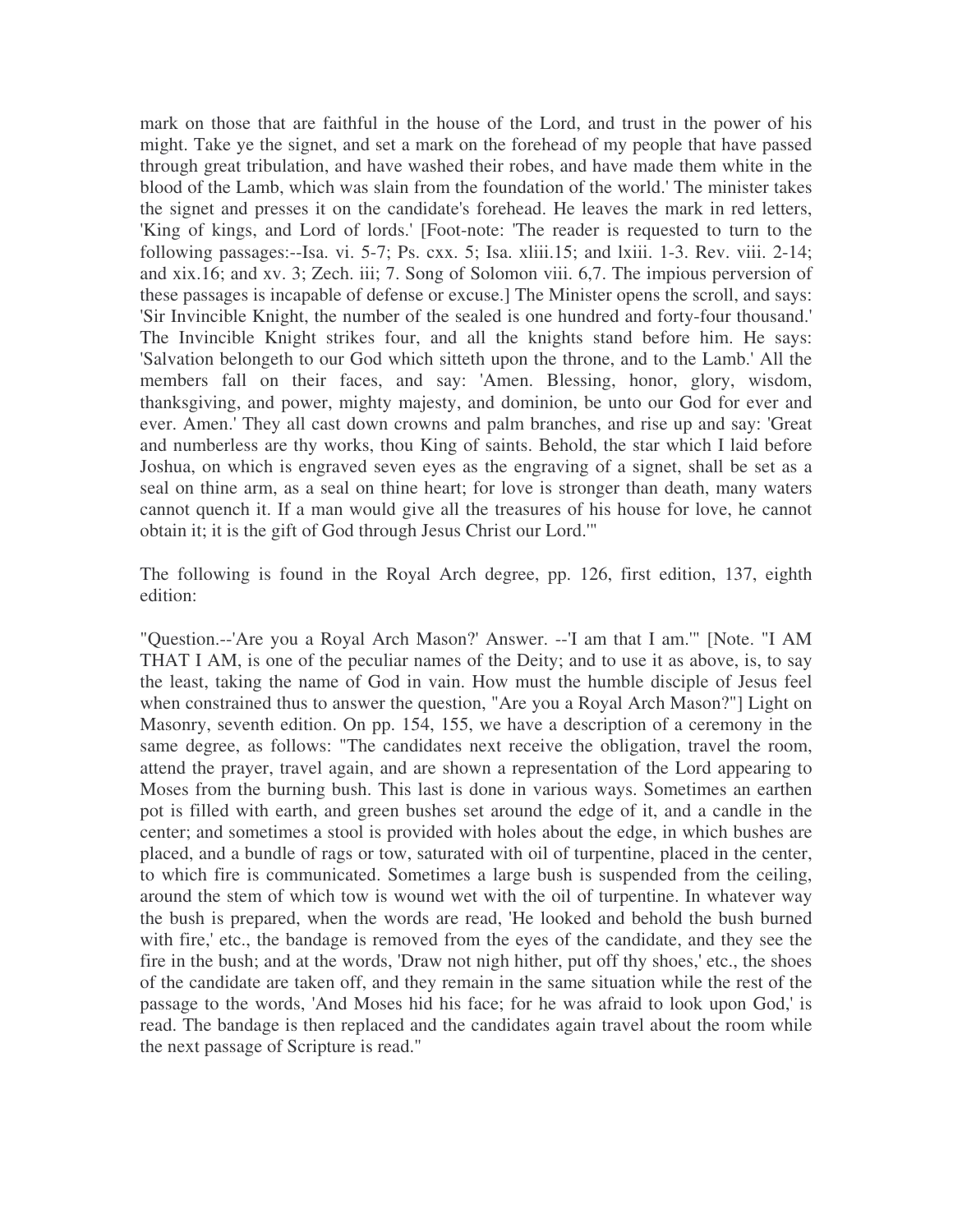mark on those that are faithful in the house of the Lord, and trust in the power of his might. Take ye the signet, and set a mark on the forehead of my people that have passed through great tribulation, and have washed their robes, and have made them white in the blood of the Lamb, which was slain from the foundation of the world.' The minister takes the signet and presses it on the candidate's forehead. He leaves the mark in red letters, 'King of kings, and Lord of lords.' [Foot-note: 'The reader is requested to turn to the following passages:--Isa. vi. 5-7; Ps. cxx. 5; Isa. xliii.15; and lxiii. 1-3. Rev. viii. 2-14; and xix.16; and xv. 3; Zech. iii; 7. Song of Solomon viii. 6,7. The impious perversion of these passages is incapable of defense or excuse.] The Minister opens the scroll, and says: 'Sir Invincible Knight, the number of the sealed is one hundred and forty-four thousand.' The Invincible Knight strikes four, and all the knights stand before him. He says: 'Salvation belongeth to our God which sitteth upon the throne, and to the Lamb.' All the members fall on their faces, and say: 'Amen. Blessing, honor, glory, wisdom, thanksgiving, and power, mighty majesty, and dominion, be unto our God for ever and ever. Amen.' They all cast down crowns and palm branches, and rise up and say: 'Great and numberless are thy works, thou King of saints. Behold, the star which I laid before Joshua, on which is engraved seven eyes as the engraving of a signet, shall be set as a seal on thine arm, as a seal on thine heart; for love is stronger than death, many waters cannot quench it. If a man would give all the treasures of his house for love, he cannot obtain it; it is the gift of God through Jesus Christ our Lord.'"

The following is found in the Royal Arch degree, pp. 126, first edition, 137, eighth edition:

"Question.--'Are you a Royal Arch Mason?' Answer. --'I am that I am.'" [Note. "I AM THAT I AM, is one of the peculiar names of the Deity; and to use it as above, is, to say the least, taking the name of God in vain. How must the humble disciple of Jesus feel when constrained thus to answer the question, "Are you a Royal Arch Mason?"] Light on Masonry, seventh edition. On pp. 154, 155, we have a description of a ceremony in the same degree, as follows: "The candidates next receive the obligation, travel the room, attend the prayer, travel again, and are shown a representation of the Lord appearing to Moses from the burning bush. This last is done in various ways. Sometimes an earthen pot is filled with earth, and green bushes set around the edge of it, and a candle in the center; and sometimes a stool is provided with holes about the edge, in which bushes are placed, and a bundle of rags or tow, saturated with oil of turpentine, placed in the center, to which fire is communicated. Sometimes a large bush is suspended from the ceiling, around the stem of which tow is wound wet with the oil of turpentine. In whatever way the bush is prepared, when the words are read, 'He looked and behold the bush burned with fire,' etc., the bandage is removed from the eyes of the candidate, and they see the fire in the bush; and at the words, 'Draw not nigh hither, put off thy shoes,' etc., the shoes of the candidate are taken off, and they remain in the same situation while the rest of the passage to the words, 'And Moses hid his face; for he was afraid to look upon God,' is read. The bandage is then replaced and the candidates again travel about the room while the next passage of Scripture is read."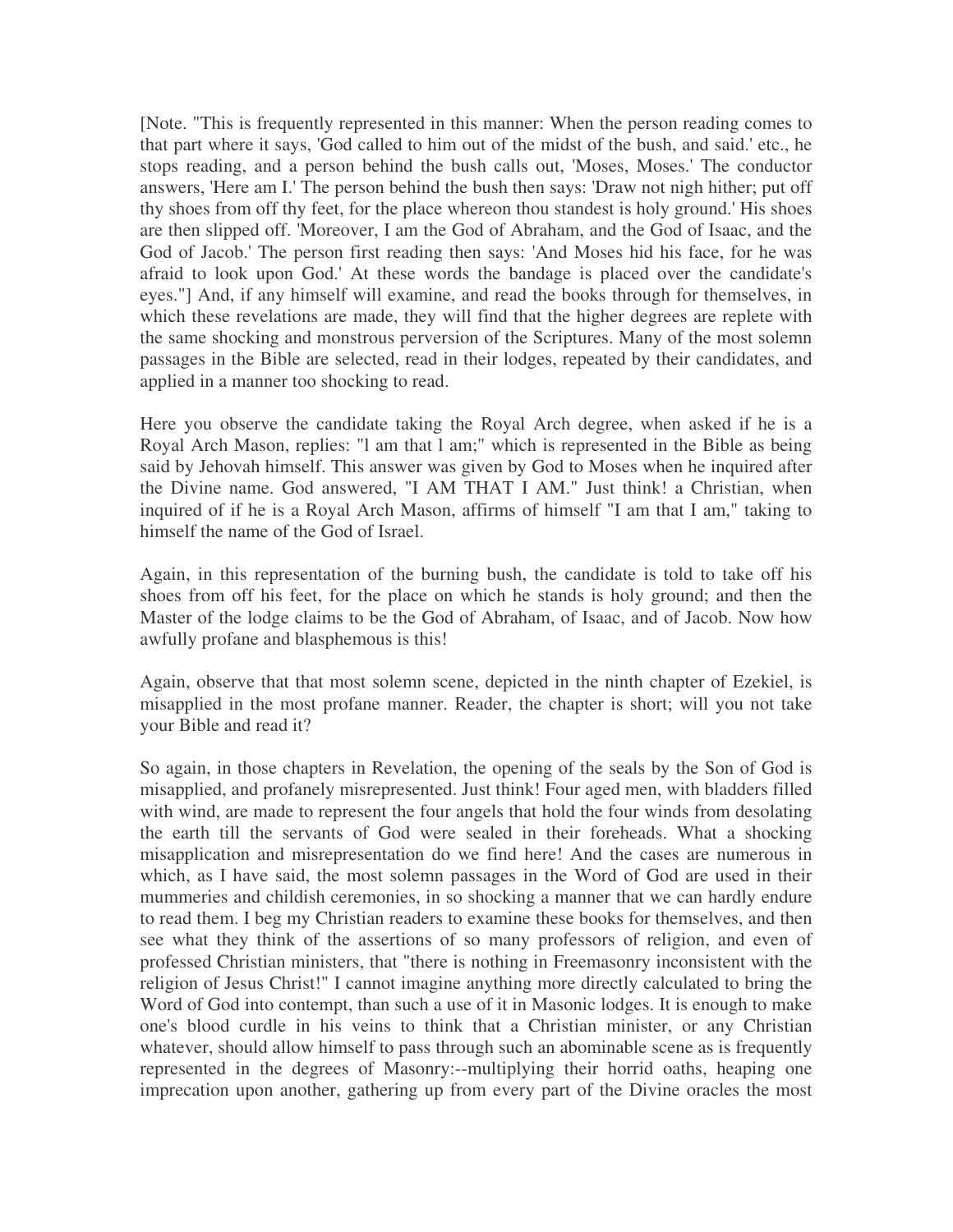[Note. "This is frequently represented in this manner: When the person reading comes to that part where it says, 'God called to him out of the midst of the bush, and said.' etc., he stops reading, and a person behind the bush calls out, 'Moses, Moses.' The conductor answers, 'Here am I.' The person behind the bush then says: 'Draw not nigh hither; put off thy shoes from off thy feet, for the place whereon thou standest is holy ground.' His shoes are then slipped off. 'Moreover, I am the God of Abraham, and the God of Isaac, and the God of Jacob.' The person first reading then says: 'And Moses hid his face, for he was afraid to look upon God.' At these words the bandage is placed over the candidate's eyes."] And, if any himself will examine, and read the books through for themselves, in which these revelations are made, they will find that the higher degrees are replete with the same shocking and monstrous perversion of the Scriptures. Many of the most solemn passages in the Bible are selected, read in their lodges, repeated by their candidates, and applied in a manner too shocking to read.

Here you observe the candidate taking the Royal Arch degree, when asked if he is a Royal Arch Mason, replies: "l am that l am;" which is represented in the Bible as being said by Jehovah himself. This answer was given by God to Moses when he inquired after the Divine name. God answered, "I AM THAT I AM." Just think! a Christian, when inquired of if he is a Royal Arch Mason, affirms of himself "I am that I am," taking to himself the name of the God of Israel.

Again, in this representation of the burning bush, the candidate is told to take off his shoes from off his feet, for the place on which he stands is holy ground; and then the Master of the lodge claims to be the God of Abraham, of Isaac, and of Jacob. Now how awfully profane and blasphemous is this!

Again, observe that that most solemn scene, depicted in the ninth chapter of Ezekiel, is misapplied in the most profane manner. Reader, the chapter is short; will you not take your Bible and read it?

So again, in those chapters in Revelation, the opening of the seals by the Son of God is misapplied, and profanely misrepresented. Just think! Four aged men, with bladders filled with wind, are made to represent the four angels that hold the four winds from desolating the earth till the servants of God were sealed in their foreheads. What a shocking misapplication and misrepresentation do we find here! And the cases are numerous in which, as I have said, the most solemn passages in the Word of God are used in their mummeries and childish ceremonies, in so shocking a manner that we can hardly endure to read them. I beg my Christian readers to examine these books for themselves, and then see what they think of the assertions of so many professors of religion, and even of professed Christian ministers, that "there is nothing in Freemasonry inconsistent with the religion of Jesus Christ!" I cannot imagine anything more directly calculated to bring the Word of God into contempt, than such a use of it in Masonic lodges. It is enough to make one's blood curdle in his veins to think that a Christian minister, or any Christian whatever, should allow himself to pass through such an abominable scene as is frequently represented in the degrees of Masonry:--multiplying their horrid oaths, heaping one imprecation upon another, gathering up from every part of the Divine oracles the most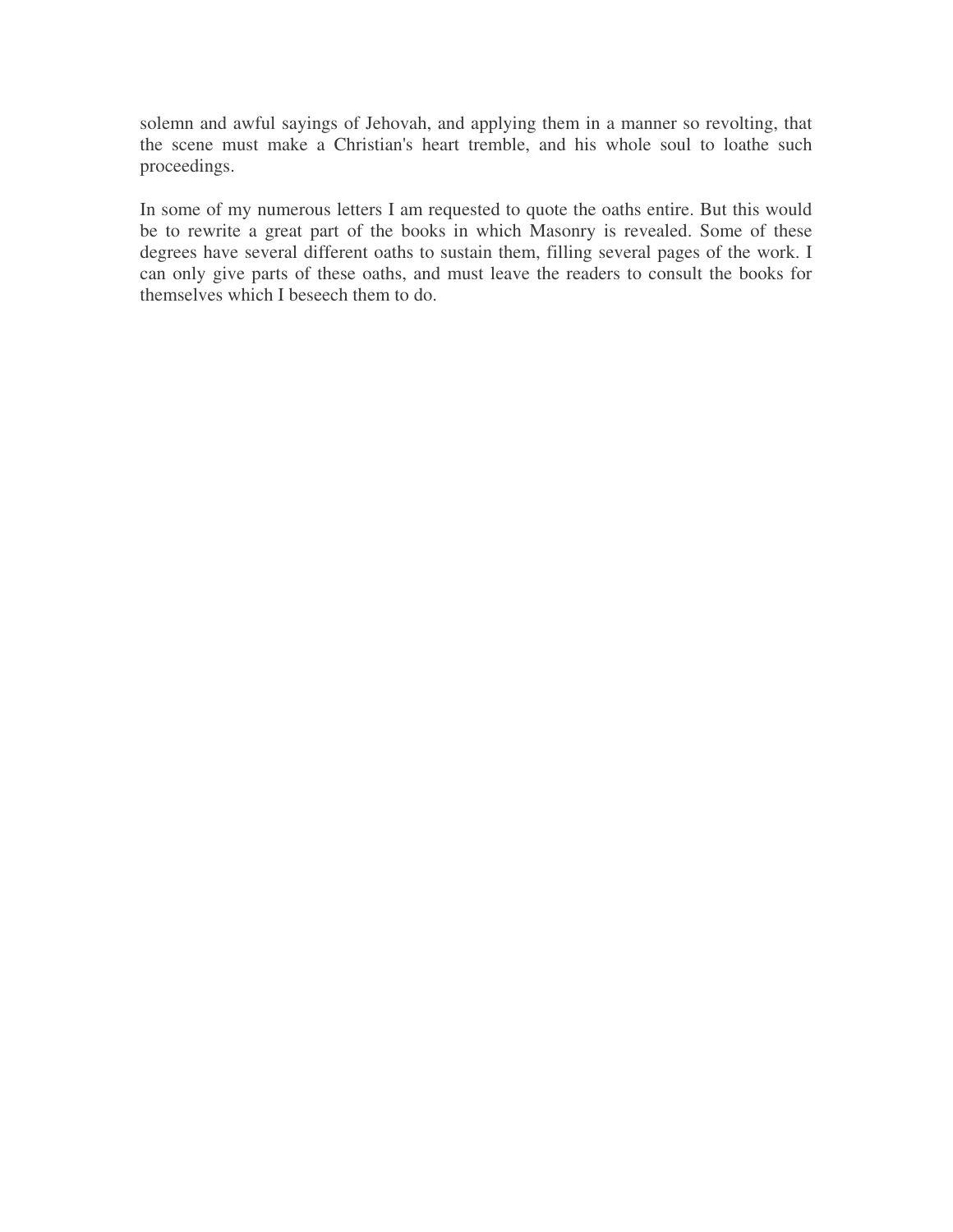solemn and awful sayings of Jehovah, and applying them in a manner so revolting, that the scene must make a Christian's heart tremble, and his whole soul to loathe such proceedings.

In some of my numerous letters I am requested to quote the oaths entire. But this would be to rewrite a great part of the books in which Masonry is revealed. Some of these degrees have several different oaths to sustain them, filling several pages of the work. I can only give parts of these oaths, and must leave the readers to consult the books for themselves which I beseech them to do.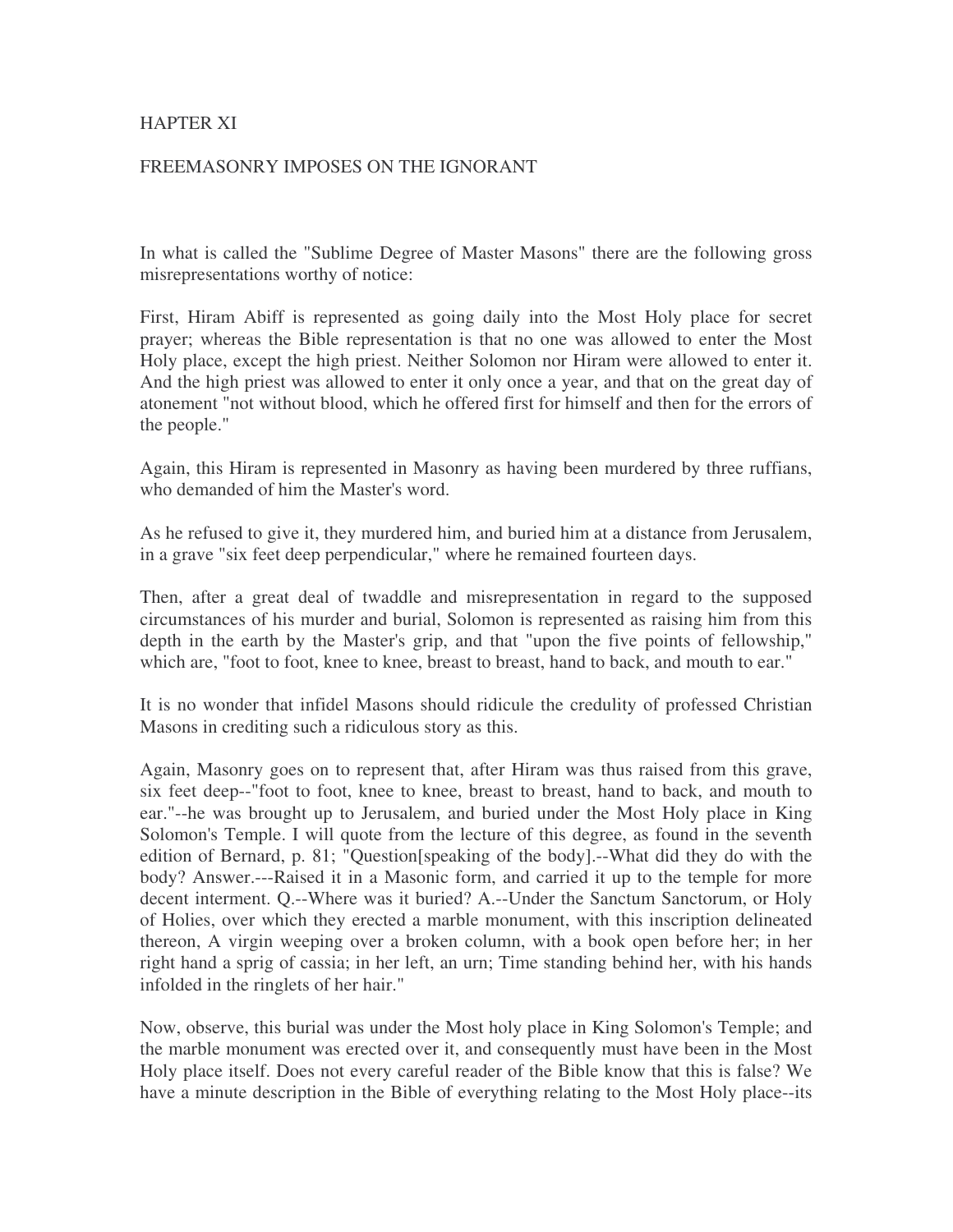# HAPTER XI

## FREEMASONRY IMPOSES ON THE IGNORANT

In what is called the "Sublime Degree of Master Masons" there are the following gross misrepresentations worthy of notice:

First, Hiram Abiff is represented as going daily into the Most Holy place for secret prayer; whereas the Bible representation is that no one was allowed to enter the Most Holy place, except the high priest. Neither Solomon nor Hiram were allowed to enter it. And the high priest was allowed to enter it only once a year, and that on the great day of atonement "not without blood, which he offered first for himself and then for the errors of the people."

Again, this Hiram is represented in Masonry as having been murdered by three ruffians, who demanded of him the Master's word.

As he refused to give it, they murdered him, and buried him at a distance from Jerusalem, in a grave "six feet deep perpendicular," where he remained fourteen days.

Then, after a great deal of twaddle and misrepresentation in regard to the supposed circumstances of his murder and burial, Solomon is represented as raising him from this depth in the earth by the Master's grip, and that "upon the five points of fellowship," which are, "foot to foot, knee to knee, breast to breast, hand to back, and mouth to ear."

It is no wonder that infidel Masons should ridicule the credulity of professed Christian Masons in crediting such a ridiculous story as this.

Again, Masonry goes on to represent that, after Hiram was thus raised from this grave, six feet deep--"foot to foot, knee to knee, breast to breast, hand to back, and mouth to ear."--he was brought up to Jerusalem, and buried under the Most Holy place in King Solomon's Temple. I will quote from the lecture of this degree, as found in the seventh edition of Bernard, p. 81; "Question[speaking of the body].--What did they do with the body? Answer.---Raised it in a Masonic form, and carried it up to the temple for more decent interment. Q.--Where was it buried? A.--Under the Sanctum Sanctorum, or Holy of Holies, over which they erected a marble monument, with this inscription delineated thereon, A virgin weeping over a broken column, with a book open before her; in her right hand a sprig of cassia; in her left, an urn; Time standing behind her, with his hands infolded in the ringlets of her hair."

Now, observe, this burial was under the Most holy place in King Solomon's Temple; and the marble monument was erected over it, and consequently must have been in the Most Holy place itself. Does not every careful reader of the Bible know that this is false? We have a minute description in the Bible of everything relating to the Most Holy place--its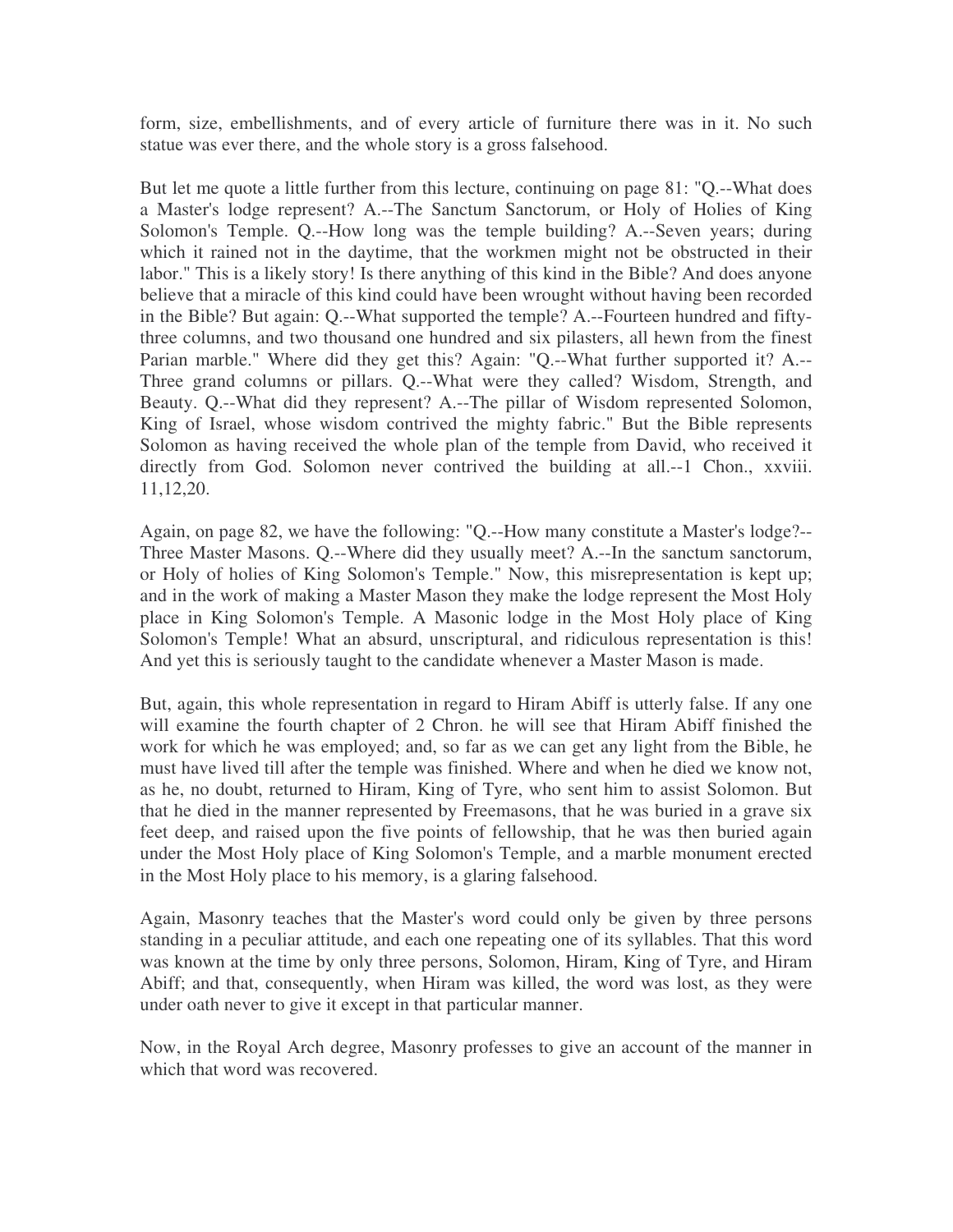form, size, embellishments, and of every article of furniture there was in it. No such statue was ever there, and the whole story is a gross falsehood.

But let me quote a little further from this lecture, continuing on page 81: "Q.--What does a Master's lodge represent? A.--The Sanctum Sanctorum, or Holy of Holies of King Solomon's Temple. Q.--How long was the temple building? A.--Seven years; during which it rained not in the daytime, that the workmen might not be obstructed in their labor." This is a likely story! Is there anything of this kind in the Bible? And does anyone believe that a miracle of this kind could have been wrought without having been recorded in the Bible? But again: Q.--What supported the temple? A.--Fourteen hundred and fiftythree columns, and two thousand one hundred and six pilasters, all hewn from the finest Parian marble." Where did they get this? Again: "Q.--What further supported it? A.-- Three grand columns or pillars. Q.--What were they called? Wisdom, Strength, and Beauty. Q.--What did they represent? A.--The pillar of Wisdom represented Solomon, King of Israel, whose wisdom contrived the mighty fabric." But the Bible represents Solomon as having received the whole plan of the temple from David, who received it directly from God. Solomon never contrived the building at all.--1 Chon., xxviii. 11,12,20.

Again, on page 82, we have the following: "Q.--How many constitute a Master's lodge?-- Three Master Masons. Q.--Where did they usually meet? A.--In the sanctum sanctorum, or Holy of holies of King Solomon's Temple." Now, this misrepresentation is kept up; and in the work of making a Master Mason they make the lodge represent the Most Holy place in King Solomon's Temple. A Masonic lodge in the Most Holy place of King Solomon's Temple! What an absurd, unscriptural, and ridiculous representation is this! And yet this is seriously taught to the candidate whenever a Master Mason is made.

But, again, this whole representation in regard to Hiram Abiff is utterly false. If any one will examine the fourth chapter of 2 Chron. he will see that Hiram Abiff finished the work for which he was employed; and, so far as we can get any light from the Bible, he must have lived till after the temple was finished. Where and when he died we know not, as he, no doubt, returned to Hiram, King of Tyre, who sent him to assist Solomon. But that he died in the manner represented by Freemasons, that he was buried in a grave six feet deep, and raised upon the five points of fellowship, that he was then buried again under the Most Holy place of King Solomon's Temple, and a marble monument erected in the Most Holy place to his memory, is a glaring falsehood.

Again, Masonry teaches that the Master's word could only be given by three persons standing in a peculiar attitude, and each one repeating one of its syllables. That this word was known at the time by only three persons, Solomon, Hiram, King of Tyre, and Hiram Abiff; and that, consequently, when Hiram was killed, the word was lost, as they were under oath never to give it except in that particular manner.

Now, in the Royal Arch degree, Masonry professes to give an account of the manner in which that word was recovered.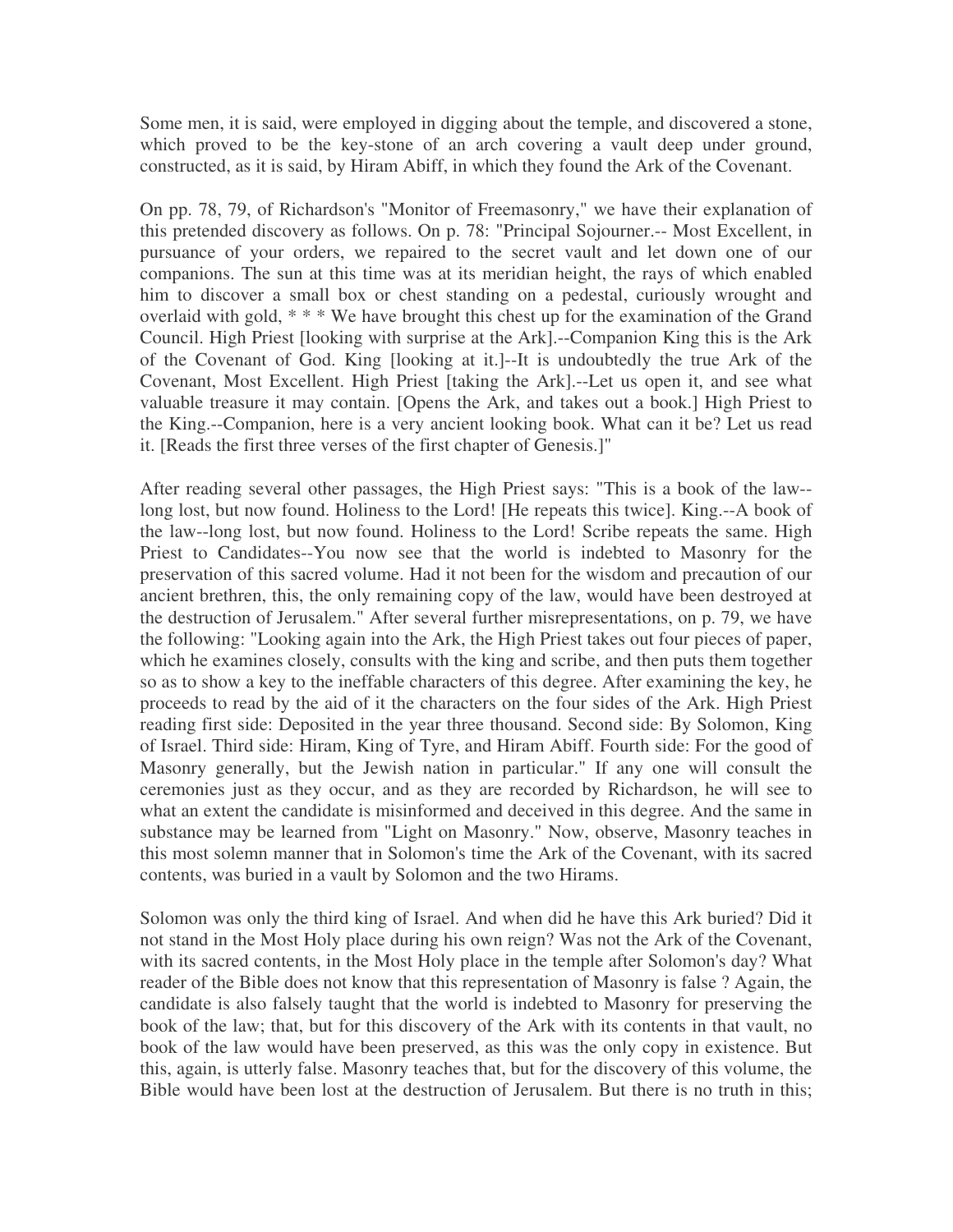Some men, it is said, were employed in digging about the temple, and discovered a stone, which proved to be the key-stone of an arch covering a vault deep under ground, constructed, as it is said, by Hiram Abiff, in which they found the Ark of the Covenant.

On pp. 78, 79, of Richardson's "Monitor of Freemasonry," we have their explanation of this pretended discovery as follows. On p. 78: "Principal Sojourner.-- Most Excellent, in pursuance of your orders, we repaired to the secret vault and let down one of our companions. The sun at this time was at its meridian height, the rays of which enabled him to discover a small box or chest standing on a pedestal, curiously wrought and overlaid with gold, \* \* \* We have brought this chest up for the examination of the Grand Council. High Priest [looking with surprise at the Ark].--Companion King this is the Ark of the Covenant of God. King [looking at it.]--It is undoubtedly the true Ark of the Covenant, Most Excellent. High Priest [taking the Ark].--Let us open it, and see what valuable treasure it may contain. [Opens the Ark, and takes out a book.] High Priest to the King.--Companion, here is a very ancient looking book. What can it be? Let us read it. [Reads the first three verses of the first chapter of Genesis.]"

After reading several other passages, the High Priest says: "This is a book of the law- long lost, but now found. Holiness to the Lord! [He repeats this twice]. King.--A book of the law--long lost, but now found. Holiness to the Lord! Scribe repeats the same. High Priest to Candidates--You now see that the world is indebted to Masonry for the preservation of this sacred volume. Had it not been for the wisdom and precaution of our ancient brethren, this, the only remaining copy of the law, would have been destroyed at the destruction of Jerusalem." After several further misrepresentations, on p. 79, we have the following: "Looking again into the Ark, the High Priest takes out four pieces of paper, which he examines closely, consults with the king and scribe, and then puts them together so as to show a key to the ineffable characters of this degree. After examining the key, he proceeds to read by the aid of it the characters on the four sides of the Ark. High Priest reading first side: Deposited in the year three thousand. Second side: By Solomon, King of Israel. Third side: Hiram, King of Tyre, and Hiram Abiff. Fourth side: For the good of Masonry generally, but the Jewish nation in particular." If any one will consult the ceremonies just as they occur, and as they are recorded by Richardson, he will see to what an extent the candidate is misinformed and deceived in this degree. And the same in substance may be learned from "Light on Masonry." Now, observe, Masonry teaches in this most solemn manner that in Solomon's time the Ark of the Covenant, with its sacred contents, was buried in a vault by Solomon and the two Hirams.

Solomon was only the third king of Israel. And when did he have this Ark buried? Did it not stand in the Most Holy place during his own reign? Was not the Ark of the Covenant, with its sacred contents, in the Most Holy place in the temple after Solomon's day? What reader of the Bible does not know that this representation of Masonry is false ? Again, the candidate is also falsely taught that the world is indebted to Masonry for preserving the book of the law; that, but for this discovery of the Ark with its contents in that vault, no book of the law would have been preserved, as this was the only copy in existence. But this, again, is utterly false. Masonry teaches that, but for the discovery of this volume, the Bible would have been lost at the destruction of Jerusalem. But there is no truth in this;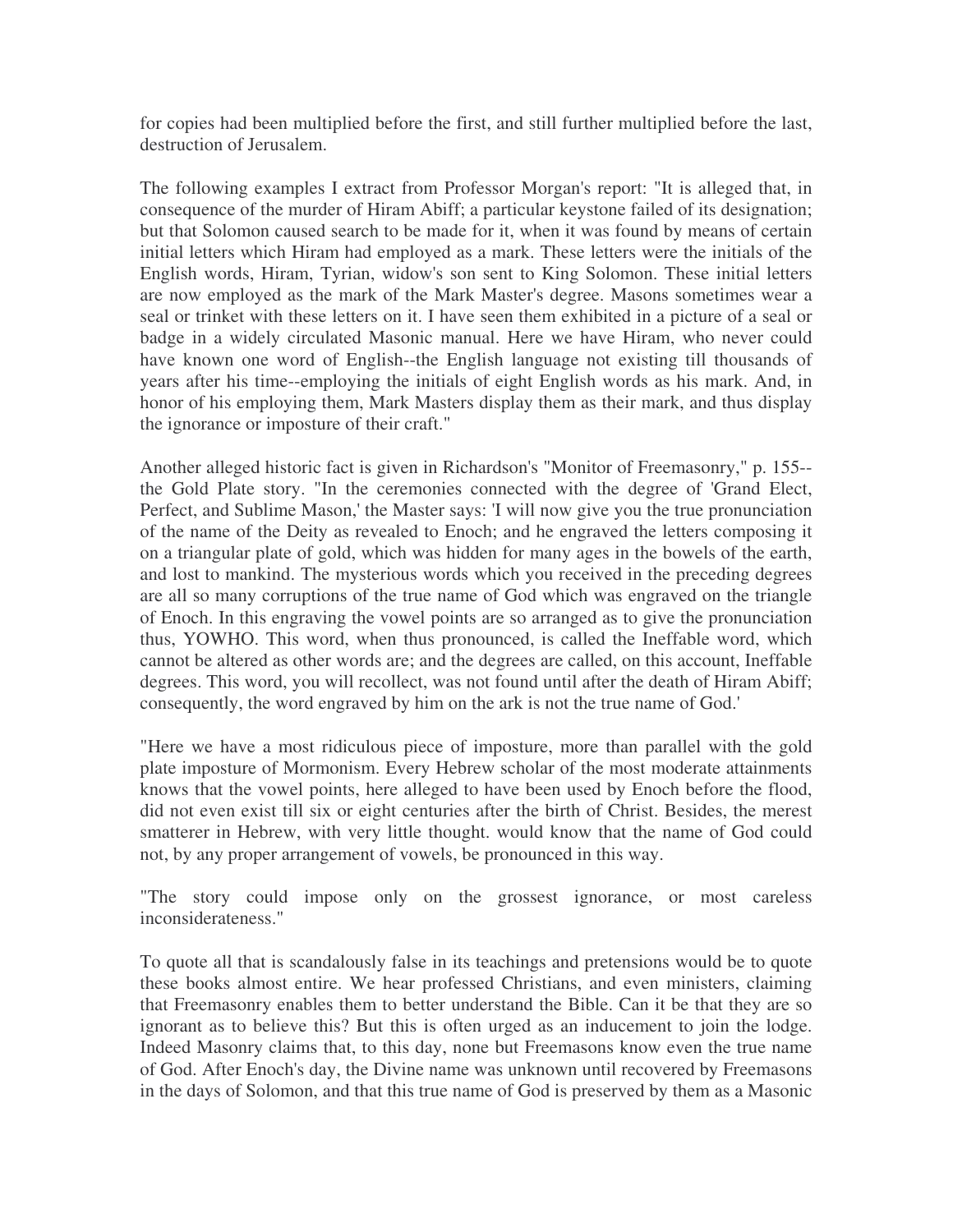for copies had been multiplied before the first, and still further multiplied before the last, destruction of Jerusalem.

The following examples I extract from Professor Morgan's report: "It is alleged that, in consequence of the murder of Hiram Abiff; a particular keystone failed of its designation; but that Solomon caused search to be made for it, when it was found by means of certain initial letters which Hiram had employed as a mark. These letters were the initials of the English words, Hiram, Tyrian, widow's son sent to King Solomon. These initial letters are now employed as the mark of the Mark Master's degree. Masons sometimes wear a seal or trinket with these letters on it. I have seen them exhibited in a picture of a seal or badge in a widely circulated Masonic manual. Here we have Hiram, who never could have known one word of English--the English language not existing till thousands of years after his time--employing the initials of eight English words as his mark. And, in honor of his employing them, Mark Masters display them as their mark, and thus display the ignorance or imposture of their craft."

Another alleged historic fact is given in Richardson's "Monitor of Freemasonry," p. 155- the Gold Plate story. "In the ceremonies connected with the degree of 'Grand Elect, Perfect, and Sublime Mason,' the Master says: 'I will now give you the true pronunciation of the name of the Deity as revealed to Enoch; and he engraved the letters composing it on a triangular plate of gold, which was hidden for many ages in the bowels of the earth, and lost to mankind. The mysterious words which you received in the preceding degrees are all so many corruptions of the true name of God which was engraved on the triangle of Enoch. In this engraving the vowel points are so arranged as to give the pronunciation thus, YOWHO. This word, when thus pronounced, is called the Ineffable word, which cannot be altered as other words are; and the degrees are called, on this account, Ineffable degrees. This word, you will recollect, was not found until after the death of Hiram Abiff; consequently, the word engraved by him on the ark is not the true name of God.'

"Here we have a most ridiculous piece of imposture, more than parallel with the gold plate imposture of Mormonism. Every Hebrew scholar of the most moderate attainments knows that the vowel points, here alleged to have been used by Enoch before the flood, did not even exist till six or eight centuries after the birth of Christ. Besides, the merest smatterer in Hebrew, with very little thought. would know that the name of God could not, by any proper arrangement of vowels, be pronounced in this way.

"The story could impose only on the grossest ignorance, or most careless inconsiderateness."

To quote all that is scandalously false in its teachings and pretensions would be to quote these books almost entire. We hear professed Christians, and even ministers, claiming that Freemasonry enables them to better understand the Bible. Can it be that they are so ignorant as to believe this? But this is often urged as an inducement to join the lodge. Indeed Masonry claims that, to this day, none but Freemasons know even the true name of God. After Enoch's day, the Divine name was unknown until recovered by Freemasons in the days of Solomon, and that this true name of God is preserved by them as a Masonic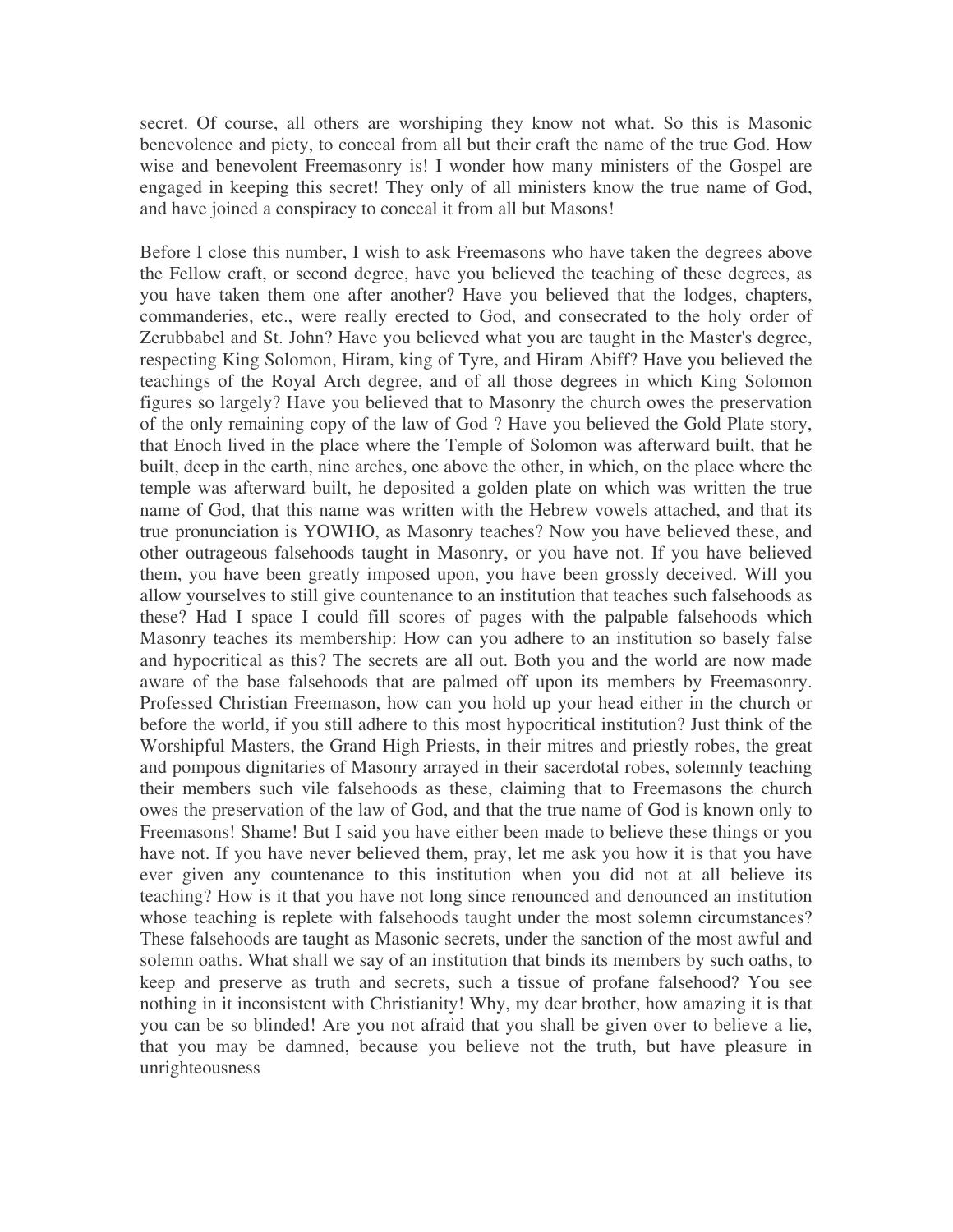secret. Of course, all others are worshiping they know not what. So this is Masonic benevolence and piety, to conceal from all but their craft the name of the true God. How wise and benevolent Freemasonry is! I wonder how many ministers of the Gospel are engaged in keeping this secret! They only of all ministers know the true name of God, and have joined a conspiracy to conceal it from all but Masons!

Before I close this number, I wish to ask Freemasons who have taken the degrees above the Fellow craft, or second degree, have you believed the teaching of these degrees, as you have taken them one after another? Have you believed that the lodges, chapters, commanderies, etc., were really erected to God, and consecrated to the holy order of Zerubbabel and St. John? Have you believed what you are taught in the Master's degree, respecting King Solomon, Hiram, king of Tyre, and Hiram Abiff? Have you believed the teachings of the Royal Arch degree, and of all those degrees in which King Solomon figures so largely? Have you believed that to Masonry the church owes the preservation of the only remaining copy of the law of God ? Have you believed the Gold Plate story, that Enoch lived in the place where the Temple of Solomon was afterward built, that he built, deep in the earth, nine arches, one above the other, in which, on the place where the temple was afterward built, he deposited a golden plate on which was written the true name of God, that this name was written with the Hebrew vowels attached, and that its true pronunciation is YOWHO, as Masonry teaches? Now you have believed these, and other outrageous falsehoods taught in Masonry, or you have not. If you have believed them, you have been greatly imposed upon, you have been grossly deceived. Will you allow yourselves to still give countenance to an institution that teaches such falsehoods as these? Had I space I could fill scores of pages with the palpable falsehoods which Masonry teaches its membership: How can you adhere to an institution so basely false and hypocritical as this? The secrets are all out. Both you and the world are now made aware of the base falsehoods that are palmed off upon its members by Freemasonry. Professed Christian Freemason, how can you hold up your head either in the church or before the world, if you still adhere to this most hypocritical institution? Just think of the Worshipful Masters, the Grand High Priests, in their mitres and priestly robes, the great and pompous dignitaries of Masonry arrayed in their sacerdotal robes, solemnly teaching their members such vile falsehoods as these, claiming that to Freemasons the church owes the preservation of the law of God, and that the true name of God is known only to Freemasons! Shame! But I said you have either been made to believe these things or you have not. If you have never believed them, pray, let me ask you how it is that you have ever given any countenance to this institution when you did not at all believe its teaching? How is it that you have not long since renounced and denounced an institution whose teaching is replete with falsehoods taught under the most solemn circumstances? These falsehoods are taught as Masonic secrets, under the sanction of the most awful and solemn oaths. What shall we say of an institution that binds its members by such oaths, to keep and preserve as truth and secrets, such a tissue of profane falsehood? You see nothing in it inconsistent with Christianity! Why, my dear brother, how amazing it is that you can be so blinded! Are you not afraid that you shall be given over to believe a lie, that you may be damned, because you believe not the truth, but have pleasure in unrighteousness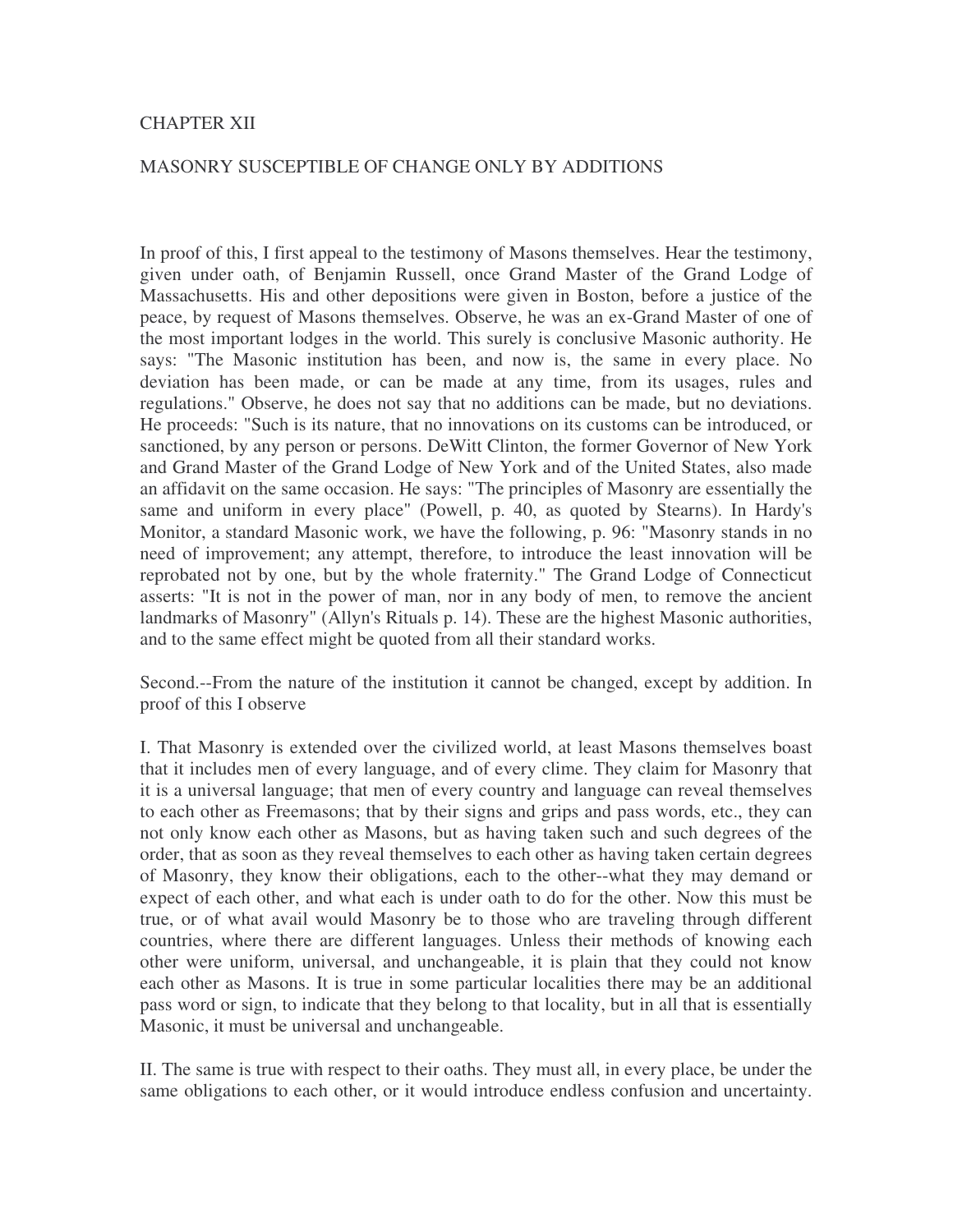## CHAPTER XII

# MASONRY SUSCEPTIBLE OF CHANGE ONLY BY ADDITIONS

In proof of this, I first appeal to the testimony of Masons themselves. Hear the testimony, given under oath, of Benjamin Russell, once Grand Master of the Grand Lodge of Massachusetts. His and other depositions were given in Boston, before a justice of the peace, by request of Masons themselves. Observe, he was an ex-Grand Master of one of the most important lodges in the world. This surely is conclusive Masonic authority. He says: "The Masonic institution has been, and now is, the same in every place. No deviation has been made, or can be made at any time, from its usages, rules and regulations." Observe, he does not say that no additions can be made, but no deviations. He proceeds: "Such is its nature, that no innovations on its customs can be introduced, or sanctioned, by any person or persons. DeWitt Clinton, the former Governor of New York and Grand Master of the Grand Lodge of New York and of the United States, also made an affidavit on the same occasion. He says: "The principles of Masonry are essentially the same and uniform in every place" (Powell, p. 40, as quoted by Stearns). In Hardy's Monitor, a standard Masonic work, we have the following, p. 96: "Masonry stands in no need of improvement; any attempt, therefore, to introduce the least innovation will be reprobated not by one, but by the whole fraternity." The Grand Lodge of Connecticut asserts: "It is not in the power of man, nor in any body of men, to remove the ancient landmarks of Masonry" (Allyn's Rituals p. 14). These are the highest Masonic authorities, and to the same effect might be quoted from all their standard works.

Second.--From the nature of the institution it cannot be changed, except by addition. In proof of this I observe

I. That Masonry is extended over the civilized world, at least Masons themselves boast that it includes men of every language, and of every clime. They claim for Masonry that it is a universal language; that men of every country and language can reveal themselves to each other as Freemasons; that by their signs and grips and pass words, etc., they can not only know each other as Masons, but as having taken such and such degrees of the order, that as soon as they reveal themselves to each other as having taken certain degrees of Masonry, they know their obligations, each to the other--what they may demand or expect of each other, and what each is under oath to do for the other. Now this must be true, or of what avail would Masonry be to those who are traveling through different countries, where there are different languages. Unless their methods of knowing each other were uniform, universal, and unchangeable, it is plain that they could not know each other as Masons. It is true in some particular localities there may be an additional pass word or sign, to indicate that they belong to that locality, but in all that is essentially Masonic, it must be universal and unchangeable.

II. The same is true with respect to their oaths. They must all, in every place, be under the same obligations to each other, or it would introduce endless confusion and uncertainty.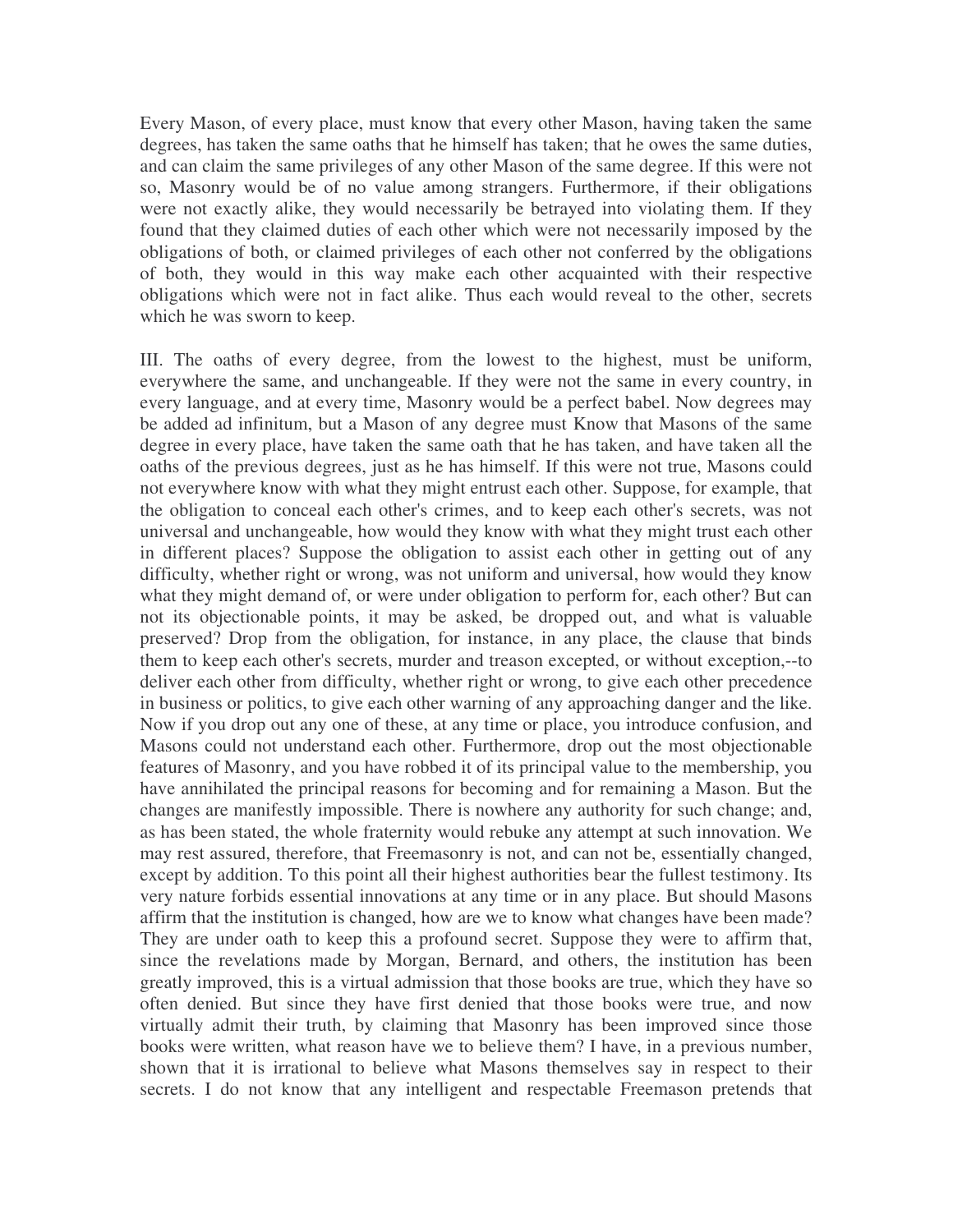Every Mason, of every place, must know that every other Mason, having taken the same degrees, has taken the same oaths that he himself has taken; that he owes the same duties, and can claim the same privileges of any other Mason of the same degree. If this were not so, Masonry would be of no value among strangers. Furthermore, if their obligations were not exactly alike, they would necessarily be betrayed into violating them. If they found that they claimed duties of each other which were not necessarily imposed by the obligations of both, or claimed privileges of each other not conferred by the obligations of both, they would in this way make each other acquainted with their respective obligations which were not in fact alike. Thus each would reveal to the other, secrets which he was sworn to keep.

III. The oaths of every degree, from the lowest to the highest, must be uniform, everywhere the same, and unchangeable. If they were not the same in every country, in every language, and at every time, Masonry would be a perfect babel. Now degrees may be added ad infinitum, but a Mason of any degree must Know that Masons of the same degree in every place, have taken the same oath that he has taken, and have taken all the oaths of the previous degrees, just as he has himself. If this were not true, Masons could not everywhere know with what they might entrust each other. Suppose, for example, that the obligation to conceal each other's crimes, and to keep each other's secrets, was not universal and unchangeable, how would they know with what they might trust each other in different places? Suppose the obligation to assist each other in getting out of any difficulty, whether right or wrong, was not uniform and universal, how would they know what they might demand of, or were under obligation to perform for, each other? But can not its objectionable points, it may be asked, be dropped out, and what is valuable preserved? Drop from the obligation, for instance, in any place, the clause that binds them to keep each other's secrets, murder and treason excepted, or without exception,--to deliver each other from difficulty, whether right or wrong, to give each other precedence in business or politics, to give each other warning of any approaching danger and the like. Now if you drop out any one of these, at any time or place, you introduce confusion, and Masons could not understand each other. Furthermore, drop out the most objectionable features of Masonry, and you have robbed it of its principal value to the membership, you have annihilated the principal reasons for becoming and for remaining a Mason. But the changes are manifestly impossible. There is nowhere any authority for such change; and, as has been stated, the whole fraternity would rebuke any attempt at such innovation. We may rest assured, therefore, that Freemasonry is not, and can not be, essentially changed, except by addition. To this point all their highest authorities bear the fullest testimony. Its very nature forbids essential innovations at any time or in any place. But should Masons affirm that the institution is changed, how are we to know what changes have been made? They are under oath to keep this a profound secret. Suppose they were to affirm that, since the revelations made by Morgan, Bernard, and others, the institution has been greatly improved, this is a virtual admission that those books are true, which they have so often denied. But since they have first denied that those books were true, and now virtually admit their truth, by claiming that Masonry has been improved since those books were written, what reason have we to believe them? I have, in a previous number, shown that it is irrational to believe what Masons themselves say in respect to their secrets. I do not know that any intelligent and respectable Freemason pretends that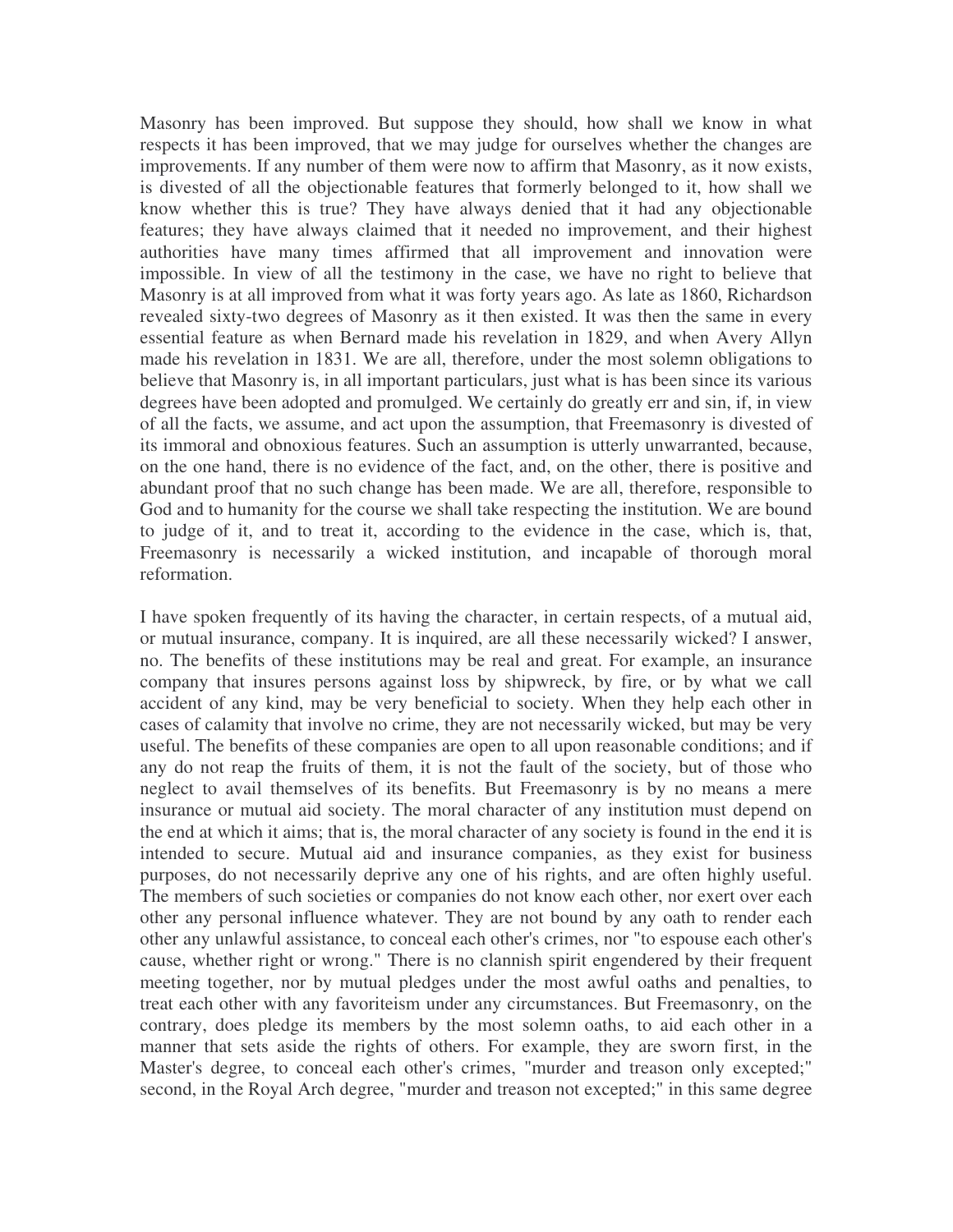Masonry has been improved. But suppose they should, how shall we know in what respects it has been improved, that we may judge for ourselves whether the changes are improvements. If any number of them were now to affirm that Masonry, as it now exists, is divested of all the objectionable features that formerly belonged to it, how shall we know whether this is true? They have always denied that it had any objectionable features; they have always claimed that it needed no improvement, and their highest authorities have many times affirmed that all improvement and innovation were impossible. In view of all the testimony in the case, we have no right to believe that Masonry is at all improved from what it was forty years ago. As late as 1860, Richardson revealed sixty-two degrees of Masonry as it then existed. It was then the same in every essential feature as when Bernard made his revelation in 1829, and when Avery Allyn made his revelation in 1831. We are all, therefore, under the most solemn obligations to believe that Masonry is, in all important particulars, just what is has been since its various degrees have been adopted and promulged. We certainly do greatly err and sin, if, in view of all the facts, we assume, and act upon the assumption, that Freemasonry is divested of its immoral and obnoxious features. Such an assumption is utterly unwarranted, because, on the one hand, there is no evidence of the fact, and, on the other, there is positive and abundant proof that no such change has been made. We are all, therefore, responsible to God and to humanity for the course we shall take respecting the institution. We are bound to judge of it, and to treat it, according to the evidence in the case, which is, that, Freemasonry is necessarily a wicked institution, and incapable of thorough moral reformation.

I have spoken frequently of its having the character, in certain respects, of a mutual aid, or mutual insurance, company. It is inquired, are all these necessarily wicked? I answer, no. The benefits of these institutions may be real and great. For example, an insurance company that insures persons against loss by shipwreck, by fire, or by what we call accident of any kind, may be very beneficial to society. When they help each other in cases of calamity that involve no crime, they are not necessarily wicked, but may be very useful. The benefits of these companies are open to all upon reasonable conditions; and if any do not reap the fruits of them, it is not the fault of the society, but of those who neglect to avail themselves of its benefits. But Freemasonry is by no means a mere insurance or mutual aid society. The moral character of any institution must depend on the end at which it aims; that is, the moral character of any society is found in the end it is intended to secure. Mutual aid and insurance companies, as they exist for business purposes, do not necessarily deprive any one of his rights, and are often highly useful. The members of such societies or companies do not know each other, nor exert over each other any personal influence whatever. They are not bound by any oath to render each other any unlawful assistance, to conceal each other's crimes, nor "to espouse each other's cause, whether right or wrong." There is no clannish spirit engendered by their frequent meeting together, nor by mutual pledges under the most awful oaths and penalties, to treat each other with any favoriteism under any circumstances. But Freemasonry, on the contrary, does pledge its members by the most solemn oaths, to aid each other in a manner that sets aside the rights of others. For example, they are sworn first, in the Master's degree, to conceal each other's crimes, "murder and treason only excepted;" second, in the Royal Arch degree, "murder and treason not excepted;" in this same degree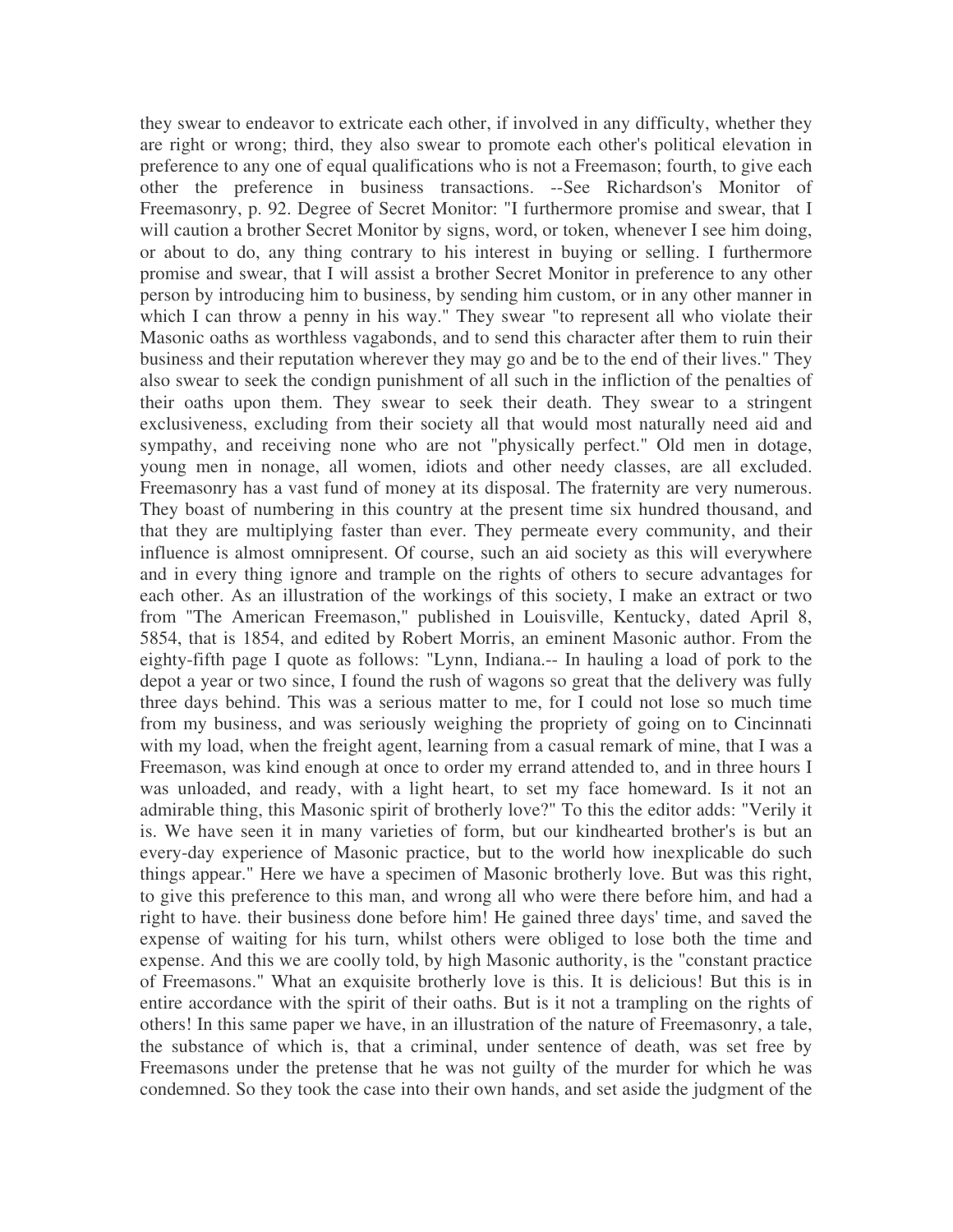they swear to endeavor to extricate each other, if involved in any difficulty, whether they are right or wrong; third, they also swear to promote each other's political elevation in preference to any one of equal qualifications who is not a Freemason; fourth, to give each other the preference in business transactions. --See Richardson's Monitor of Freemasonry, p. 92. Degree of Secret Monitor: "I furthermore promise and swear, that I will caution a brother Secret Monitor by signs, word, or token, whenever I see him doing, or about to do, any thing contrary to his interest in buying or selling. I furthermore promise and swear, that I will assist a brother Secret Monitor in preference to any other person by introducing him to business, by sending him custom, or in any other manner in which I can throw a penny in his way." They swear "to represent all who violate their Masonic oaths as worthless vagabonds, and to send this character after them to ruin their business and their reputation wherever they may go and be to the end of their lives." They also swear to seek the condign punishment of all such in the infliction of the penalties of their oaths upon them. They swear to seek their death. They swear to a stringent exclusiveness, excluding from their society all that would most naturally need aid and sympathy, and receiving none who are not "physically perfect." Old men in dotage, young men in nonage, all women, idiots and other needy classes, are all excluded. Freemasonry has a vast fund of money at its disposal. The fraternity are very numerous. They boast of numbering in this country at the present time six hundred thousand, and that they are multiplying faster than ever. They permeate every community, and their influence is almost omnipresent. Of course, such an aid society as this will everywhere and in every thing ignore and trample on the rights of others to secure advantages for each other. As an illustration of the workings of this society, I make an extract or two from "The American Freemason," published in Louisville, Kentucky, dated April 8, 5854, that is 1854, and edited by Robert Morris, an eminent Masonic author. From the eighty-fifth page I quote as follows: "Lynn, Indiana.-- In hauling a load of pork to the depot a year or two since, I found the rush of wagons so great that the delivery was fully three days behind. This was a serious matter to me, for I could not lose so much time from my business, and was seriously weighing the propriety of going on to Cincinnati with my load, when the freight agent, learning from a casual remark of mine, that I was a Freemason, was kind enough at once to order my errand attended to, and in three hours I was unloaded, and ready, with a light heart, to set my face homeward. Is it not an admirable thing, this Masonic spirit of brotherly love?" To this the editor adds: "Verily it is. We have seen it in many varieties of form, but our kindhearted brother's is but an every-day experience of Masonic practice, but to the world how inexplicable do such things appear." Here we have a specimen of Masonic brotherly love. But was this right, to give this preference to this man, and wrong all who were there before him, and had a right to have. their business done before him! He gained three days' time, and saved the expense of waiting for his turn, whilst others were obliged to lose both the time and expense. And this we are coolly told, by high Masonic authority, is the "constant practice of Freemasons." What an exquisite brotherly love is this. It is delicious! But this is in entire accordance with the spirit of their oaths. But is it not a trampling on the rights of others! In this same paper we have, in an illustration of the nature of Freemasonry, a tale, the substance of which is, that a criminal, under sentence of death, was set free by Freemasons under the pretense that he was not guilty of the murder for which he was condemned. So they took the case into their own hands, and set aside the judgment of the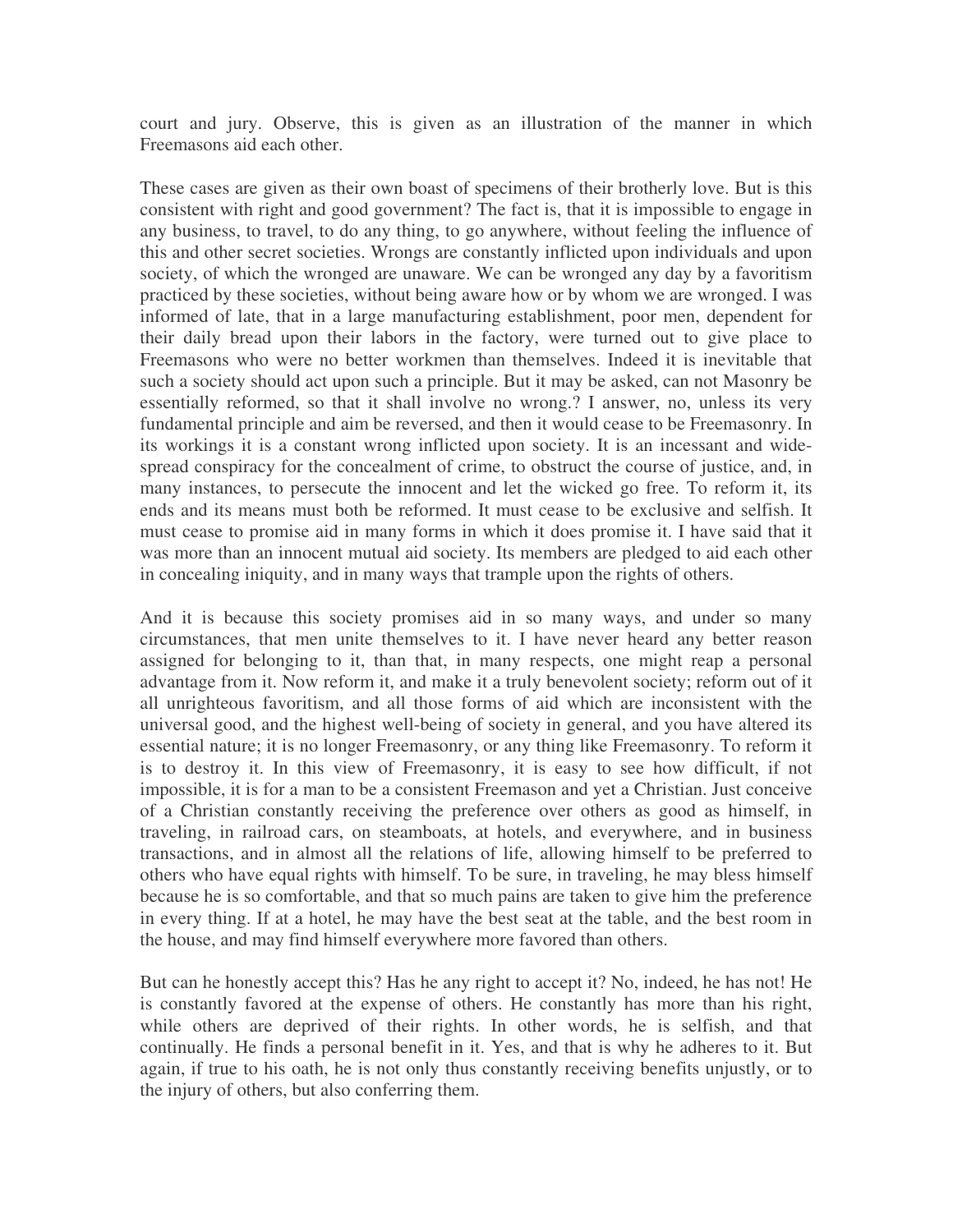court and jury. Observe, this is given as an illustration of the manner in which Freemasons aid each other.

These cases are given as their own boast of specimens of their brotherly love. But is this consistent with right and good government? The fact is, that it is impossible to engage in any business, to travel, to do any thing, to go anywhere, without feeling the influence of this and other secret societies. Wrongs are constantly inflicted upon individuals and upon society, of which the wronged are unaware. We can be wronged any day by a favoritism practiced by these societies, without being aware how or by whom we are wronged. I was informed of late, that in a large manufacturing establishment, poor men, dependent for their daily bread upon their labors in the factory, were turned out to give place to Freemasons who were no better workmen than themselves. Indeed it is inevitable that such a society should act upon such a principle. But it may be asked, can not Masonry be essentially reformed, so that it shall involve no wrong.? I answer, no, unless its very fundamental principle and aim be reversed, and then it would cease to be Freemasonry. In its workings it is a constant wrong inflicted upon society. It is an incessant and widespread conspiracy for the concealment of crime, to obstruct the course of justice, and, in many instances, to persecute the innocent and let the wicked go free. To reform it, its ends and its means must both be reformed. It must cease to be exclusive and selfish. It must cease to promise aid in many forms in which it does promise it. I have said that it was more than an innocent mutual aid society. Its members are pledged to aid each other in concealing iniquity, and in many ways that trample upon the rights of others.

And it is because this society promises aid in so many ways, and under so many circumstances, that men unite themselves to it. I have never heard any better reason assigned for belonging to it, than that, in many respects, one might reap a personal advantage from it. Now reform it, and make it a truly benevolent society; reform out of it all unrighteous favoritism, and all those forms of aid which are inconsistent with the universal good, and the highest well-being of society in general, and you have altered its essential nature; it is no longer Freemasonry, or any thing like Freemasonry. To reform it is to destroy it. In this view of Freemasonry, it is easy to see how difficult, if not impossible, it is for a man to be a consistent Freemason and yet a Christian. Just conceive of a Christian constantly receiving the preference over others as good as himself, in traveling, in railroad cars, on steamboats, at hotels, and everywhere, and in business transactions, and in almost all the relations of life, allowing himself to be preferred to others who have equal rights with himself. To be sure, in traveling, he may bless himself because he is so comfortable, and that so much pains are taken to give him the preference in every thing. If at a hotel, he may have the best seat at the table, and the best room in the house, and may find himself everywhere more favored than others.

But can he honestly accept this? Has he any right to accept it? No, indeed, he has not! He is constantly favored at the expense of others. He constantly has more than his right, while others are deprived of their rights. In other words, he is selfish, and that continually. He finds a personal benefit in it. Yes, and that is why he adheres to it. But again, if true to his oath, he is not only thus constantly receiving benefits unjustly, or to the injury of others, but also conferring them.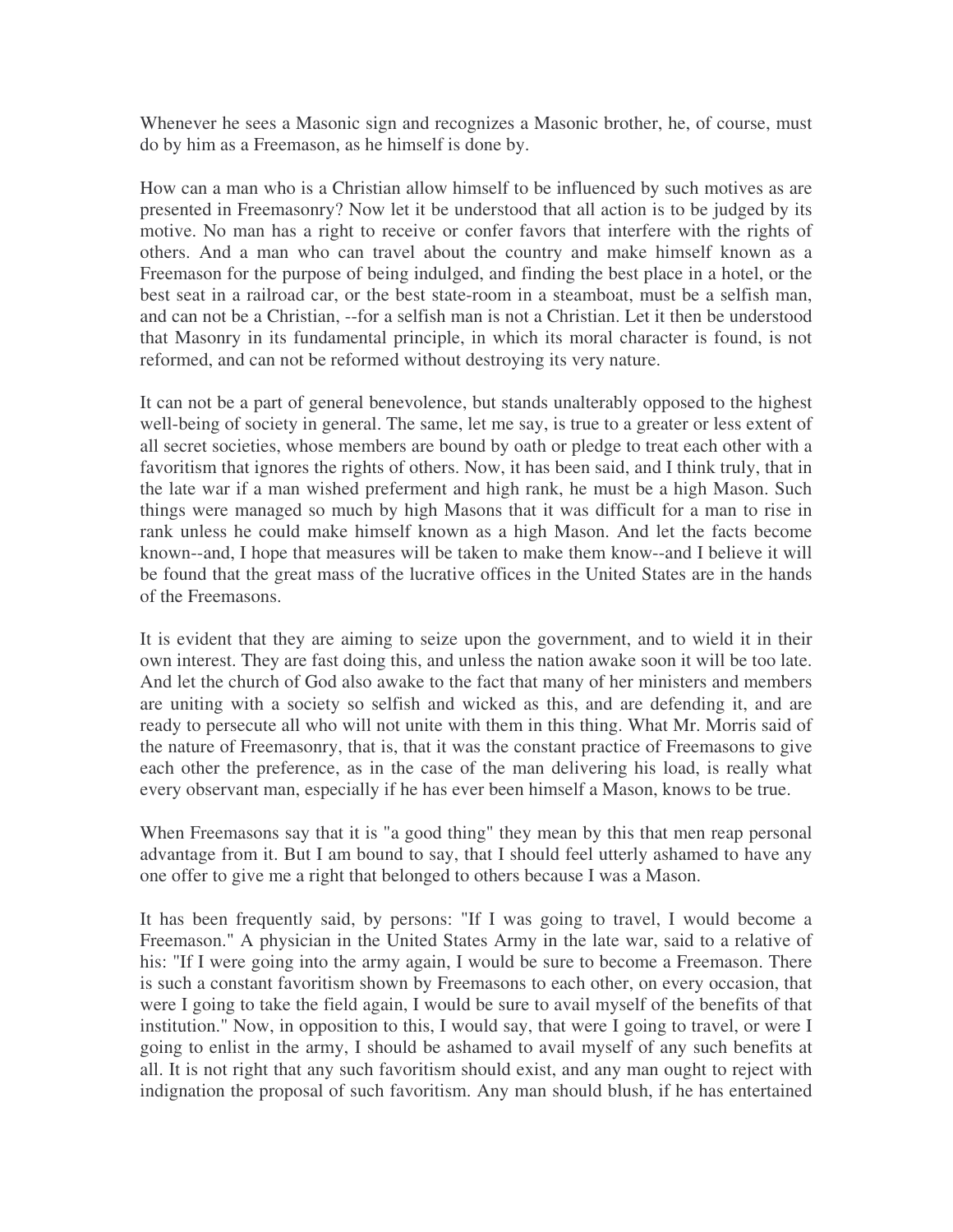Whenever he sees a Masonic sign and recognizes a Masonic brother, he, of course, must do by him as a Freemason, as he himself is done by.

How can a man who is a Christian allow himself to be influenced by such motives as are presented in Freemasonry? Now let it be understood that all action is to be judged by its motive. No man has a right to receive or confer favors that interfere with the rights of others. And a man who can travel about the country and make himself known as a Freemason for the purpose of being indulged, and finding the best place in a hotel, or the best seat in a railroad car, or the best state-room in a steamboat, must be a selfish man, and can not be a Christian, --for a selfish man is not a Christian. Let it then be understood that Masonry in its fundamental principle, in which its moral character is found, is not reformed, and can not be reformed without destroying its very nature.

It can not be a part of general benevolence, but stands unalterably opposed to the highest well-being of society in general. The same, let me say, is true to a greater or less extent of all secret societies, whose members are bound by oath or pledge to treat each other with a favoritism that ignores the rights of others. Now, it has been said, and I think truly, that in the late war if a man wished preferment and high rank, he must be a high Mason. Such things were managed so much by high Masons that it was difficult for a man to rise in rank unless he could make himself known as a high Mason. And let the facts become known--and, I hope that measures will be taken to make them know--and I believe it will be found that the great mass of the lucrative offices in the United States are in the hands of the Freemasons.

It is evident that they are aiming to seize upon the government, and to wield it in their own interest. They are fast doing this, and unless the nation awake soon it will be too late. And let the church of God also awake to the fact that many of her ministers and members are uniting with a society so selfish and wicked as this, and are defending it, and are ready to persecute all who will not unite with them in this thing. What Mr. Morris said of the nature of Freemasonry, that is, that it was the constant practice of Freemasons to give each other the preference, as in the case of the man delivering his load, is really what every observant man, especially if he has ever been himself a Mason, knows to be true.

When Freemasons say that it is "a good thing" they mean by this that men reap personal advantage from it. But I am bound to say, that I should feel utterly ashamed to have any one offer to give me a right that belonged to others because I was a Mason.

It has been frequently said, by persons: "If I was going to travel, I would become a Freemason." A physician in the United States Army in the late war, said to a relative of his: "If I were going into the army again, I would be sure to become a Freemason. There is such a constant favoritism shown by Freemasons to each other, on every occasion, that were I going to take the field again, I would be sure to avail myself of the benefits of that institution." Now, in opposition to this, I would say, that were I going to travel, or were I going to enlist in the army, I should be ashamed to avail myself of any such benefits at all. It is not right that any such favoritism should exist, and any man ought to reject with indignation the proposal of such favoritism. Any man should blush, if he has entertained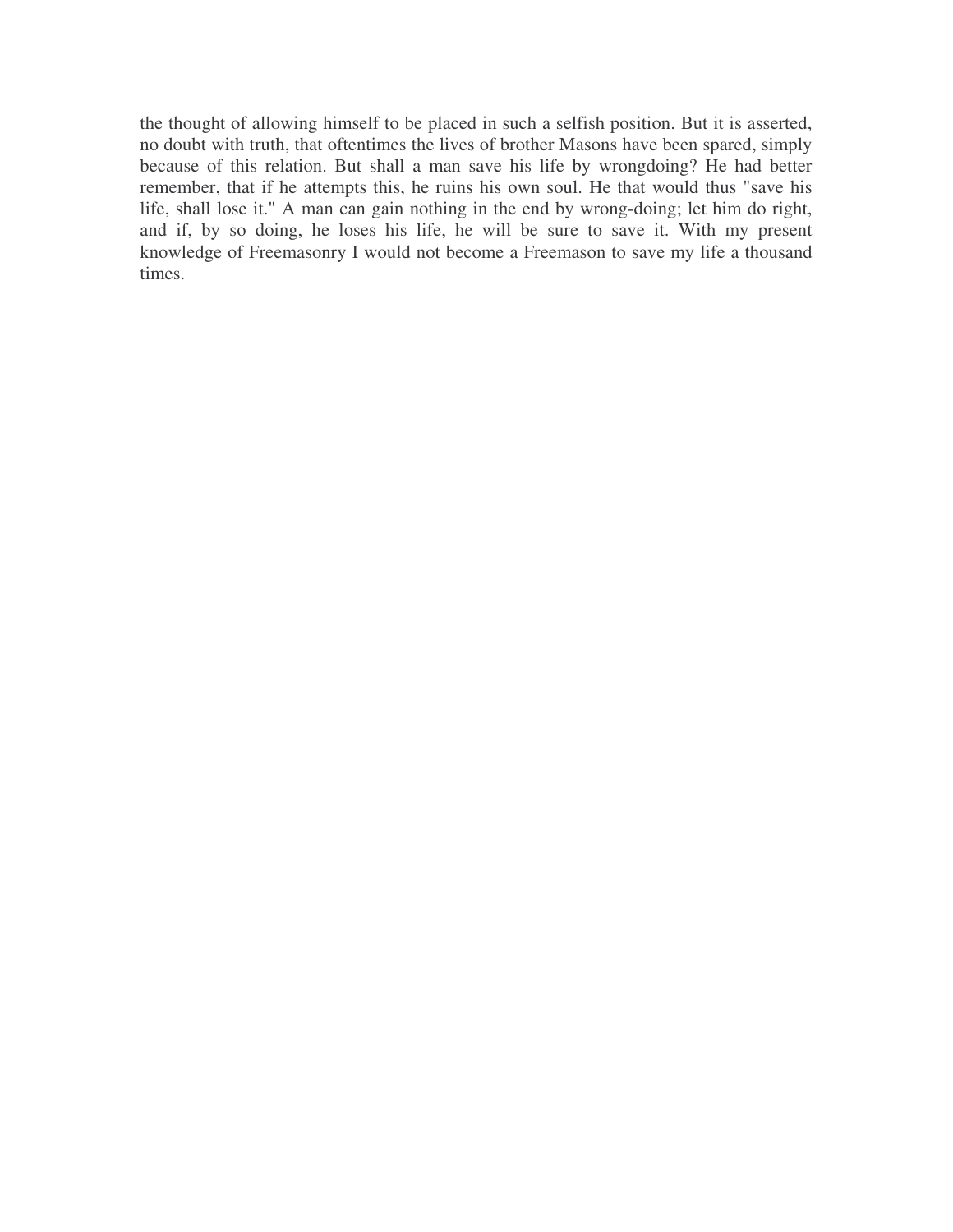the thought of allowing himself to be placed in such a selfish position. But it is asserted, no doubt with truth, that oftentimes the lives of brother Masons have been spared, simply because of this relation. But shall a man save his life by wrongdoing? He had better remember, that if he attempts this, he ruins his own soul. He that would thus "save his life, shall lose it." A man can gain nothing in the end by wrong-doing; let him do right, and if, by so doing, he loses his life, he will be sure to save it. With my present knowledge of Freemasonry I would not become a Freemason to save my life a thousand times.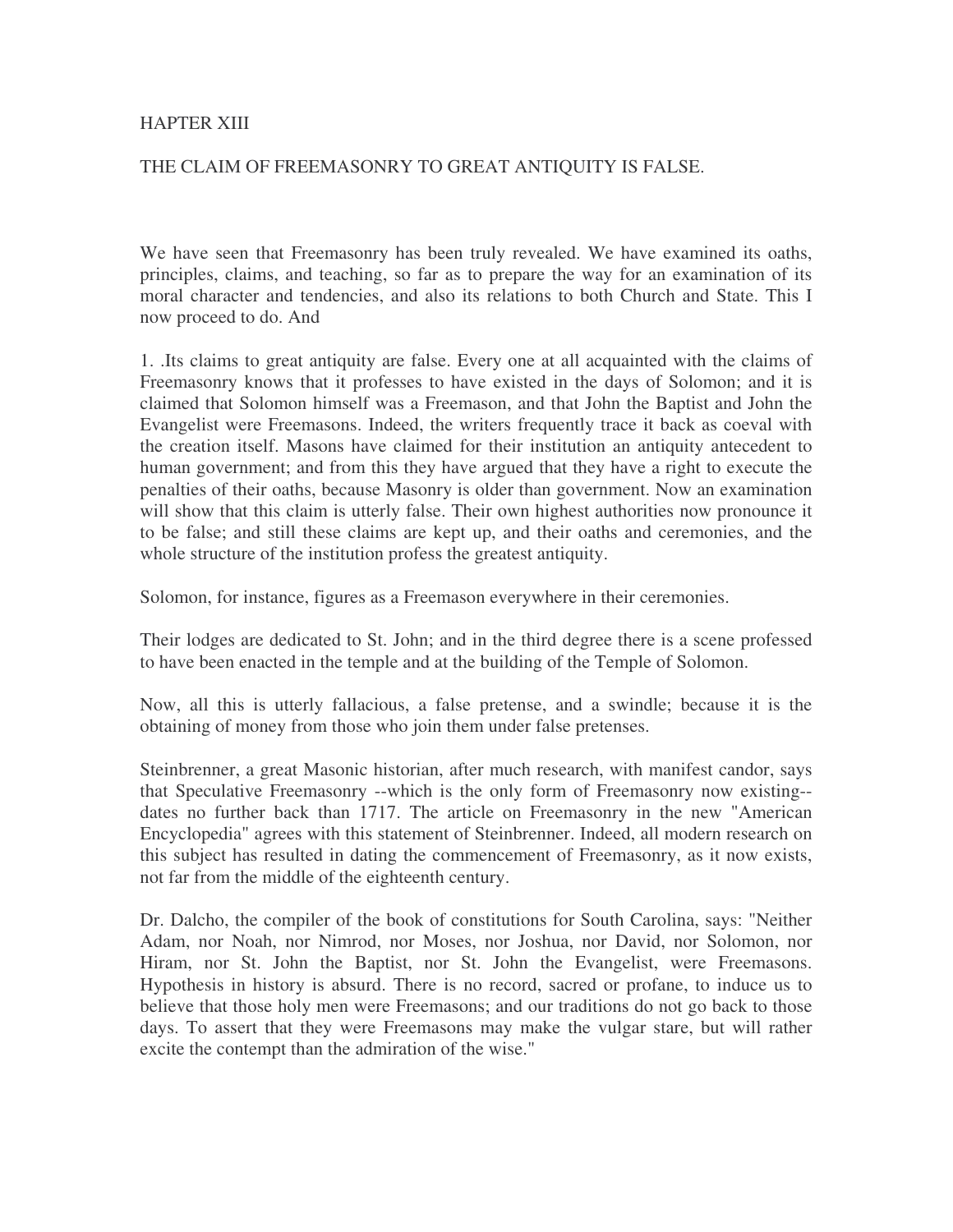# HAPTER XIII

# THE CLAIM OF FREEMASONRY TO GREAT ANTIQUITY IS FALSE.

We have seen that Freemasonry has been truly revealed. We have examined its oaths, principles, claims, and teaching, so far as to prepare the way for an examination of its moral character and tendencies, and also its relations to both Church and State. This I now proceed to do. And

1. .Its claims to great antiquity are false. Every one at all acquainted with the claims of Freemasonry knows that it professes to have existed in the days of Solomon; and it is claimed that Solomon himself was a Freemason, and that John the Baptist and John the Evangelist were Freemasons. Indeed, the writers frequently trace it back as coeval with the creation itself. Masons have claimed for their institution an antiquity antecedent to human government; and from this they have argued that they have a right to execute the penalties of their oaths, because Masonry is older than government. Now an examination will show that this claim is utterly false. Their own highest authorities now pronounce it to be false; and still these claims are kept up, and their oaths and ceremonies, and the whole structure of the institution profess the greatest antiquity.

Solomon, for instance, figures as a Freemason everywhere in their ceremonies.

Their lodges are dedicated to St. John; and in the third degree there is a scene professed to have been enacted in the temple and at the building of the Temple of Solomon.

Now, all this is utterly fallacious, a false pretense, and a swindle; because it is the obtaining of money from those who join them under false pretenses.

Steinbrenner, a great Masonic historian, after much research, with manifest candor, says that Speculative Freemasonry --which is the only form of Freemasonry now existing- dates no further back than 1717. The article on Freemasonry in the new "American Encyclopedia" agrees with this statement of Steinbrenner. Indeed, all modern research on this subject has resulted in dating the commencement of Freemasonry, as it now exists, not far from the middle of the eighteenth century.

Dr. Dalcho, the compiler of the book of constitutions for South Carolina, says: "Neither Adam, nor Noah, nor Nimrod, nor Moses, nor Joshua, nor David, nor Solomon, nor Hiram, nor St. John the Baptist, nor St. John the Evangelist, were Freemasons. Hypothesis in history is absurd. There is no record, sacred or profane, to induce us to believe that those holy men were Freemasons; and our traditions do not go back to those days. To assert that they were Freemasons may make the vulgar stare, but will rather excite the contempt than the admiration of the wise."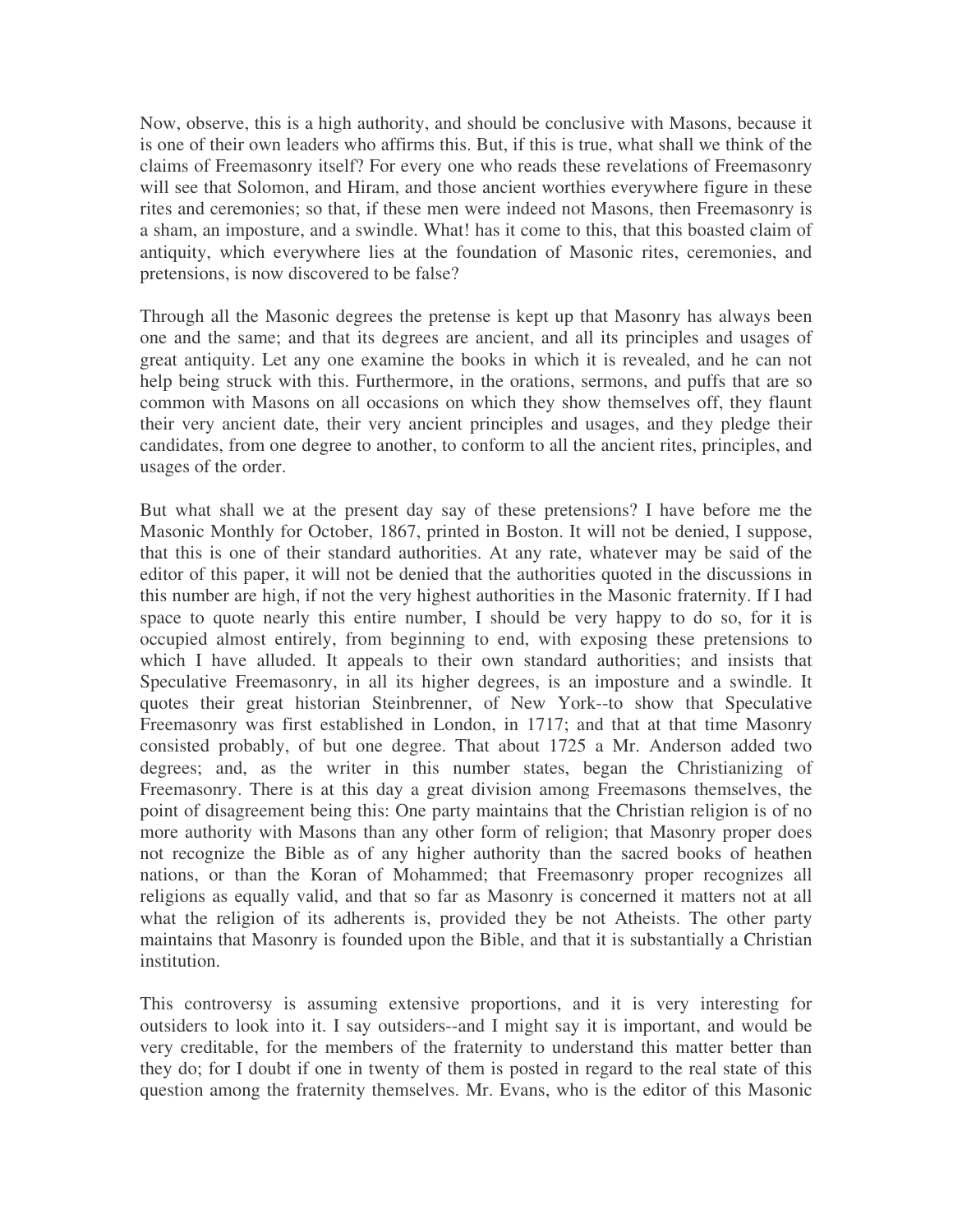Now, observe, this is a high authority, and should be conclusive with Masons, because it is one of their own leaders who affirms this. But, if this is true, what shall we think of the claims of Freemasonry itself? For every one who reads these revelations of Freemasonry will see that Solomon, and Hiram, and those ancient worthies everywhere figure in these rites and ceremonies; so that, if these men were indeed not Masons, then Freemasonry is a sham, an imposture, and a swindle. What! has it come to this, that this boasted claim of antiquity, which everywhere lies at the foundation of Masonic rites, ceremonies, and pretensions, is now discovered to be false?

Through all the Masonic degrees the pretense is kept up that Masonry has always been one and the same; and that its degrees are ancient, and all its principles and usages of great antiquity. Let any one examine the books in which it is revealed, and he can not help being struck with this. Furthermore, in the orations, sermons, and puffs that are so common with Masons on all occasions on which they show themselves off, they flaunt their very ancient date, their very ancient principles and usages, and they pledge their candidates, from one degree to another, to conform to all the ancient rites, principles, and usages of the order.

But what shall we at the present day say of these pretensions? I have before me the Masonic Monthly for October, 1867, printed in Boston. It will not be denied, I suppose, that this is one of their standard authorities. At any rate, whatever may be said of the editor of this paper, it will not be denied that the authorities quoted in the discussions in this number are high, if not the very highest authorities in the Masonic fraternity. If I had space to quote nearly this entire number, I should be very happy to do so, for it is occupied almost entirely, from beginning to end, with exposing these pretensions to which I have alluded. It appeals to their own standard authorities; and insists that Speculative Freemasonry, in all its higher degrees, is an imposture and a swindle. It quotes their great historian Steinbrenner, of New York--to show that Speculative Freemasonry was first established in London, in 1717; and that at that time Masonry consisted probably, of but one degree. That about 1725 a Mr. Anderson added two degrees; and, as the writer in this number states, began the Christianizing of Freemasonry. There is at this day a great division among Freemasons themselves, the point of disagreement being this: One party maintains that the Christian religion is of no more authority with Masons than any other form of religion; that Masonry proper does not recognize the Bible as of any higher authority than the sacred books of heathen nations, or than the Koran of Mohammed; that Freemasonry proper recognizes all religions as equally valid, and that so far as Masonry is concerned it matters not at all what the religion of its adherents is, provided they be not Atheists. The other party maintains that Masonry is founded upon the Bible, and that it is substantially a Christian institution.

This controversy is assuming extensive proportions, and it is very interesting for outsiders to look into it. I say outsiders--and I might say it is important, and would be very creditable, for the members of the fraternity to understand this matter better than they do; for I doubt if one in twenty of them is posted in regard to the real state of this question among the fraternity themselves. Mr. Evans, who is the editor of this Masonic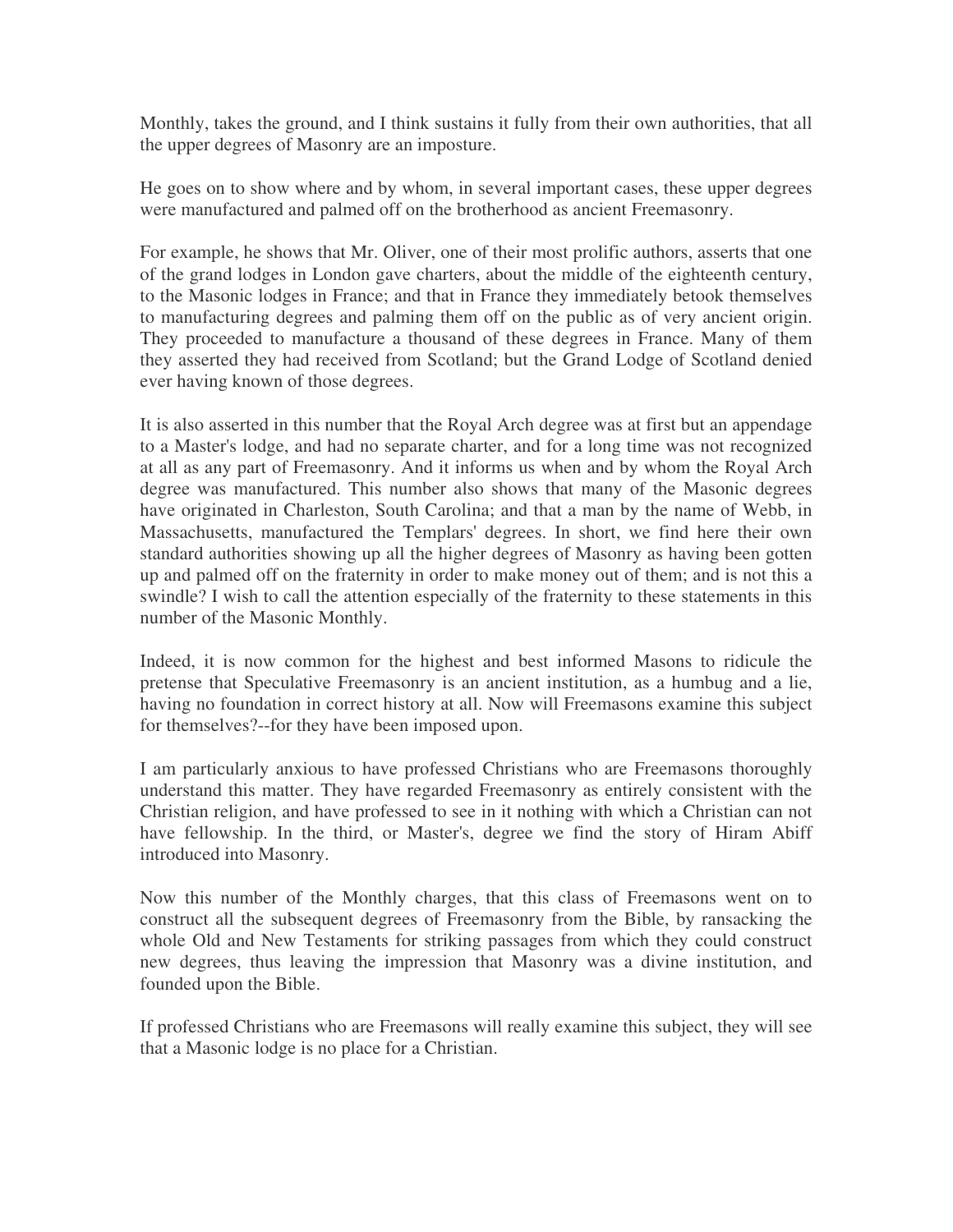Monthly, takes the ground, and I think sustains it fully from their own authorities, that all the upper degrees of Masonry are an imposture.

He goes on to show where and by whom, in several important cases, these upper degrees were manufactured and palmed off on the brotherhood as ancient Freemasonry.

For example, he shows that Mr. Oliver, one of their most prolific authors, asserts that one of the grand lodges in London gave charters, about the middle of the eighteenth century, to the Masonic lodges in France; and that in France they immediately betook themselves to manufacturing degrees and palming them off on the public as of very ancient origin. They proceeded to manufacture a thousand of these degrees in France. Many of them they asserted they had received from Scotland; but the Grand Lodge of Scotland denied ever having known of those degrees.

It is also asserted in this number that the Royal Arch degree was at first but an appendage to a Master's lodge, and had no separate charter, and for a long time was not recognized at all as any part of Freemasonry. And it informs us when and by whom the Royal Arch degree was manufactured. This number also shows that many of the Masonic degrees have originated in Charleston, South Carolina; and that a man by the name of Webb, in Massachusetts, manufactured the Templars' degrees. In short, we find here their own standard authorities showing up all the higher degrees of Masonry as having been gotten up and palmed off on the fraternity in order to make money out of them; and is not this a swindle? I wish to call the attention especially of the fraternity to these statements in this number of the Masonic Monthly.

Indeed, it is now common for the highest and best informed Masons to ridicule the pretense that Speculative Freemasonry is an ancient institution, as a humbug and a lie, having no foundation in correct history at all. Now will Freemasons examine this subject for themselves?--for they have been imposed upon.

I am particularly anxious to have professed Christians who are Freemasons thoroughly understand this matter. They have regarded Freemasonry as entirely consistent with the Christian religion, and have professed to see in it nothing with which a Christian can not have fellowship. In the third, or Master's, degree we find the story of Hiram Abiff introduced into Masonry.

Now this number of the Monthly charges, that this class of Freemasons went on to construct all the subsequent degrees of Freemasonry from the Bible, by ransacking the whole Old and New Testaments for striking passages from which they could construct new degrees, thus leaving the impression that Masonry was a divine institution, and founded upon the Bible.

If professed Christians who are Freemasons will really examine this subject, they will see that a Masonic lodge is no place for a Christian.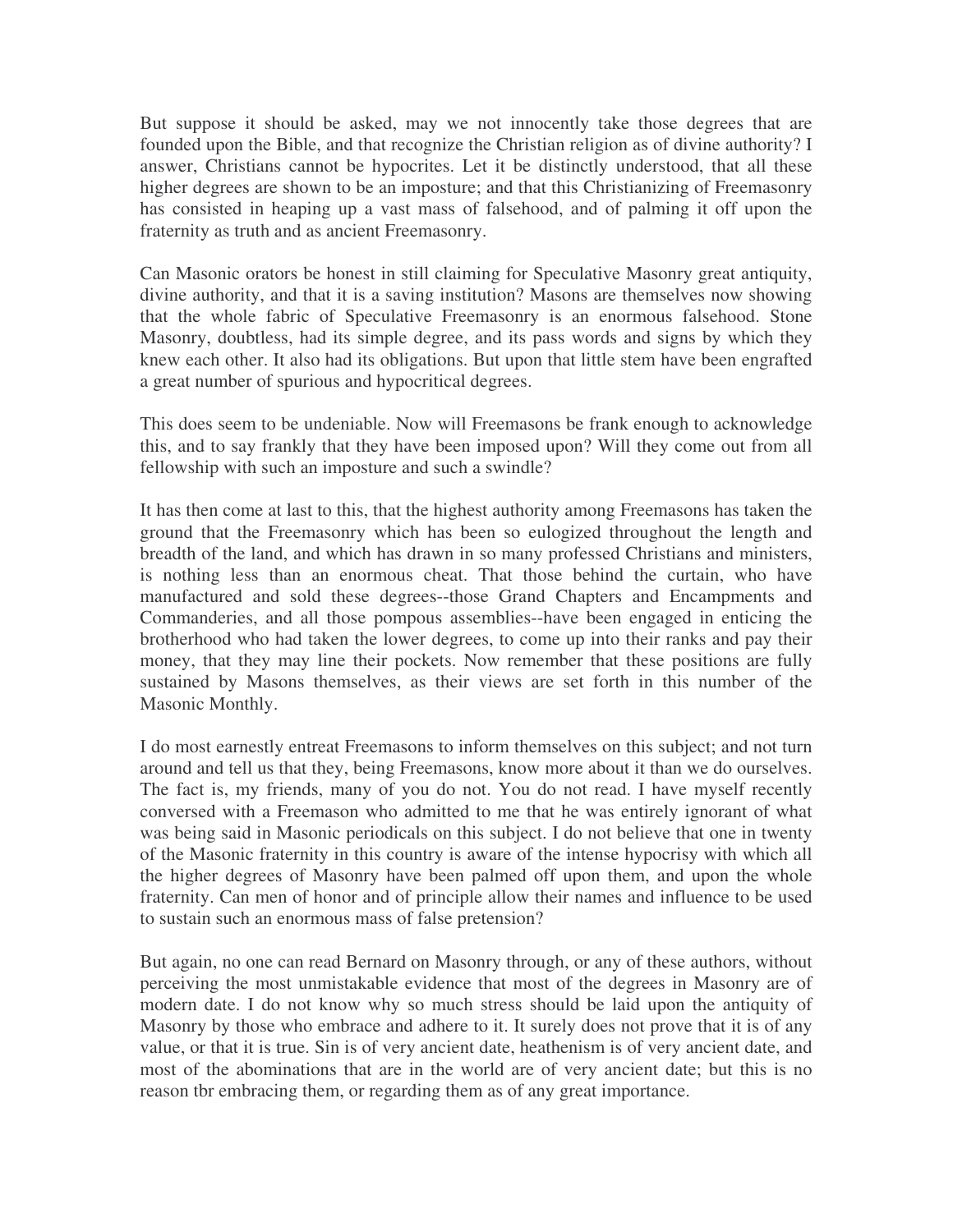But suppose it should be asked, may we not innocently take those degrees that are founded upon the Bible, and that recognize the Christian religion as of divine authority? I answer, Christians cannot be hypocrites. Let it be distinctly understood, that all these higher degrees are shown to be an imposture; and that this Christianizing of Freemasonry has consisted in heaping up a vast mass of falsehood, and of palming it off upon the fraternity as truth and as ancient Freemasonry.

Can Masonic orators be honest in still claiming for Speculative Masonry great antiquity, divine authority, and that it is a saving institution? Masons are themselves now showing that the whole fabric of Speculative Freemasonry is an enormous falsehood. Stone Masonry, doubtless, had its simple degree, and its pass words and signs by which they knew each other. It also had its obligations. But upon that little stem have been engrafted a great number of spurious and hypocritical degrees.

This does seem to be undeniable. Now will Freemasons be frank enough to acknowledge this, and to say frankly that they have been imposed upon? Will they come out from all fellowship with such an imposture and such a swindle?

It has then come at last to this, that the highest authority among Freemasons has taken the ground that the Freemasonry which has been so eulogized throughout the length and breadth of the land, and which has drawn in so many professed Christians and ministers, is nothing less than an enormous cheat. That those behind the curtain, who have manufactured and sold these degrees--those Grand Chapters and Encampments and Commanderies, and all those pompous assemblies--have been engaged in enticing the brotherhood who had taken the lower degrees, to come up into their ranks and pay their money, that they may line their pockets. Now remember that these positions are fully sustained by Masons themselves, as their views are set forth in this number of the Masonic Monthly.

I do most earnestly entreat Freemasons to inform themselves on this subject; and not turn around and tell us that they, being Freemasons, know more about it than we do ourselves. The fact is, my friends, many of you do not. You do not read. I have myself recently conversed with a Freemason who admitted to me that he was entirely ignorant of what was being said in Masonic periodicals on this subject. I do not believe that one in twenty of the Masonic fraternity in this country is aware of the intense hypocrisy with which all the higher degrees of Masonry have been palmed off upon them, and upon the whole fraternity. Can men of honor and of principle allow their names and influence to be used to sustain such an enormous mass of false pretension?

But again, no one can read Bernard on Masonry through, or any of these authors, without perceiving the most unmistakable evidence that most of the degrees in Masonry are of modern date. I do not know why so much stress should be laid upon the antiquity of Masonry by those who embrace and adhere to it. It surely does not prove that it is of any value, or that it is true. Sin is of very ancient date, heathenism is of very ancient date, and most of the abominations that are in the world are of very ancient date; but this is no reason tbr embracing them, or regarding them as of any great importance.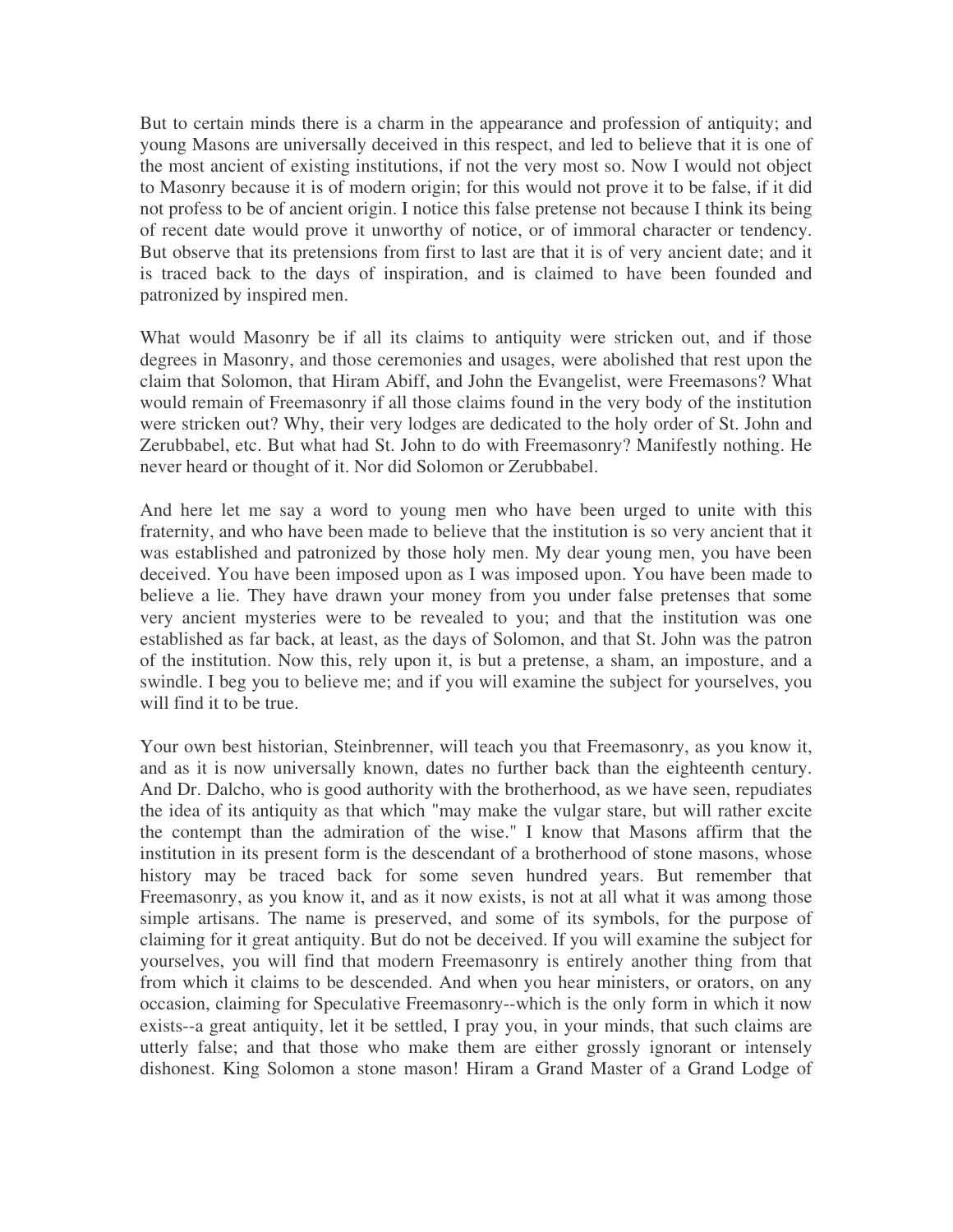But to certain minds there is a charm in the appearance and profession of antiquity; and young Masons are universally deceived in this respect, and led to believe that it is one of the most ancient of existing institutions, if not the very most so. Now I would not object to Masonry because it is of modern origin; for this would not prove it to be false, if it did not profess to be of ancient origin. I notice this false pretense not because I think its being of recent date would prove it unworthy of notice, or of immoral character or tendency. But observe that its pretensions from first to last are that it is of very ancient date; and it is traced back to the days of inspiration, and is claimed to have been founded and patronized by inspired men.

What would Masonry be if all its claims to antiquity were stricken out, and if those degrees in Masonry, and those ceremonies and usages, were abolished that rest upon the claim that Solomon, that Hiram Abiff, and John the Evangelist, were Freemasons? What would remain of Freemasonry if all those claims found in the very body of the institution were stricken out? Why, their very lodges are dedicated to the holy order of St. John and Zerubbabel, etc. But what had St. John to do with Freemasonry? Manifestly nothing. He never heard or thought of it. Nor did Solomon or Zerubbabel.

And here let me say a word to young men who have been urged to unite with this fraternity, and who have been made to believe that the institution is so very ancient that it was established and patronized by those holy men. My dear young men, you have been deceived. You have been imposed upon as I was imposed upon. You have been made to believe a lie. They have drawn your money from you under false pretenses that some very ancient mysteries were to be revealed to you; and that the institution was one established as far back, at least, as the days of Solomon, and that St. John was the patron of the institution. Now this, rely upon it, is but a pretense, a sham, an imposture, and a swindle. I beg you to believe me; and if you will examine the subject for yourselves, you will find it to be true.

Your own best historian, Steinbrenner, will teach you that Freemasonry, as you know it, and as it is now universally known, dates no further back than the eighteenth century. And Dr. Dalcho, who is good authority with the brotherhood, as we have seen, repudiates the idea of its antiquity as that which "may make the vulgar stare, but will rather excite the contempt than the admiration of the wise." I know that Masons affirm that the institution in its present form is the descendant of a brotherhood of stone masons, whose history may be traced back for some seven hundred years. But remember that Freemasonry, as you know it, and as it now exists, is not at all what it was among those simple artisans. The name is preserved, and some of its symbols, for the purpose of claiming for it great antiquity. But do not be deceived. If you will examine the subject for yourselves, you will find that modern Freemasonry is entirely another thing from that from which it claims to be descended. And when you hear ministers, or orators, on any occasion, claiming for Speculative Freemasonry--which is the only form in which it now exists--a great antiquity, let it be settled, I pray you, in your minds, that such claims are utterly false; and that those who make them are either grossly ignorant or intensely dishonest. King Solomon a stone mason! Hiram a Grand Master of a Grand Lodge of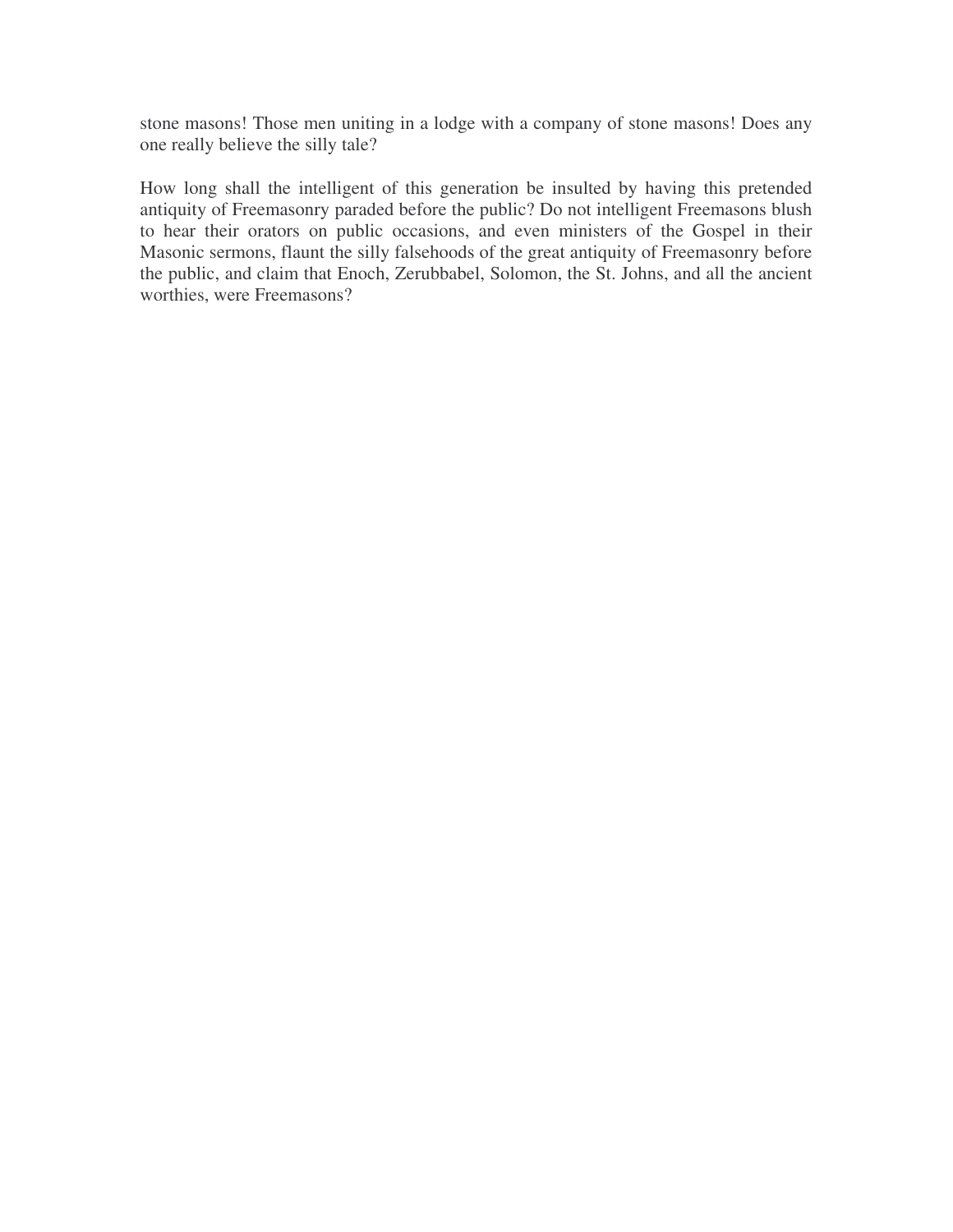stone masons! Those men uniting in a lodge with a company of stone masons! Does any one really believe the silly tale?

How long shall the intelligent of this generation be insulted by having this pretended antiquity of Freemasonry paraded before the public? Do not intelligent Freemasons blush to hear their orators on public occasions, and even ministers of the Gospel in their Masonic sermons, flaunt the silly falsehoods of the great antiquity of Freemasonry before the public, and claim that Enoch, Zerubbabel, Solomon, the St. Johns, and all the ancient worthies, were Freemasons?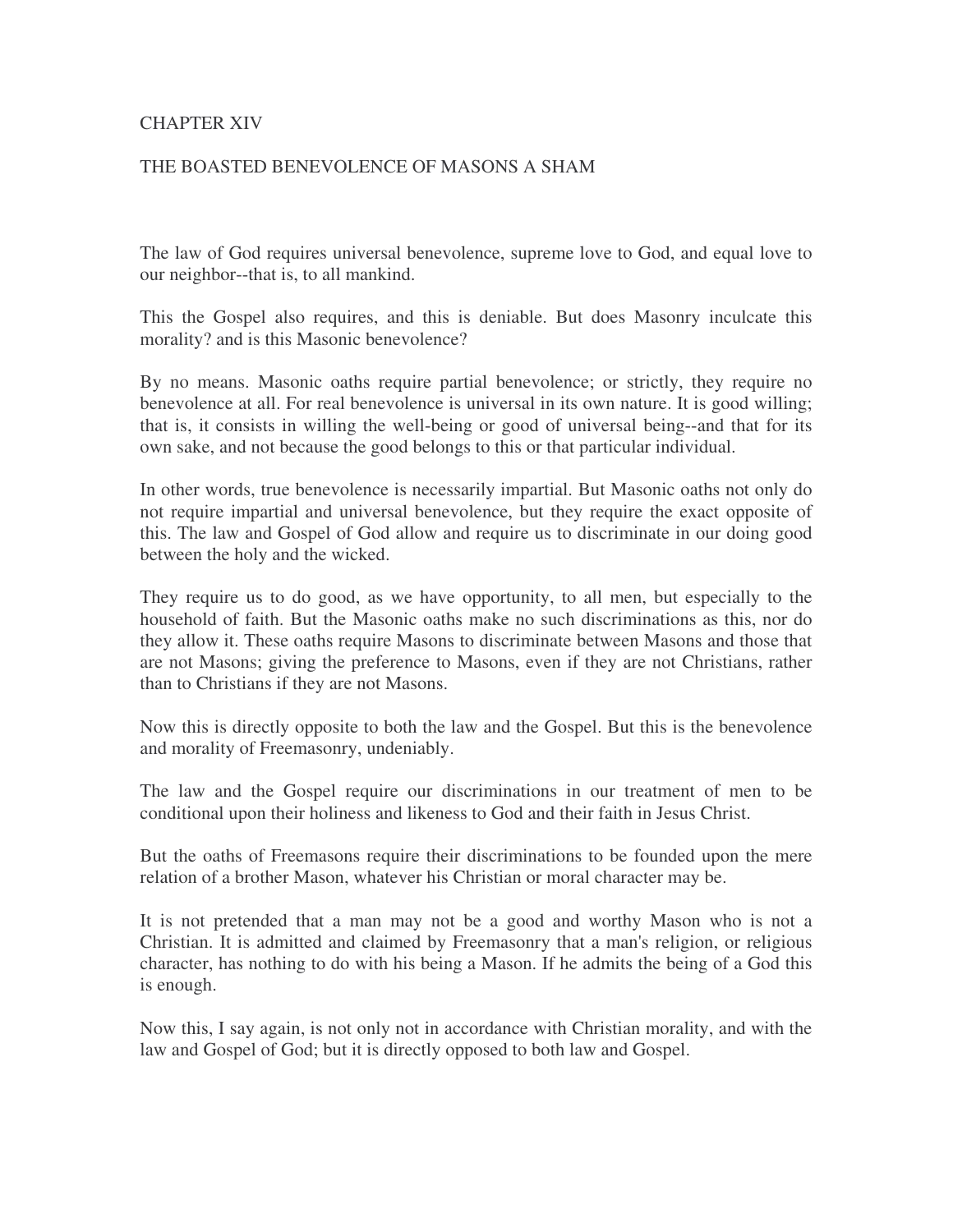## CHAPTER XIV

## THE BOASTED BENEVOLENCE OF MASONS A SHAM

The law of God requires universal benevolence, supreme love to God, and equal love to our neighbor--that is, to all mankind.

This the Gospel also requires, and this is deniable. But does Masonry inculcate this morality? and is this Masonic benevolence?

By no means. Masonic oaths require partial benevolence; or strictly, they require no benevolence at all. For real benevolence is universal in its own nature. It is good willing; that is, it consists in willing the well-being or good of universal being--and that for its own sake, and not because the good belongs to this or that particular individual.

In other words, true benevolence is necessarily impartial. But Masonic oaths not only do not require impartial and universal benevolence, but they require the exact opposite of this. The law and Gospel of God allow and require us to discriminate in our doing good between the holy and the wicked.

They require us to do good, as we have opportunity, to all men, but especially to the household of faith. But the Masonic oaths make no such discriminations as this, nor do they allow it. These oaths require Masons to discriminate between Masons and those that are not Masons; giving the preference to Masons, even if they are not Christians, rather than to Christians if they are not Masons.

Now this is directly opposite to both the law and the Gospel. But this is the benevolence and morality of Freemasonry, undeniably.

The law and the Gospel require our discriminations in our treatment of men to be conditional upon their holiness and likeness to God and their faith in Jesus Christ.

But the oaths of Freemasons require their discriminations to be founded upon the mere relation of a brother Mason, whatever his Christian or moral character may be.

It is not pretended that a man may not be a good and worthy Mason who is not a Christian. It is admitted and claimed by Freemasonry that a man's religion, or religious character, has nothing to do with his being a Mason. If he admits the being of a God this is enough.

Now this, I say again, is not only not in accordance with Christian morality, and with the law and Gospel of God; but it is directly opposed to both law and Gospel.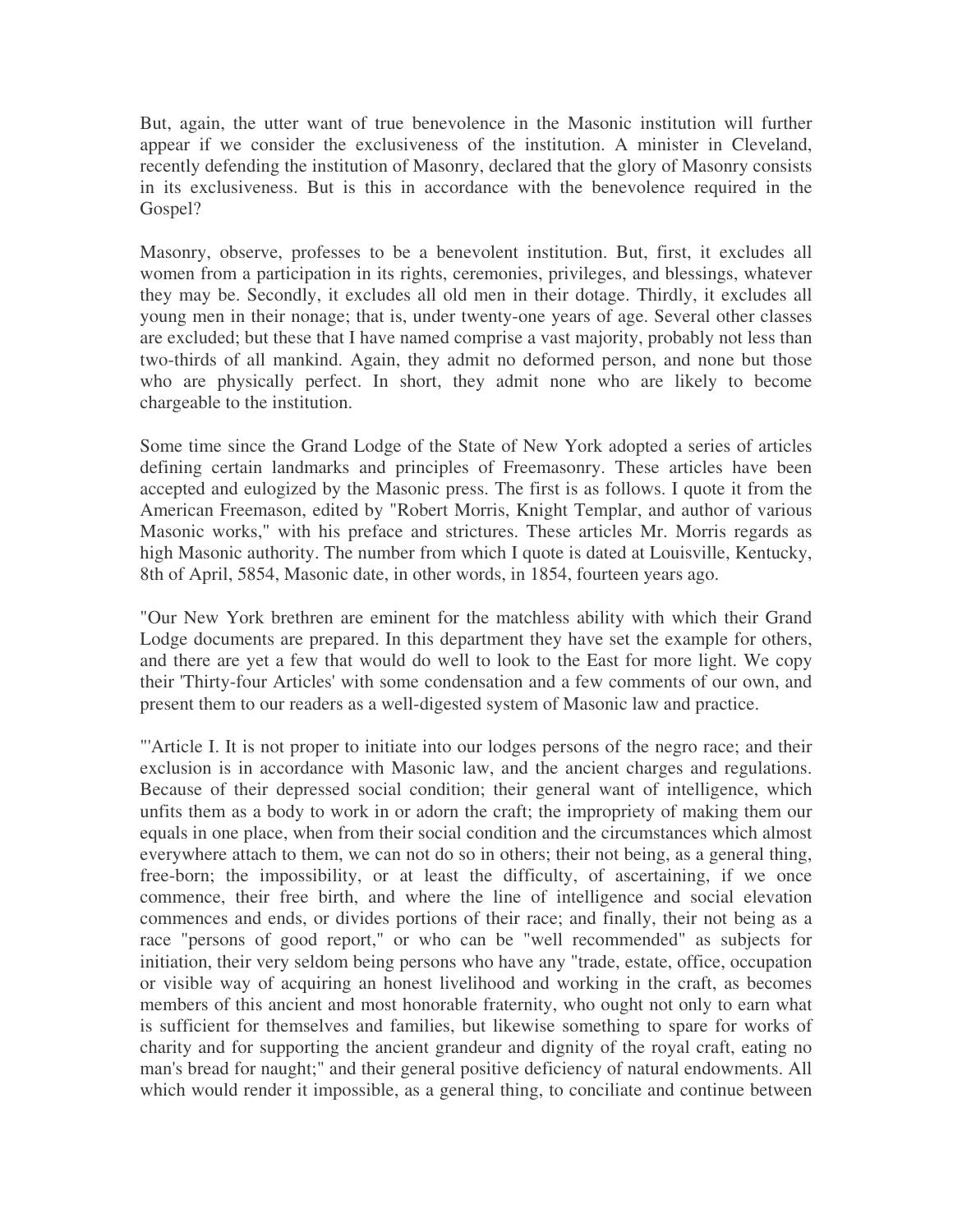But, again, the utter want of true benevolence in the Masonic institution will further appear if we consider the exclusiveness of the institution. A minister in Cleveland, recently defending the institution of Masonry, declared that the glory of Masonry consists in its exclusiveness. But is this in accordance with the benevolence required in the Gospel?

Masonry, observe, professes to be a benevolent institution. But, first, it excludes all women from a participation in its rights, ceremonies, privileges, and blessings, whatever they may be. Secondly, it excludes all old men in their dotage. Thirdly, it excludes all young men in their nonage; that is, under twenty-one years of age. Several other classes are excluded; but these that I have named comprise a vast majority, probably not less than two-thirds of all mankind. Again, they admit no deformed person, and none but those who are physically perfect. In short, they admit none who are likely to become chargeable to the institution.

Some time since the Grand Lodge of the State of New York adopted a series of articles defining certain landmarks and principles of Freemasonry. These articles have been accepted and eulogized by the Masonic press. The first is as follows. I quote it from the American Freemason, edited by "Robert Morris, Knight Templar, and author of various Masonic works," with his preface and strictures. These articles Mr. Morris regards as high Masonic authority. The number from which I quote is dated at Louisville, Kentucky, 8th of April, 5854, Masonic date, in other words, in 1854, fourteen years ago.

"Our New York brethren are eminent for the matchless ability with which their Grand Lodge documents are prepared. In this department they have set the example for others, and there are yet a few that would do well to look to the East for more light. We copy their 'Thirty-four Articles' with some condensation and a few comments of our own, and present them to our readers as a well-digested system of Masonic law and practice.

"'Article I. It is not proper to initiate into our lodges persons of the negro race; and their exclusion is in accordance with Masonic law, and the ancient charges and regulations. Because of their depressed social condition; their general want of intelligence, which unfits them as a body to work in or adorn the craft; the impropriety of making them our equals in one place, when from their social condition and the circumstances which almost everywhere attach to them, we can not do so in others; their not being, as a general thing, free-born; the impossibility, or at least the difficulty, of ascertaining, if we once commence, their free birth, and where the line of intelligence and social elevation commences and ends, or divides portions of their race; and finally, their not being as a race "persons of good report," or who can be "well recommended" as subjects for initiation, their very seldom being persons who have any "trade, estate, office, occupation or visible way of acquiring an honest livelihood and working in the craft, as becomes members of this ancient and most honorable fraternity, who ought not only to earn what is sufficient for themselves and families, but likewise something to spare for works of charity and for supporting the ancient grandeur and dignity of the royal craft, eating no man's bread for naught;" and their general positive deficiency of natural endowments. All which would render it impossible, as a general thing, to conciliate and continue between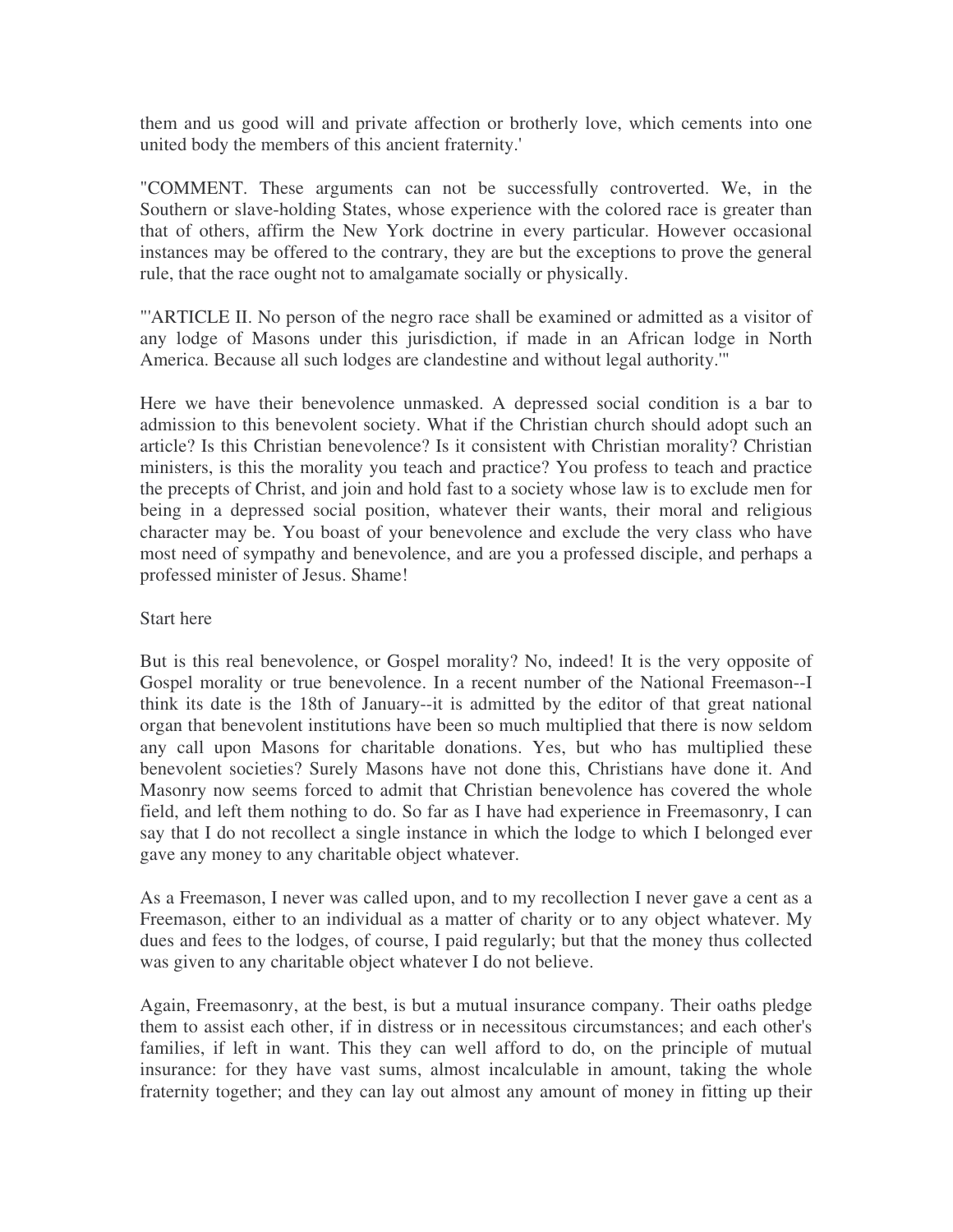them and us good will and private affection or brotherly love, which cements into one united body the members of this ancient fraternity.'

"COMMENT. These arguments can not be successfully controverted. We, in the Southern or slave-holding States, whose experience with the colored race is greater than that of others, affirm the New York doctrine in every particular. However occasional instances may be offered to the contrary, they are but the exceptions to prove the general rule, that the race ought not to amalgamate socially or physically.

"'ARTICLE II. No person of the negro race shall be examined or admitted as a visitor of any lodge of Masons under this jurisdiction, if made in an African lodge in North America. Because all such lodges are clandestine and without legal authority.'"

Here we have their benevolence unmasked. A depressed social condition is a bar to admission to this benevolent society. What if the Christian church should adopt such an article? Is this Christian benevolence? Is it consistent with Christian morality? Christian ministers, is this the morality you teach and practice? You profess to teach and practice the precepts of Christ, and join and hold fast to a society whose law is to exclude men for being in a depressed social position, whatever their wants, their moral and religious character may be. You boast of your benevolence and exclude the very class who have most need of sympathy and benevolence, and are you a professed disciple, and perhaps a professed minister of Jesus. Shame!

### Start here

But is this real benevolence, or Gospel morality? No, indeed! It is the very opposite of Gospel morality or true benevolence. In a recent number of the National Freemason--I think its date is the 18th of January--it is admitted by the editor of that great national organ that benevolent institutions have been so much multiplied that there is now seldom any call upon Masons for charitable donations. Yes, but who has multiplied these benevolent societies? Surely Masons have not done this, Christians have done it. And Masonry now seems forced to admit that Christian benevolence has covered the whole field, and left them nothing to do. So far as I have had experience in Freemasonry, I can say that I do not recollect a single instance in which the lodge to which I belonged ever gave any money to any charitable object whatever.

As a Freemason, I never was called upon, and to my recollection I never gave a cent as a Freemason, either to an individual as a matter of charity or to any object whatever. My dues and fees to the lodges, of course, I paid regularly; but that the money thus collected was given to any charitable object whatever I do not believe.

Again, Freemasonry, at the best, is but a mutual insurance company. Their oaths pledge them to assist each other, if in distress or in necessitous circumstances; and each other's families, if left in want. This they can well afford to do, on the principle of mutual insurance: for they have vast sums, almost incalculable in amount, taking the whole fraternity together; and they can lay out almost any amount of money in fitting up their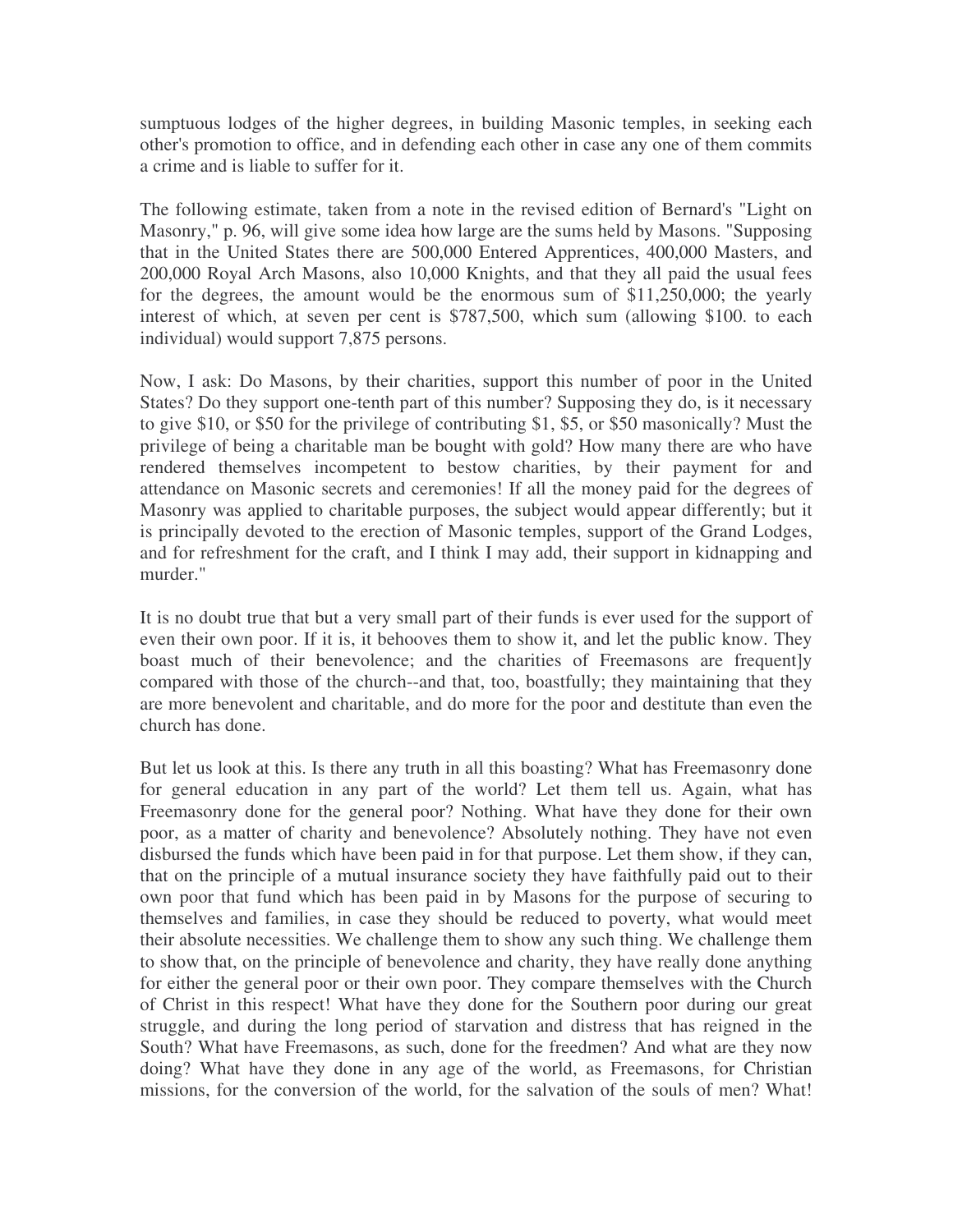sumptuous lodges of the higher degrees, in building Masonic temples, in seeking each other's promotion to office, and in defending each other in case any one of them commits a crime and is liable to suffer for it.

The following estimate, taken from a note in the revised edition of Bernard's "Light on Masonry," p. 96, will give some idea how large are the sums held by Masons. "Supposing that in the United States there are 500,000 Entered Apprentices, 400,000 Masters, and 200,000 Royal Arch Masons, also 10,000 Knights, and that they all paid the usual fees for the degrees, the amount would be the enormous sum of \$11,250,000; the yearly interest of which, at seven per cent is \$787,500, which sum (allowing \$100. to each individual) would support 7,875 persons.

Now, I ask: Do Masons, by their charities, support this number of poor in the United States? Do they support one-tenth part of this number? Supposing they do, is it necessary to give \$10, or \$50 for the privilege of contributing \$1, \$5, or \$50 masonically? Must the privilege of being a charitable man be bought with gold? How many there are who have rendered themselves incompetent to bestow charities, by their payment for and attendance on Masonic secrets and ceremonies! If all the money paid for the degrees of Masonry was applied to charitable purposes, the subject would appear differently; but it is principally devoted to the erection of Masonic temples, support of the Grand Lodges, and for refreshment for the craft, and I think I may add, their support in kidnapping and murder."

It is no doubt true that but a very small part of their funds is ever used for the support of even their own poor. If it is, it behooves them to show it, and let the public know. They boast much of their benevolence; and the charities of Freemasons are frequent]y compared with those of the church--and that, too, boastfully; they maintaining that they are more benevolent and charitable, and do more for the poor and destitute than even the church has done.

But let us look at this. Is there any truth in all this boasting? What has Freemasonry done for general education in any part of the world? Let them tell us. Again, what has Freemasonry done for the general poor? Nothing. What have they done for their own poor, as a matter of charity and benevolence? Absolutely nothing. They have not even disbursed the funds which have been paid in for that purpose. Let them show, if they can, that on the principle of a mutual insurance society they have faithfully paid out to their own poor that fund which has been paid in by Masons for the purpose of securing to themselves and families, in case they should be reduced to poverty, what would meet their absolute necessities. We challenge them to show any such thing. We challenge them to show that, on the principle of benevolence and charity, they have really done anything for either the general poor or their own poor. They compare themselves with the Church of Christ in this respect! What have they done for the Southern poor during our great struggle, and during the long period of starvation and distress that has reigned in the South? What have Freemasons, as such, done for the freedmen? And what are they now doing? What have they done in any age of the world, as Freemasons, for Christian missions, for the conversion of the world, for the salvation of the souls of men? What!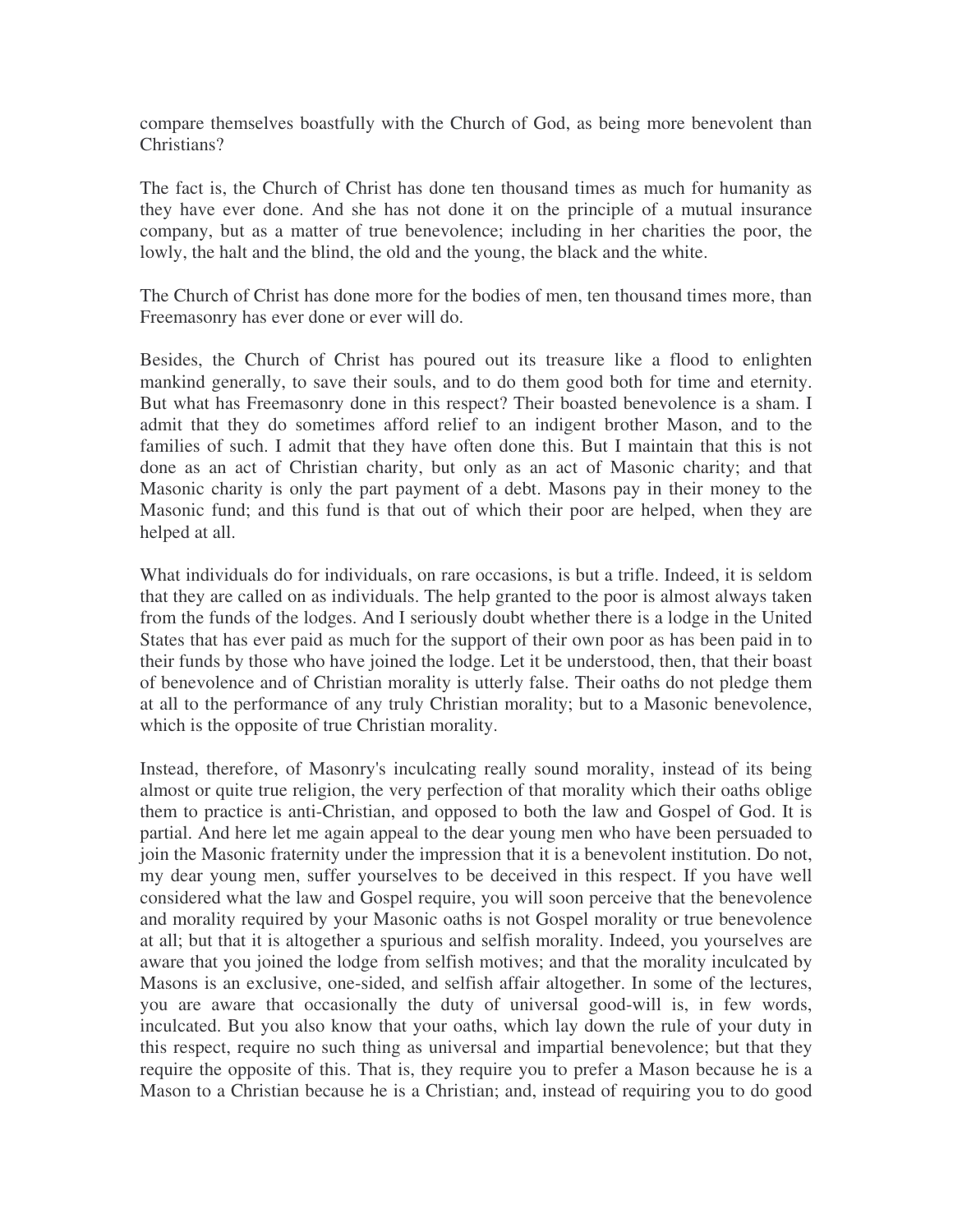compare themselves boastfully with the Church of God, as being more benevolent than Christians?

The fact is, the Church of Christ has done ten thousand times as much for humanity as they have ever done. And she has not done it on the principle of a mutual insurance company, but as a matter of true benevolence; including in her charities the poor, the lowly, the halt and the blind, the old and the young, the black and the white.

The Church of Christ has done more for the bodies of men, ten thousand times more, than Freemasonry has ever done or ever will do.

Besides, the Church of Christ has poured out its treasure like a flood to enlighten mankind generally, to save their souls, and to do them good both for time and eternity. But what has Freemasonry done in this respect? Their boasted benevolence is a sham. I admit that they do sometimes afford relief to an indigent brother Mason, and to the families of such. I admit that they have often done this. But I maintain that this is not done as an act of Christian charity, but only as an act of Masonic charity; and that Masonic charity is only the part payment of a debt. Masons pay in their money to the Masonic fund; and this fund is that out of which their poor are helped, when they are helped at all.

What individuals do for individuals, on rare occasions, is but a trifle. Indeed, it is seldom that they are called on as individuals. The help granted to the poor is almost always taken from the funds of the lodges. And I seriously doubt whether there is a lodge in the United States that has ever paid as much for the support of their own poor as has been paid in to their funds by those who have joined the lodge. Let it be understood, then, that their boast of benevolence and of Christian morality is utterly false. Their oaths do not pledge them at all to the performance of any truly Christian morality; but to a Masonic benevolence, which is the opposite of true Christian morality.

Instead, therefore, of Masonry's inculcating really sound morality, instead of its being almost or quite true religion, the very perfection of that morality which their oaths oblige them to practice is anti-Christian, and opposed to both the law and Gospel of God. It is partial. And here let me again appeal to the dear young men who have been persuaded to join the Masonic fraternity under the impression that it is a benevolent institution. Do not, my dear young men, suffer yourselves to be deceived in this respect. If you have well considered what the law and Gospel require, you will soon perceive that the benevolence and morality required by your Masonic oaths is not Gospel morality or true benevolence at all; but that it is altogether a spurious and selfish morality. Indeed, you yourselves are aware that you joined the lodge from selfish motives; and that the morality inculcated by Masons is an exclusive, one-sided, and selfish affair altogether. In some of the lectures, you are aware that occasionally the duty of universal good-will is, in few words, inculcated. But you also know that your oaths, which lay down the rule of your duty in this respect, require no such thing as universal and impartial benevolence; but that they require the opposite of this. That is, they require you to prefer a Mason because he is a Mason to a Christian because he is a Christian; and, instead of requiring you to do good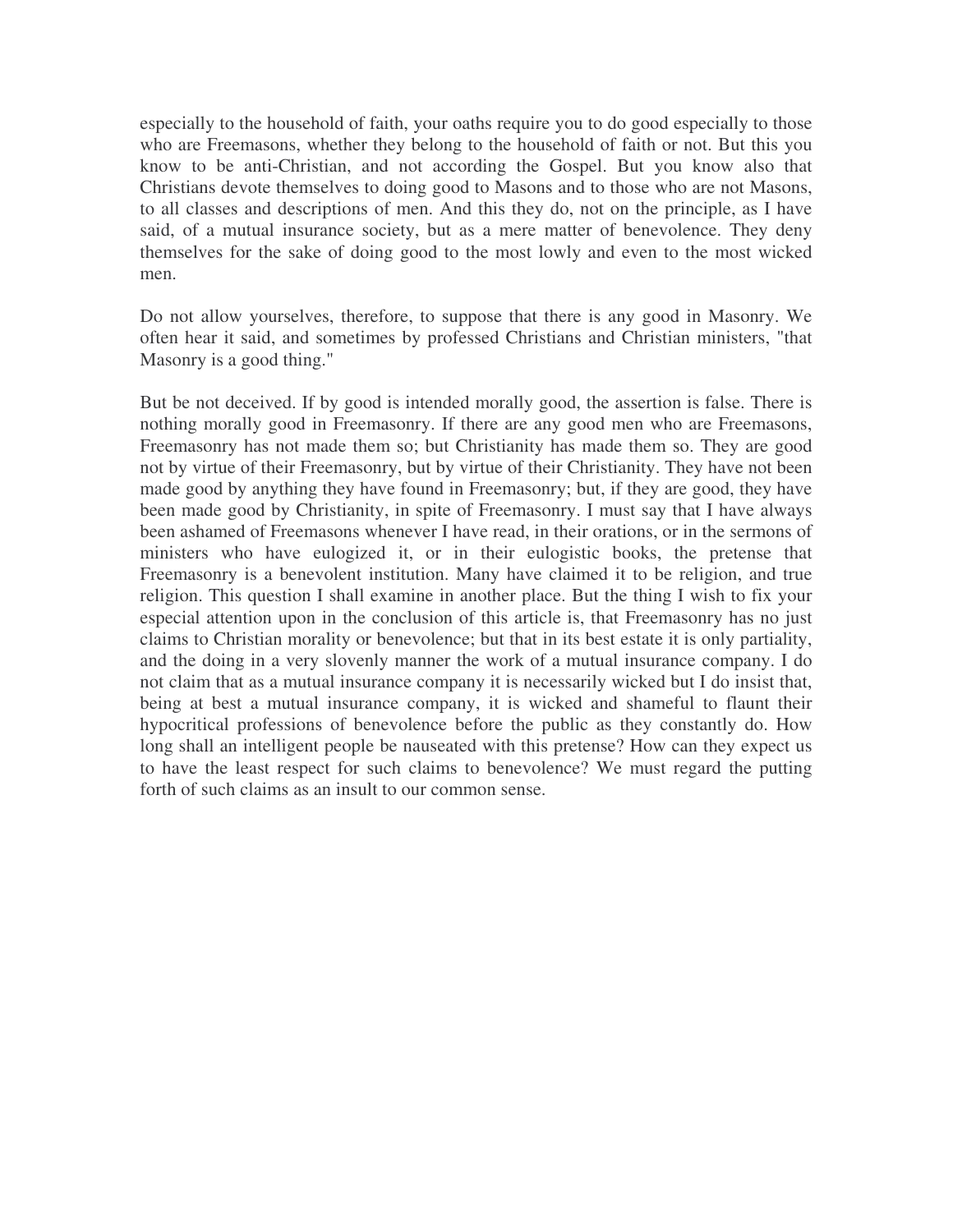especially to the household of faith, your oaths require you to do good especially to those who are Freemasons, whether they belong to the household of faith or not. But this you know to be anti-Christian, and not according the Gospel. But you know also that Christians devote themselves to doing good to Masons and to those who are not Masons, to all classes and descriptions of men. And this they do, not on the principle, as I have said, of a mutual insurance society, but as a mere matter of benevolence. They deny themselves for the sake of doing good to the most lowly and even to the most wicked men.

Do not allow yourselves, therefore, to suppose that there is any good in Masonry. We often hear it said, and sometimes by professed Christians and Christian ministers, "that Masonry is a good thing."

But be not deceived. If by good is intended morally good, the assertion is false. There is nothing morally good in Freemasonry. If there are any good men who are Freemasons, Freemasonry has not made them so; but Christianity has made them so. They are good not by virtue of their Freemasonry, but by virtue of their Christianity. They have not been made good by anything they have found in Freemasonry; but, if they are good, they have been made good by Christianity, in spite of Freemasonry. I must say that I have always been ashamed of Freemasons whenever I have read, in their orations, or in the sermons of ministers who have eulogized it, or in their eulogistic books, the pretense that Freemasonry is a benevolent institution. Many have claimed it to be religion, and true religion. This question I shall examine in another place. But the thing I wish to fix your especial attention upon in the conclusion of this article is, that Freemasonry has no just claims to Christian morality or benevolence; but that in its best estate it is only partiality, and the doing in a very slovenly manner the work of a mutual insurance company. I do not claim that as a mutual insurance company it is necessarily wicked but I do insist that, being at best a mutual insurance company, it is wicked and shameful to flaunt their hypocritical professions of benevolence before the public as they constantly do. How long shall an intelligent people be nauseated with this pretense? How can they expect us to have the least respect for such claims to benevolence? We must regard the putting forth of such claims as an insult to our common sense.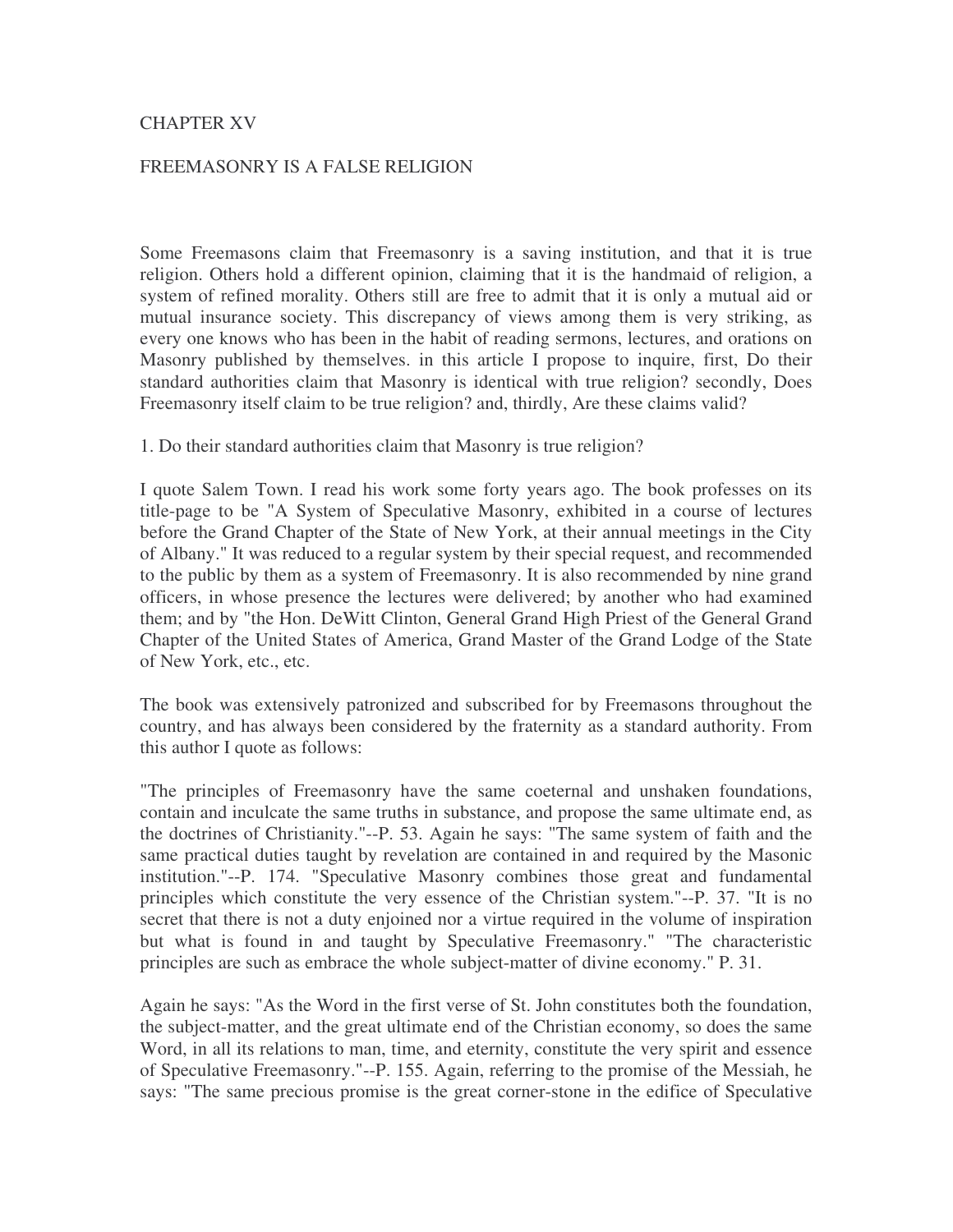### CHAPTER XV

#### FREEMASONRY IS A FALSE RELIGION

Some Freemasons claim that Freemasonry is a saving institution, and that it is true religion. Others hold a different opinion, claiming that it is the handmaid of religion, a system of refined morality. Others still are free to admit that it is only a mutual aid or mutual insurance society. This discrepancy of views among them is very striking, as every one knows who has been in the habit of reading sermons, lectures, and orations on Masonry published by themselves. in this article I propose to inquire, first, Do their standard authorities claim that Masonry is identical with true religion? secondly, Does Freemasonry itself claim to be true religion? and, thirdly, Are these claims valid?

#### 1. Do their standard authorities claim that Masonry is true religion?

I quote Salem Town. I read his work some forty years ago. The book professes on its title-page to be "A System of Speculative Masonry, exhibited in a course of lectures before the Grand Chapter of the State of New York, at their annual meetings in the City of Albany." It was reduced to a regular system by their special request, and recommended to the public by them as a system of Freemasonry. It is also recommended by nine grand officers, in whose presence the lectures were delivered; by another who had examined them; and by "the Hon. DeWitt Clinton, General Grand High Priest of the General Grand Chapter of the United States of America, Grand Master of the Grand Lodge of the State of New York, etc., etc.

The book was extensively patronized and subscribed for by Freemasons throughout the country, and has always been considered by the fraternity as a standard authority. From this author I quote as follows:

"The principles of Freemasonry have the same coeternal and unshaken foundations, contain and inculcate the same truths in substance, and propose the same ultimate end, as the doctrines of Christianity."--P. 53. Again he says: "The same system of faith and the same practical duties taught by revelation are contained in and required by the Masonic institution."--P. 174. "Speculative Masonry combines those great and fundamental principles which constitute the very essence of the Christian system."--P. 37. "It is no secret that there is not a duty enjoined nor a virtue required in the volume of inspiration but what is found in and taught by Speculative Freemasonry." "The characteristic principles are such as embrace the whole subject-matter of divine economy." P. 31.

Again he says: "As the Word in the first verse of St. John constitutes both the foundation, the subject-matter, and the great ultimate end of the Christian economy, so does the same Word, in all its relations to man, time, and eternity, constitute the very spirit and essence of Speculative Freemasonry."--P. 155. Again, referring to the promise of the Messiah, he says: "The same precious promise is the great corner-stone in the edifice of Speculative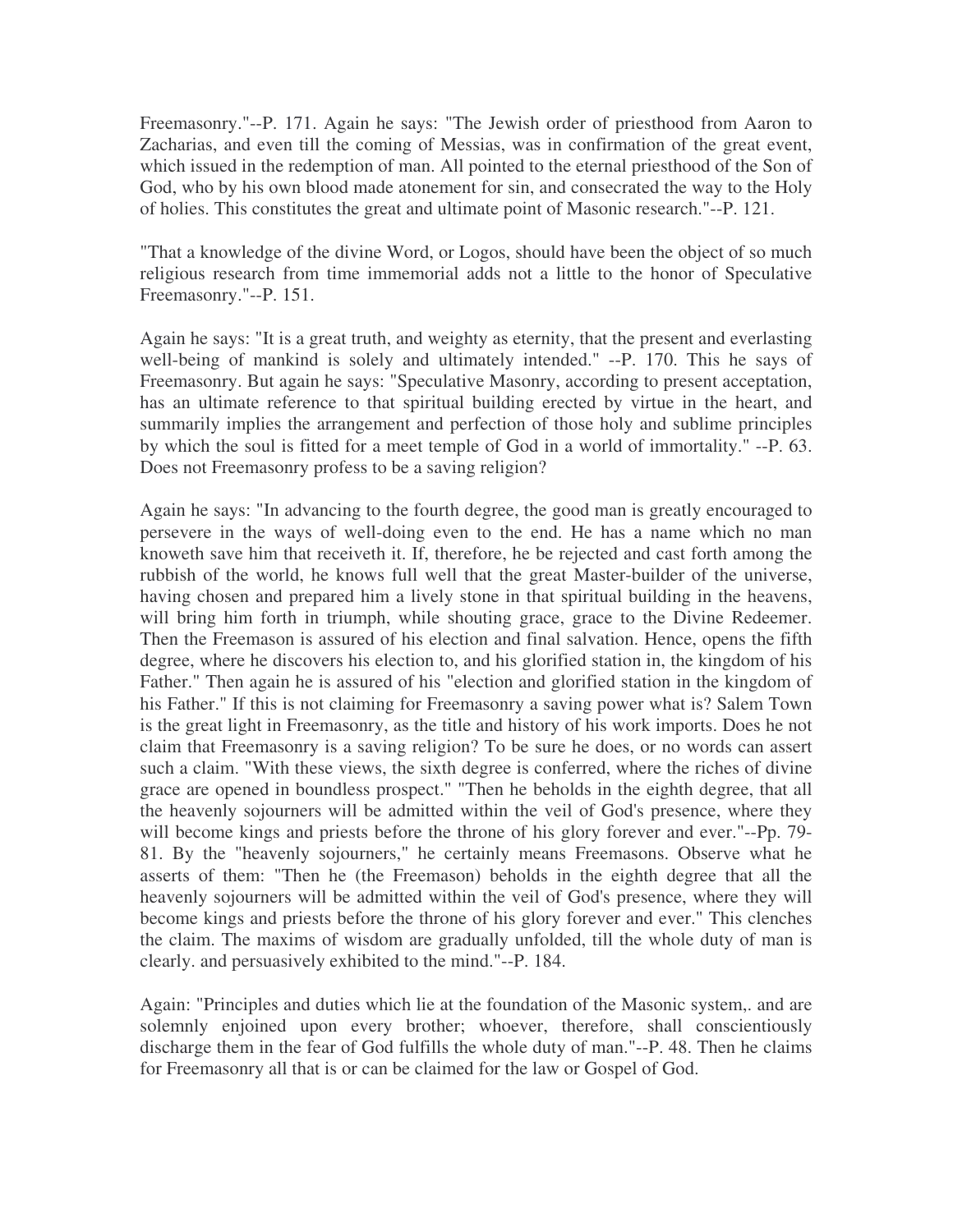Freemasonry."--P. 171. Again he says: "The Jewish order of priesthood from Aaron to Zacharias, and even till the coming of Messias, was in confirmation of the great event, which issued in the redemption of man. All pointed to the eternal priesthood of the Son of God, who by his own blood made atonement for sin, and consecrated the way to the Holy of holies. This constitutes the great and ultimate point of Masonic research."--P. 121.

"That a knowledge of the divine Word, or Logos, should have been the object of so much religious research from time immemorial adds not a little to the honor of Speculative Freemasonry."--P. 151.

Again he says: "It is a great truth, and weighty as eternity, that the present and everlasting well-being of mankind is solely and ultimately intended." --P. 170. This he says of Freemasonry. But again he says: "Speculative Masonry, according to present acceptation, has an ultimate reference to that spiritual building erected by virtue in the heart, and summarily implies the arrangement and perfection of those holy and sublime principles by which the soul is fitted for a meet temple of God in a world of immortality." --P. 63. Does not Freemasonry profess to be a saving religion?

Again he says: "In advancing to the fourth degree, the good man is greatly encouraged to persevere in the ways of well-doing even to the end. He has a name which no man knoweth save him that receiveth it. If, therefore, he be rejected and cast forth among the rubbish of the world, he knows full well that the great Master-builder of the universe, having chosen and prepared him a lively stone in that spiritual building in the heavens, will bring him forth in triumph, while shouting grace, grace to the Divine Redeemer. Then the Freemason is assured of his election and final salvation. Hence, opens the fifth degree, where he discovers his election to, and his glorified station in, the kingdom of his Father." Then again he is assured of his "election and glorified station in the kingdom of his Father." If this is not claiming for Freemasonry a saving power what is? Salem Town is the great light in Freemasonry, as the title and history of his work imports. Does he not claim that Freemasonry is a saving religion? To be sure he does, or no words can assert such a claim. "With these views, the sixth degree is conferred, where the riches of divine grace are opened in boundless prospect." "Then he beholds in the eighth degree, that all the heavenly sojourners will be admitted within the veil of God's presence, where they will become kings and priests before the throne of his glory forever and ever."--Pp. 79- 81. By the "heavenly sojourners," he certainly means Freemasons. Observe what he asserts of them: "Then he (the Freemason) beholds in the eighth degree that all the heavenly sojourners will be admitted within the veil of God's presence, where they will become kings and priests before the throne of his glory forever and ever." This clenches the claim. The maxims of wisdom are gradually unfolded, till the whole duty of man is clearly. and persuasively exhibited to the mind."--P. 184.

Again: "Principles and duties which lie at the foundation of the Masonic system,. and are solemnly enjoined upon every brother; whoever, therefore, shall conscientiously discharge them in the fear of God fulfills the whole duty of man."--P. 48. Then he claims for Freemasonry all that is or can be claimed for the law or Gospel of God.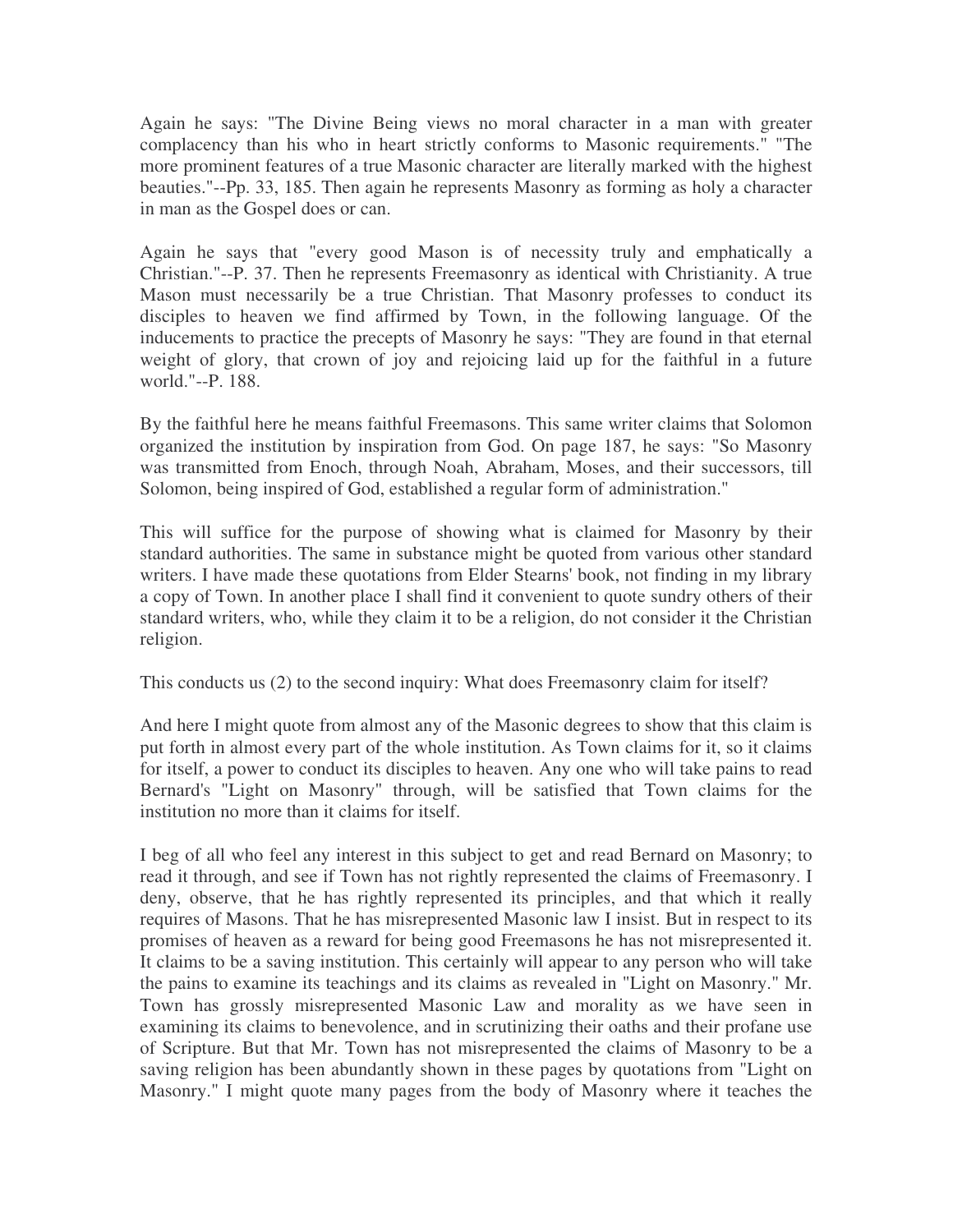Again he says: "The Divine Being views no moral character in a man with greater complacency than his who in heart strictly conforms to Masonic requirements." "The more prominent features of a true Masonic character are literally marked with the highest beauties."--Pp. 33, 185. Then again he represents Masonry as forming as holy a character in man as the Gospel does or can.

Again he says that "every good Mason is of necessity truly and emphatically a Christian."--P. 37. Then he represents Freemasonry as identical with Christianity. A true Mason must necessarily be a true Christian. That Masonry professes to conduct its disciples to heaven we find affirmed by Town, in the following language. Of the inducements to practice the precepts of Masonry he says: "They are found in that eternal weight of glory, that crown of joy and rejoicing laid up for the faithful in a future world."--P. 188.

By the faithful here he means faithful Freemasons. This same writer claims that Solomon organized the institution by inspiration from God. On page 187, he says: "So Masonry was transmitted from Enoch, through Noah, Abraham, Moses, and their successors, till Solomon, being inspired of God, established a regular form of administration."

This will suffice for the purpose of showing what is claimed for Masonry by their standard authorities. The same in substance might be quoted from various other standard writers. I have made these quotations from Elder Stearns' book, not finding in my library a copy of Town. In another place I shall find it convenient to quote sundry others of their standard writers, who, while they claim it to be a religion, do not consider it the Christian religion.

This conducts us (2) to the second inquiry: What does Freemasonry claim for itself?

And here I might quote from almost any of the Masonic degrees to show that this claim is put forth in almost every part of the whole institution. As Town claims for it, so it claims for itself, a power to conduct its disciples to heaven. Any one who will take pains to read Bernard's "Light on Masonry" through, will be satisfied that Town claims for the institution no more than it claims for itself.

I beg of all who feel any interest in this subject to get and read Bernard on Masonry; to read it through, and see if Town has not rightly represented the claims of Freemasonry. I deny, observe, that he has rightly represented its principles, and that which it really requires of Masons. That he has misrepresented Masonic law I insist. But in respect to its promises of heaven as a reward for being good Freemasons he has not misrepresented it. It claims to be a saving institution. This certainly will appear to any person who will take the pains to examine its teachings and its claims as revealed in "Light on Masonry." Mr. Town has grossly misrepresented Masonic Law and morality as we have seen in examining its claims to benevolence, and in scrutinizing their oaths and their profane use of Scripture. But that Mr. Town has not misrepresented the claims of Masonry to be a saving religion has been abundantly shown in these pages by quotations from "Light on Masonry." I might quote many pages from the body of Masonry where it teaches the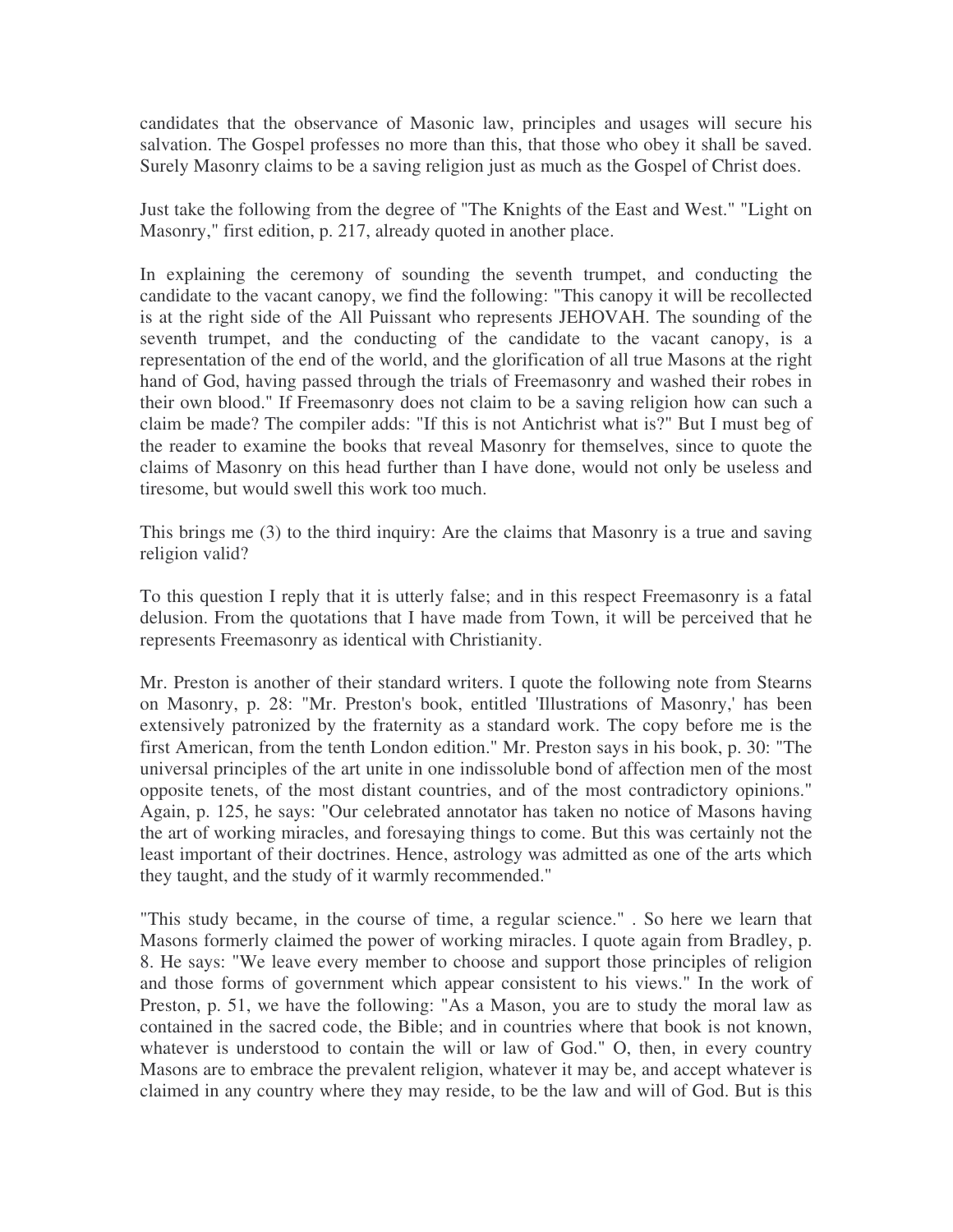candidates that the observance of Masonic law, principles and usages will secure his salvation. The Gospel professes no more than this, that those who obey it shall be saved. Surely Masonry claims to be a saving religion just as much as the Gospel of Christ does.

Just take the following from the degree of "The Knights of the East and West." "Light on Masonry," first edition, p. 217, already quoted in another place.

In explaining the ceremony of sounding the seventh trumpet, and conducting the candidate to the vacant canopy, we find the following: "This canopy it will be recollected is at the right side of the All Puissant who represents JEHOVAH. The sounding of the seventh trumpet, and the conducting of the candidate to the vacant canopy, is a representation of the end of the world, and the glorification of all true Masons at the right hand of God, having passed through the trials of Freemasonry and washed their robes in their own blood." If Freemasonry does not claim to be a saving religion how can such a claim be made? The compiler adds: "If this is not Antichrist what is?" But I must beg of the reader to examine the books that reveal Masonry for themselves, since to quote the claims of Masonry on this head further than I have done, would not only be useless and tiresome, but would swell this work too much.

This brings me (3) to the third inquiry: Are the claims that Masonry is a true and saving religion valid?

To this question I reply that it is utterly false; and in this respect Freemasonry is a fatal delusion. From the quotations that I have made from Town, it will be perceived that he represents Freemasonry as identical with Christianity.

Mr. Preston is another of their standard writers. I quote the following note from Stearns on Masonry, p. 28: "Mr. Preston's book, entitled 'Illustrations of Masonry,' has been extensively patronized by the fraternity as a standard work. The copy before me is the first American, from the tenth London edition." Mr. Preston says in his book, p. 30: "The universal principles of the art unite in one indissoluble bond of affection men of the most opposite tenets, of the most distant countries, and of the most contradictory opinions." Again, p. 125, he says: "Our celebrated annotator has taken no notice of Masons having the art of working miracles, and foresaying things to come. But this was certainly not the least important of their doctrines. Hence, astrology was admitted as one of the arts which they taught, and the study of it warmly recommended."

"This study became, in the course of time, a regular science." . So here we learn that Masons formerly claimed the power of working miracles. I quote again from Bradley, p. 8. He says: "We leave every member to choose and support those principles of religion and those forms of government which appear consistent to his views." In the work of Preston, p. 51, we have the following: "As a Mason, you are to study the moral law as contained in the sacred code, the Bible; and in countries where that book is not known, whatever is understood to contain the will or law of God." O, then, in every country Masons are to embrace the prevalent religion, whatever it may be, and accept whatever is claimed in any country where they may reside, to be the law and will of God. But is this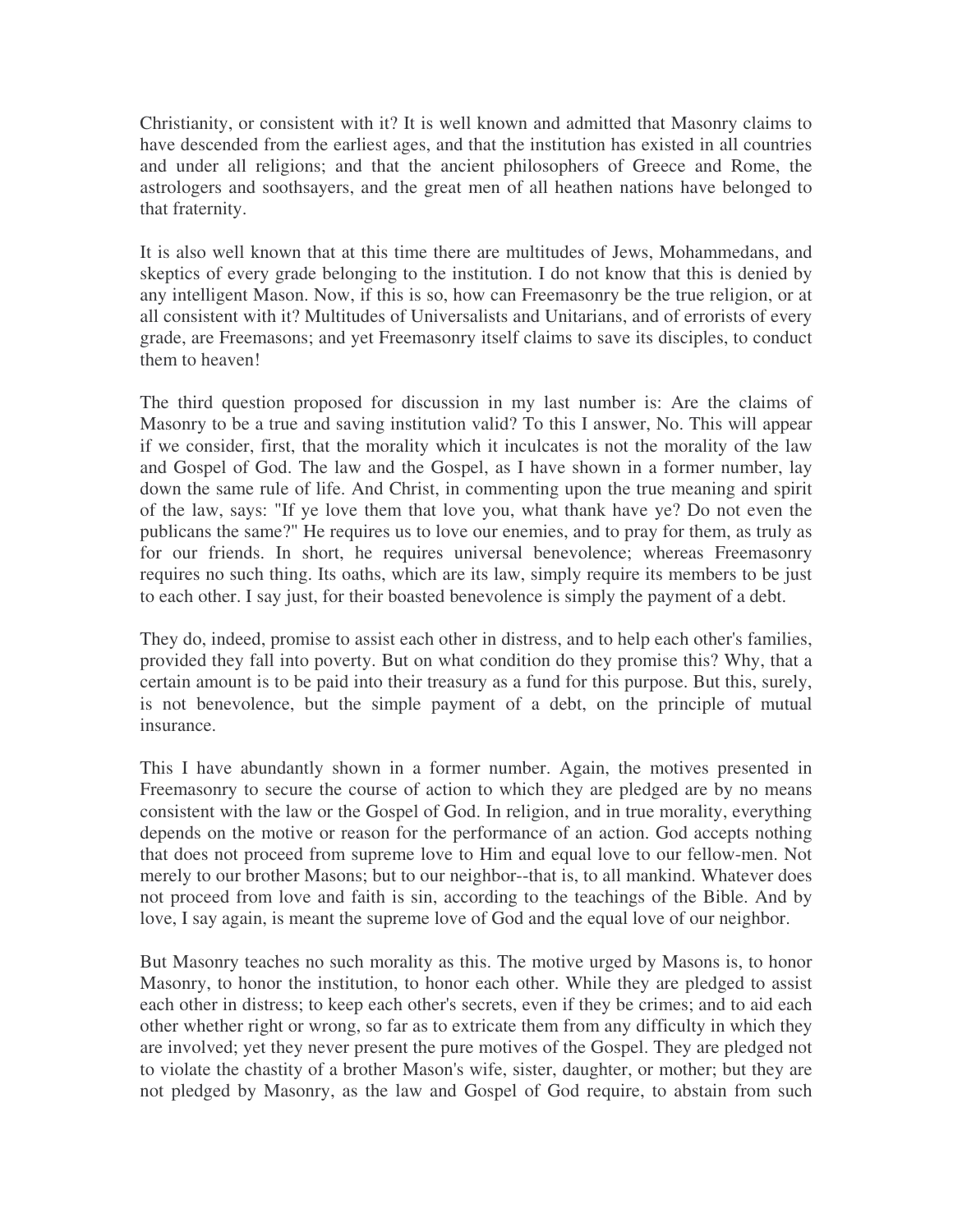Christianity, or consistent with it? It is well known and admitted that Masonry claims to have descended from the earliest ages, and that the institution has existed in all countries and under all religions; and that the ancient philosophers of Greece and Rome, the astrologers and soothsayers, and the great men of all heathen nations have belonged to that fraternity.

It is also well known that at this time there are multitudes of Jews, Mohammedans, and skeptics of every grade belonging to the institution. I do not know that this is denied by any intelligent Mason. Now, if this is so, how can Freemasonry be the true religion, or at all consistent with it? Multitudes of Universalists and Unitarians, and of errorists of every grade, are Freemasons; and yet Freemasonry itself claims to save its disciples, to conduct them to heaven!

The third question proposed for discussion in my last number is: Are the claims of Masonry to be a true and saving institution valid? To this I answer, No. This will appear if we consider, first, that the morality which it inculcates is not the morality of the law and Gospel of God. The law and the Gospel, as I have shown in a former number, lay down the same rule of life. And Christ, in commenting upon the true meaning and spirit of the law, says: "If ye love them that love you, what thank have ye? Do not even the publicans the same?" He requires us to love our enemies, and to pray for them, as truly as for our friends. In short, he requires universal benevolence; whereas Freemasonry requires no such thing. Its oaths, which are its law, simply require its members to be just to each other. I say just, for their boasted benevolence is simply the payment of a debt.

They do, indeed, promise to assist each other in distress, and to help each other's families, provided they fall into poverty. But on what condition do they promise this? Why, that a certain amount is to be paid into their treasury as a fund for this purpose. But this, surely, is not benevolence, but the simple payment of a debt, on the principle of mutual insurance.

This I have abundantly shown in a former number. Again, the motives presented in Freemasonry to secure the course of action to which they are pledged are by no means consistent with the law or the Gospel of God. In religion, and in true morality, everything depends on the motive or reason for the performance of an action. God accepts nothing that does not proceed from supreme love to Him and equal love to our fellow-men. Not merely to our brother Masons; but to our neighbor--that is, to all mankind. Whatever does not proceed from love and faith is sin, according to the teachings of the Bible. And by love, I say again, is meant the supreme love of God and the equal love of our neighbor.

But Masonry teaches no such morality as this. The motive urged by Masons is, to honor Masonry, to honor the institution, to honor each other. While they are pledged to assist each other in distress; to keep each other's secrets, even if they be crimes; and to aid each other whether right or wrong, so far as to extricate them from any difficulty in which they are involved; yet they never present the pure motives of the Gospel. They are pledged not to violate the chastity of a brother Mason's wife, sister, daughter, or mother; but they are not pledged by Masonry, as the law and Gospel of God require, to abstain from such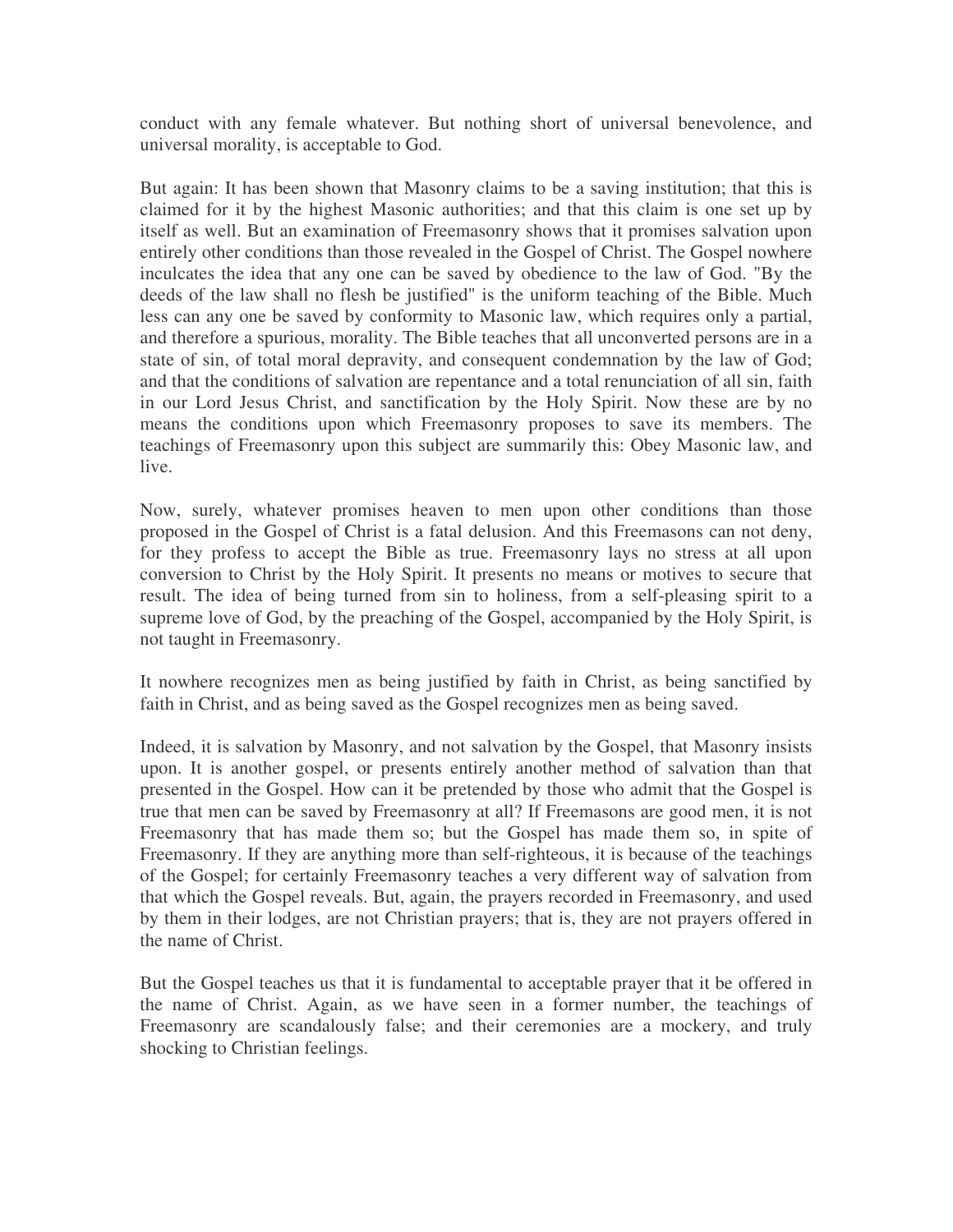conduct with any female whatever. But nothing short of universal benevolence, and universal morality, is acceptable to God.

But again: It has been shown that Masonry claims to be a saving institution; that this is claimed for it by the highest Masonic authorities; and that this claim is one set up by itself as well. But an examination of Freemasonry shows that it promises salvation upon entirely other conditions than those revealed in the Gospel of Christ. The Gospel nowhere inculcates the idea that any one can be saved by obedience to the law of God. "By the deeds of the law shall no flesh be justified" is the uniform teaching of the Bible. Much less can any one be saved by conformity to Masonic law, which requires only a partial, and therefore a spurious, morality. The Bible teaches that all unconverted persons are in a state of sin, of total moral depravity, and consequent condemnation by the law of God; and that the conditions of salvation are repentance and a total renunciation of all sin, faith in our Lord Jesus Christ, and sanctification by the Holy Spirit. Now these are by no means the conditions upon which Freemasonry proposes to save its members. The teachings of Freemasonry upon this subject are summarily this: Obey Masonic law, and live.

Now, surely, whatever promises heaven to men upon other conditions than those proposed in the Gospel of Christ is a fatal delusion. And this Freemasons can not deny, for they profess to accept the Bible as true. Freemasonry lays no stress at all upon conversion to Christ by the Holy Spirit. It presents no means or motives to secure that result. The idea of being turned from sin to holiness, from a self-pleasing spirit to a supreme love of God, by the preaching of the Gospel, accompanied by the Holy Spirit, is not taught in Freemasonry.

It nowhere recognizes men as being justified by faith in Christ, as being sanctified by faith in Christ, and as being saved as the Gospel recognizes men as being saved.

Indeed, it is salvation by Masonry, and not salvation by the Gospel, that Masonry insists upon. It is another gospel, or presents entirely another method of salvation than that presented in the Gospel. How can it be pretended by those who admit that the Gospel is true that men can be saved by Freemasonry at all? If Freemasons are good men, it is not Freemasonry that has made them so; but the Gospel has made them so, in spite of Freemasonry. If they are anything more than self-righteous, it is because of the teachings of the Gospel; for certainly Freemasonry teaches a very different way of salvation from that which the Gospel reveals. But, again, the prayers recorded in Freemasonry, and used by them in their lodges, are not Christian prayers; that is, they are not prayers offered in the name of Christ.

But the Gospel teaches us that it is fundamental to acceptable prayer that it be offered in the name of Christ. Again, as we have seen in a former number, the teachings of Freemasonry are scandalously false; and their ceremonies are a mockery, and truly shocking to Christian feelings.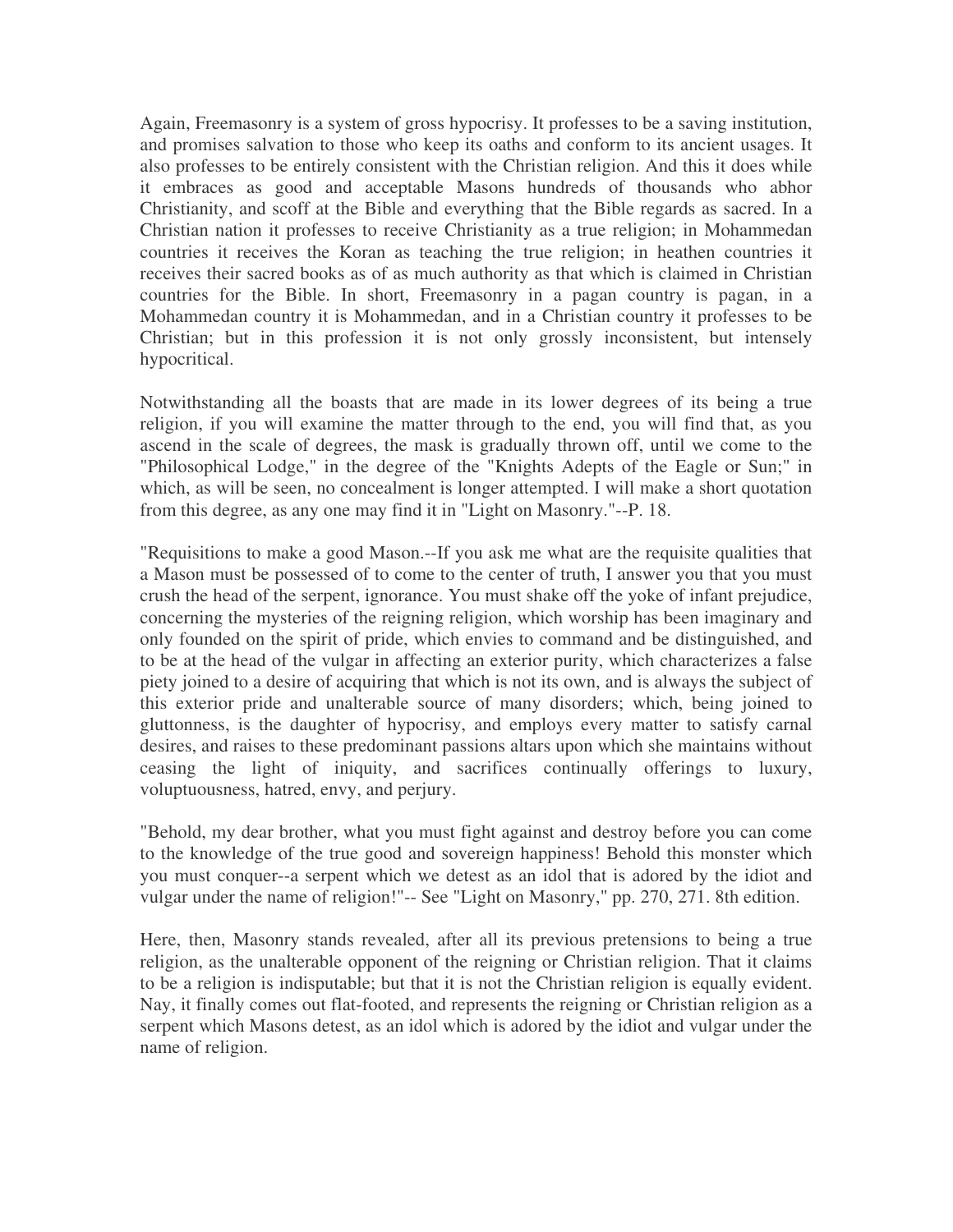Again, Freemasonry is a system of gross hypocrisy. It professes to be a saving institution, and promises salvation to those who keep its oaths and conform to its ancient usages. It also professes to be entirely consistent with the Christian religion. And this it does while it embraces as good and acceptable Masons hundreds of thousands who abhor Christianity, and scoff at the Bible and everything that the Bible regards as sacred. In a Christian nation it professes to receive Christianity as a true religion; in Mohammedan countries it receives the Koran as teaching the true religion; in heathen countries it receives their sacred books as of as much authority as that which is claimed in Christian countries for the Bible. In short, Freemasonry in a pagan country is pagan, in a Mohammedan country it is Mohammedan, and in a Christian country it professes to be Christian; but in this profession it is not only grossly inconsistent, but intensely hypocritical.

Notwithstanding all the boasts that are made in its lower degrees of its being a true religion, if you will examine the matter through to the end, you will find that, as you ascend in the scale of degrees, the mask is gradually thrown off, until we come to the "Philosophical Lodge," in the degree of the "Knights Adepts of the Eagle or Sun;" in which, as will be seen, no concealment is longer attempted. I will make a short quotation from this degree, as any one may find it in "Light on Masonry."--P. 18.

"Requisitions to make a good Mason.--If you ask me what are the requisite qualities that a Mason must be possessed of to come to the center of truth, I answer you that you must crush the head of the serpent, ignorance. You must shake off the yoke of infant prejudice, concerning the mysteries of the reigning religion, which worship has been imaginary and only founded on the spirit of pride, which envies to command and be distinguished, and to be at the head of the vulgar in affecting an exterior purity, which characterizes a false piety joined to a desire of acquiring that which is not its own, and is always the subject of this exterior pride and unalterable source of many disorders; which, being joined to gluttonness, is the daughter of hypocrisy, and employs every matter to satisfy carnal desires, and raises to these predominant passions altars upon which she maintains without ceasing the light of iniquity, and sacrifices continually offerings to luxury, voluptuousness, hatred, envy, and perjury.

"Behold, my dear brother, what you must fight against and destroy before you can come to the knowledge of the true good and sovereign happiness! Behold this monster which you must conquer--a serpent which we detest as an idol that is adored by the idiot and vulgar under the name of religion!"-- See "Light on Masonry," pp. 270, 271. 8th edition.

Here, then, Masonry stands revealed, after all its previous pretensions to being a true religion, as the unalterable opponent of the reigning or Christian religion. That it claims to be a religion is indisputable; but that it is not the Christian religion is equally evident. Nay, it finally comes out flat-footed, and represents the reigning or Christian religion as a serpent which Masons detest, as an idol which is adored by the idiot and vulgar under the name of religion.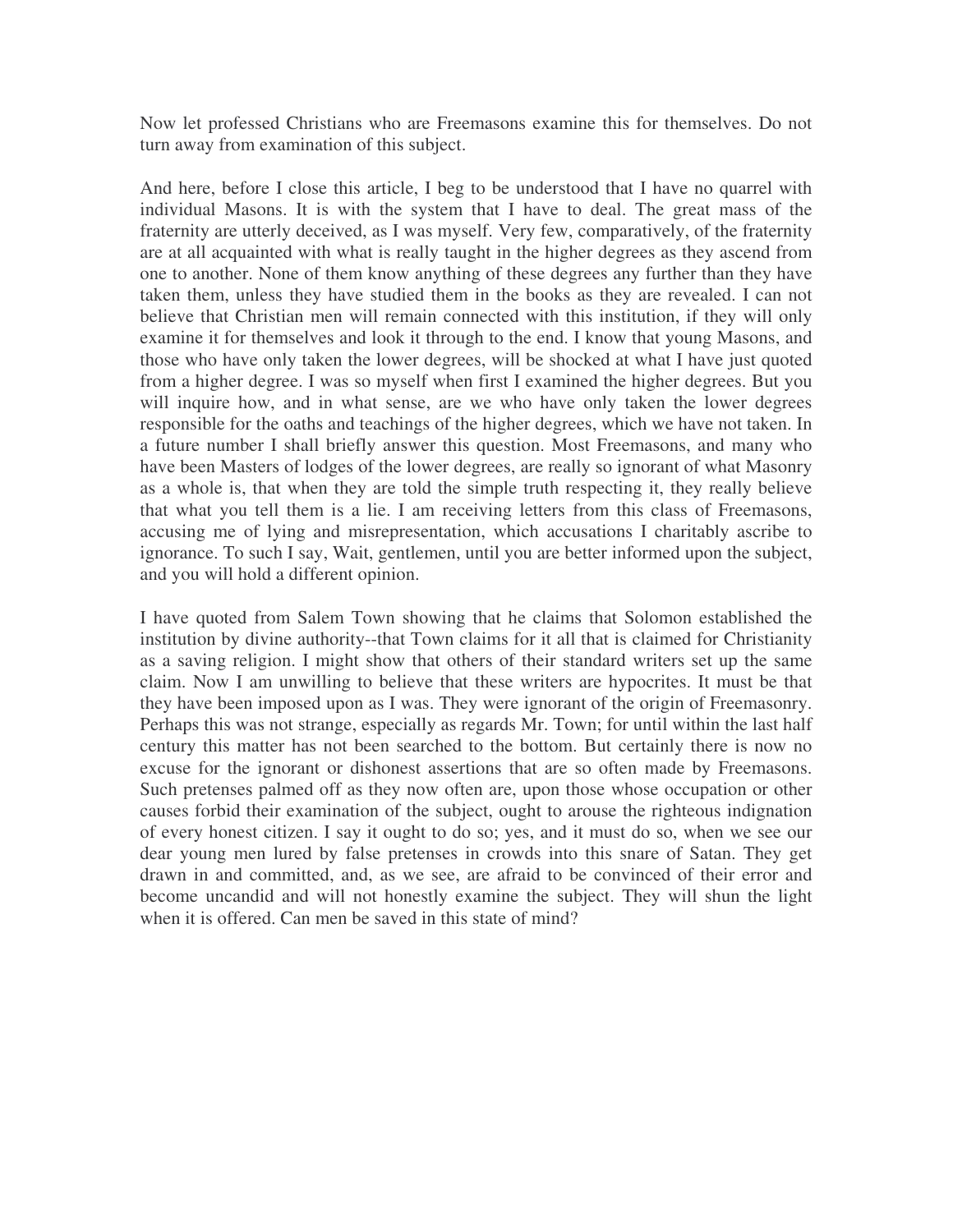Now let professed Christians who are Freemasons examine this for themselves. Do not turn away from examination of this subject.

And here, before I close this article, I beg to be understood that I have no quarrel with individual Masons. It is with the system that I have to deal. The great mass of the fraternity are utterly deceived, as I was myself. Very few, comparatively, of the fraternity are at all acquainted with what is really taught in the higher degrees as they ascend from one to another. None of them know anything of these degrees any further than they have taken them, unless they have studied them in the books as they are revealed. I can not believe that Christian men will remain connected with this institution, if they will only examine it for themselves and look it through to the end. I know that young Masons, and those who have only taken the lower degrees, will be shocked at what I have just quoted from a higher degree. I was so myself when first I examined the higher degrees. But you will inquire how, and in what sense, are we who have only taken the lower degrees responsible for the oaths and teachings of the higher degrees, which we have not taken. In a future number I shall briefly answer this question. Most Freemasons, and many who have been Masters of lodges of the lower degrees, are really so ignorant of what Masonry as a whole is, that when they are told the simple truth respecting it, they really believe that what you tell them is a lie. I am receiving letters from this class of Freemasons, accusing me of lying and misrepresentation, which accusations I charitably ascribe to ignorance. To such I say, Wait, gentlemen, until you are better informed upon the subject, and you will hold a different opinion.

I have quoted from Salem Town showing that he claims that Solomon established the institution by divine authority--that Town claims for it all that is claimed for Christianity as a saving religion. I might show that others of their standard writers set up the same claim. Now I am unwilling to believe that these writers are hypocrites. It must be that they have been imposed upon as I was. They were ignorant of the origin of Freemasonry. Perhaps this was not strange, especially as regards Mr. Town; for until within the last half century this matter has not been searched to the bottom. But certainly there is now no excuse for the ignorant or dishonest assertions that are so often made by Freemasons. Such pretenses palmed off as they now often are, upon those whose occupation or other causes forbid their examination of the subject, ought to arouse the righteous indignation of every honest citizen. I say it ought to do so; yes, and it must do so, when we see our dear young men lured by false pretenses in crowds into this snare of Satan. They get drawn in and committed, and, as we see, are afraid to be convinced of their error and become uncandid and will not honestly examine the subject. They will shun the light when it is offered. Can men be saved in this state of mind?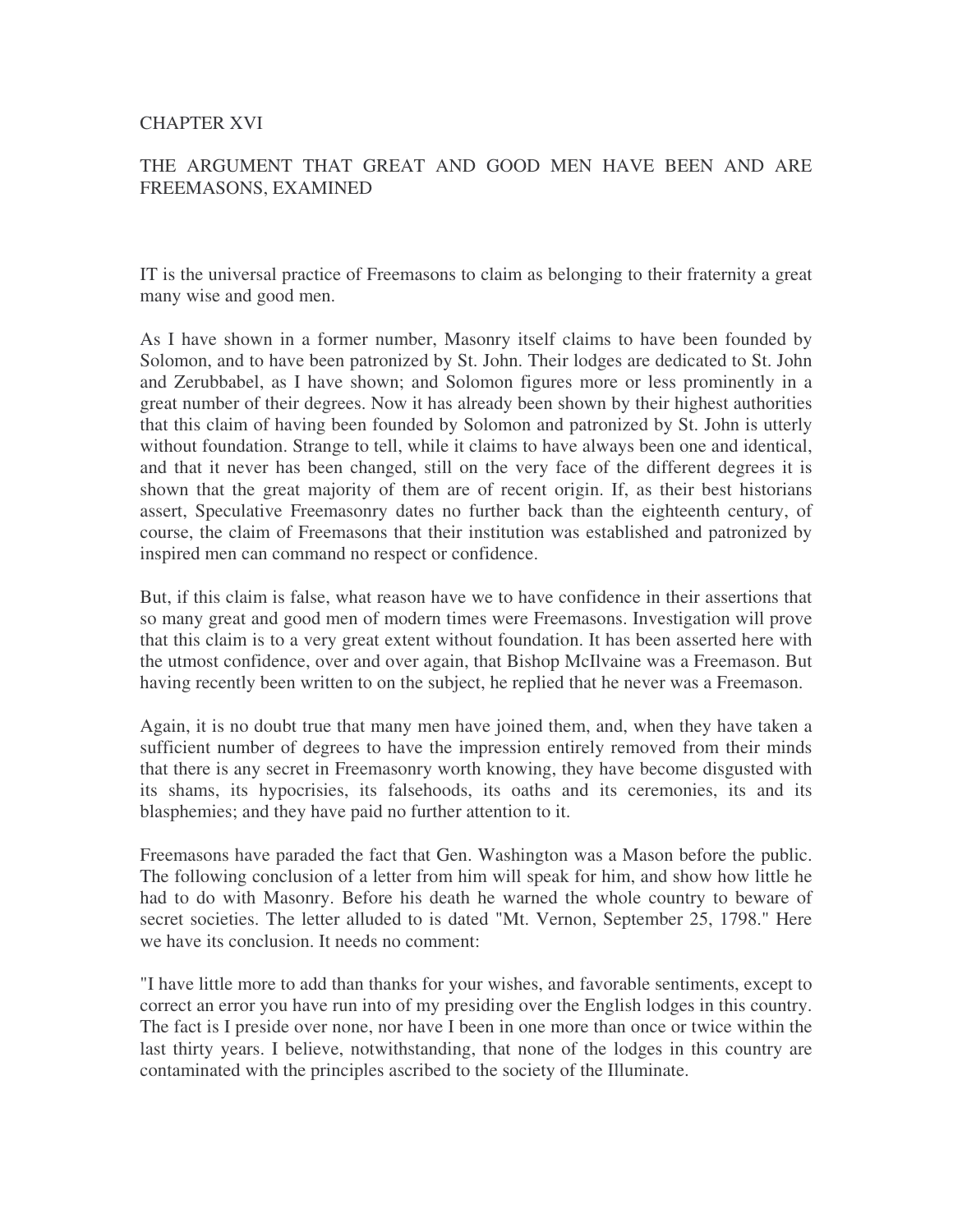### CHAPTER XVI

# THE ARGUMENT THAT GREAT AND GOOD MEN HAVE BEEN AND ARE FREEMASONS, EXAMINED

IT is the universal practice of Freemasons to claim as belonging to their fraternity a great many wise and good men.

As I have shown in a former number, Masonry itself claims to have been founded by Solomon, and to have been patronized by St. John. Their lodges are dedicated to St. John and Zerubbabel, as I have shown; and Solomon figures more or less prominently in a great number of their degrees. Now it has already been shown by their highest authorities that this claim of having been founded by Solomon and patronized by St. John is utterly without foundation. Strange to tell, while it claims to have always been one and identical, and that it never has been changed, still on the very face of the different degrees it is shown that the great majority of them are of recent origin. If, as their best historians assert, Speculative Freemasonry dates no further back than the eighteenth century, of course, the claim of Freemasons that their institution was established and patronized by inspired men can command no respect or confidence.

But, if this claim is false, what reason have we to have confidence in their assertions that so many great and good men of modern times were Freemasons. Investigation will prove that this claim is to a very great extent without foundation. It has been asserted here with the utmost confidence, over and over again, that Bishop McIlvaine was a Freemason. But having recently been written to on the subject, he replied that he never was a Freemason.

Again, it is no doubt true that many men have joined them, and, when they have taken a sufficient number of degrees to have the impression entirely removed from their minds that there is any secret in Freemasonry worth knowing, they have become disgusted with its shams, its hypocrisies, its falsehoods, its oaths and its ceremonies, its and its blasphemies; and they have paid no further attention to it.

Freemasons have paraded the fact that Gen. Washington was a Mason before the public. The following conclusion of a letter from him will speak for him, and show how little he had to do with Masonry. Before his death he warned the whole country to beware of secret societies. The letter alluded to is dated "Mt. Vernon, September 25, 1798." Here we have its conclusion. It needs no comment:

"I have little more to add than thanks for your wishes, and favorable sentiments, except to correct an error you have run into of my presiding over the English lodges in this country. The fact is I preside over none, nor have I been in one more than once or twice within the last thirty years. I believe, notwithstanding, that none of the lodges in this country are contaminated with the principles ascribed to the society of the Illuminate.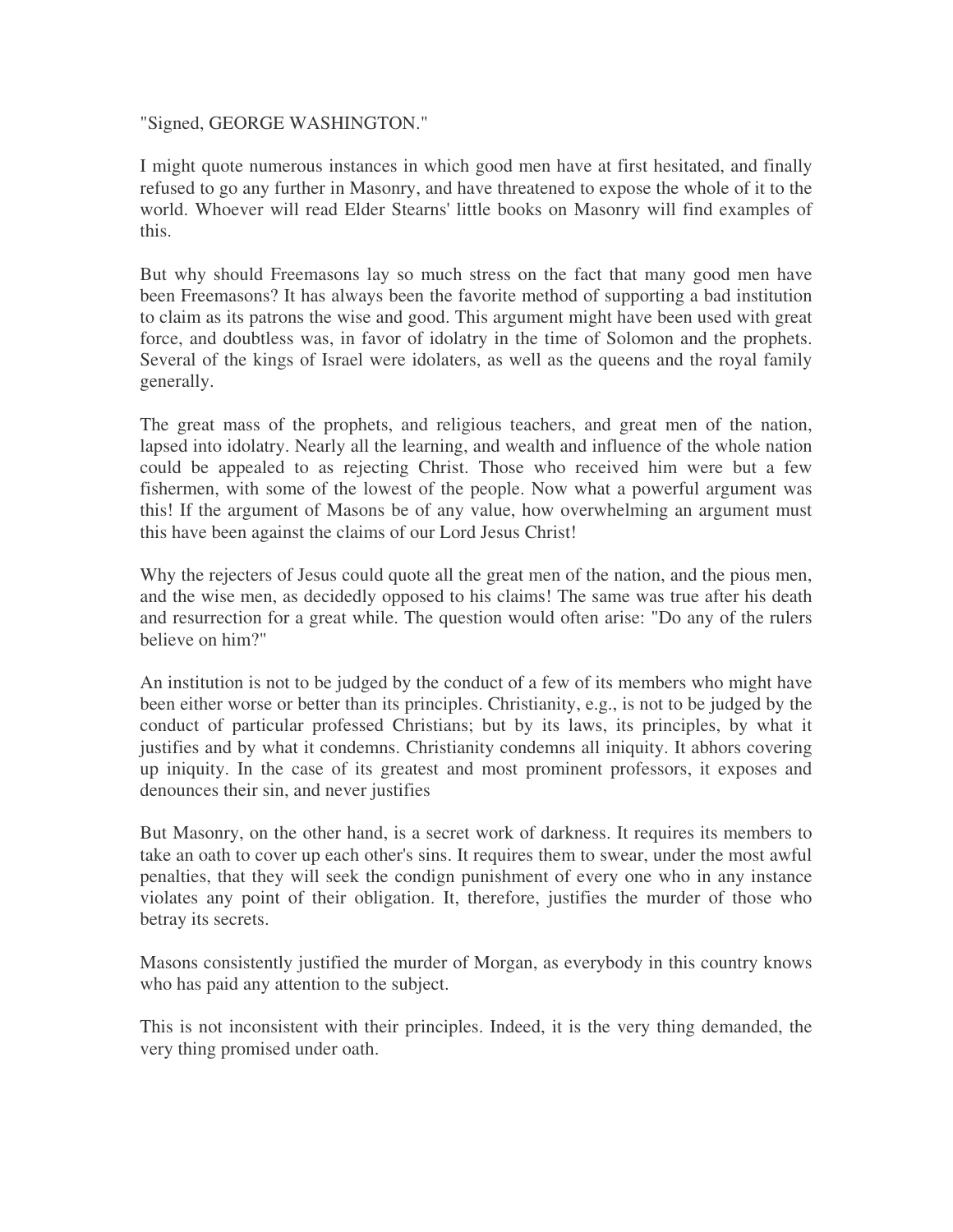"Signed, GEORGE WASHINGTON."

I might quote numerous instances in which good men have at first hesitated, and finally refused to go any further in Masonry, and have threatened to expose the whole of it to the world. Whoever will read Elder Stearns' little books on Masonry will find examples of this.

But why should Freemasons lay so much stress on the fact that many good men have been Freemasons? It has always been the favorite method of supporting a bad institution to claim as its patrons the wise and good. This argument might have been used with great force, and doubtless was, in favor of idolatry in the time of Solomon and the prophets. Several of the kings of Israel were idolaters, as well as the queens and the royal family generally.

The great mass of the prophets, and religious teachers, and great men of the nation, lapsed into idolatry. Nearly all the learning, and wealth and influence of the whole nation could be appealed to as rejecting Christ. Those who received him were but a few fishermen, with some of the lowest of the people. Now what a powerful argument was this! If the argument of Masons be of any value, how overwhelming an argument must this have been against the claims of our Lord Jesus Christ!

Why the rejecters of Jesus could quote all the great men of the nation, and the pious men, and the wise men, as decidedly opposed to his claims! The same was true after his death and resurrection for a great while. The question would often arise: "Do any of the rulers believe on him?"

An institution is not to be judged by the conduct of a few of its members who might have been either worse or better than its principles. Christianity, e.g., is not to be judged by the conduct of particular professed Christians; but by its laws, its principles, by what it justifies and by what it condemns. Christianity condemns all iniquity. It abhors covering up iniquity. In the case of its greatest and most prominent professors, it exposes and denounces their sin, and never justifies

But Masonry, on the other hand, is a secret work of darkness. It requires its members to take an oath to cover up each other's sins. It requires them to swear, under the most awful penalties, that they will seek the condign punishment of every one who in any instance violates any point of their obligation. It, therefore, justifies the murder of those who betray its secrets.

Masons consistently justified the murder of Morgan, as everybody in this country knows who has paid any attention to the subject.

This is not inconsistent with their principles. Indeed, it is the very thing demanded, the very thing promised under oath.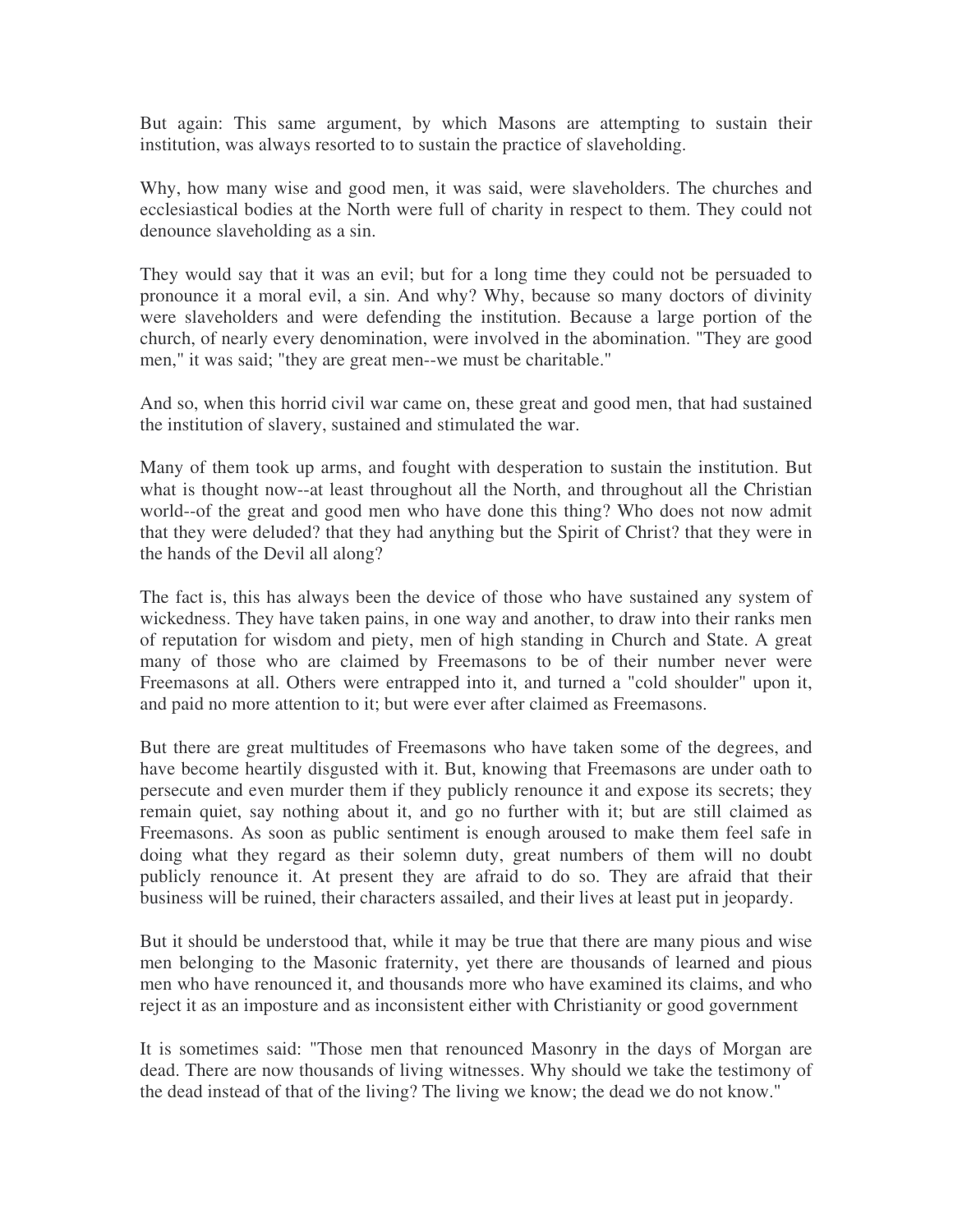But again: This same argument, by which Masons are attempting to sustain their institution, was always resorted to to sustain the practice of slaveholding.

Why, how many wise and good men, it was said, were slaveholders. The churches and ecclesiastical bodies at the North were full of charity in respect to them. They could not denounce slaveholding as a sin.

They would say that it was an evil; but for a long time they could not be persuaded to pronounce it a moral evil, a sin. And why? Why, because so many doctors of divinity were slaveholders and were defending the institution. Because a large portion of the church, of nearly every denomination, were involved in the abomination. "They are good men," it was said; "they are great men--we must be charitable."

And so, when this horrid civil war came on, these great and good men, that had sustained the institution of slavery, sustained and stimulated the war.

Many of them took up arms, and fought with desperation to sustain the institution. But what is thought now--at least throughout all the North, and throughout all the Christian world--of the great and good men who have done this thing? Who does not now admit that they were deluded? that they had anything but the Spirit of Christ? that they were in the hands of the Devil all along?

The fact is, this has always been the device of those who have sustained any system of wickedness. They have taken pains, in one way and another, to draw into their ranks men of reputation for wisdom and piety, men of high standing in Church and State. A great many of those who are claimed by Freemasons to be of their number never were Freemasons at all. Others were entrapped into it, and turned a "cold shoulder" upon it, and paid no more attention to it; but were ever after claimed as Freemasons.

But there are great multitudes of Freemasons who have taken some of the degrees, and have become heartily disgusted with it. But, knowing that Freemasons are under oath to persecute and even murder them if they publicly renounce it and expose its secrets; they remain quiet, say nothing about it, and go no further with it; but are still claimed as Freemasons. As soon as public sentiment is enough aroused to make them feel safe in doing what they regard as their solemn duty, great numbers of them will no doubt publicly renounce it. At present they are afraid to do so. They are afraid that their business will be ruined, their characters assailed, and their lives at least put in jeopardy.

But it should be understood that, while it may be true that there are many pious and wise men belonging to the Masonic fraternity, yet there are thousands of learned and pious men who have renounced it, and thousands more who have examined its claims, and who reject it as an imposture and as inconsistent either with Christianity or good government

It is sometimes said: "Those men that renounced Masonry in the days of Morgan are dead. There are now thousands of living witnesses. Why should we take the testimony of the dead instead of that of the living? The living we know; the dead we do not know."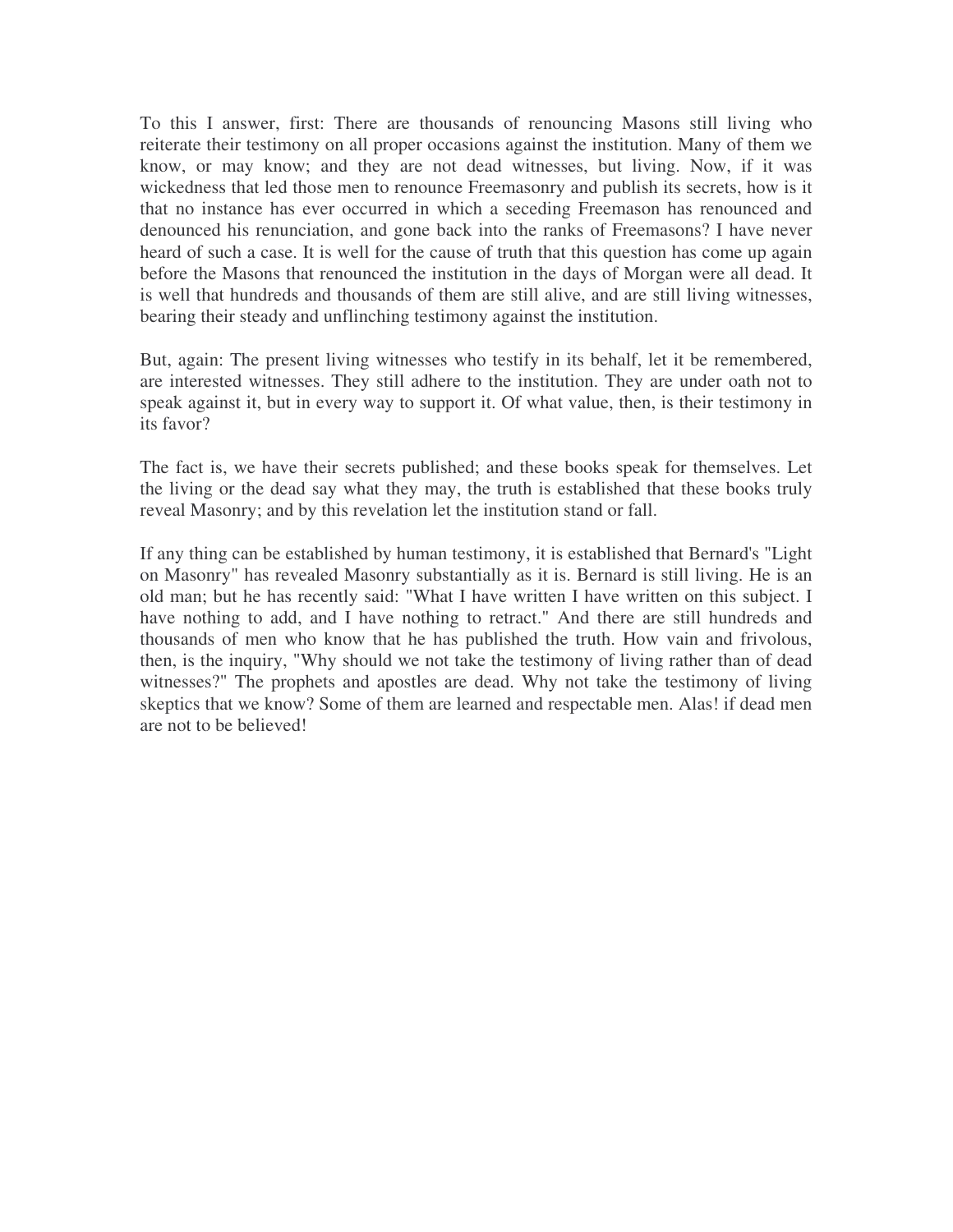To this I answer, first: There are thousands of renouncing Masons still living who reiterate their testimony on all proper occasions against the institution. Many of them we know, or may know; and they are not dead witnesses, but living. Now, if it was wickedness that led those men to renounce Freemasonry and publish its secrets, how is it that no instance has ever occurred in which a seceding Freemason has renounced and denounced his renunciation, and gone back into the ranks of Freemasons? I have never heard of such a case. It is well for the cause of truth that this question has come up again before the Masons that renounced the institution in the days of Morgan were all dead. It is well that hundreds and thousands of them are still alive, and are still living witnesses, bearing their steady and unflinching testimony against the institution.

But, again: The present living witnesses who testify in its behalf, let it be remembered, are interested witnesses. They still adhere to the institution. They are under oath not to speak against it, but in every way to support it. Of what value, then, is their testimony in its favor?

The fact is, we have their secrets published; and these books speak for themselves. Let the living or the dead say what they may, the truth is established that these books truly reveal Masonry; and by this revelation let the institution stand or fall.

If any thing can be established by human testimony, it is established that Bernard's "Light on Masonry" has revealed Masonry substantially as it is. Bernard is still living. He is an old man; but he has recently said: "What I have written I have written on this subject. I have nothing to add, and I have nothing to retract." And there are still hundreds and thousands of men who know that he has published the truth. How vain and frivolous, then, is the inquiry, "Why should we not take the testimony of living rather than of dead witnesses?" The prophets and apostles are dead. Why not take the testimony of living skeptics that we know? Some of them are learned and respectable men. Alas! if dead men are not to be believed!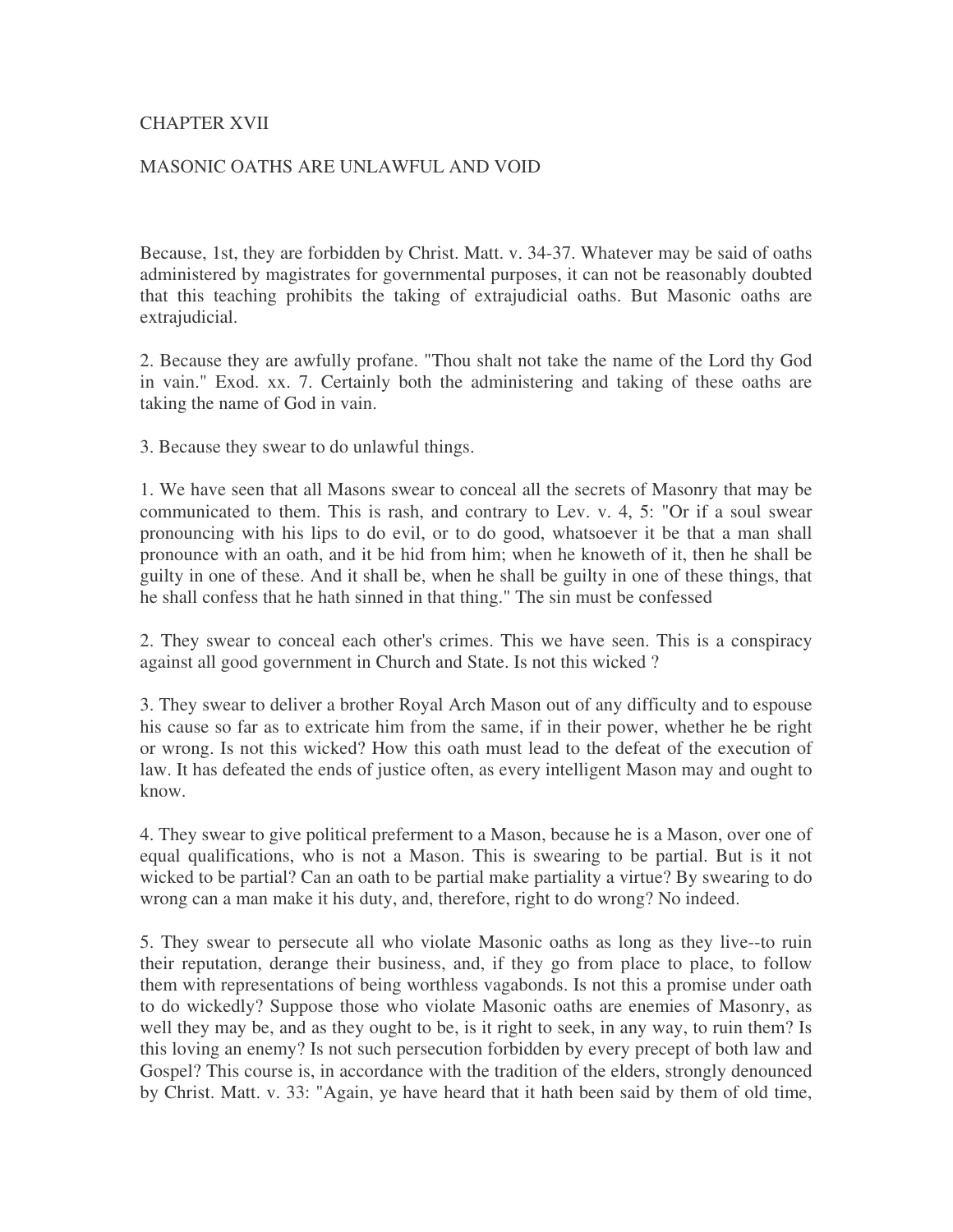## CHAPTER XVII

## MASONIC OATHS ARE UNLAWFUL AND VOID

Because, 1st, they are forbidden by Christ. Matt. v. 34-37. Whatever may be said of oaths administered by magistrates for governmental purposes, it can not be reasonably doubted that this teaching prohibits the taking of extrajudicial oaths. But Masonic oaths are extrajudicial.

2. Because they are awfully profane. "Thou shalt not take the name of the Lord thy God in vain." Exod. xx. 7. Certainly both the administering and taking of these oaths are taking the name of God in vain.

3. Because they swear to do unlawful things.

1. We have seen that all Masons swear to conceal all the secrets of Masonry that may be communicated to them. This is rash, and contrary to Lev. v. 4, 5: "Or if a soul swear pronouncing with his lips to do evil, or to do good, whatsoever it be that a man shall pronounce with an oath, and it be hid from him; when he knoweth of it, then he shall be guilty in one of these. And it shall be, when he shall be guilty in one of these things, that he shall confess that he hath sinned in that thing." The sin must be confessed

2. They swear to conceal each other's crimes. This we have seen. This is a conspiracy against all good government in Church and State. Is not this wicked ?

3. They swear to deliver a brother Royal Arch Mason out of any difficulty and to espouse his cause so far as to extricate him from the same, if in their power, whether he be right or wrong. Is not this wicked? How this oath must lead to the defeat of the execution of law. It has defeated the ends of justice often, as every intelligent Mason may and ought to know.

4. They swear to give political preferment to a Mason, because he is a Mason, over one of equal qualifications, who is not a Mason. This is swearing to be partial. But is it not wicked to be partial? Can an oath to be partial make partiality a virtue? By swearing to do wrong can a man make it his duty, and, therefore, right to do wrong? No indeed.

5. They swear to persecute all who violate Masonic oaths as long as they live--to ruin their reputation, derange their business, and, if they go from place to place, to follow them with representations of being worthless vagabonds. Is not this a promise under oath to do wickedly? Suppose those who violate Masonic oaths are enemies of Masonry, as well they may be, and as they ought to be, is it right to seek, in any way, to ruin them? Is this loving an enemy? Is not such persecution forbidden by every precept of both law and Gospel? This course is, in accordance with the tradition of the elders, strongly denounced by Christ. Matt. v. 33: "Again, ye have heard that it hath been said by them of old time,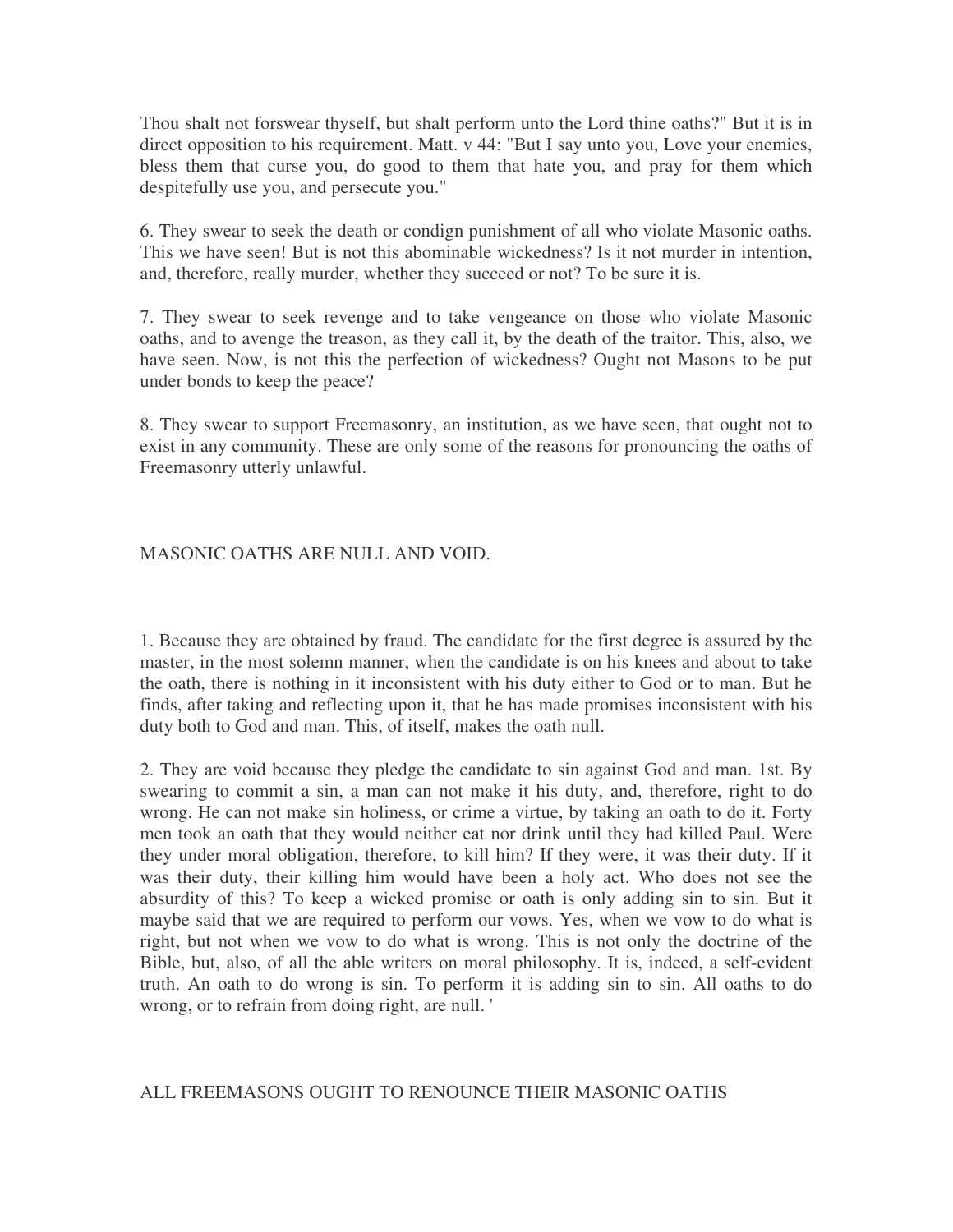Thou shalt not forswear thyself, but shalt perform unto the Lord thine oaths?" But it is in direct opposition to his requirement. Matt. v 44: "But I say unto you, Love your enemies, bless them that curse you, do good to them that hate you, and pray for them which despitefully use you, and persecute you."

6. They swear to seek the death or condign punishment of all who violate Masonic oaths. This we have seen! But is not this abominable wickedness? Is it not murder in intention, and, therefore, really murder, whether they succeed or not? To be sure it is.

7. They swear to seek revenge and to take vengeance on those who violate Masonic oaths, and to avenge the treason, as they call it, by the death of the traitor. This, also, we have seen. Now, is not this the perfection of wickedness? Ought not Masons to be put under bonds to keep the peace?

8. They swear to support Freemasonry, an institution, as we have seen, that ought not to exist in any community. These are only some of the reasons for pronouncing the oaths of Freemasonry utterly unlawful.

# MASONIC OATHS ARE NULL AND VOID.

1. Because they are obtained by fraud. The candidate for the first degree is assured by the master, in the most solemn manner, when the candidate is on his knees and about to take the oath, there is nothing in it inconsistent with his duty either to God or to man. But he finds, after taking and reflecting upon it, that he has made promises inconsistent with his duty both to God and man. This, of itself, makes the oath null.

2. They are void because they pledge the candidate to sin against God and man. 1st. By swearing to commit a sin, a man can not make it his duty, and, therefore, right to do wrong. He can not make sin holiness, or crime a virtue, by taking an oath to do it. Forty men took an oath that they would neither eat nor drink until they had killed Paul. Were they under moral obligation, therefore, to kill him? If they were, it was their duty. If it was their duty, their killing him would have been a holy act. Who does not see the absurdity of this? To keep a wicked promise or oath is only adding sin to sin. But it maybe said that we are required to perform our vows. Yes, when we vow to do what is right, but not when we vow to do what is wrong. This is not only the doctrine of the Bible, but, also, of all the able writers on moral philosophy. It is, indeed, a self-evident truth. An oath to do wrong is sin. To perform it is adding sin to sin. All oaths to do wrong, or to refrain from doing right, are null. '

### ALL FREEMASONS OUGHT TO RENOUNCE THEIR MASONIC OATHS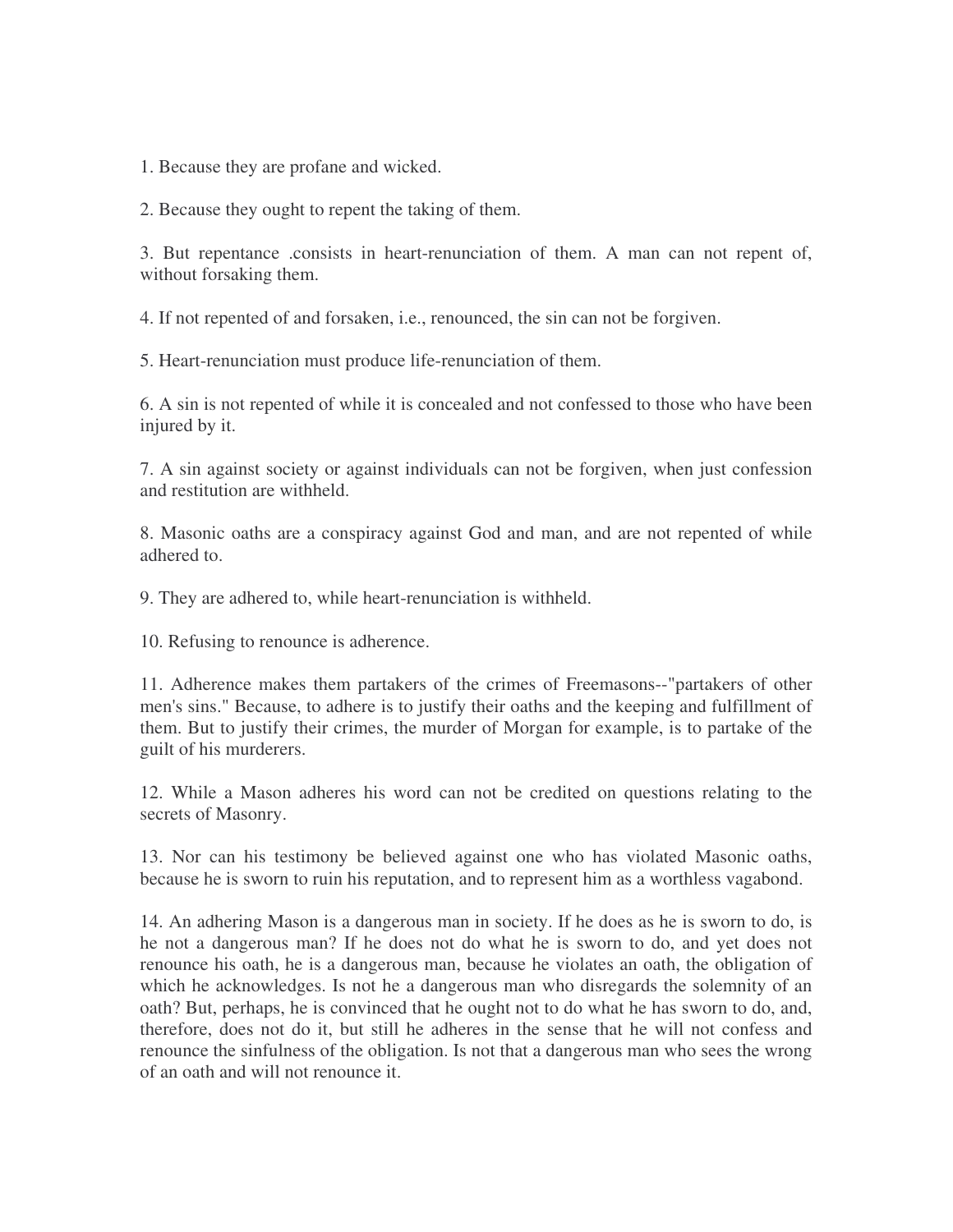1. Because they are profane and wicked.

2. Because they ought to repent the taking of them.

3. But repentance .consists in heart-renunciation of them. A man can not repent of, without forsaking them.

4. If not repented of and forsaken, i.e., renounced, the sin can not be forgiven.

5. Heart-renunciation must produce life-renunciation of them.

6. A sin is not repented of while it is concealed and not confessed to those who have been injured by it.

7. A sin against society or against individuals can not be forgiven, when just confession and restitution are withheld.

8. Masonic oaths are a conspiracy against God and man, and are not repented of while adhered to.

9. They are adhered to, while heart-renunciation is withheld.

10. Refusing to renounce is adherence.

11. Adherence makes them partakers of the crimes of Freemasons--"partakers of other men's sins." Because, to adhere is to justify their oaths and the keeping and fulfillment of them. But to justify their crimes, the murder of Morgan for example, is to partake of the guilt of his murderers.

12. While a Mason adheres his word can not be credited on questions relating to the secrets of Masonry.

13. Nor can his testimony be believed against one who has violated Masonic oaths, because he is sworn to ruin his reputation, and to represent him as a worthless vagabond.

14. An adhering Mason is a dangerous man in society. If he does as he is sworn to do, is he not a dangerous man? If he does not do what he is sworn to do, and yet does not renounce his oath, he is a dangerous man, because he violates an oath, the obligation of which he acknowledges. Is not he a dangerous man who disregards the solemnity of an oath? But, perhaps, he is convinced that he ought not to do what he has sworn to do, and, therefore, does not do it, but still he adheres in the sense that he will not confess and renounce the sinfulness of the obligation. Is not that a dangerous man who sees the wrong of an oath and will not renounce it.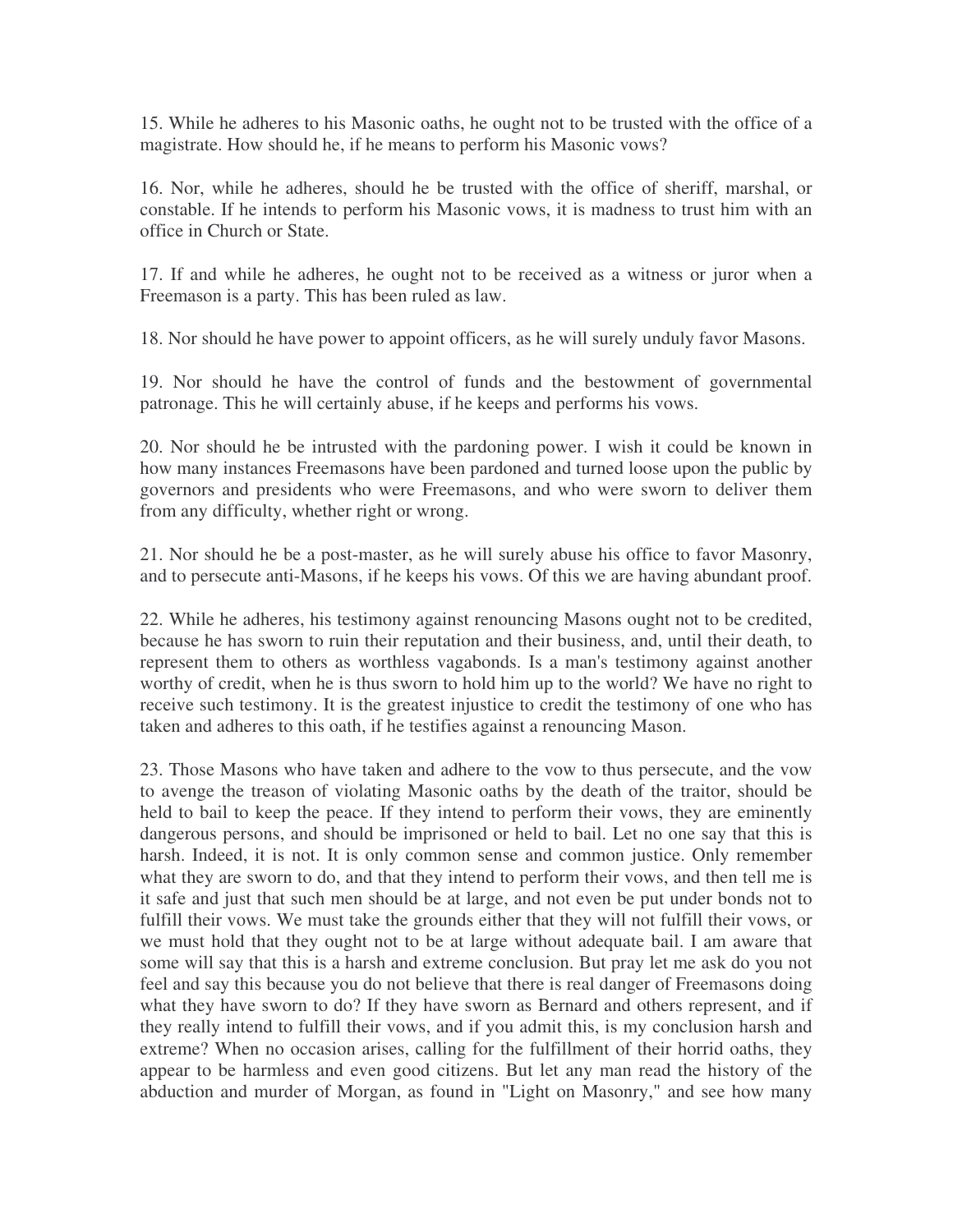15. While he adheres to his Masonic oaths, he ought not to be trusted with the office of a magistrate. How should he, if he means to perform his Masonic vows?

16. Nor, while he adheres, should he be trusted with the office of sheriff, marshal, or constable. If he intends to perform his Masonic vows, it is madness to trust him with an office in Church or State.

17. If and while he adheres, he ought not to be received as a witness or juror when a Freemason is a party. This has been ruled as law.

18. Nor should he have power to appoint officers, as he will surely unduly favor Masons.

19. Nor should he have the control of funds and the bestowment of governmental patronage. This he will certainly abuse, if he keeps and performs his vows.

20. Nor should he be intrusted with the pardoning power. I wish it could be known in how many instances Freemasons have been pardoned and turned loose upon the public by governors and presidents who were Freemasons, and who were sworn to deliver them from any difficulty, whether right or wrong.

21. Nor should he be a post-master, as he will surely abuse his office to favor Masonry, and to persecute anti-Masons, if he keeps his vows. Of this we are having abundant proof.

22. While he adheres, his testimony against renouncing Masons ought not to be credited, because he has sworn to ruin their reputation and their business, and, until their death, to represent them to others as worthless vagabonds. Is a man's testimony against another worthy of credit, when he is thus sworn to hold him up to the world? We have no right to receive such testimony. It is the greatest injustice to credit the testimony of one who has taken and adheres to this oath, if he testifies against a renouncing Mason.

23. Those Masons who have taken and adhere to the vow to thus persecute, and the vow to avenge the treason of violating Masonic oaths by the death of the traitor, should be held to bail to keep the peace. If they intend to perform their vows, they are eminently dangerous persons, and should be imprisoned or held to bail. Let no one say that this is harsh. Indeed, it is not. It is only common sense and common justice. Only remember what they are sworn to do, and that they intend to perform their vows, and then tell me is it safe and just that such men should be at large, and not even be put under bonds not to fulfill their vows. We must take the grounds either that they will not fulfill their vows, or we must hold that they ought not to be at large without adequate bail. I am aware that some will say that this is a harsh and extreme conclusion. But pray let me ask do you not feel and say this because you do not believe that there is real danger of Freemasons doing what they have sworn to do? If they have sworn as Bernard and others represent, and if they really intend to fulfill their vows, and if you admit this, is my conclusion harsh and extreme? When no occasion arises, calling for the fulfillment of their horrid oaths, they appear to be harmless and even good citizens. But let any man read the history of the abduction and murder of Morgan, as found in "Light on Masonry," and see how many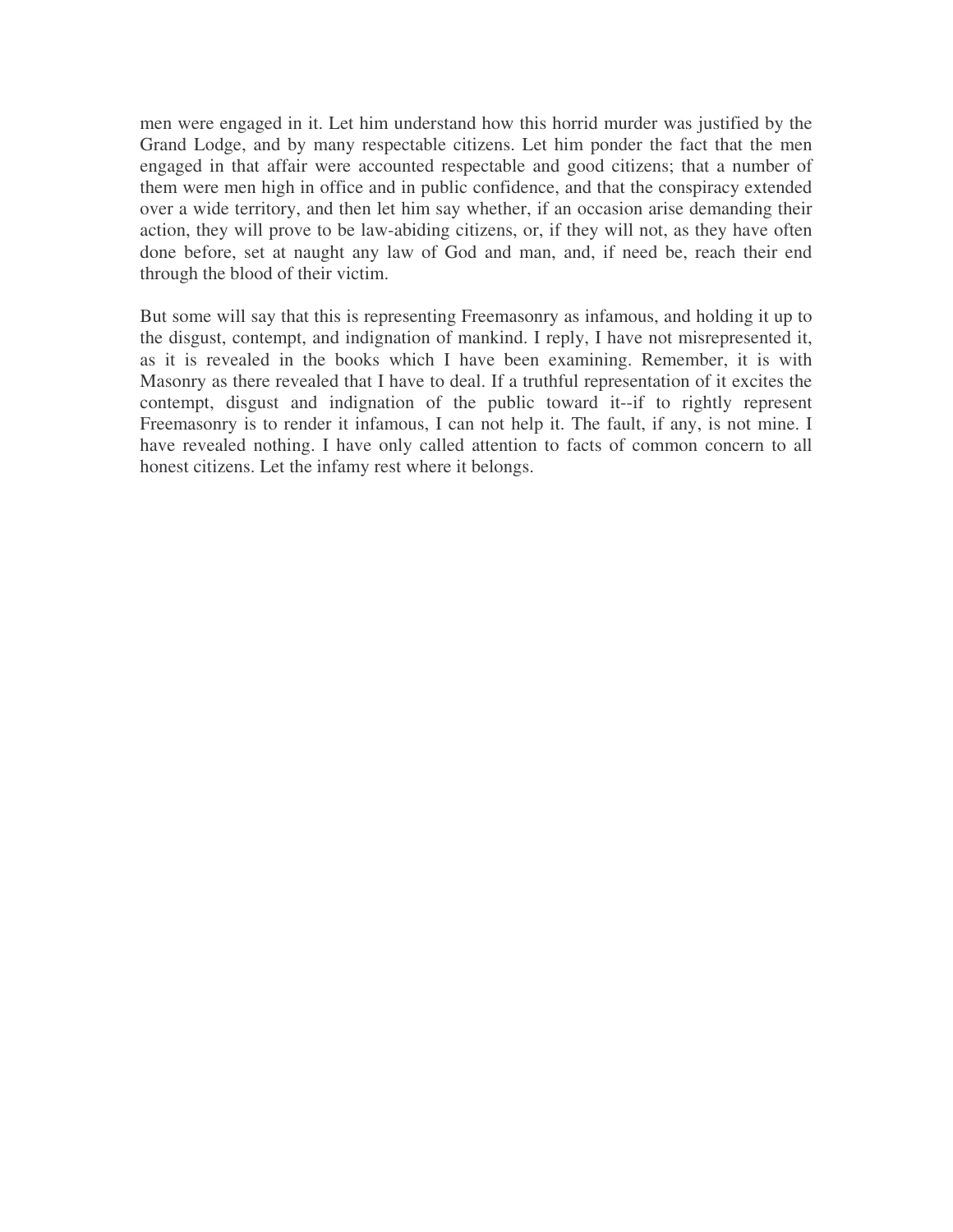men were engaged in it. Let him understand how this horrid murder was justified by the Grand Lodge, and by many respectable citizens. Let him ponder the fact that the men engaged in that affair were accounted respectable and good citizens; that a number of them were men high in office and in public confidence, and that the conspiracy extended over a wide territory, and then let him say whether, if an occasion arise demanding their action, they will prove to be law-abiding citizens, or, if they will not, as they have often done before, set at naught any law of God and man, and, if need be, reach their end through the blood of their victim.

But some will say that this is representing Freemasonry as infamous, and holding it up to the disgust, contempt, and indignation of mankind. I reply, I have not misrepresented it, as it is revealed in the books which I have been examining. Remember, it is with Masonry as there revealed that I have to deal. If a truthful representation of it excites the contempt, disgust and indignation of the public toward it--if to rightly represent Freemasonry is to render it infamous, I can not help it. The fault, if any, is not mine. I have revealed nothing. I have only called attention to facts of common concern to all honest citizens. Let the infamy rest where it belongs.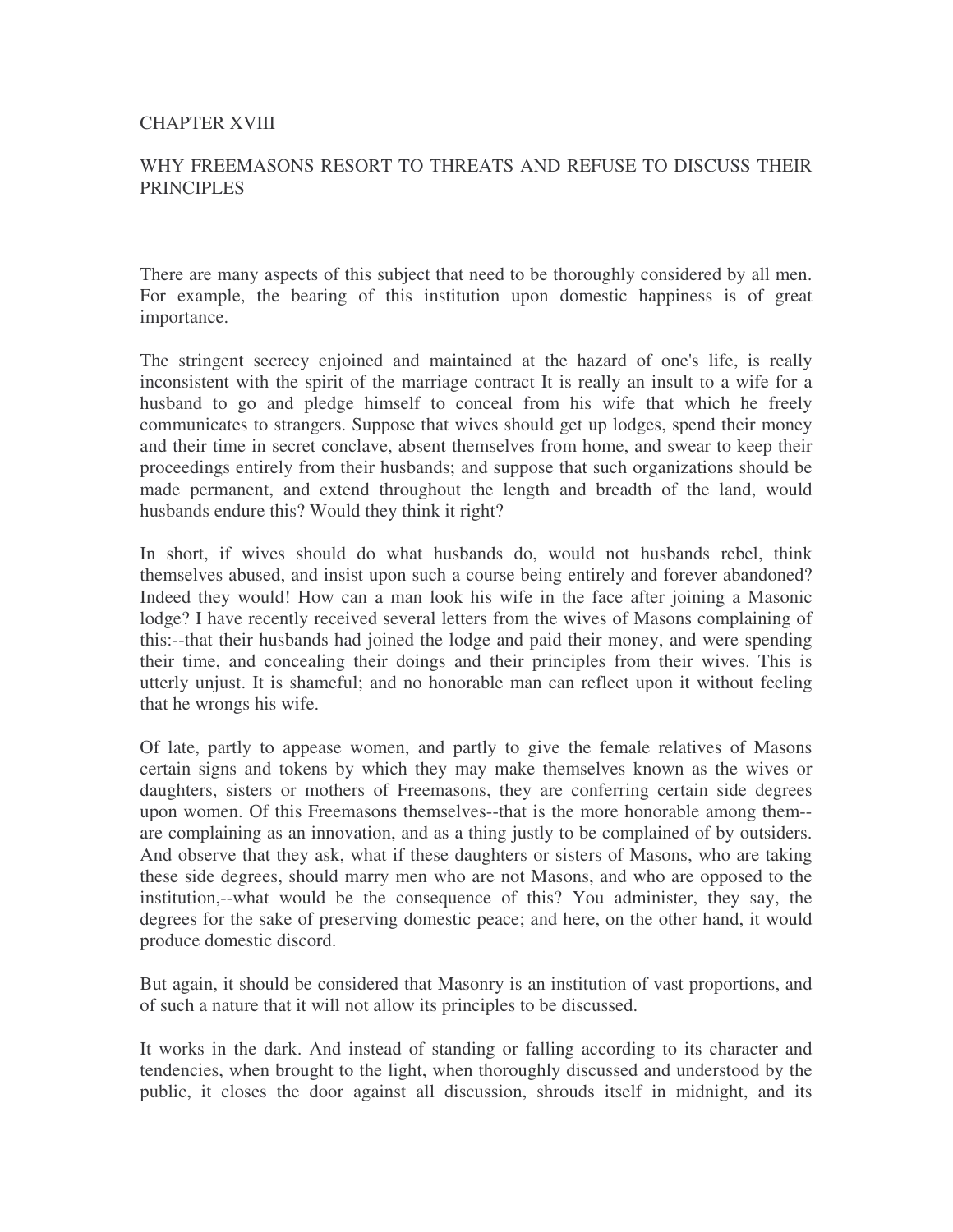## CHAPTER XVIII

## WHY FREEMASONS RESORT TO THREATS AND REFUSE TO DISCUSS THEIR PRINCIPLES

There are many aspects of this subject that need to be thoroughly considered by all men. For example, the bearing of this institution upon domestic happiness is of great importance.

The stringent secrecy enjoined and maintained at the hazard of one's life, is really inconsistent with the spirit of the marriage contract It is really an insult to a wife for a husband to go and pledge himself to conceal from his wife that which he freely communicates to strangers. Suppose that wives should get up lodges, spend their money and their time in secret conclave, absent themselves from home, and swear to keep their proceedings entirely from their husbands; and suppose that such organizations should be made permanent, and extend throughout the length and breadth of the land, would husbands endure this? Would they think it right?

In short, if wives should do what husbands do, would not husbands rebel, think themselves abused, and insist upon such a course being entirely and forever abandoned? Indeed they would! How can a man look his wife in the face after joining a Masonic lodge? I have recently received several letters from the wives of Masons complaining of this:--that their husbands had joined the lodge and paid their money, and were spending their time, and concealing their doings and their principles from their wives. This is utterly unjust. It is shameful; and no honorable man can reflect upon it without feeling that he wrongs his wife.

Of late, partly to appease women, and partly to give the female relatives of Masons certain signs and tokens by which they may make themselves known as the wives or daughters, sisters or mothers of Freemasons, they are conferring certain side degrees upon women. Of this Freemasons themselves--that is the more honorable among them- are complaining as an innovation, and as a thing justly to be complained of by outsiders. And observe that they ask, what if these daughters or sisters of Masons, who are taking these side degrees, should marry men who are not Masons, and who are opposed to the institution,--what would be the consequence of this? You administer, they say, the degrees for the sake of preserving domestic peace; and here, on the other hand, it would produce domestic discord.

But again, it should be considered that Masonry is an institution of vast proportions, and of such a nature that it will not allow its principles to be discussed.

It works in the dark. And instead of standing or falling according to its character and tendencies, when brought to the light, when thoroughly discussed and understood by the public, it closes the door against all discussion, shrouds itself in midnight, and its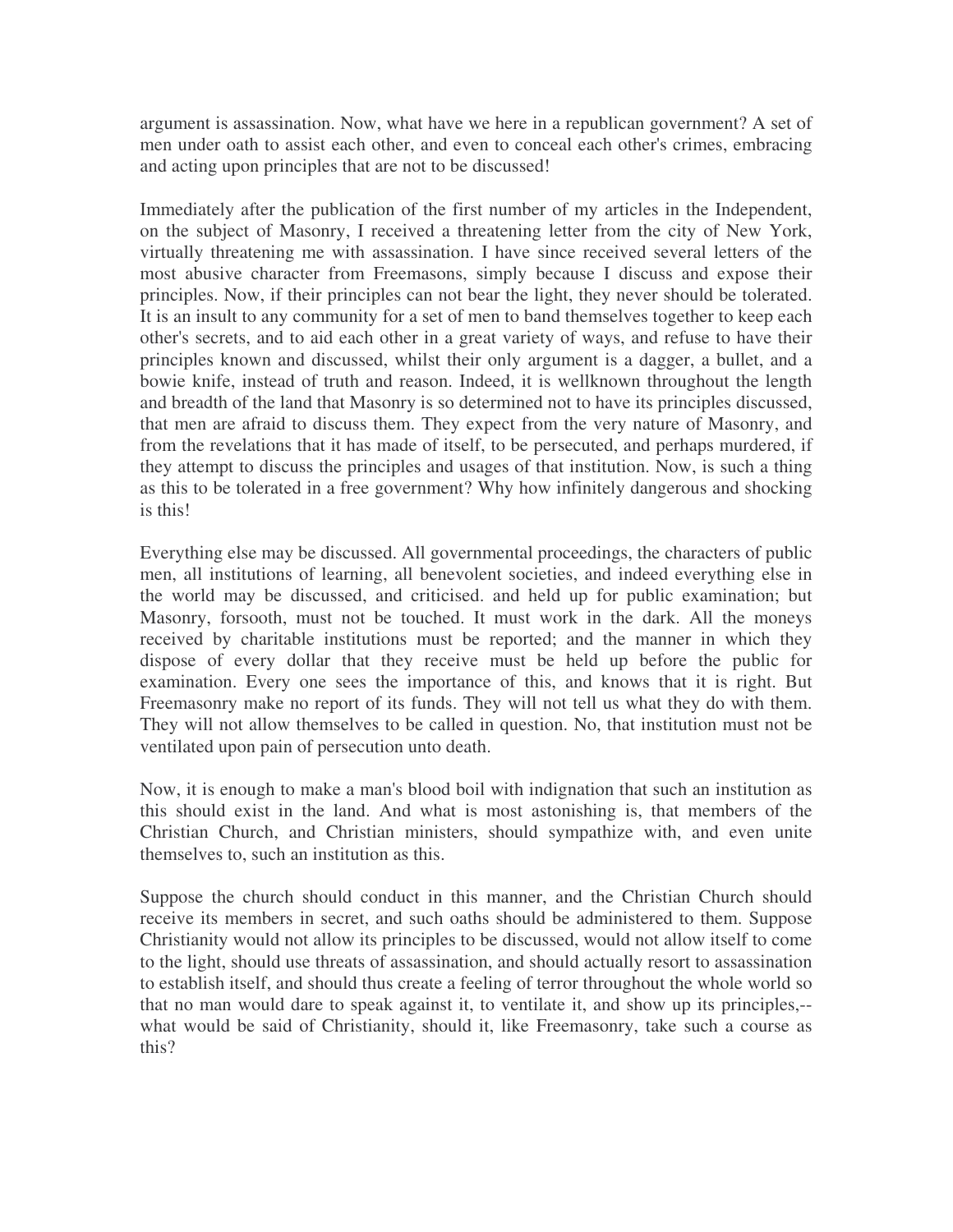argument is assassination. Now, what have we here in a republican government? A set of men under oath to assist each other, and even to conceal each other's crimes, embracing and acting upon principles that are not to be discussed!

Immediately after the publication of the first number of my articles in the Independent, on the subject of Masonry, I received a threatening letter from the city of New York, virtually threatening me with assassination. I have since received several letters of the most abusive character from Freemasons, simply because I discuss and expose their principles. Now, if their principles can not bear the light, they never should be tolerated. It is an insult to any community for a set of men to band themselves together to keep each other's secrets, and to aid each other in a great variety of ways, and refuse to have their principles known and discussed, whilst their only argument is a dagger, a bullet, and a bowie knife, instead of truth and reason. Indeed, it is wellknown throughout the length and breadth of the land that Masonry is so determined not to have its principles discussed, that men are afraid to discuss them. They expect from the very nature of Masonry, and from the revelations that it has made of itself, to be persecuted, and perhaps murdered, if they attempt to discuss the principles and usages of that institution. Now, is such a thing as this to be tolerated in a free government? Why how infinitely dangerous and shocking is this!

Everything else may be discussed. All governmental proceedings, the characters of public men, all institutions of learning, all benevolent societies, and indeed everything else in the world may be discussed, and criticised. and held up for public examination; but Masonry, forsooth, must not be touched. It must work in the dark. All the moneys received by charitable institutions must be reported; and the manner in which they dispose of every dollar that they receive must be held up before the public for examination. Every one sees the importance of this, and knows that it is right. But Freemasonry make no report of its funds. They will not tell us what they do with them. They will not allow themselves to be called in question. No, that institution must not be ventilated upon pain of persecution unto death.

Now, it is enough to make a man's blood boil with indignation that such an institution as this should exist in the land. And what is most astonishing is, that members of the Christian Church, and Christian ministers, should sympathize with, and even unite themselves to, such an institution as this.

Suppose the church should conduct in this manner, and the Christian Church should receive its members in secret, and such oaths should be administered to them. Suppose Christianity would not allow its principles to be discussed, would not allow itself to come to the light, should use threats of assassination, and should actually resort to assassination to establish itself, and should thus create a feeling of terror throughout the whole world so that no man would dare to speak against it, to ventilate it, and show up its principles,- what would be said of Christianity, should it, like Freemasonry, take such a course as this?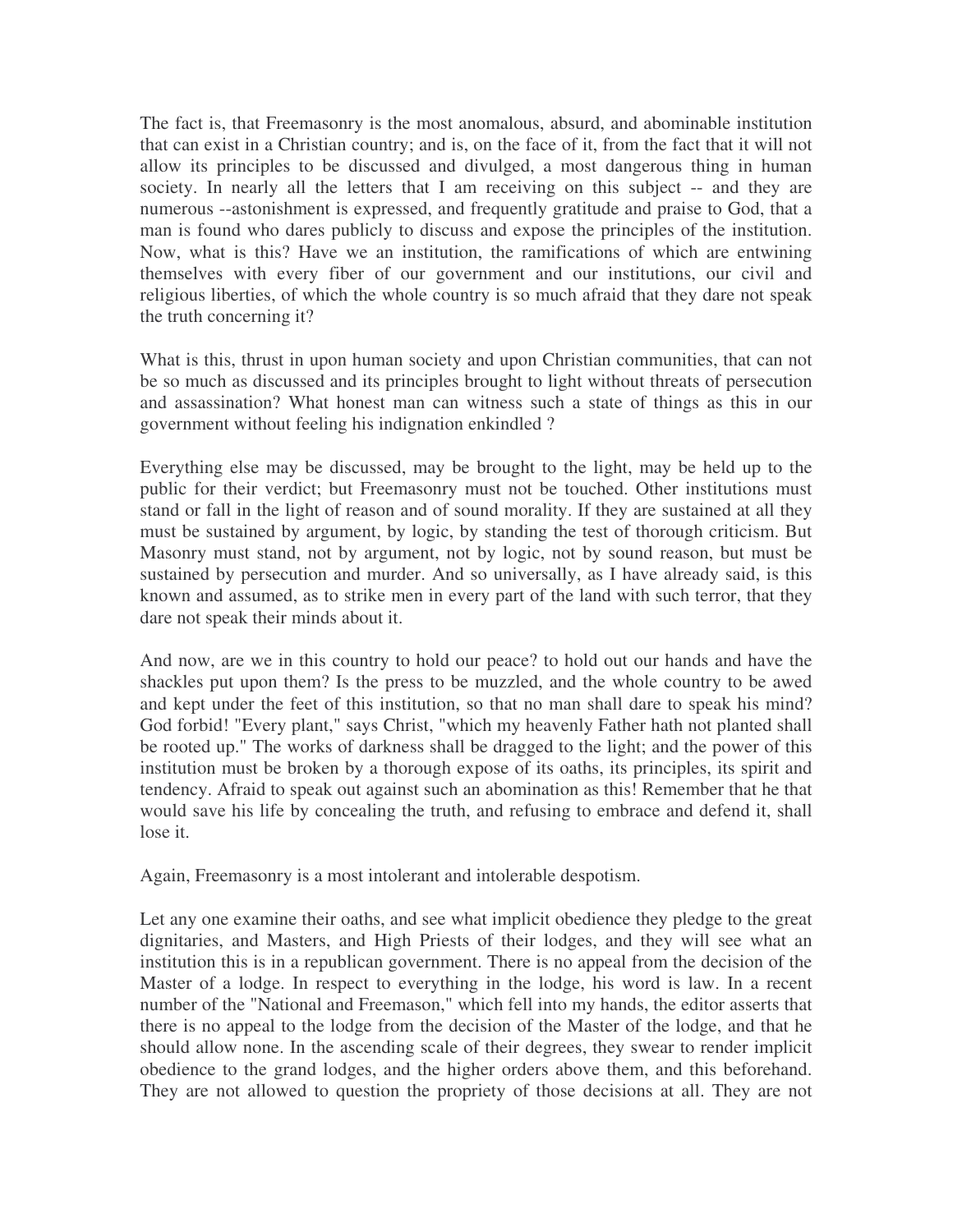The fact is, that Freemasonry is the most anomalous, absurd, and abominable institution that can exist in a Christian country; and is, on the face of it, from the fact that it will not allow its principles to be discussed and divulged, a most dangerous thing in human society. In nearly all the letters that I am receiving on this subject -- and they are numerous --astonishment is expressed, and frequently gratitude and praise to God, that a man is found who dares publicly to discuss and expose the principles of the institution. Now, what is this? Have we an institution, the ramifications of which are entwining themselves with every fiber of our government and our institutions, our civil and religious liberties, of which the whole country is so much afraid that they dare not speak the truth concerning it?

What is this, thrust in upon human society and upon Christian communities, that can not be so much as discussed and its principles brought to light without threats of persecution and assassination? What honest man can witness such a state of things as this in our government without feeling his indignation enkindled ?

Everything else may be discussed, may be brought to the light, may be held up to the public for their verdict; but Freemasonry must not be touched. Other institutions must stand or fall in the light of reason and of sound morality. If they are sustained at all they must be sustained by argument, by logic, by standing the test of thorough criticism. But Masonry must stand, not by argument, not by logic, not by sound reason, but must be sustained by persecution and murder. And so universally, as I have already said, is this known and assumed, as to strike men in every part of the land with such terror, that they dare not speak their minds about it.

And now, are we in this country to hold our peace? to hold out our hands and have the shackles put upon them? Is the press to be muzzled, and the whole country to be awed and kept under the feet of this institution, so that no man shall dare to speak his mind? God forbid! "Every plant," says Christ, "which my heavenly Father hath not planted shall be rooted up." The works of darkness shall be dragged to the light; and the power of this institution must be broken by a thorough expose of its oaths, its principles, its spirit and tendency. Afraid to speak out against such an abomination as this! Remember that he that would save his life by concealing the truth, and refusing to embrace and defend it, shall lose it.

Again, Freemasonry is a most intolerant and intolerable despotism.

Let any one examine their oaths, and see what implicit obedience they pledge to the great dignitaries, and Masters, and High Priests of their lodges, and they will see what an institution this is in a republican government. There is no appeal from the decision of the Master of a lodge. In respect to everything in the lodge, his word is law. In a recent number of the "National and Freemason," which fell into my hands, the editor asserts that there is no appeal to the lodge from the decision of the Master of the lodge, and that he should allow none. In the ascending scale of their degrees, they swear to render implicit obedience to the grand lodges, and the higher orders above them, and this beforehand. They are not allowed to question the propriety of those decisions at all. They are not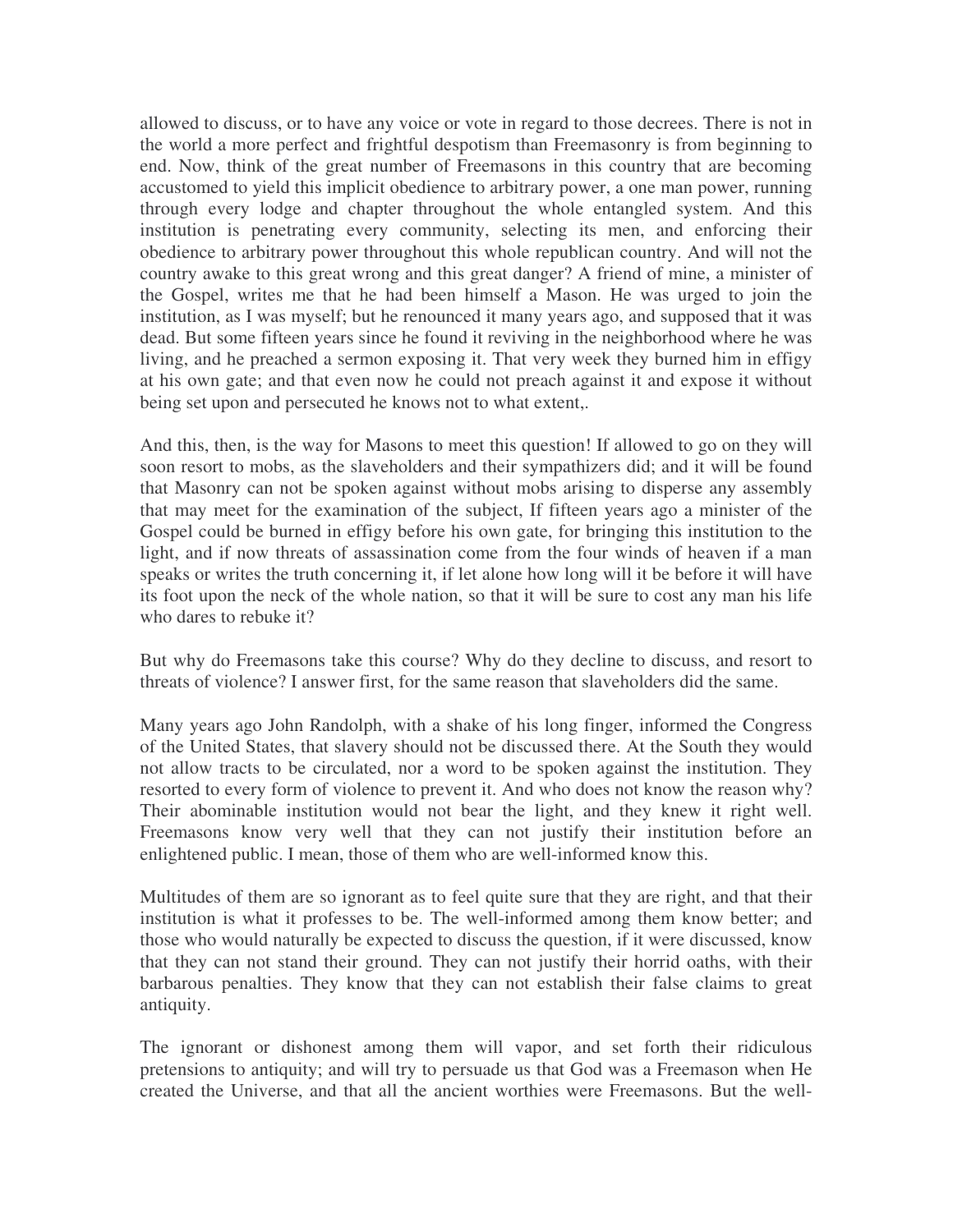allowed to discuss, or to have any voice or vote in regard to those decrees. There is not in the world a more perfect and frightful despotism than Freemasonry is from beginning to end. Now, think of the great number of Freemasons in this country that are becoming accustomed to yield this implicit obedience to arbitrary power, a one man power, running through every lodge and chapter throughout the whole entangled system. And this institution is penetrating every community, selecting its men, and enforcing their obedience to arbitrary power throughout this whole republican country. And will not the country awake to this great wrong and this great danger? A friend of mine, a minister of the Gospel, writes me that he had been himself a Mason. He was urged to join the institution, as I was myself; but he renounced it many years ago, and supposed that it was dead. But some fifteen years since he found it reviving in the neighborhood where he was living, and he preached a sermon exposing it. That very week they burned him in effigy at his own gate; and that even now he could not preach against it and expose it without being set upon and persecuted he knows not to what extent,.

And this, then, is the way for Masons to meet this question! If allowed to go on they will soon resort to mobs, as the slaveholders and their sympathizers did; and it will be found that Masonry can not be spoken against without mobs arising to disperse any assembly that may meet for the examination of the subject, If fifteen years ago a minister of the Gospel could be burned in effigy before his own gate, for bringing this institution to the light, and if now threats of assassination come from the four winds of heaven if a man speaks or writes the truth concerning it, if let alone how long will it be before it will have its foot upon the neck of the whole nation, so that it will be sure to cost any man his life who dares to rebuke it?

But why do Freemasons take this course? Why do they decline to discuss, and resort to threats of violence? I answer first, for the same reason that slaveholders did the same.

Many years ago John Randolph, with a shake of his long finger, informed the Congress of the United States, that slavery should not be discussed there. At the South they would not allow tracts to be circulated, nor a word to be spoken against the institution. They resorted to every form of violence to prevent it. And who does not know the reason why? Their abominable institution would not bear the light, and they knew it right well. Freemasons know very well that they can not justify their institution before an enlightened public. I mean, those of them who are well-informed know this.

Multitudes of them are so ignorant as to feel quite sure that they are right, and that their institution is what it professes to be. The well-informed among them know better; and those who would naturally be expected to discuss the question, if it were discussed, know that they can not stand their ground. They can not justify their horrid oaths, with their barbarous penalties. They know that they can not establish their false claims to great antiquity.

The ignorant or dishonest among them will vapor, and set forth their ridiculous pretensions to antiquity; and will try to persuade us that God was a Freemason when He created the Universe, and that all the ancient worthies were Freemasons. But the well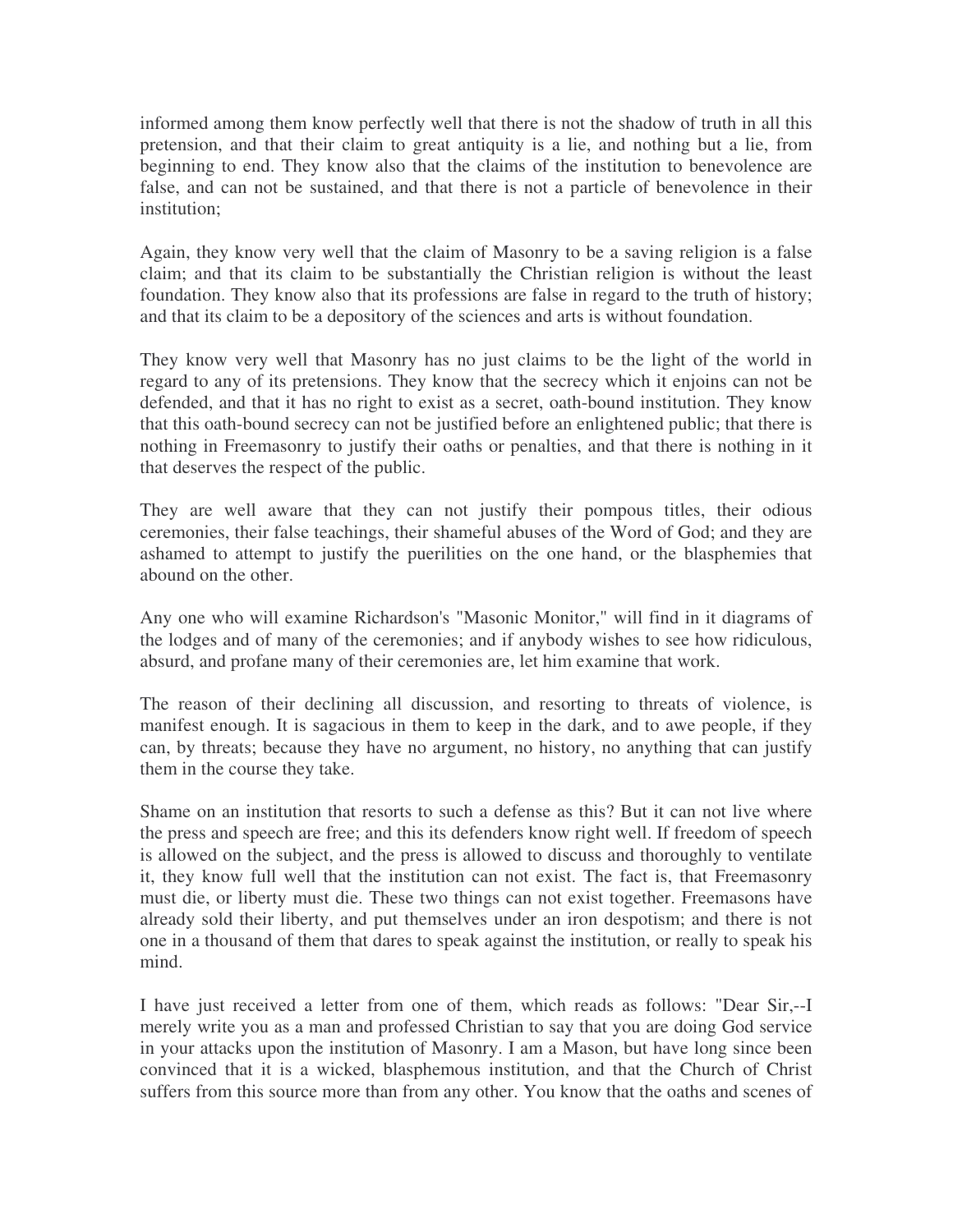informed among them know perfectly well that there is not the shadow of truth in all this pretension, and that their claim to great antiquity is a lie, and nothing but a lie, from beginning to end. They know also that the claims of the institution to benevolence are false, and can not be sustained, and that there is not a particle of benevolence in their institution;

Again, they know very well that the claim of Masonry to be a saving religion is a false claim; and that its claim to be substantially the Christian religion is without the least foundation. They know also that its professions are false in regard to the truth of history; and that its claim to be a depository of the sciences and arts is without foundation.

They know very well that Masonry has no just claims to be the light of the world in regard to any of its pretensions. They know that the secrecy which it enjoins can not be defended, and that it has no right to exist as a secret, oath-bound institution. They know that this oath-bound secrecy can not be justified before an enlightened public; that there is nothing in Freemasonry to justify their oaths or penalties, and that there is nothing in it that deserves the respect of the public.

They are well aware that they can not justify their pompous titles, their odious ceremonies, their false teachings, their shameful abuses of the Word of God; and they are ashamed to attempt to justify the puerilities on the one hand, or the blasphemies that abound on the other.

Any one who will examine Richardson's "Masonic Monitor," will find in it diagrams of the lodges and of many of the ceremonies; and if anybody wishes to see how ridiculous, absurd, and profane many of their ceremonies are, let him examine that work.

The reason of their declining all discussion, and resorting to threats of violence, is manifest enough. It is sagacious in them to keep in the dark, and to awe people, if they can, by threats; because they have no argument, no history, no anything that can justify them in the course they take.

Shame on an institution that resorts to such a defense as this? But it can not live where the press and speech are free; and this its defenders know right well. If freedom of speech is allowed on the subject, and the press is allowed to discuss and thoroughly to ventilate it, they know full well that the institution can not exist. The fact is, that Freemasonry must die, or liberty must die. These two things can not exist together. Freemasons have already sold their liberty, and put themselves under an iron despotism; and there is not one in a thousand of them that dares to speak against the institution, or really to speak his mind.

I have just received a letter from one of them, which reads as follows: "Dear Sir,--I merely write you as a man and professed Christian to say that you are doing God service in your attacks upon the institution of Masonry. I am a Mason, but have long since been convinced that it is a wicked, blasphemous institution, and that the Church of Christ suffers from this source more than from any other. You know that the oaths and scenes of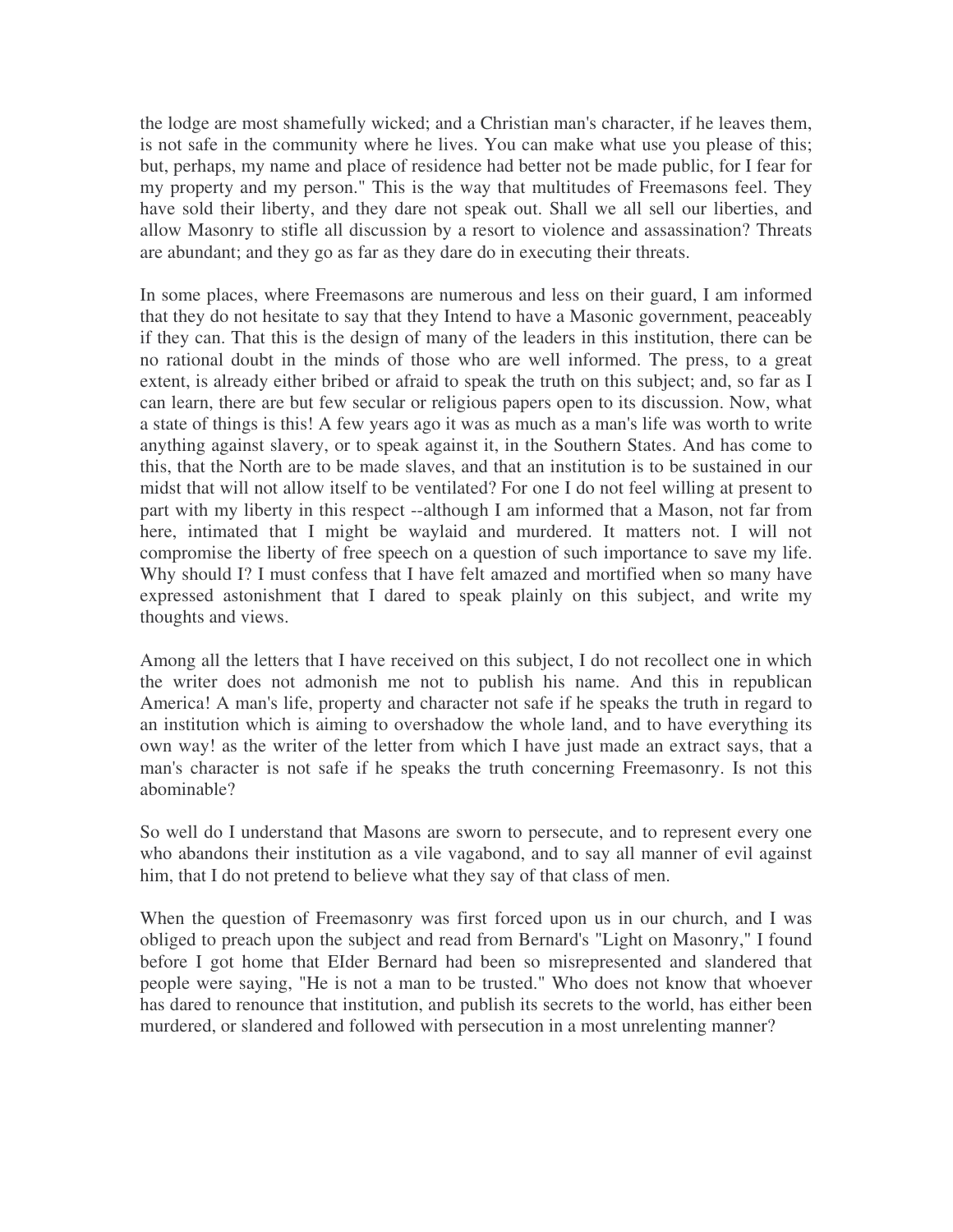the lodge are most shamefully wicked; and a Christian man's character, if he leaves them, is not safe in the community where he lives. You can make what use you please of this; but, perhaps, my name and place of residence had better not be made public, for I fear for my property and my person." This is the way that multitudes of Freemasons feel. They have sold their liberty, and they dare not speak out. Shall we all sell our liberties, and allow Masonry to stifle all discussion by a resort to violence and assassination? Threats are abundant; and they go as far as they dare do in executing their threats.

In some places, where Freemasons are numerous and less on their guard, I am informed that they do not hesitate to say that they Intend to have a Masonic government, peaceably if they can. That this is the design of many of the leaders in this institution, there can be no rational doubt in the minds of those who are well informed. The press, to a great extent, is already either bribed or afraid to speak the truth on this subject; and, so far as I can learn, there are but few secular or religious papers open to its discussion. Now, what a state of things is this! A few years ago it was as much as a man's life was worth to write anything against slavery, or to speak against it, in the Southern States. And has come to this, that the North are to be made slaves, and that an institution is to be sustained in our midst that will not allow itself to be ventilated? For one I do not feel willing at present to part with my liberty in this respect --although I am informed that a Mason, not far from here, intimated that I might be waylaid and murdered. It matters not. I will not compromise the liberty of free speech on a question of such importance to save my life. Why should I? I must confess that I have felt amazed and mortified when so many have expressed astonishment that I dared to speak plainly on this subject, and write my thoughts and views.

Among all the letters that I have received on this subject, I do not recollect one in which the writer does not admonish me not to publish his name. And this in republican America! A man's life, property and character not safe if he speaks the truth in regard to an institution which is aiming to overshadow the whole land, and to have everything its own way! as the writer of the letter from which I have just made an extract says, that a man's character is not safe if he speaks the truth concerning Freemasonry. Is not this abominable?

So well do I understand that Masons are sworn to persecute, and to represent every one who abandons their institution as a vile vagabond, and to say all manner of evil against him, that I do not pretend to believe what they say of that class of men.

When the question of Freemasonry was first forced upon us in our church, and I was obliged to preach upon the subject and read from Bernard's "Light on Masonry," I found before I got home that EIder Bernard had been so misrepresented and slandered that people were saying, "He is not a man to be trusted." Who does not know that whoever has dared to renounce that institution, and publish its secrets to the world, has either been murdered, or slandered and followed with persecution in a most unrelenting manner?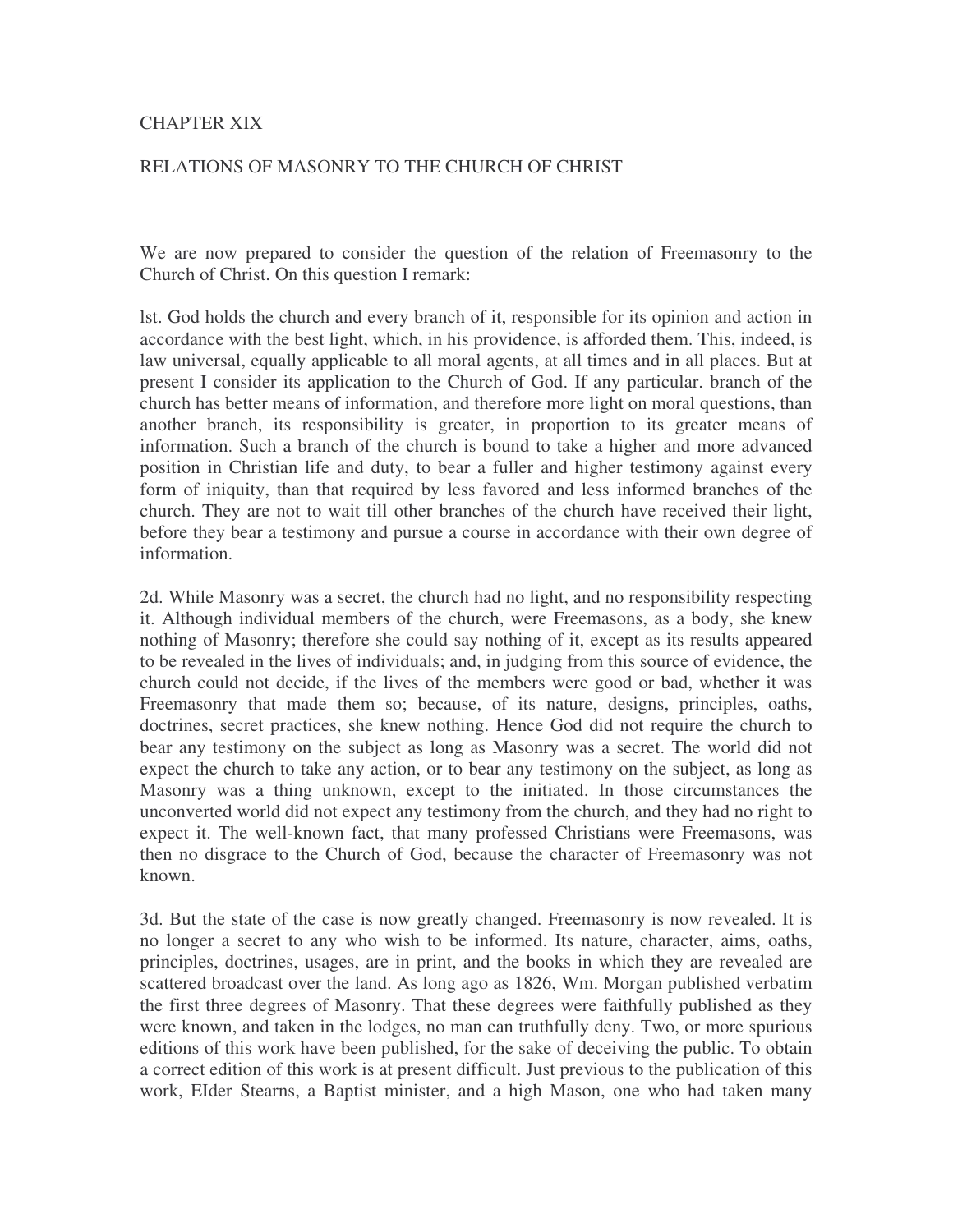### CHAPTER XIX

#### RELATIONS OF MASONRY TO THE CHURCH OF CHRIST

We are now prepared to consider the question of the relation of Freemasonry to the Church of Christ. On this question I remark:

lst. God holds the church and every branch of it, responsible for its opinion and action in accordance with the best light, which, in his providence, is afforded them. This, indeed, is law universal, equally applicable to all moral agents, at all times and in all places. But at present I consider its application to the Church of God. If any particular. branch of the church has better means of information, and therefore more light on moral questions, than another branch, its responsibility is greater, in proportion to its greater means of information. Such a branch of the church is bound to take a higher and more advanced position in Christian life and duty, to bear a fuller and higher testimony against every form of iniquity, than that required by less favored and less informed branches of the church. They are not to wait till other branches of the church have received their light, before they bear a testimony and pursue a course in accordance with their own degree of information.

2d. While Masonry was a secret, the church had no light, and no responsibility respecting it. Although individual members of the church, were Freemasons, as a body, she knew nothing of Masonry; therefore she could say nothing of it, except as its results appeared to be revealed in the lives of individuals; and, in judging from this source of evidence, the church could not decide, if the lives of the members were good or bad, whether it was Freemasonry that made them so; because, of its nature, designs, principles, oaths, doctrines, secret practices, she knew nothing. Hence God did not require the church to bear any testimony on the subject as long as Masonry was a secret. The world did not expect the church to take any action, or to bear any testimony on the subject, as long as Masonry was a thing unknown, except to the initiated. In those circumstances the unconverted world did not expect any testimony from the church, and they had no right to expect it. The well-known fact, that many professed Christians were Freemasons, was then no disgrace to the Church of God, because the character of Freemasonry was not known.

3d. But the state of the case is now greatly changed. Freemasonry is now revealed. It is no longer a secret to any who wish to be informed. Its nature, character, aims, oaths, principles, doctrines, usages, are in print, and the books in which they are revealed are scattered broadcast over the land. As long ago as 1826, Wm. Morgan published verbatim the first three degrees of Masonry. That these degrees were faithfully published as they were known, and taken in the lodges, no man can truthfully deny. Two, or more spurious editions of this work have been published, for the sake of deceiving the public. To obtain a correct edition of this work is at present difficult. Just previous to the publication of this work, EIder Stearns, a Baptist minister, and a high Mason, one who had taken many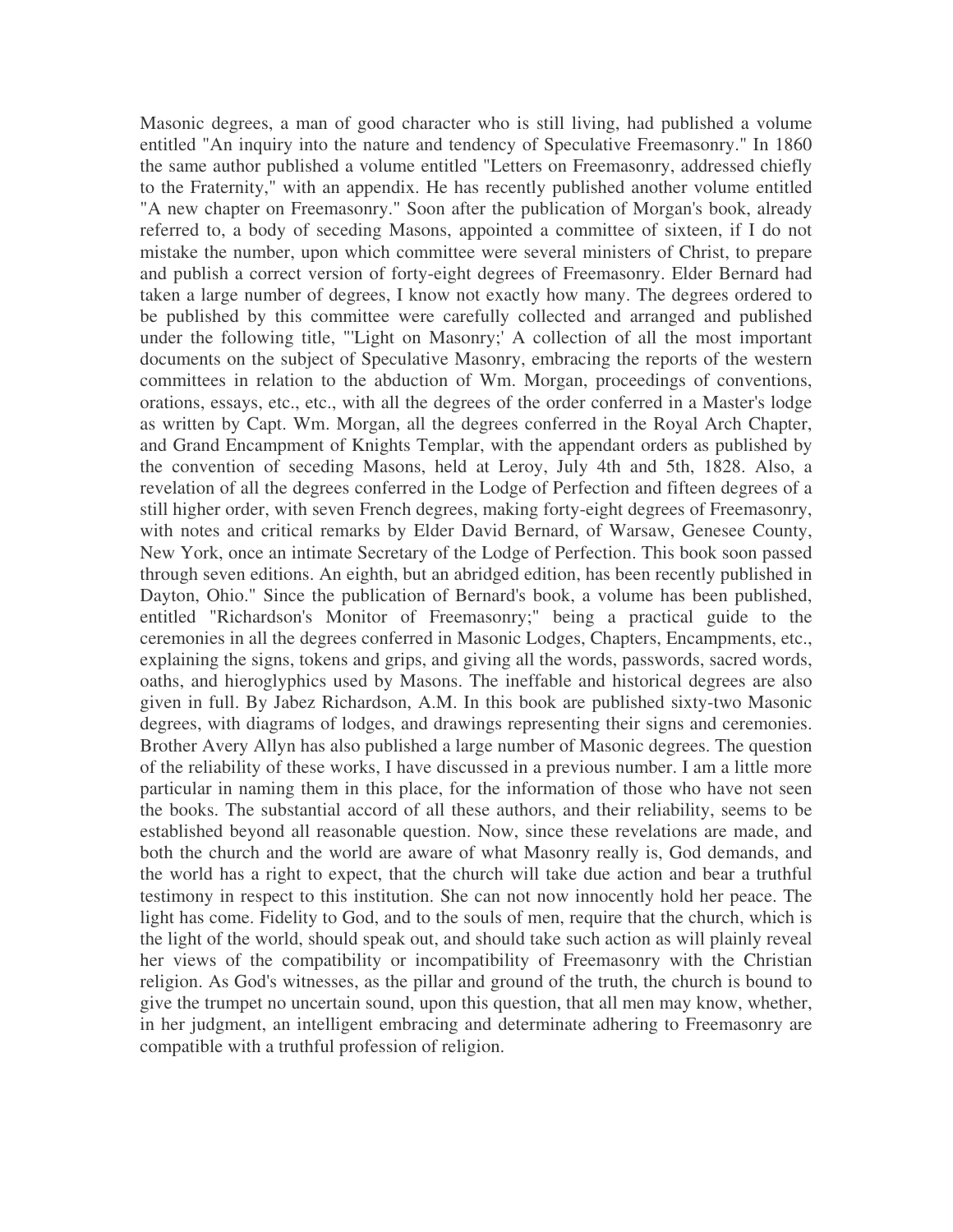Masonic degrees, a man of good character who is still living, had published a volume entitled "An inquiry into the nature and tendency of Speculative Freemasonry." In 1860 the same author published a volume entitled "Letters on Freemasonry, addressed chiefly to the Fraternity," with an appendix. He has recently published another volume entitled "A new chapter on Freemasonry." Soon after the publication of Morgan's book, already referred to, a body of seceding Masons, appointed a committee of sixteen, if I do not mistake the number, upon which committee were several ministers of Christ, to prepare and publish a correct version of forty-eight degrees of Freemasonry. Elder Bernard had taken a large number of degrees, I know not exactly how many. The degrees ordered to be published by this committee were carefully collected and arranged and published under the following title, "'Light on Masonry;' A collection of all the most important documents on the subject of Speculative Masonry, embracing the reports of the western committees in relation to the abduction of Wm. Morgan, proceedings of conventions, orations, essays, etc., etc., with all the degrees of the order conferred in a Master's lodge as written by Capt. Wm. Morgan, all the degrees conferred in the Royal Arch Chapter, and Grand Encampment of Knights Templar, with the appendant orders as published by the convention of seceding Masons, held at Leroy, July 4th and 5th, 1828. Also, a revelation of all the degrees conferred in the Lodge of Perfection and fifteen degrees of a still higher order, with seven French degrees, making forty-eight degrees of Freemasonry, with notes and critical remarks by Elder David Bernard, of Warsaw, Genesee County, New York, once an intimate Secretary of the Lodge of Perfection. This book soon passed through seven editions. An eighth, but an abridged edition, has been recently published in Dayton, Ohio." Since the publication of Bernard's book, a volume has been published, entitled "Richardson's Monitor of Freemasonry;" being a practical guide to the ceremonies in all the degrees conferred in Masonic Lodges, Chapters, Encampments, etc., explaining the signs, tokens and grips, and giving all the words, passwords, sacred words, oaths, and hieroglyphics used by Masons. The ineffable and historical degrees are also given in full. By Jabez Richardson, A.M. In this book are published sixty-two Masonic degrees, with diagrams of lodges, and drawings representing their signs and ceremonies. Brother Avery Allyn has also published a large number of Masonic degrees. The question of the reliability of these works, I have discussed in a previous number. I am a little more particular in naming them in this place, for the information of those who have not seen the books. The substantial accord of all these authors, and their reliability, seems to be established beyond all reasonable question. Now, since these revelations are made, and both the church and the world are aware of what Masonry really is, God demands, and the world has a right to expect, that the church will take due action and bear a truthful testimony in respect to this institution. She can not now innocently hold her peace. The light has come. Fidelity to God, and to the souls of men, require that the church, which is the light of the world, should speak out, and should take such action as will plainly reveal her views of the compatibility or incompatibility of Freemasonry with the Christian religion. As God's witnesses, as the pillar and ground of the truth, the church is bound to give the trumpet no uncertain sound, upon this question, that all men may know, whether, in her judgment, an intelligent embracing and determinate adhering to Freemasonry are compatible with a truthful profession of religion.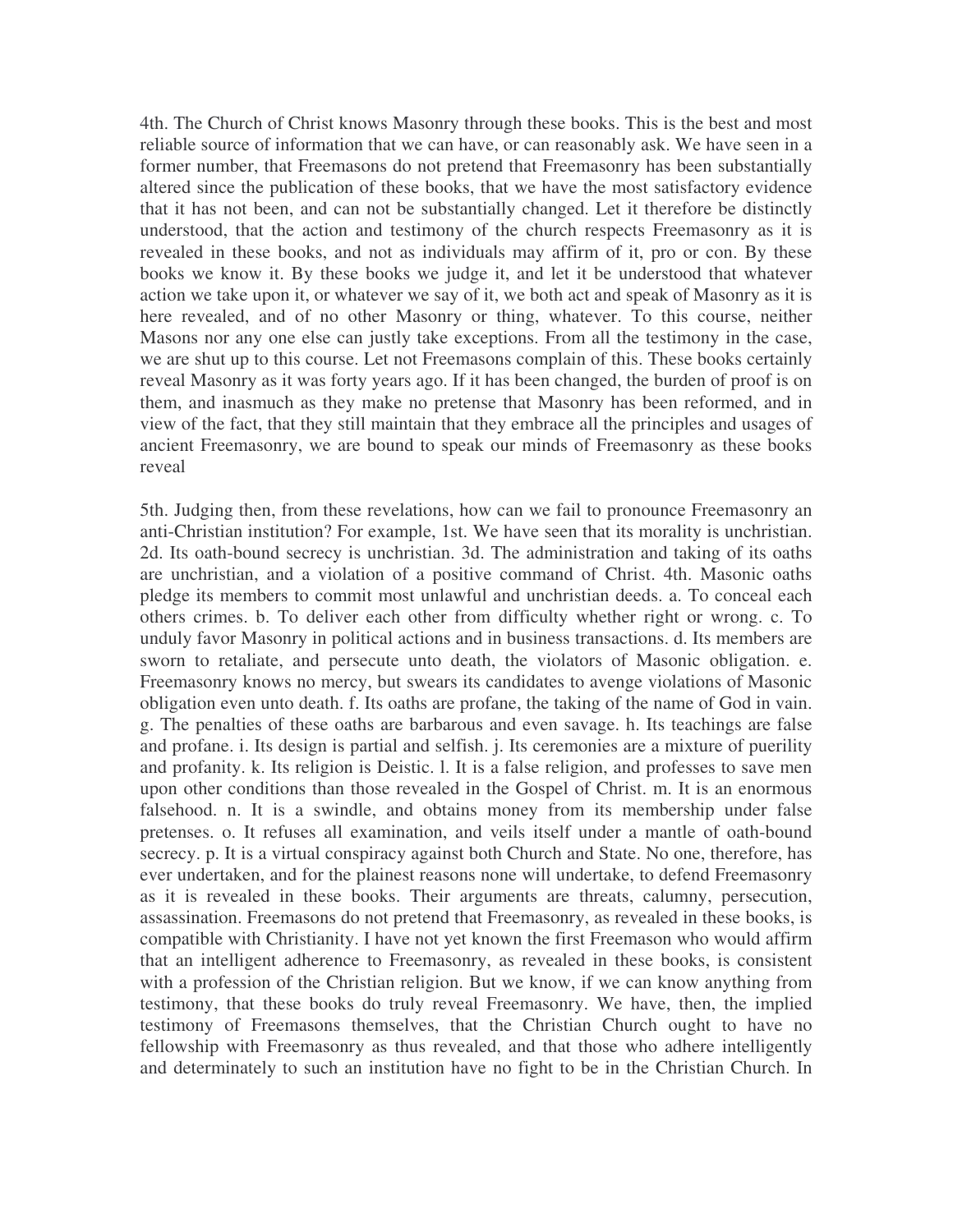4th. The Church of Christ knows Masonry through these books. This is the best and most reliable source of information that we can have, or can reasonably ask. We have seen in a former number, that Freemasons do not pretend that Freemasonry has been substantially altered since the publication of these books, that we have the most satisfactory evidence that it has not been, and can not be substantially changed. Let it therefore be distinctly understood, that the action and testimony of the church respects Freemasonry as it is revealed in these books, and not as individuals may affirm of it, pro or con. By these books we know it. By these books we judge it, and let it be understood that whatever action we take upon it, or whatever we say of it, we both act and speak of Masonry as it is here revealed, and of no other Masonry or thing, whatever. To this course, neither Masons nor any one else can justly take exceptions. From all the testimony in the case, we are shut up to this course. Let not Freemasons complain of this. These books certainly reveal Masonry as it was forty years ago. If it has been changed, the burden of proof is on them, and inasmuch as they make no pretense that Masonry has been reformed, and in view of the fact, that they still maintain that they embrace all the principles and usages of ancient Freemasonry, we are bound to speak our minds of Freemasonry as these books reveal

5th. Judging then, from these revelations, how can we fail to pronounce Freemasonry an anti-Christian institution? For example, 1st. We have seen that its morality is unchristian. 2d. Its oath-bound secrecy is unchristian. 3d. The administration and taking of its oaths are unchristian, and a violation of a positive command of Christ. 4th. Masonic oaths pledge its members to commit most unlawful and unchristian deeds. a. To conceal each others crimes. b. To deliver each other from difficulty whether right or wrong. c. To unduly favor Masonry in political actions and in business transactions. d. Its members are sworn to retaliate, and persecute unto death, the violators of Masonic obligation. e. Freemasonry knows no mercy, but swears its candidates to avenge violations of Masonic obligation even unto death. f. Its oaths are profane, the taking of the name of God in vain. g. The penalties of these oaths are barbarous and even savage. h. Its teachings are false and profane. i. Its design is partial and selfish. j. Its ceremonies are a mixture of puerility and profanity. k. Its religion is Deistic. l. It is a false religion, and professes to save men upon other conditions than those revealed in the Gospel of Christ. m. It is an enormous falsehood. n. It is a swindle, and obtains money from its membership under false pretenses. o. It refuses all examination, and veils itself under a mantle of oath-bound secrecy. p. It is a virtual conspiracy against both Church and State. No one, therefore, has ever undertaken, and for the plainest reasons none will undertake, to defend Freemasonry as it is revealed in these books. Their arguments are threats, calumny, persecution, assassination. Freemasons do not pretend that Freemasonry, as revealed in these books, is compatible with Christianity. I have not yet known the first Freemason who would affirm that an intelligent adherence to Freemasonry, as revealed in these books, is consistent with a profession of the Christian religion. But we know, if we can know anything from testimony, that these books do truly reveal Freemasonry. We have, then, the implied testimony of Freemasons themselves, that the Christian Church ought to have no fellowship with Freemasonry as thus revealed, and that those who adhere intelligently and determinately to such an institution have no fight to be in the Christian Church. In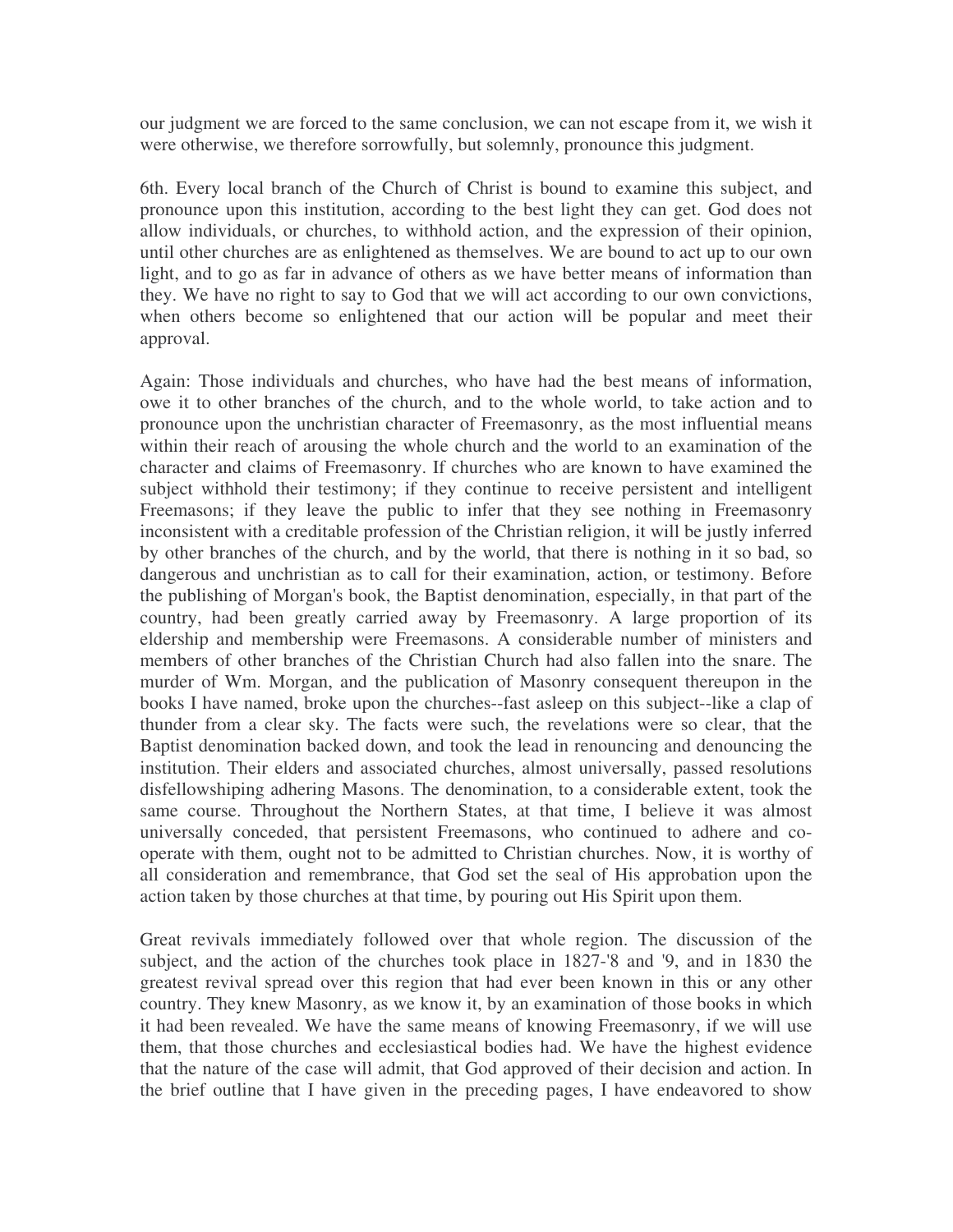our judgment we are forced to the same conclusion, we can not escape from it, we wish it were otherwise, we therefore sorrowfully, but solemnly, pronounce this judgment.

6th. Every local branch of the Church of Christ is bound to examine this subject, and pronounce upon this institution, according to the best light they can get. God does not allow individuals, or churches, to withhold action, and the expression of their opinion, until other churches are as enlightened as themselves. We are bound to act up to our own light, and to go as far in advance of others as we have better means of information than they. We have no right to say to God that we will act according to our own convictions, when others become so enlightened that our action will be popular and meet their approval.

Again: Those individuals and churches, who have had the best means of information, owe it to other branches of the church, and to the whole world, to take action and to pronounce upon the unchristian character of Freemasonry, as the most influential means within their reach of arousing the whole church and the world to an examination of the character and claims of Freemasonry. If churches who are known to have examined the subject withhold their testimony; if they continue to receive persistent and intelligent Freemasons; if they leave the public to infer that they see nothing in Freemasonry inconsistent with a creditable profession of the Christian religion, it will be justly inferred by other branches of the church, and by the world, that there is nothing in it so bad, so dangerous and unchristian as to call for their examination, action, or testimony. Before the publishing of Morgan's book, the Baptist denomination, especially, in that part of the country, had been greatly carried away by Freemasonry. A large proportion of its eldership and membership were Freemasons. A considerable number of ministers and members of other branches of the Christian Church had also fallen into the snare. The murder of Wm. Morgan, and the publication of Masonry consequent thereupon in the books I have named, broke upon the churches--fast asleep on this subject--like a clap of thunder from a clear sky. The facts were such, the revelations were so clear, that the Baptist denomination backed down, and took the lead in renouncing and denouncing the institution. Their elders and associated churches, almost universally, passed resolutions disfellowshiping adhering Masons. The denomination, to a considerable extent, took the same course. Throughout the Northern States, at that time, I believe it was almost universally conceded, that persistent Freemasons, who continued to adhere and cooperate with them, ought not to be admitted to Christian churches. Now, it is worthy of all consideration and remembrance, that God set the seal of His approbation upon the action taken by those churches at that time, by pouring out His Spirit upon them.

Great revivals immediately followed over that whole region. The discussion of the subject, and the action of the churches took place in 1827-'8 and '9, and in 1830 the greatest revival spread over this region that had ever been known in this or any other country. They knew Masonry, as we know it, by an examination of those books in which it had been revealed. We have the same means of knowing Freemasonry, if we will use them, that those churches and ecclesiastical bodies had. We have the highest evidence that the nature of the case will admit, that God approved of their decision and action. In the brief outline that I have given in the preceding pages, I have endeavored to show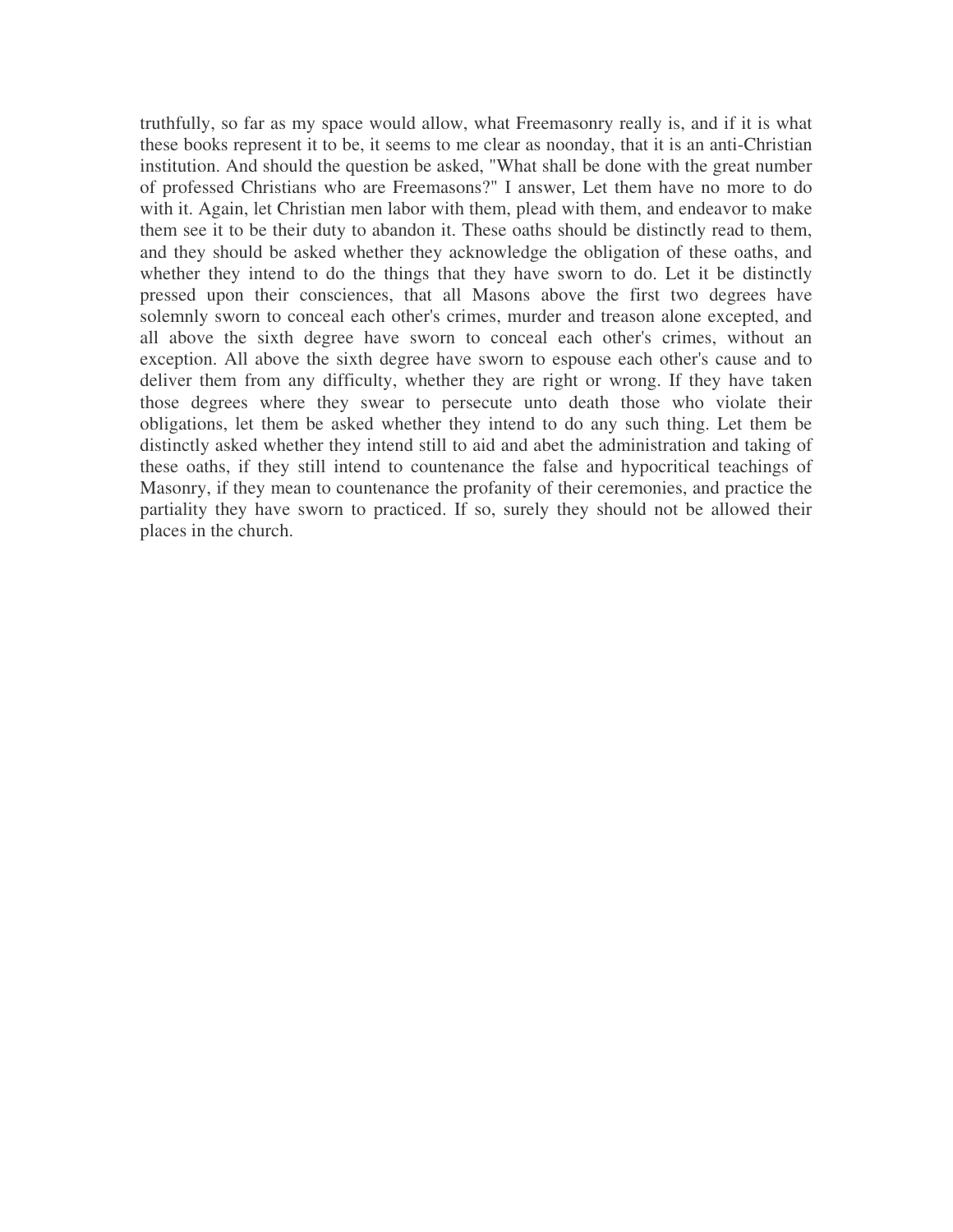truthfully, so far as my space would allow, what Freemasonry really is, and if it is what these books represent it to be, it seems to me clear as noonday, that it is an anti-Christian institution. And should the question be asked, "What shall be done with the great number of professed Christians who are Freemasons?" I answer, Let them have no more to do with it. Again, let Christian men labor with them, plead with them, and endeavor to make them see it to be their duty to abandon it. These oaths should be distinctly read to them, and they should be asked whether they acknowledge the obligation of these oaths, and whether they intend to do the things that they have sworn to do. Let it be distinctly pressed upon their consciences, that all Masons above the first two degrees have solemnly sworn to conceal each other's crimes, murder and treason alone excepted, and all above the sixth degree have sworn to conceal each other's crimes, without an exception. All above the sixth degree have sworn to espouse each other's cause and to deliver them from any difficulty, whether they are right or wrong. If they have taken those degrees where they swear to persecute unto death those who violate their obligations, let them be asked whether they intend to do any such thing. Let them be distinctly asked whether they intend still to aid and abet the administration and taking of these oaths, if they still intend to countenance the false and hypocritical teachings of Masonry, if they mean to countenance the profanity of their ceremonies, and practice the partiality they have sworn to practiced. If so, surely they should not be allowed their places in the church.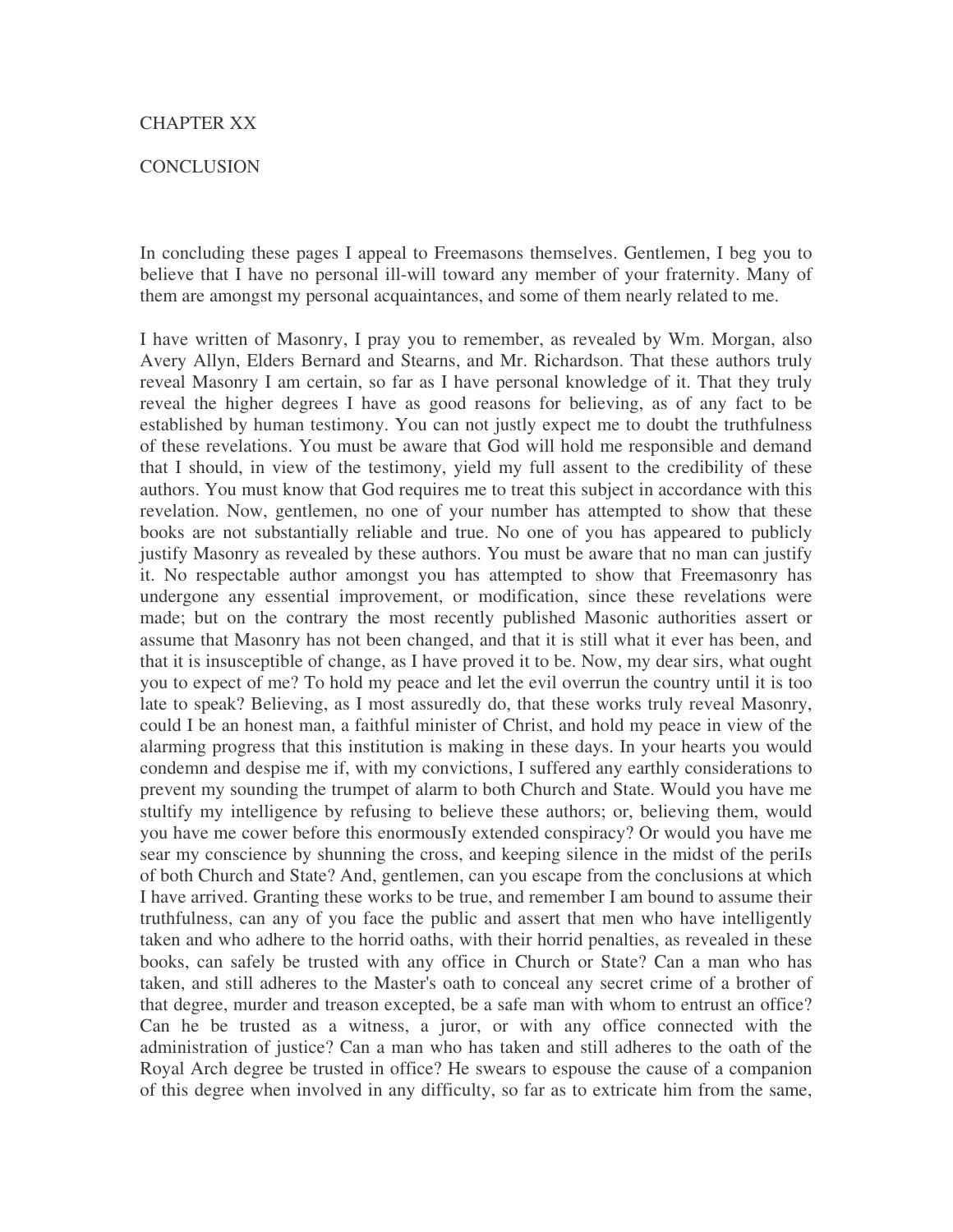## CHAPTER XX

## **CONCLUSION**

In concluding these pages I appeal to Freemasons themselves. Gentlemen, I beg you to believe that I have no personal ill-will toward any member of your fraternity. Many of them are amongst my personal acquaintances, and some of them nearly related to me.

I have written of Masonry, I pray you to remember, as revealed by Wm. Morgan, also Avery Allyn, Elders Bernard and Stearns, and Mr. Richardson. That these authors truly reveal Masonry I am certain, so far as I have personal knowledge of it. That they truly reveal the higher degrees I have as good reasons for believing, as of any fact to be established by human testimony. You can not justly expect me to doubt the truthfulness of these revelations. You must be aware that God will hold me responsible and demand that I should, in view of the testimony, yield my full assent to the credibility of these authors. You must know that God requires me to treat this subject in accordance with this revelation. Now, gentlemen, no one of your number has attempted to show that these books are not substantially reliable and true. No one of you has appeared to publicly justify Masonry as revealed by these authors. You must be aware that no man can justify it. No respectable author amongst you has attempted to show that Freemasonry has undergone any essential improvement, or modification, since these revelations were made; but on the contrary the most recently published Masonic authorities assert or assume that Masonry has not been changed, and that it is still what it ever has been, and that it is insusceptible of change, as I have proved it to be. Now, my dear sirs, what ought you to expect of me? To hold my peace and let the evil overrun the country until it is too late to speak? Believing, as I most assuredly do, that these works truly reveal Masonry, could I be an honest man, a faithful minister of Christ, and hold my peace in view of the alarming progress that this institution is making in these days. In your hearts you would condemn and despise me if, with my convictions, I suffered any earthly considerations to prevent my sounding the trumpet of alarm to both Church and State. Would you have me stultify my intelligence by refusing to believe these authors; or, believing them, would you have me cower before this enormousIy extended conspiracy? Or would you have me sear my conscience by shunning the cross, and keeping silence in the midst of the periIs of both Church and State? And, gentlemen, can you escape from the conclusions at which I have arrived. Granting these works to be true, and remember I am bound to assume their truthfulness, can any of you face the public and assert that men who have intelligently taken and who adhere to the horrid oaths, with their horrid penalties, as revealed in these books, can safely be trusted with any office in Church or State? Can a man who has taken, and still adheres to the Master's oath to conceal any secret crime of a brother of that degree, murder and treason excepted, be a safe man with whom to entrust an office? Can he be trusted as a witness, a juror, or with any office connected with the administration of justice? Can a man who has taken and still adheres to the oath of the Royal Arch degree be trusted in office? He swears to espouse the cause of a companion of this degree when involved in any difficulty, so far as to extricate him from the same,